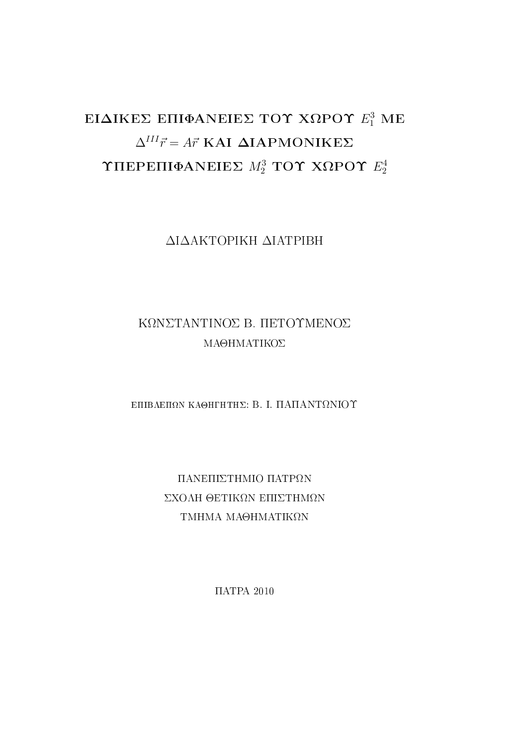### EΙΔΙΚΕΣ ΕΠΙΦΑΝΕΙΕΣ ΤΟΥ ΧΩΡΟΥ  $E_1^3$  ME  $\Delta^{III} \vec{r} = A \vec{r}$  KAI  $\Delta$ IAPMONIKE $\Sigma$ ΥΠΕΡΕΠΙΦΑΝΕΙΕΣ  $M_2^3$  ΤΟΥ ΧΩΡΟΥ  $E_2^4$ 2

 $\Delta$ I $\Delta$ AKTOPIKH  $\Delta$ IATPIBH

### KONSTANTINOS B. HETOYMENOS ΜΑΘΗΜΑΤΙΚΟΣ

EΠΙΒΛΕΠΩΝ ΚΑΘΗΓΗΤΗΣ: Β. Ι. ΠΑΠΑΝΤΩΝΙΟΥ

ΠΑΝΕΠΙΣΤΗΜΙΟ ΠΑΤΡΩΝ ΣΧΟΛΗ ΘΕΤΙΚΩΝ ΕΠΙΣΤΗΜΩΝ TMHMA MA $\Theta$ HMATIK $\Omega$ N

 $\Pi$ ATPA 2010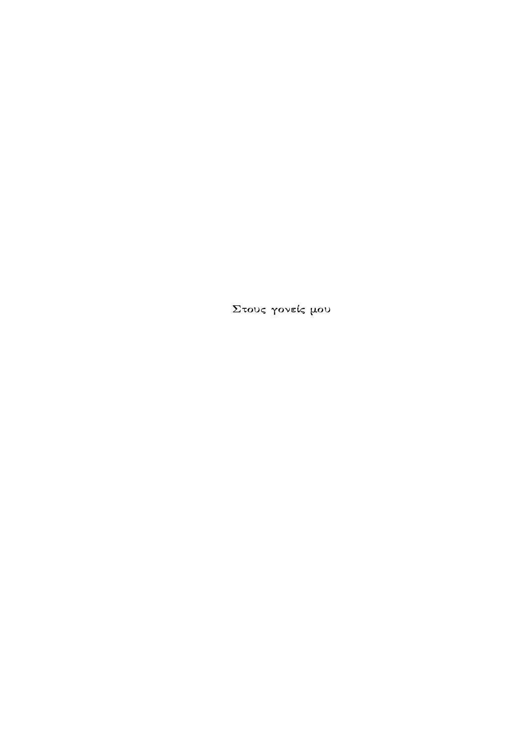Στους γονείς μου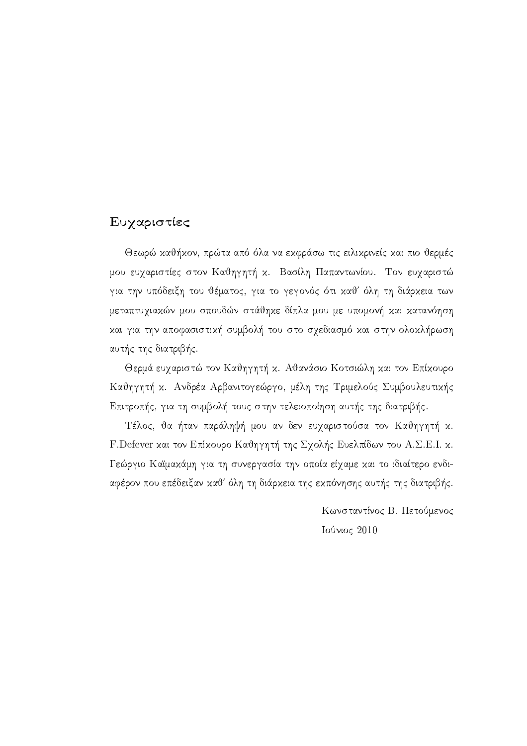### Ευχαριστίες

Θεωρώ καθήκον, πρώτα από όλα να εκφράσω τις ειλικρινείς και πιο θερμές μου ευχαριστίες στον Καθηγητή κ. Βασίλη Παπαντωνίου. Τον ευχαριστώ για την υπόδειξη του θέματος, για το γεγονός ότι καθ' όλη τη διάρκεια των μεταπτυχιακών μου σπουδών στάθηκε δίπλα μου με υπομονή και κατανόηση και για την αποφασιστική συμβολή του στο σχεδιασμό και στην ολοκλήρωση αυτής της διατριβής.

Θερμά ευχαριστώ τον Καθηγητή κ. Αθανάσιο Κοτσιώλη και τον Επίκουρο Καθηγητή κ. Ανδρέα Αρβανιτογεώργο, μέλη της Τριμελούς Συμβουλευτικής Επιτροπής, για τη συμβολή τους στην τελειοποίηση αυτής της διατριβής.

Τέλος, θα ήταν παράληψή μου αν δεν ευχαριστούσα τον Καθηγητή κ. F. Defever και τον Επίκουρο Καθηγητή της Σχολής Ευελπίδων του Α. Σ. Ε. Ι. κ. Γεώργιο Καϊμακάμη για τη συνεργασία την οποία είχαμε και το ιδιαίτερο ενδιαφέρον που επέδειξαν καθ' όλη τη διάρκεια της εκπόνησης αυτής της διατριβής.

> Κωνσταντίνος Β. Πετούμενος Ιούνιος 2010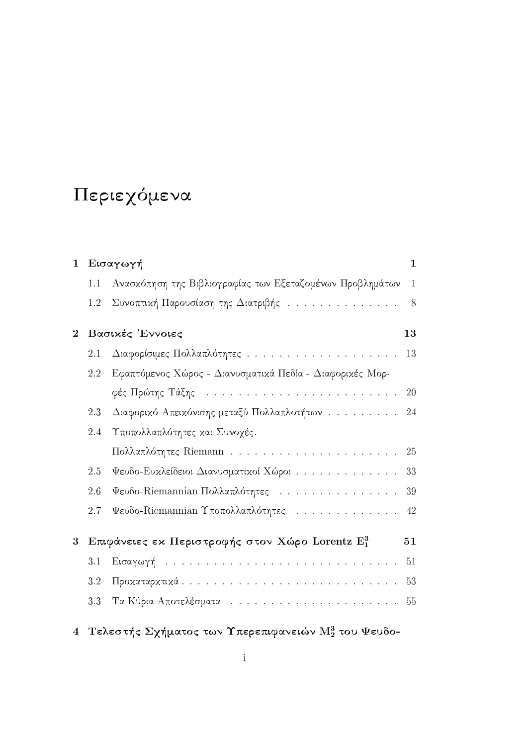# Περιεχόμενα

| $\mathbf{1}$   |     | Εισαγωγή                                                         | $\mathbf{1}$ |
|----------------|-----|------------------------------------------------------------------|--------------|
|                | 1.1 | Ανασκόπηση της Βιβλιογραφίας των Εξεταζομένων Προβλημάτων        | $\mathbf{1}$ |
|                | 1.2 | Συνοπτική Παρουσίαση της Διατριβής                               | 8            |
| $\overline{2}$ |     | Βασικές Έννοιες                                                  | 13           |
|                | 2.1 |                                                                  | 13           |
|                | 2.2 | Εφαπτόμενος Χώρος - Διανυσματικά Πεδία - Διαφορικές Μορ-         |              |
|                |     |                                                                  |              |
|                | 2.3 | Διαφορικό Απεικόνισης μεταξύ Πολλαπλοτήτων                       | 24           |
|                | 2.4 | Υποπολλαπλότητες και Συνοχές.                                    |              |
|                |     |                                                                  |              |
|                | 2.5 | $\Psi$ ευδο-Ευχλείδειοι Διανυσματικοί Χώροι                      | 33           |
|                | 2.6 | Ψευδο-Riemannian Πολλαπλότητες                                   | 39           |
|                | 2.7 | Ψευδο-Riemannian Υποπολλαπλότητες                                | 42           |
| 3              |     | Επιφάνειες εκ Περιστροφής στον Χώρο Lorentz Ε3                   | 51           |
|                | 3.1 |                                                                  | 51           |
|                | 3.2 |                                                                  |              |
|                | 3.3 |                                                                  | 55           |
| $\overline{4}$ |     | Τελεστής Σχήματος των Υπερεπιφανειών $\mathrm{M}_2^3$ του Ψευδο- |              |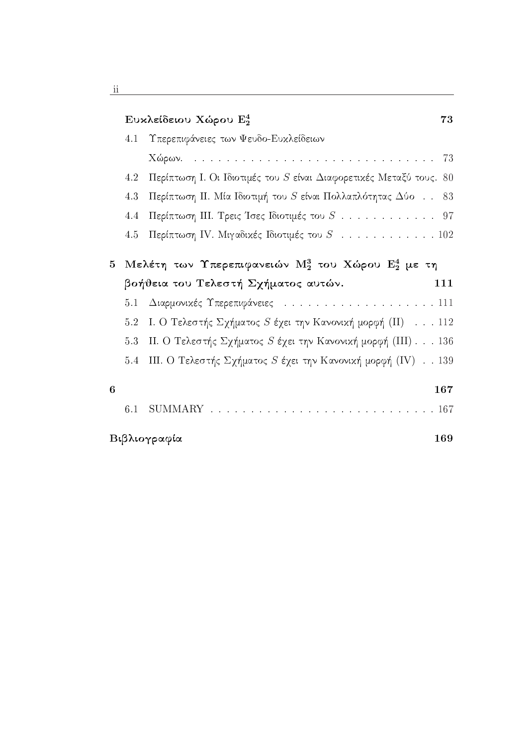|                         | Eυκλείδειου Χώρου $\mathrm{E}_2^4$                                                                                                |
|-------------------------|-----------------------------------------------------------------------------------------------------------------------------------|
| 4.1                     | Υπερεπιφάνειες των Ψευδο-Ευχλείδειων                                                                                              |
|                         |                                                                                                                                   |
| 4.2                     | Περίπτωση Ι. Οι Ιδιοτιμές του S είναι Διαφορετικές Μεταξύ τους. 80                                                                |
| 4.3                     | Περίπτωση ΙΙ. Μία Ιδιοτιμή του $S$ είναι Πολλαπλότητας $\Delta$ ύο 83                                                             |
| 4.4                     | Περίπτωση ΙΙΙ. Τρεις Ίσες Ιδιοτιμές του $S$ 97                                                                                    |
| 4.5                     | Περίπτωση IV. Μιγαδικές Ιδιοτιμές του $S$ 102                                                                                     |
|                         |                                                                                                                                   |
|                         |                                                                                                                                   |
|                         | βοήθεια του Τελεστή Σχήματος αυτών.                                                                                               |
| 5.1                     | Μελέτη των Υπερεπιφανειών Μ <sup>3</sup> του Χώρου Ε <sup>4</sup> με τη<br>111<br>Διαρμονικές Υπερεπιφάνειες 111                  |
| 5.2                     |                                                                                                                                   |
| 5.3                     | I. Ο Τελεστής Σχήματος S έχει την Κανονική μορφή (II) $\ldots$ 112<br>ΙΙ. Ο Τελεστής Σχήματος S έχει την Κανονική μορφή (III) 136 |
| 5.4                     | III. Ο Τελεστής Σχήματος S έχει την Κανονική μορφή (IV) 139                                                                       |
|                         | 167                                                                                                                               |
| $5^{\circ}$<br>6<br>6.1 |                                                                                                                                   |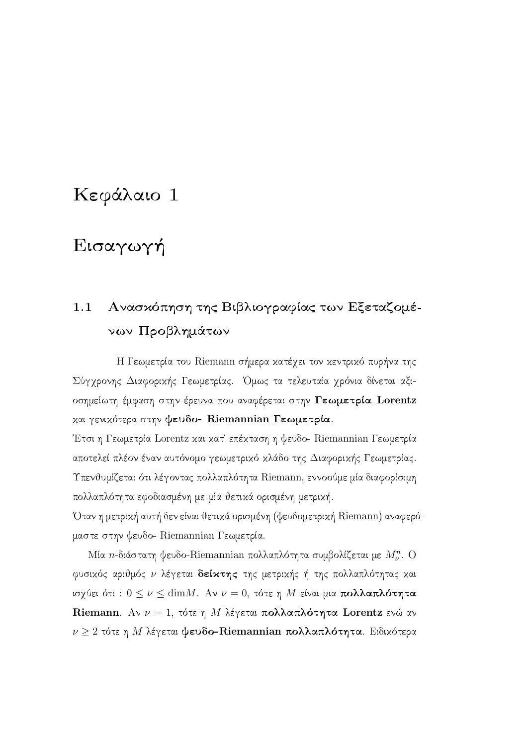## Κεφάλαιο 1

## Εισαγωγή

### $1.1$ Ανασκόπηση της Βιβλιογραφίας των Εξεταζομένων Προβλημάτων

Η Γεωμετρία του Riemann σήμερα κατέχει τον κεντρικό πυρήνα της Σύγχρονης Διαφορικής Γεωμετρίας. Όμως τα τελευταία χρόνια δίνεται αξιοσημείωτη έμφαση στην έρευνα που αναφέρεται στην Γεωμετρία Lorentz και γενικότερα στην ψευδο- Riemannian Γεωμετρία.

Έτσι η Γεωμετρία Lorentz και κατ' επέκταση η ψευδο- Riemannian Γεωμετρία αποτελεί πλέον έναν αυτόνομο γεωμετρικό κλάδο της Διαφορικής Γεωμετρίας. Υπενθυμίζεται ότι λέγοντας πολλαπλότητα Riemann, εννοούμε μία διαφορίσιμη πολλαπλότητα εφοδιασμένη με μία θετικά ορισμένη μετρική.

Όταν η μετρική αυτή δεν είναι θετικά ορισμένη (ψευδομετρική Riemann) αναφερόμαστε στην ψευδο- Riemannian Γεωμετρία.

Μία *η*-διάστατη ψευδο-Riemannian πολλαπλότητα συμβολίζεται με  $M_{\nu}^{n}$ . Ο φυσικός αριθμός ν λέγεται δείκτης της μετρικής ή της πολλαπλότητας και ισχύει ότι:  $0 \le \nu \le$  dim $M$ . Αν  $\nu = 0$ , τότε η M είναι μια πολλαπλότητα Riemann. Αν  $\nu = 1$ , τότε η Μ λέγεται πολλαπλότητα Lorentz ενώ αν  $\nu \geq 2$  τότε η Μ λέγεται ψευδο-Riemannian πολλαπλότητα. Ειδικότερα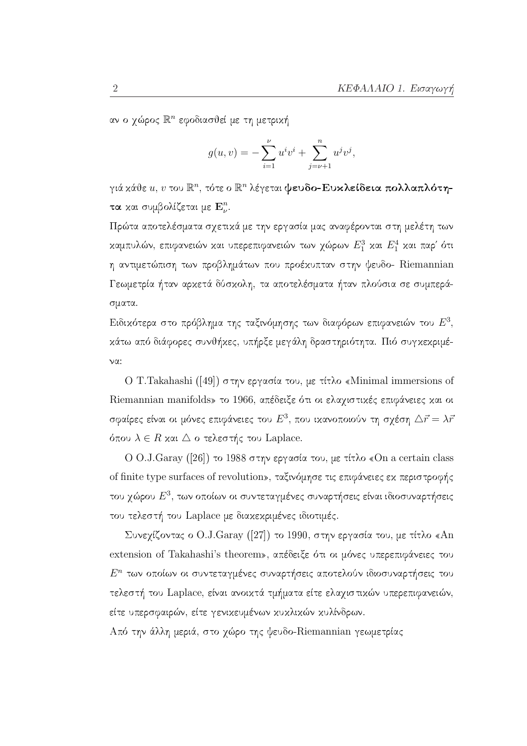αν ο χώρος  $\mathbb{R}^n$  εφοδιασθεί με τη μετρική

$$
g(u, v) = -\sum_{i=1}^{\nu} u^{i}v^{i} + \sum_{j=\nu+1}^{n} u^{j}v^{j},
$$

γιά κάθε  $u, v$  του  $\mathbb{R}^n$ , τότε ο  $\mathbb{R}^n$  λέγεται ψευδο-Ευκλείδεια πολλαπλότητα και συμβολίζεται με  $\mathbf{E}_{n}^{n}$ .

Πρώτα αποτελέσματα σχετικά με την εργασία μας αναφέρονται στη μελέτη των καμπυλών, επιφανειών και υπερεπιφανειών των χώρων  $E_1^3$  και  $E_1^4$  και παρ' ότι η αντιμετώπιση των προβλημάτων που προέχυπταν στην ψευδο- Riemannian Γεωμετρία ήταν αρκετά δύσκολη, τα αποτελέσματα ήταν πλούσια σε συμπεράσματα.

Ειδικότερα στο πρόβλημα της ταξινόμησης των διαφόρων επιφανειών του  $E^3$ , κάτω από διάφορες συνθήκες, υπήρξε μεγάλη δραστηριότητα. Πιό συγκεκριμέ- $\nu\alpha$ :

O T. Takahashi ([49]) στην εργασία του, με τίτλο «Minimal immersions of Riemannian manifolds» το 1966, απέδειξε ότι οι ελαχιστικές επιφάνειες και οι σφαίρες είναι οι μόνες επιφάνειες του  $E^3$ , που ικανοποιούν τη σχέση  $\triangle \vec{r} = \lambda \vec{r}$ όπου  $\lambda \in R$  και  $\triangle$  ο τελεστής του Laplace.

Ο Ο.J.Garay ([26]) το 1988 στην εργασία του, με τίτλο «On a certain class of finite type surfaces of revolution», ταξινόμησε τις επιφάνειες εχ περιστροφής του χώρου  $E^3$ , των οποίων οι συντεταγμένες συναρτήσεις είναι ιδιοσυναρτήσεις του τελεστή του Laplace με διακεκριμένες ιδιοτιμές.

Συνεχίζοντας ο O.J.Garay ([27]) το 1990, στην εργασία του, με τίτλο «An extension of Takahashi's theorem», απέδειξε ότι οι μόνες υπερεπιφάνειες του  $E^n$  των οποίων οι συντεταγμένες συναρτήσεις αποτελούν ιδιοσυναρτήσεις του τελεστή του Laplace, είναι ανοικτά τμήματα είτε ελαχιστικών υπερεπιφανειών, είτε υπερσφαιρών, είτε γενικευμένων κυκλικών κυλίνδρων.

Από την άλλη μεριά, στο χώρο της ψευδο-Riemannian γεωμετρίας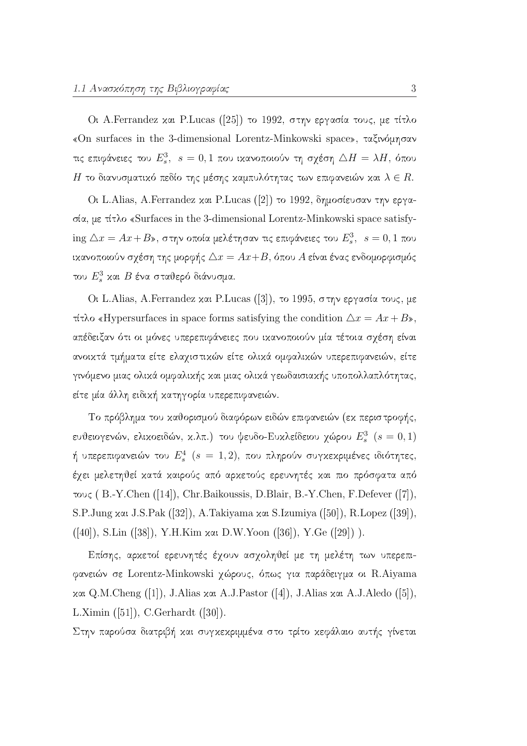Οι A.Ferrandez και P.Lucas ([25]) το 1992, στην εργασία τους, με τίτλο «On surfaces in the 3-dimensional Lorentz-Minkowski space», ταξινόμησαν τις επιφάνειες του  $E_s^3, s = 0, 1$  που ικανοποιούν τη σχέση  $\triangle H = \lambda H,$  όπου Η το διανυσματικό πεδίο της μέσης καμπυλότητας των επιφανειών και  $\lambda \in R.$ 

Ot L.Alias, A.Ferrandez και P.Lucas ([2]) το 1992, δημοσίευσαν την εργασία, με τίτλο «Surfaces in the 3-dimensional Lorentz-Minkowski space satisfying  $\Delta x = Ax + B$ », στην οποία μελέτησαν τις επιφάνειες του  $E_s^3$ ,  $s = 0, 1$  που ικανοποιούν σχέση της μορφής  $\Delta x = Ax + B$ , όπου A είναι ένας ενδομορφισμός του  $E_s^3$  και  $B$  ένα σταθερό διάνυσμα.

Οι L. Alias, A. Ferrandez και P. Lucas ([3]), το 1995, στην εργασία τους, με τίτλο «Hypersurfaces in space forms satisfying the condition  $\Delta x = Ax + B$ », απέδειξαν ότι οι μόνες υπερεπιφάνειες που ικανοποιούν μία τέτοια σχέση είναι ανοικτά τμήματα είτε ελαχιστικών είτε ολικά ομφαλικών υπερεπιφανειών, είτε γινόμενο μιας ολικά ομφαλικής και μιας ολικά γεωδαισιακής υποπολλαπλότητας, είτε μία άλλη ειδική κατηγορία υπερεπιφανειών.

Το πρόβλημα του καθορισμού διαφόρων ειδών επιφανειών (εκ περιστροφής, ευθειογενών, ελικοειδών, κ.λπ.) του ψευδο-Ευκλείδειου χώρου  $E_s^3$  ( $s=0,1$ ) ή υπερεπιφανειών του  $E^4_s$  ( $s\,=\,1,2),\,$  που πληρούν συγκεκριμένες ιδιότητες έχει μελετηθεί κατά καιρούς από αρκετούς ερευνητές και πιο πρόσφατα από τους (B.-Y.Chen ([14]), Chr.Baikoussis, D.Blair, B.-Y.Chen, F.Defever ([7]), S.P.Jung xxl J.S.Pak ([32]), A.Takiyama xxl S.Izumiya ([50]), R.Lopez ([39]), ([40]), S.Lin ([38]), Y.H.Kim xxt D.W.Yoon ([36]), Y.Ge ([29])).

Επίσης, αρχετοί ερευνητές έχουν ασχοληθεί με τη μελέτη των υπερεπιφανειών σε Lorentz-Minkowski χώρους, όπως για παράδειγμα οι R.Aiyama και Q.M.Cheng ([1]), J.Alias και A.J.Pastor ([4]), J.Alias και A.J.Aledo ([5]), L.Ximin  $([51]),$  C.Gerhardt  $([30]).$ 

Στην παρούσα διατριβή και συγκεκριμμένα στο τρίτο κεφάλαιο αυτής γίνεται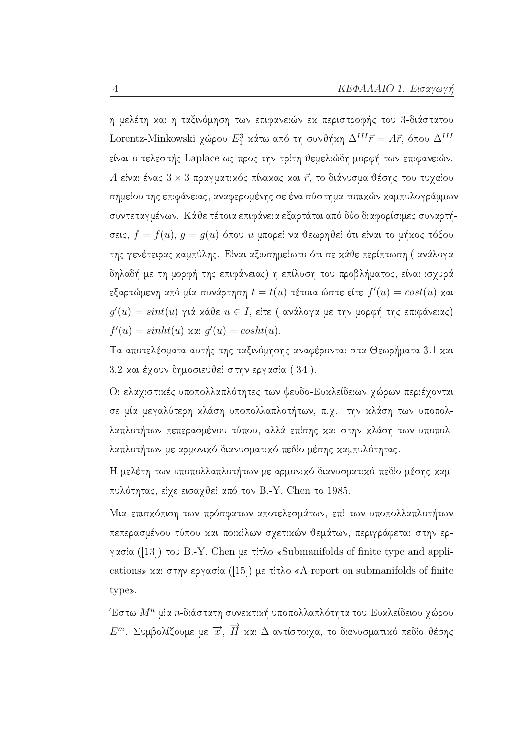η μελέτη και η ταξινόμηση των επιφανειών εκ περιστροφής του 3-διάστατου Lorentz-Minkowski χώρου $E_1^3$  κάτω από τη συνθήκη  $\Delta^{III} \vec{r} = A \vec{r}$ , όπου  $\Delta^{III}$ είναι ο τελεστής Laplace ως προς την τρίτη θεμελιώδη μορφή των επιφανειών, Α είναι ένας  $3 \times 3$  πραγματικός πίνακας και  $\vec{r}$ , το διάνυσμα θέσης του τυχαίου σημείου της επιφάνειας, αναφερομένης σε ένα σύστημα τοπικών καμπυλογράμμων συντεταγμένων. Κάθε τέτοια επιφάνεια εξαρτάται από δύο διαφορίσιμες συναρτήσεις,  $f = f(u)$ ,  $g = g(u)$  όπου  $u$  μπορεί να θεωρηθεί ότι είναι το μήχος τόξου της γενέτειρας καμπύλης. Είναι αξιοσημείωτο ότι σε κάθε περίπτωση (ανάλογα δηλαδή με τη μορφή της επιφάνειας) η επίλυση του προβλήματος, είναι ισχυρά εξαρτώμενη από μία συνάρτηση  $t = t(u)$  τέτοια ώστε είτε  $f'(u) = cost(u)$  και  $g'(u) = sint(u)$  γιά κάθε  $u \in I$ , είτε (ανάλογα με την μορφή της επιφάνειας)  $f'(u) = sinh(u)$  xai  $q'(u) = cosht(u)$ .

Τα αποτελέσματα αυτής της ταξινόμησης αναφέρονται στα Θεωρήματα 3.1 και 3.2 και έγουν δημοσιευθεί στην εργασία ([34]).

Οι ελαχιστικές υποπολλαπλότητες των ψευδο-Ευκλείδειων χώρων περιέχονται σε μία μεγαλύτερη κλάση υποπολλαπλοτήτων, π.χ. την κλάση των υποπολλαπλοτήτων πεπερασμένου τύπου, αλλά επίσης και στην κλάση των υποπολλαπλοτήτων με αρμονικό διανυσματικό πεδίο μέσης καμπυλότητας.

Η μελέτη των υποπολλαπλοτήτων με αρμονικό διανυσματικό πεδίο μέσης καμπυλότητας, είγε εισαγθεί από τον Β.-Υ. Chen το 1985.

Μια επισχόπιση των πρόσφατων αποτελεσμάτων, επί των υποπολλαπλοτήτων πεπερασμένου τύπου και ποικίλων σχετικών θεμάτων, περιγράφεται στην εργασία ([13]) του Β.-Υ. Chen με τίτλο «Submanifolds of finite type and applications» και στην εργασία ([15]) με τίτλο «A report on submanifolds of finite type».

Έστω  $M^n$  μία *n*-διάστατη συνεκτική υποπολλαπλότητα του Ευκλείδειου χώρου  $E^m$ . Συμβολίζουμε με  $\overrightarrow{x}$ ,  $\overrightarrow{H}$  και  $\Delta$  αντίστοιχα, το διανυσματικό πεδίο θέσης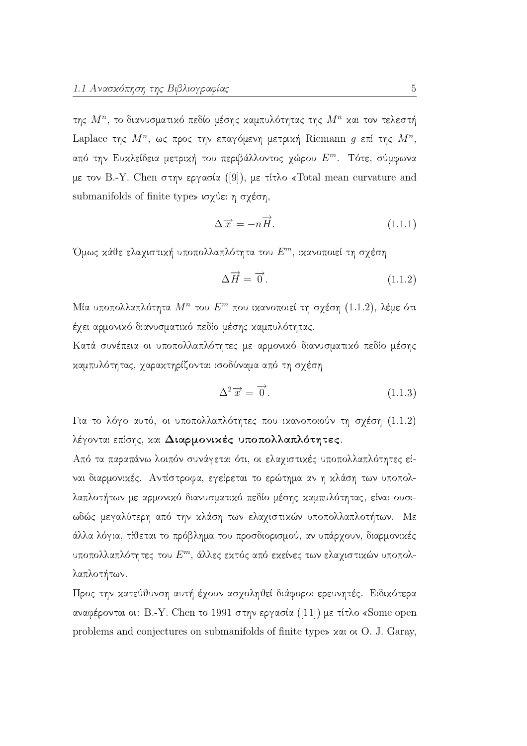της  $M^n$ , το διανυσματικό πεδίο μέσης καμπυλότητας της  $M^n$  και τον τελεστή Laplace της  $M^n$ , ως προς την επαγόμενη μετρική Riemann g επί της  $M^n$ , από την Ευχλείδεια μετριχή του περιβάλλοντος χώρου Ε<sup>m</sup>. Τότε, σύμφωνα με τον Β.-Υ. Chen στην εργασία ([9]), με τίτλο «Total mean curvature and submanifolds of finite type» ισχύει η σχέση,

$$
\Delta \overrightarrow{x} = -n\overrightarrow{H}.
$$
 (1.1.1)

Όμως κάθε ελαχιστική υποπολλαπλότητα του  $E^m$ , ικανοποιεί τη σχέση

$$
\Delta \vec{H} = \vec{0} \,. \tag{1.1.2}
$$

Μία υποπολλαπλότητα  $M^n$  του  $E^m$  που ικανοποιεί τη σχέση (1.1.2), λέμε ότι έγει αρμονικό διανυσματικό πεδίο μέσης καμπυλότητας.

Κατά συνέπεια οι υποπολλαπλότητες με αρμονικό διανυσματικό πεδίο μέσης καμπυλότητας, χαρακτηρίζονται ισοδύναμα από τη σχέση

$$
\Delta^2 \overrightarrow{x} = \overrightarrow{0}.\tag{1.1.3}
$$

Για το λόγο αυτό, οι υποπολλαπλότητες που ικανοποιούν τη σχέση (1.1.2) λέγονται επίσης, και Διαρμονικές υποπολλαπλότητες.

Από τα παραπάνω λοιπόν συνάγεται ότι, οι ελαχιστικές υποπολλαπλότητες είναι διαρμονικές. Αντίστροφα, εγείρεται το ερώτημα αν η κλάση των υποπολλαπλοτήτων με αρμονικό διανυσματικό πεδίο μέσης καμπυλότητας, είναι ουσιωδώς μεγαλύτερη από την κλάση των ελαχιστικών υποπολλαπλοτήτων. Με άλλα λόγια, τίθεται το πρόβλημα του προσδιορισμού, αν υπάρχουν, διαρμονικές υποπολλαπλότητες του  $E^m$ , άλλες εκτός από εκείνες των ελαχιστικών υποπολλαπλοτήτων.

Προς την κατεύθυνση αυτή έχουν ασχοληθεί διάφοροι ερευνητές. Ειδικότερα αναφέρονται οι: Β.-Υ. Chen το 1991 στην εργασία ([11]) με τίτλο «Some open problems and conjectures on submanifolds of finite type» xxi or O. J. Garay,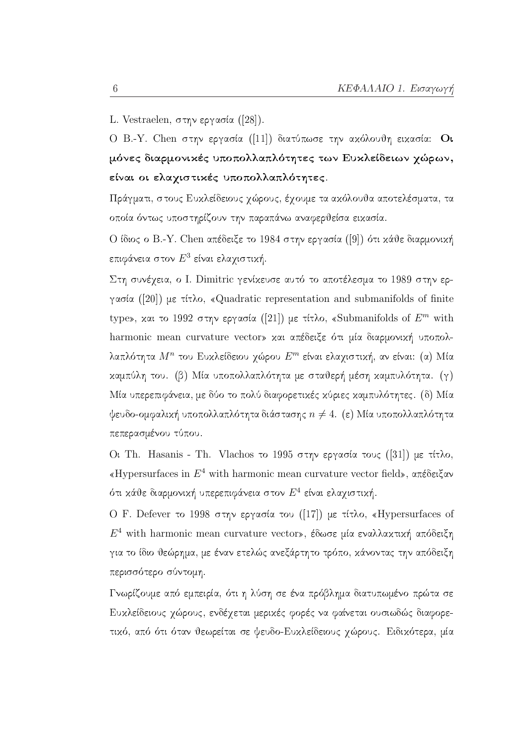L. Vestraelen, στην εργασία ([28]).

Ο Β.-Υ. Chen στην εργασία ([11]) διατύπωσε την ακόλουθη εικασία: Οι μόνες διαρμονικές υποπολλαπλότητες των Ευκλείδειων χώρων, είναι οι ελαγιστικές υποπολλαπλότητες.

Πράγματι, στους Ευκλείδειους χώρους, έχουμε τα ακόλουθα αποτελέσματα, τα οποία όντως υποστηρίζουν την παραπάνω αναφερθείσα εικασία.

Ο ίδιος ο Β.-Υ. Chen απέδειξε το 1984 στην εργασία ([9]) ότι κάθε διαρμονική επιφάνεια στον  $E^3$  είναι ελαγιστική.

Στη συνέγεια, ο I. Dimitric γενίκευσε αυτό το αποτέλεσμα το 1989 στην εργασία ([20]) με τίτλο, «Quadratic representation and submanifolds of finite type», και το 1992 στην εργασία ([21]) με τίτλο, «Submanifolds of  $E^m$  with harmonic mean curvature vector» και απέδειξε ότι μία διαρμονική υποπολλαπλότητα  $M^n$  του Ευχλείδειου γώρου  $E^m$  είναι ελαγιστική, αν είναι: (α) Μία καμπύλη του. (β) Μία υποπολλαπλότητα με σταθερή μέση καμπυλότητα. (γ) Μία υπερεπιφάνεια, με δύο το πολύ διαφορετικές κύριες καμπυλότητες. (δ) Μία ψευδο-ομφαλική υποπολλαπλότητα διάστασης  $n \neq 4$ . (ε) Μία υποπολλαπλότητα πεπερασμένου τύπου.

Οι Th. Hasanis - Th. Vlachos το 1995 στην εργασία τους ([31]) με τίτλο, «Hypersurfaces in  $E^4$  with harmonic mean curvature vector field», απέδειξαν ότι κάθε διαρμονική υπερεπιφάνεια στον  $E^4$  είναι ελαγιστική.

Ο F. Defever το 1998 στην εργασία του ([17]) με τίτλο, «Hypersurfaces of  $E^4$  with harmonic mean curvature vector», έδωσε μία εναλλακτική απόδειξη για το ίδιο θεώρημα, με έναν ετελώς ανεξάρτητο τρόπο, κάνοντας την απόδειξη περισσότερο σύντομη.

Γνωρίζουμε από εμπειρία, ότι η λύση σε ένα πρόβλημα διατυπωμένο πρώτα σε Ευχλείδειους χώρους, ενδέχεται μεριχές φορές να φαίνεται ουσιωδώς διαφορετικό, από ότι όταν θεωρείται σε ψευδο-Ευκλείδειους χώρους. Ειδικότερα, μία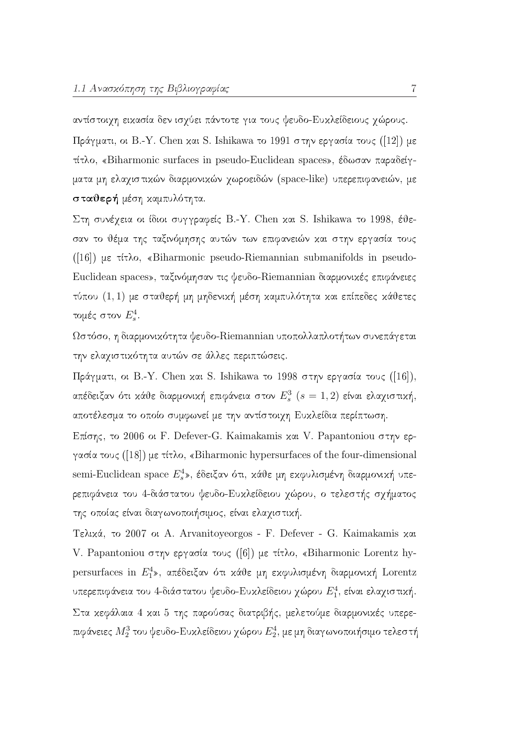αντίστοιχη εικασία δεν ισχύει πάντοτε για τους ψευδο-Ευκλείδειους χώρους.

Πράγματι, οι Β.-Υ. Chen και S. Ishikawa το 1991 στην εργασία τους ([12]) με τίτλο, «Biharmonic surfaces in pseudo-Euclidean spaces», έδωσαν παραδείγματα μη ελαγιστικών διαρμονικών γωροειδών (space-like) υπερεπιφανειών, με σταθερή μέση καμπυλότητα.

Στη συνέχεια οι ίδιοι συγγραφείς B.-Y. Chen και S. Ishikawa το 1998, έθεσαν το θέμα της ταξινόμησης αυτών των επιφανειών και στην εργασία τους  $(16)$  με τίτλο, «Biharmonic pseudo-Riemannian submanifolds in pseudo-Euclidean spaces», ταξινόμησαν τις ψευδο-Riemannian διαρμονικές επιφάνειες τύπου (1,1) με σταθερή μη μηδενική μέση καμπυλότητα και επίπεδες κάθετες τομές στον  $E_s^4$ .

Ωστόσο, η διαρμονικότητα ψευδο-Riemannian υποπολλαπλοτήτων συνεπάγεται την ελαχιστικότητα αυτών σε άλλες περιπτώσεις.

Πράγματι, οι Β.-Υ. Chen και S. Ishikawa το 1998 στην εργασία τους ([16]), απέδειξαν ότι κάθε διαρμονική επιφάνεια στον  $E^3_s$  ( $s=1,2$ ) είναι ελαχιστική, αποτέλεσμα το οποίο συμφωνεί με την αντίστοιχη Ευκλείδια περίπτωση.

Επίσης, το 2006 οι F. Defever-G. Kaimakamis και V. Papantoniou στην εργασία τους ([18]) με τίτλο, «Biharmonic hypersurfaces of the four-dimensional semi-Euclidean space  $E_s^4$ », έδειξαν ότι, κάθε μη εκφυλισμένη διαρμονική υπερεπιφάνεια του 4-διάστατου ψευδο-Ευχλείδειου χώρου, ο τελεστής σχήματος της οποίας είναι διαγωνοποιήσιμος, είναι ελαχιστική.

Τελικά, το 2007 οι Α. Arvanitoyeorgos - F. Defever - G. Kaimakamis και V. Papantoniou στην εργασία τους ([6]) με τίτλο, «Biharmonic Lorentz hypersurfaces in  $E_1^4$ », απέδειξαν ότι κάθε μη εκφυλισμένη διαρμονική Lorentz υπερεπιφάνεια του 4-διάστατου ψευδο-Ευκλείδειου χώρου  $E_1^4$ , είναι ελαχιστική. Στα κεφάλαια 4 και 5 της παρούσας διατριβής, μελετούμε διαρμονικές υπερεπιφάνειες  $M_2^3$  του ψευδο-Ευκλείδειου χώρου  $E_2^4$ , με μη διαγωνοποιήσιμο τελεστή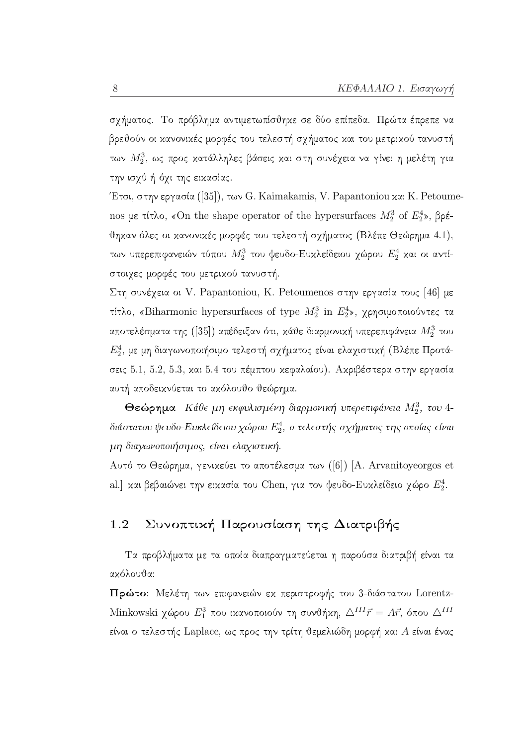σχήματος. Το πρόβλημα αντιμετωπίσθηκε σε δύο επίπεδα. Πρώτα έπρεπε να βρεθούν οι κανονικές μορφές του τελεστή σχήματος και του μετρικού τανυστή των  $M_2^3$ , ως προς κατάλληλες βάσεις και στη συνέχεια να γίνει η μελέτη για την ισχύ ή όχι της εικασίας.

Έτσι, στην εργασία ([35]), των G. Kaimakamis, V. Papantoniou και K. Petoumenos με τίτλο, «On the shape operator of the hypersurfaces  $M_2^3$  of  $E_2^4$ », βρέθηκαν όλες οι κανονικές μορφές του τελεστή σχήματος (Βλέπε Θεώρημα 4.1), των υπερεπιφανειών τύπου  $M_2^3$  του ψευδο-Ευκλείδειου χώρου  $E_2^4$  και οι αντίστοιχες μορφές του μετρικού τανυστή.

Στη συνέχεια οι V. Papantoniou, K. Petoumenos στην εργασία τους [46] με τίτλο, «Biharmonic hypersurfaces of type  $M_2^3$  in  $E_2^4$ », χρησιμοποιούντες τα αποτελέσματα της ([35]) απέδειξαν ότι, κάθε διαρμονική υπερεπιφάνεια  $M_2^3$  του  $E_2^4$ , με μη διαγωνοποιήσιμο τελεστή σχήματος είναι ελαχιστική (Βλέπε Προτάσεις 5.1, 5.2, 5.3, και 5.4 του πέμπτου κεφαλαίου). Ακριβέστερα στην εργασία αυτή αποδεικνύεται το ακόλουθο θεώρημα.

Θεώρημα Κάθε μη εκφυλισμένη διαρμονική υπερεπιφάνεια  $M_2^3$ , του 4διάστατου ψευδο-Ευκλείδειου χώρου  $E_2^4$ , ο τελεστής σχήματος της οποίας είναι μη διαγωνοποιήσιμος, είναι ελαχιστική.

Αυτό το Θεώρημα, γενικεύει το αποτέλεσμα των ([6]) [A. Arvanitoyeorgos et al.] και βεβαιώνει την εικασία του Chen, για τον ψευδο-Ευκλείδειο χώρο Ε<sup>4</sup>.

#### Συνοπτική Παρουσίαση της Διατριβής 1.2

Τα προβλήματα με τα οποία διαπραγματεύεται η παρούσα διατριβή είναι τα ακόλουθα:

Πρώτο: Μελέτη των επιφανειών εκ περιστροφής του 3-διάστατου Lorentz-Minkowski χώρου  $E_1^3$  που ικανοποιούν τη συνθήκη,  $\Delta^{III} \vec{r} = A \vec{r}$ , όπου  $\Delta^{III}$ είναι ο τελεστής Laplace, ως προς την τρίτη θεμελιώδη μορφή και Α είναι ένας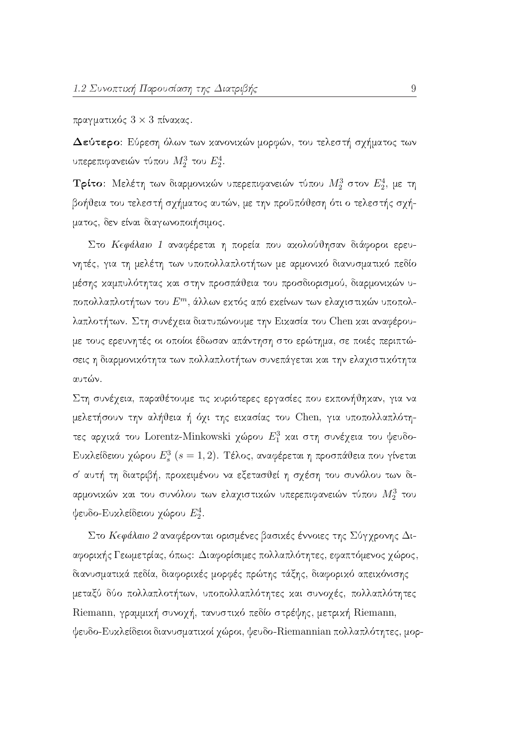πραγματικός  $3 \times 3$  πίνακας.

Δεύτερο: Εύρεση όλων των κανονικών μορφών, του τελεστή σχήματος των υπερεπιφανειών τύπου  $M_2^3$  του  $E_2^4$ .

**Τρίτο**: Μελέτη των διαρμονικών υπερεπιφανειών τύπου  $M_2^3$  στον  $E_2^4$ , με τη βοήθεια του τελεστή σχήματος αυτών, με την προϋπόθεση ότι ο τελεστής σχήματος, δεν είναι διαγωνοποιήσιμος.

Στο Κεφάλαιο 1 αναφέρεται η πορεία που ακολούθησαν διάφοροι ερευνητές, για τη μελέτη των υποπολλαπλοτήτων με αρμονικό διανυσματικό πεδίο μέσης καμπυλότητας και στην προσπάθεια του προσδιορισμού, διαρμονικών υποπολλαπλοτήτων του  $E^m$ , άλλων εκτός από εκείνων των ελαχιστικών υποπολλαπλοτήτων. Στη συνέχεια διατυπώνουμε την Εικασία του Chen και αναφέρουμε τους ερευνητές οι οποίοι έδωσαν απάντηση στο ερώτημα, σε ποιές περιπτώσεις η διαρμονικότητα των πολλαπλοτήτων συνεπάγεται και την ελαχιστικότητα αυτών.

Στη συνέχεια, παραθέτουμε τις κυριότερες εργασίες που εκπονήθηκαν, για να μελετήσουν την αλήθεια ή όχι της εικασίας του Chen, για υποπολλαπλότητες αρχικά του Lorentz-Minkowski χώρου  $E_1^3$  και στη συνέχεια του ψευδο-Ευκλείδειου χώρου $E_s^3$   $(s=1,2).$  Τέλος, αναφέρεται η προσπάθεια που γίνεται σ' αυτή τη διατριβή, προκειμένου να εξετασθεί η σχέση του συνόλου των διαρμονικών και του συνόλου των ελαχιστικών υπερεπιφανειών τύπου  $M_2^3$  του ψευδο-Ευκλείδειου χώρου  $E_2^4$ .

Στο Κεφάλαιο 2 αναφέρονται ορισμένες βασικές έννοιες της Σύγγρονης Διαφορικής Γεωμετρίας, όπως: Διαφορίσιμες πολλαπλότητες, εφαπτόμενος χώρος, διανυσματικά πεδία, διαφορικές μορφές πρώτης τάξης, διαφορικό απεικόνισης μεταξύ δύο πολλαπλοτήτων, υποπολλαπλότητες και συνοχές, πολλαπλότητες Riemann, γραμμική συνοχή, τανυστικό πεδίο στρέψης, μετρική Riemann, ψευδο-Ευχλείδειοι διανυσματιχοί χώροι, ψευδο-Riemannian πολλαπλότητες, μορ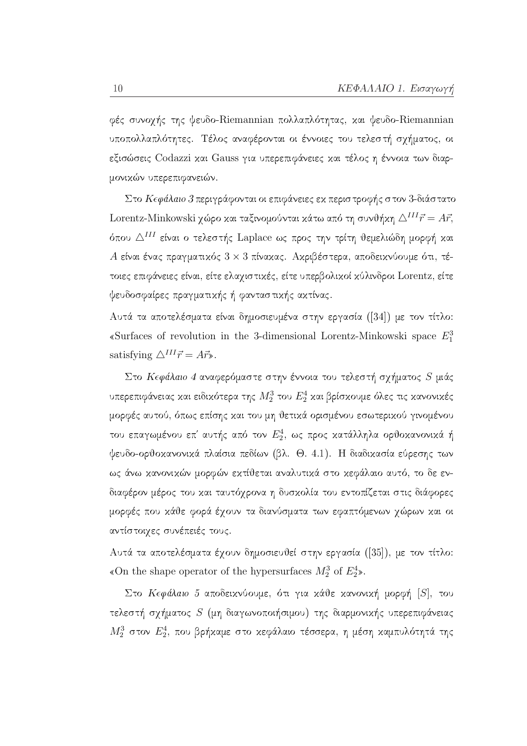φές συνοχής της ψευδο-Riemannian πολλαπλότητας, και ψευδο-Riemannian υποπολλαπλότητες. Τέλος αναφέρονται οι έννοιες του τελεστή σχήματος, οι εξισώσεις Codazzi και Gauss για υπερεπιφάνειες και τέλος η έννοια των διαρμονικών υπερεπιφανειών.

Στο Κεφάλαιο 3 περιγράφονται οι επιφάνειες εκ περιστροφής στον 3-διάστατο Lorentz-Minkowski χώρο και ταξινομούνται κάτω από τη συνθήκη  $\triangle^{III} \vec{r} = A \vec{r}$ , όπου Δ<sup>III</sup> είναι ο τελεστής Laplace ως προς την τρίτη θεμελιώδη μορφή και Α είναι ένας πραγματικός  $3 \times 3$  πίνακας. Ακριβέστερα, αποδεικνύουμε ότι, τέτοιες επιφάνειες είναι, είτε ελαχιστικές, είτε υπερβολικοί κύλινδροι Lorentz, είτε ψευδοσφαίρες πραγματικής ή φανταστικής ακτίνας.

Αυτά τα αποτελέσματα είναι δημοσιευμένα στην εργασία ([34]) με τον τίτλο: «Surfaces of revolution in the 3-dimensional Lorentz-Minkowski space  $E_1^3$ satisfying  $\triangle^{III} \vec{r} = A \vec{r}$ .

Στο Κεφάλαιο 4 αναφερόμαστε στην έννοια του τελεστή σχήματος  $S$  μιάς υπερεπιφάνειας και ειδικότερα της  $M_2^3$  του  $E_2^4$  και βρίσκουμε όλες τις κανονικές μορφές αυτού, όπως επίσης και του μη θετικά ορισμένου εσωτερικού γινομένου του επαγωμένου επ' αυτής από τον  $E_2^4$ , ως προς κατάλληλα ορθοκανονικά ή ψευδο-ορθοκανονικά πλαίσια πεδίων (βλ. Θ. 4.1). Η διαδικασία εύρεσης των ως άνω χανονικών μορφών εκτίθεται αναλυτικά στο κεφάλαιο αυτό, το δε ενδιαφέρον μέρος του και ταυτόχρονα η δυσκολία του εντοπίζεται στις διάφορες μορφές που κάθε φορά έχουν τα διανύσματα των εφαπτόμενων χώρων και οι αντίστοιχες συνέπειές τους.

Αυτά τα αποτελέσματα έγουν δημοσιευθεί στην εργασία ([35]), με τον τίτλο: «On the shape operator of the hypersurfaces  $M_2^3$  of  $E_2^4$ ».

Στο Κεφάλαιο 5 αποδεικνύουμε, ότι για κάθε κανονική μορφή [S], του τελεστή σχήματος S (μη διαγωνοποιήσιμου) της διαρμονικής υπερεπιφάνειας  $M_2^3$  στον  $E_2^4$ , που βρήκαμε στο κεφάλαιο τέσσερα, η μέση καμπυλότητά της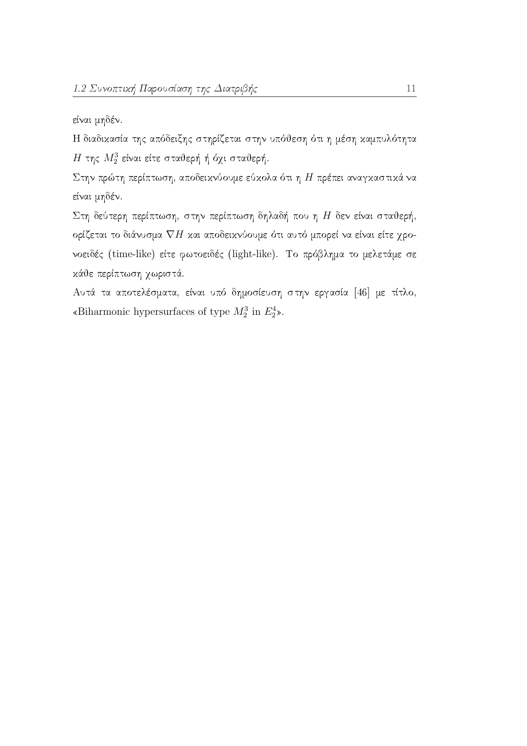είναι μηδέν.

Η διαδικασία της απόδειξης στηρίζεται στην υπόθεση ότι η μέση καμπυλότητα  $H$ της $M_2^3$  είναι είτε σταθερή ή όχι σταθερή.

Στην πρώτη περίπτωση, αποδεικνύουμε εύκολα ότι η $H$ πρέπει αναγκαστικά να είναι μηδέν.

Στη δεύτερη περίπτωση, στην περίπτωση δηλαδή που η $H$ δεν είναι σταθερή, ορίζεται το διάνυσμα  $\nabla H$  και αποδεικνύουμε ότι αυτό μπορεί να είναι είτε χρονοειδές (time-like) είτε φωτοειδές (light-like). Το πρόβλημα το μελετάμε σε κάθε περίπτωση χωριστά.

Αυτά τα αποτελέσματα, είναι υπό δημοσίευση στην εργασία [46] με τίτλο, «Biharmonic hypersurfaces of type  $M^3_2$  in  $E^4_2 \mathbb{b}.$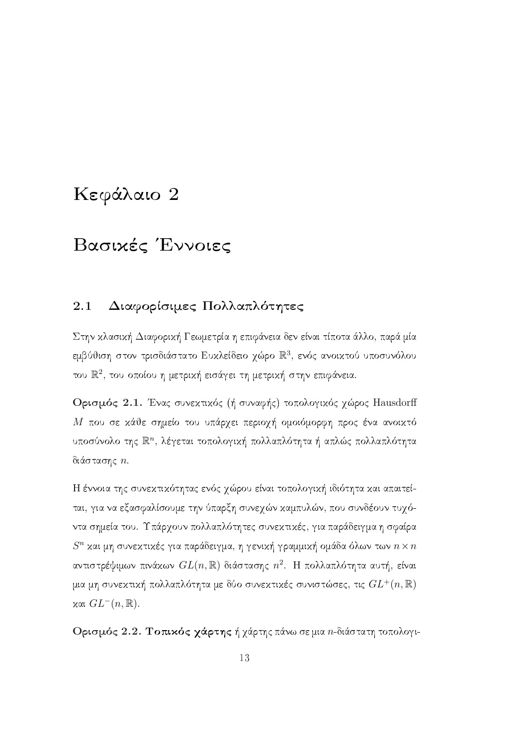## Κεφάλαιο 2

## Βασικές Έννοιες

#### 2.1 Διαφορίσιμες Πολλαπλότητες

Στην κλασική Διαφορική Γεωμετρία η επιφάνεια δεν είναι τίποτα άλλο, παρά μία εμβύθιση στον τρισδιάστατο Ευχλείδειο χώρο  $\mathbb{R}^3$ , ενός ανοιχτού υποσυνόλου του  $\mathbb{R}^2$ , του οποίου η μετρική εισάγει τη μετρική στην επιφάνεια.

Ορισμός 2.1. Ένας συνεχτικός (ή συναφής) τοπολογικός γώρος Hausdorff Μ που σε κάθε σημείο του υπάρχει περιοχή ομοιόμορφη προς ένα ανοικτό υποσύνολο της  $\mathbb{R}^n$ , λέγεται τοπολογική πολλαπλότητα ή απλώς πολλαπλότητα διάστασης η.

Η έννοια της συνεκτικότητας ενός γώρου είναι τοπολογική ιδιότητα και απαιτείται, για να εξασφαλίσουμε την ύπαρξη συνεχών καμπυλών, που συνδέουν τυχόντα σημεία του. Υπάρχουν πολλαπλότητες συνεκτικές, για παράδειγμα η σφαίρα  $S^n$ και μη συνεκτικές για παράδειγμα, η γενική γραμμική ομάδα όλων των  $n \times n$ αντιστρέψιμων πινάκων  $GL(n,\mathbb{R})$  διάστασης  $n^2$ . Η πολλαπλότητα αυτή, είναι μια μη συνεκτική πολλαπλότητα με δύο συνεκτικές συνιστώσες, τις  $GL^{+}(n,\mathbb{R})$  $\chi$ αι  $GL^{-}(n,\mathbb{R})$ .

Ορισμός 2.2. Τοπικός χάρτης ή χάρτης πάνω σε μια *n*-διάστατη τοπολογι-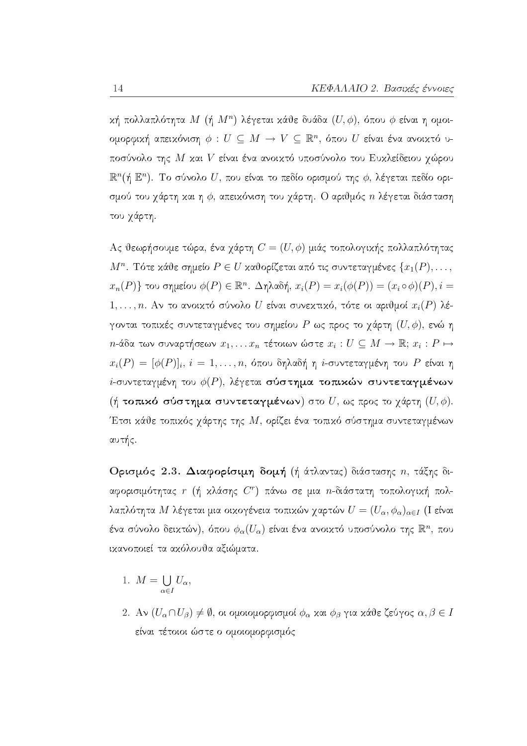κή πολλαπλότητα  $M$  (ή  $M^n$ ) λέγεται κάθε δυάδα  $(U, \phi)$ , όπου φ είναι η ομοιομορφική απεικόνιση $\phi\,:\,U\,\subseteq\, M\,\to\,V\,\subseteq\,\mathbb{R}^n,$ όπου $\,U$  είναι ένα ανοικτό υποσύνολο της  $M$  και  $V$  είναι ένα ανοικτό υποσύνολο του Ευκλείδειου χώρου  $\mathbb{R}^n$ (ή  $\mathbb{E}^n$ ). Το σύνολο  $U$ , που είναι το πεδίο ορισμού της  $\phi$ , λέγεται πεδίο ορισμού του χάρτη και η  $\phi$ , απεικόνιση του χάρτη. Ο αριθμός *η* λέγεται διάσταση του χάρτη.

Ας θεωρήσουμε τώρα, ένα γάρτη  $C = (U, \phi)$  μιάς τοπολογικής πολλαπλότητας  $M^n$ . Τότε κάθε σημείο  $P \in U$  καθορίζεται από τις συντεταγμένες  $\{x_1(P), \ldots, x_n\}$  $x_n(P)$ } του σημείου  $\phi(P) \in \mathbb{R}^n$ . Δηλαδή,  $x_i(P) = x_i(\phi(P)) = (x_i \circ \phi)(P), i =$ 1,..., n. Αν το ανοικτό σύνολο U είναι συνεκτικό, τότε οι αριθμοί  $x_i(P)$  λέγονται τοπιχές συντεταγμένες του σημείου Ρ ως προς το γάρτη  $(U, \phi)$ , ενώ η  $n$ -άδα των συναρτήσεων  $x_1, \ldots x_n$  τέτοιων ώστε  $x_i : U \subseteq M \to \mathbb{R}; x_i : P \mapsto$  $x_i(P) = [\phi(P)]_i, i = 1, ..., n$ , όπου δηλαδή η *i*-συντεταγμένη του P είναι η *i*-συντεταγμένη του  $\phi(P)$ , λέγεται σύστημα τοπικών συντεταγμένων (ή τοπικό σύστημα συντεταγμένων) στο  $U$ , ως προς το γάρτη  $(U, \phi)$ . Έτσι κάθε τοπικός γάρτης της  $M$ , ορίζει ένα τοπικό σύστημα συντεταγμένων αυτής.

Ορισμός 2.3. Διαφορίσιμη δομή (ή άτλαντας) διάστασης η, τάξης διαφορισιμότητας  $r$  (ή κλάσης  $C^r$ ) πάνω σε μια  $n$ -διάστατη τοπολογική πολλαπλότητα Μ λέγεται μια οικογένεια τοπικών χαρτών  $U = (U_{\alpha}, \phi_{\alpha})_{\alpha \in I}$  (I είναι ένα σύνολο δειχτών), όπου  $\phi_\alpha(U_\alpha)$  είναι ένα ανοιχτό υποσύνολο της  $\mathbb{R}^n$ , που ικανοποιεί τα ακόλουθα αξιώματα.

- 1.  $M = \bigcup_{\alpha \in I} U_{\alpha},$
- 2. Αν  $(U_\alpha \cap U_\beta) \neq \emptyset$ , οι ομοιομορφισμοί  $\phi_\alpha$  και  $\phi_\beta$  για κάθε ζεύγος  $\alpha, \beta \in I$ είναι τέτοιοι ώστε ο ομοιομορφισμός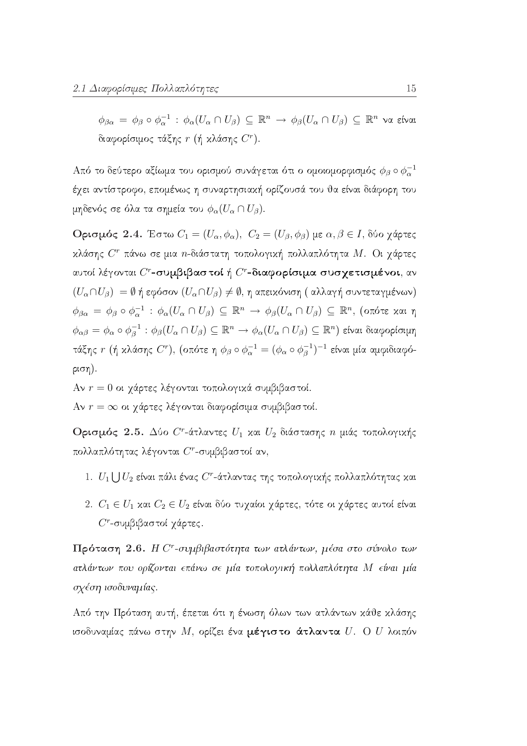$\phi_{\beta\alpha} = \phi_{\beta} \circ \phi_{\alpha}^{-1} : \phi_{\alpha}(U_{\alpha} \cap U_{\beta}) \subseteq \mathbb{R}^{n} \to \phi_{\beta}(U_{\alpha} \cap U_{\beta}) \subseteq \mathbb{R}^{n}$  να είναι διαφορίσιμος τάξης  $r$  (ή κλάσης  $C^r$ ).

Από το δεύτερο αξίωμα του ορισμού συνάγεται ότι ο ομοιομορφισμός  $\phi_\beta \circ \phi_\alpha^{-1}$ έγει αντίστροφο, επομένως η συναρτησιακή ορίζουσά του θα είναι διάφορη του μηδενός σε όλα τα σημεία του  $\phi_\alpha(U_\alpha\cap U_\beta)$ .

**Oρισμός 2.4.** Έστω  $C_1 = (U_\alpha, \phi_\alpha)$ ,  $C_2 = (U_\beta, \phi_\beta)$  με  $\alpha, \beta \in I$ , δύο χάρτες κλάσης  $C^r$  πάνω σε μια *n*-διάστατη τοπολογική πολλαπλότητα  $M$ . Οι γάρτες αυτοί λέγονται  $C^r$ -συμβιβαστοί ή  $C^r$ -διαφορίσιμα συσχετισμένοι, αν  $(U_{\alpha} \cap U_{\beta}) = \emptyset$  ή εφόσον  $(U_{\alpha} \cap U_{\beta}) \neq \emptyset$ , η απειχόνιση (αλλαγή συντεταγμένων)  $\phi_{\beta\alpha} = \phi_{\beta} \circ \phi_{\alpha}^{-1} : \phi_{\alpha}(U_{\alpha} \cap U_{\beta}) \subseteq \mathbb{R}^n \to \phi_{\beta}(U_{\alpha} \cap U_{\beta}) \subseteq \mathbb{R}^n$ , (οπότε και η  $\phi_{\alpha\beta} = \phi_\alpha \circ \phi_\beta^{-1} : \phi_\beta(U_\alpha \cap U_\beta) \subseteq \mathbb{R}^n \to \phi_\alpha(U_\alpha \cap U_\beta) \subseteq \mathbb{R}^n$ ) είναι διαφορίσιμη τάξης  $r$  (ή κλάσης  $C^r$ ), (οπότε η  $\phi_\beta \circ \phi_\alpha^{-1} = (\phi_\alpha \circ \phi_\beta^{-1})^{-1}$  είναι μία αμφιδιαφό $ριση$ ).

Αν  $r = 0$  οι χάρτες λέγονται τοπολογικά συμβιβαστοί.

Αν  $r = \infty$  οι χάρτες λέγονται διαφορίσιμα συμβιβαστοί.

Ορισμός 2.5. Δύο  $C^r$ -άτλαντες  $U_1$  και  $U_2$  διάστασης *η* μιάς τοπολογικής πολλαπλότητας λέγονται  $C^r$ -συμβιβαστοί αν,

- 1.  $U_1 \bigcup U_2$  είναι πάλι ένας  $C^r$ -άτλαντας της τοπολογικής πολλαπλότητας και
- 2.  $C_1 \in U_1$  και  $C_2 \in U_2$  είναι δύο τυχαίοι χάρτες, τότε οι χάρτες αυτοί είναι  $C^r$ -συμβιβαστοί γάρτες.

Πρόταση 2.6. Η  $C^r$ -συμβιβαστότητα των ατλάντων, μέσα στο σύνολο των ατλάντων που ορίζονται επάνω σε μία τοπολογική πολλαπλότητα Μ είναι μία σχέση ισοδυναμίας.

Από την Πρόταση αυτή, έπεται ότι η ένωση όλων των ατλάντων κάθε κλάσης ισοδυναμίας πάνω στην Μ, ορίζει ένα μέγιστο άτλαντα  $U$ . Ο  $U$  λοιπόν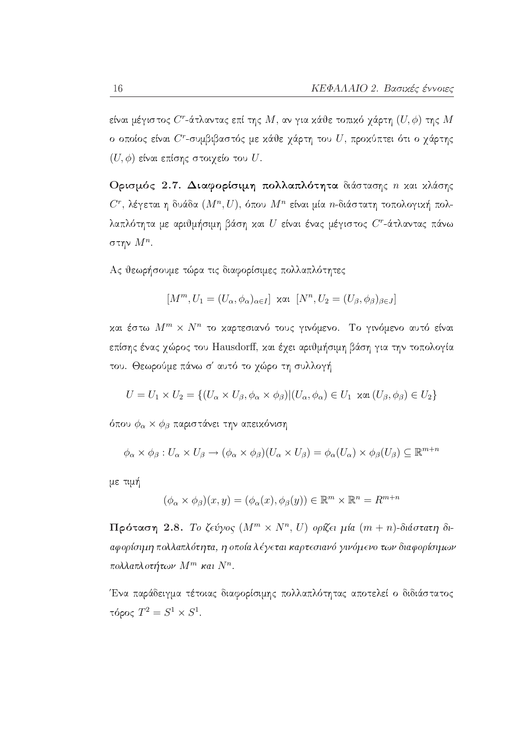είναι μέγιστος  $C^r$ -άτλαντας επί της  $M$ , αν για κάθε τοπικό γάρτη  $(U, \phi)$  της  $M$ ο οποίος είναι  $C^r$ -συμβιβαστός με κάθε γάρτη του  $U$ , προκύπτει ότι ο γάρτης  $(U, φ)$  είναι επίσης στοιχείο του  $U$ .

Ορισμός 2.7. Διαφορίσιμη πολλαπλότητα διάστασης η και κλάσης  $C^r$ , λέγεται η δυάδα  $(M^n, U)$ , όπου  $M^n$  είναι μία *n*-διάστατη τοπολογική πολλαπλότητα με αριθμήσιμη βάση και  $U$  είναι ένας μέγιστος  $C^r$ -άτλαντας πάνω στην  $M^n$ .

Ας θεωρήσουμε τώρα τις διαφορίσιμες πολλαπλότητες

$$
[M^m, U_1 = (U_\alpha, \phi_\alpha)_{\alpha \in I}] \quad \text{and} \quad [N^n, U_2 = (U_\beta, \phi_\beta)_{\beta \in J}]
$$

και έστω  $M^m \times N^n$  το καρτεσιανό τους γινόμενο. Το γινόμενο αυτό είναι επίσης ένας γώρος του Hausdorff, και έγει αριθμήσιμη βάση για την τοπολογία του. Θεωρούμε πάνω σ' αυτό το χώρο τη συλλογή

$$
U = U_1 \times U_2 = \{ (U_\alpha \times U_\beta, \phi_\alpha \times \phi_\beta) | (U_\alpha, \phi_\alpha) \in U_1 \text{ and } (U_\beta, \phi_\beta) \in U_2 \}
$$

όπου  $\phi_{\alpha} \times \phi_{\beta}$  παριστάνει την απεικόνιση

$$
\phi_{\alpha} \times \phi_{\beta}: U_{\alpha} \times U_{\beta} \to (\phi_{\alpha} \times \phi_{\beta})(U_{\alpha} \times U_{\beta}) = \phi_{\alpha}(U_{\alpha}) \times \phi_{\beta}(U_{\beta}) \subseteq \mathbb{R}^{m+n}
$$

με τιμή

$$
(\phi_{\alpha} \times \phi_{\beta})(x, y) = (\phi_{\alpha}(x), \phi_{\beta}(y)) \in \mathbb{R}^m \times \mathbb{R}^n = R^{m+n}
$$

 $\Pi$ ρόταση 2.8. Το ζεύγος  $(M^m \times N^n, U)$  ορίζει μία  $(m+n)$ -διάστατη διαφορίσιμη πολλαπλότητα, η οποία λέγεται καρτεσιανό γινόμενο των διαφορίσιμων πολλαπλοτήτων  $M^m$  και  $N^n$ .

Ένα παράδειγμα τέτοιας διαφορίσιμης πολλαπλότητας αποτελεί ο διδιάστατος τόρος  $T^2 = S^1 \times S^1$ .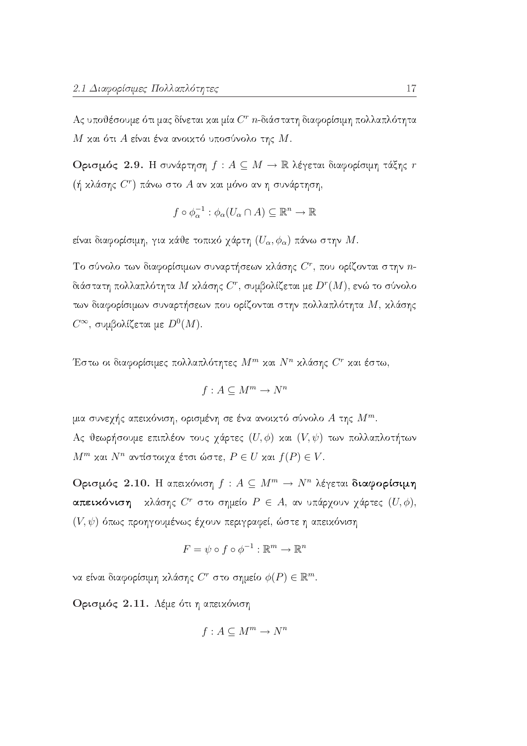Ας υποθέσουμε ότι μας δίνεται και μία  $C<sup>r</sup>$  *n*-διάστατη διαφορίσιμη πολλαπλότητα Μ και ότι Α είναι ένα ανοικτό υποσύνολο της  $M$ .

**Ορισμός 2.9.** Η συνάρτηση  $f: A \subseteq M \to \mathbb{R}$  λέγεται διαφορίσιμη τάξης  $r$ (ή κλάσης  $C^r$ ) πάνω στο  $A$  αν και μόνο αν η συνάρτηση,

$$
f \circ \phi_{\alpha}^{-1} : \phi_{\alpha}(U_{\alpha} \cap A) \subseteq \mathbb{R}^{n} \to \mathbb{R}
$$

είναι διαφορίσιμη, για κάθε τοπικό χάρτη  $(U_{\alpha}, \phi_{\alpha})$  πάνω στην  $M$ .

Το σύνολο των διαφορίσιμων συναρτήσεων κλάσης  $C^r$ , που ορίζονται στην  $n$ διάστατη πολλαπλότητα  $M$  κλάσης  $C^r$ , συμβολίζεται με  $D^r(M)$ , ενώ το σύνολο των διαφορίσιμων συναρτήσεων που ορίζονται στην πολλαπλότητα  $M$ , κλάσης  $C^{\infty}$ , συμβολίζεται με  $D^{0}(M)$ .

Έστω οι διαφορίσιμες πολλαπλότητες  $M^m$  και  $N^n$  κλάσης  $C^r$  και έστω,

$$
f: A \subseteq M^m \to N^n
$$

μια συνεχής απειχόνιση, ορισμένη σε ένα ανοιχτό σύνολο  $A$  της  $M^m$ . Ας θεωρήσουμε επιπλέον τους χάρτες  $(U, \phi)$  και  $(V, \psi)$  των πολλαπλοτήτων  $M^m$  και  $N^n$  αντίστοιχα έτσι ώστε,  $P \in U$  και  $f(P) \in V$ .

Ορισμός 2.10. Η απειχόνιση  $f: A \subseteq M^m \to N^n$  λέγεται διαφορίσιμη **απεικόνιση** κλάσης  $C^r$  στο σημείο  $P \in A$ , αν υπάρχουν χάρτες  $(U, \phi)$ ,  $(V, \psi)$  όπως προηγουμένως έχουν περιγραφεί, ώστε η απειχόνιση

$$
F = \psi \circ f \circ \phi^{-1} : \mathbb{R}^m \to \mathbb{R}^n
$$

να είναι διαφορίσιμη κλάσης  $C^r$  στο σημείο  $\phi(P) \in \mathbb{R}^m$ .

Ορισμός 2.11. Λέμε ότι η απεικόνιση

$$
f: A \subseteq M^m \to N^n
$$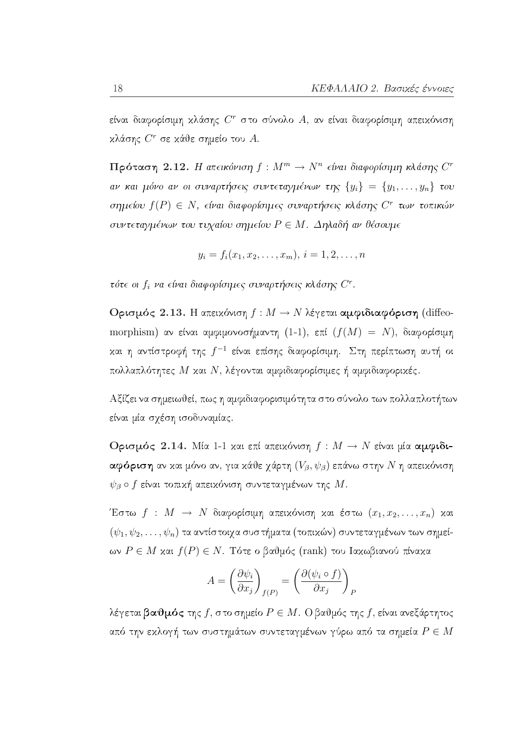είναι διαφορίσιμη κλάσης  $C^r$  στο σύνολο Α, αν είναι διαφορίσιμη απεικόνιση κλάσης  $C^r$  σε κάθε σημείο του  $A$ .

 $\Pi$ ρόταση 2.12. Η απεικόνιση  $f: M^m \to N^n$  είναι διαφορίσιμη κλάσης  $C^r$ αν και μόνο αν οι συναρτήσεις συντεταγμένων της  $\{y_i\} = \{y_1, \ldots, y_n\}$  του σημείου  $f(P) \in N$ , είναι διαφορίσιμες συναρτήσεις κλάσης  $C^r$  των τοπικών συντεταγμένων του τυχαίου σημείου  $P \in M$ . Δηλαδή αν θέσουμε

$$
y_i = f_i(x_1, x_2, \ldots, x_m), i = 1, 2, \ldots, n
$$

τότε οι  $f_i$  να είναι διαφορίσιμες συναρτήσεις κλάσης  $C^r$ .

Ορισμός 2.13. Η απεικόνιση  $f : M \to N$  λέγεται αμφιδιαφόριση (diffeomorphism) αν είναι αμφιμονοσήμαντη (1-1), επί  $(f(M) = N)$ , διαφορίσιμη και η αντίστροφή της  $f^{-1}$  είναι επίσης διαφορίσιμη. Στη περίπτωση αυτή οι πολλαπλότητες Μ και Ν, λέγονται αμφιδιαφορίσιμες ή αμφιδιαφορικές.

Αξίζει να σημειωθεί, πως η αμφιδιαφορισιμότητα στο σύνολο των πολλαπλοτήτων είναι μία σχέση ισοδυναμίας.

Ορισμός 2.14. Μία 1-1 και επί απεικόνιση  $f: M \to N$  είναι μία αμφιδιαφόριση αν και μόνο αν, για κάθε γάρτη  $(V_{\beta},\psi_{\beta})$  επάνω στην  $N$  η απεικόνιση  $\psi_{\beta}$  o f είναι τοπική απεικόνιση συντεταγμένων της M.

Έστω  $f: M \to N$  διαφορίσιμη απειχόνιση χαι έστω  $(x_1, x_2, \ldots, x_n)$  χαι  $(\psi_1, \psi_2, \ldots, \psi_n)$  τα αντίστοιχα συστήματα (τοπικών) συντεταγμένων των σημείων  $P \in M$  και  $f(P) \in N$ . Τότε ο βαθμός (rank) του Ιακωβιανού πίνακα

$$
A = \left(\frac{\partial \psi_i}{\partial x_j}\right)_{f(P)} = \left(\frac{\partial (\psi_i \circ f)}{\partial x_j}\right)_P
$$

λέγεται βαθμός της  $f$ , στο σημείο  $P \in M$ . Ο βαθμός της  $f$ , είναι ανεξάρτητος από την εχλογή των συστημάτων συντεταγμένων γύρω από τα σημεία  $P \in M$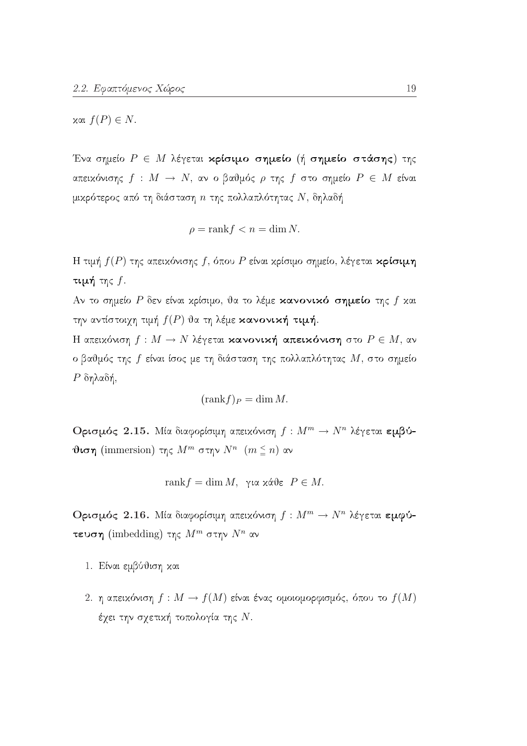$x$ αι  $f(P) \in N$ .

Ένα σημείο  $P \in M$  λέγεται κρίσιμο σημείο (ή σημείο στάσης) της απειχόνισης  $f : M \to N$ , αν ο βαθμός ρ της  $f$  στο σημείο  $P \in M$  είναι μικρότερος από τη διάσταση  $n$  της πολλαπλότητας  $N$ , δηλαδή

$$
\rho = \text{rank} f < n = \dim N
$$

Η τιμή  $f(P)$  της απειχόνισης f, όπου P είναι χρίσιμο σημείο, λέγεται κρίσιμη τιμή της  $f$ .

Αν το σημείο Ρ δεν είναι χρίσιμο, θα το λέμε κανονικό σημείο της  $f$  και την αντίστοιχη τιμή  $f(P)$  θα τη λέμε κανονική τιμή.

Η απεικόνιση  $f: M \to N$  λέγεται κανονική απεικόνιση στο  $P \in M$ , αν ο βαθμός της  $f$  είναι ίσος με τη διάσταση της πολλαπλότητας  $M$ , στο σημείο  $P$  δηλαδή,

$$
(\operatorname{rank} f)_P = \dim M.
$$

Ορισμός 2.15. Μία διαφορίσιμη απεικόνιση  $f: M^m \to N^n$  λέγεται εμβύ**θιση** (immersion) της  $M^m$  στην  $N^n$  ( $m \leq n$ ) αν

$$
rank f = dim M
$$
, για χάθε  $P \in M$ .

Ορισμός 2.16. Μία διαφορίσιμη απεικόνιση  $f: M^m \to N^n$  λέγεται εμφύτευση (imbedding) της  $M^m$  στην  $N^n$  αν

- 1. Είναι εμβύθιση και
- 2. η απειχόνιση  $f: M \to f(M)$  είναι ένας ομοιομορφισμός, όπου το  $f(M)$ έχει την σχετική τοπολογία της Ν.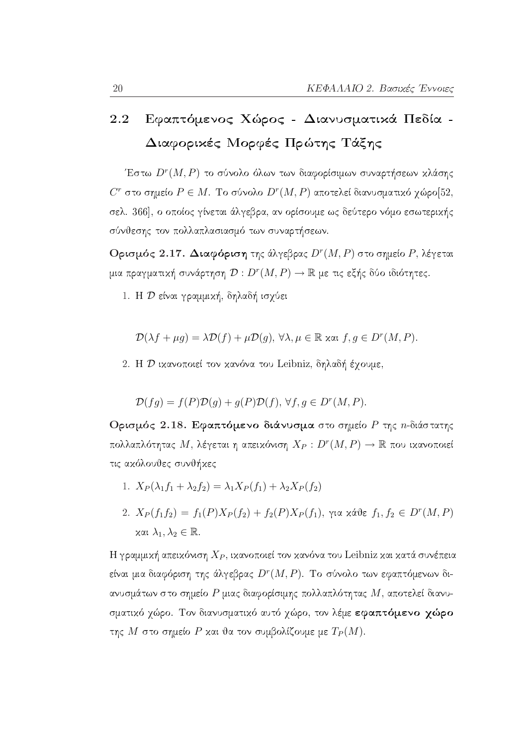### Εφαπτόμενος Χώρος - Διανυσματικά Πεδία -2.2 Διαφορικές Μορφές Πρώτης Τάξης

Έστω  $D^r(M,P)$  το σύνολο όλων των διαφορίσιμων συναρτήσεων κλάσης  $C<sup>r</sup>$  στο σημείο  $P \in M$ . Το σύνολο  $D<sup>r</sup>(M, P)$  αποτελεί διανυσματικό γώρο[52, σελ. 366], ο οποίος γίνεται άλγεβρα, αν ορίσουμε ως δεύτερο νόμο εσωτερικής σύνθεσης τον πολλαπλασιασμό των συναρτήσεων.

Ορισμός 2.17. Διαφόριση της άλγεβρας  $D^r(M, P)$  στο σημείο  $P$ , λέγεται μια πραγματική συνάρτηση  $\mathcal{D}:D^r(M,P)\to\mathbb{R}$  με τις εξής δύο ιδιότητες.

1. Η Ο είναι γραμμική, δηλαδή ισχύει

$$
\mathcal{D}(\lambda f + \mu g) = \lambda \mathcal{D}(f) + \mu \mathcal{D}(g), \,\forall \lambda, \mu \in \mathbb{R} \text{ and } f, g \in D^r(M, P).
$$

2. Η *D* ικανοποιεί τον κανόνα του Leibniz, δηλαδή έγουμε,

$$
\mathcal{D}(fg) = f(P)\mathcal{D}(g) + g(P)\mathcal{D}(f), \,\forall f, g \in D^{r}(M, P).
$$

Ορισμός 2.18. Εφαπτόμενο διάνυσμα στο σημείο Ρ της *n*-διάστατης πολλαπλότητας Μ, λέγεται η απεικόνιση  $X_P: D^r(M, P) \to \mathbb{R}$  που ικανοποιεί τις ακόλουθες συνθήκες

- 1.  $X_P(\lambda_1 f_1 + \lambda_2 f_2) = \lambda_1 X_P(f_1) + \lambda_2 X_P(f_2)$
- 2.  $X_P(f_1f_2) = f_1(P)X_P(f_2) + f_2(P)X_P(f_1)$ , για κάθε  $f_1, f_2 \in D^r(M, P)$  $x$ αι  $\lambda_1, \lambda_2 \in \mathbb{R}$ .

Η γραμμική απεικόνιση  $X_P$ , ικανοποιεί τον κανόνα του Leibniz και κατά συνέπεια είναι μια διαφόριση της άλγεβρας  $D^r(M, P)$ . Το σύνολο των εφαπτόμενων διανυσμάτων στο σημείο P μιας διαφορίσιμης πολλαπλότητας  $M$ , αποτελεί διανυσματικό χώρο. Τον διανυσματικό αυτό χώρο, τον λέμε εφαπτόμενο χώρο της Μ στο σημείο Ρ και θα τον συμβολίζουμε με  $T_P(M)$ .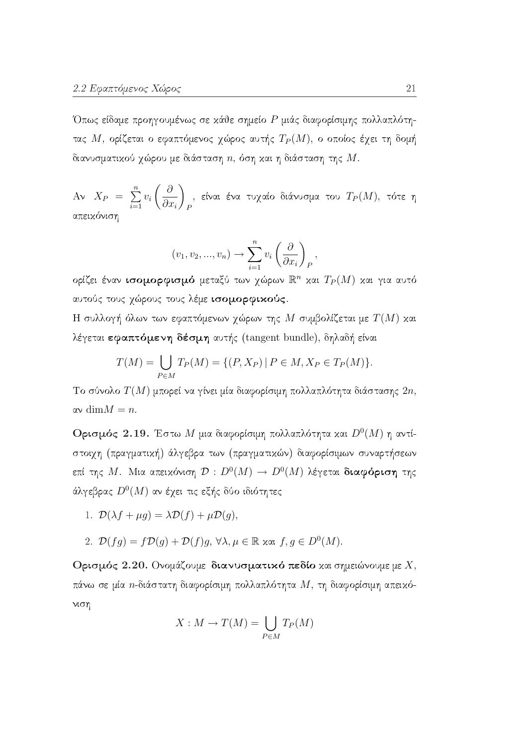Όπως είδαμε προηγουμένως σε χάθε σημείο P μιάς διαφορίσιμης πολλαπλότητας Μ, ορίζεται ο εφαπτόμενος χώρος αυτής  $T_P(M)$ , ο οποίος έχει τη δομή διανυσματικού χώρου με διάσταση  $n$ , όση και η διάσταση της  $M$ .

 $A$ ν  $X_P = \sum_{i=1}^n v_i \left(\frac{\partial}{\partial x_i}\right)_P$ , είναι ένα τυχαίο διάνυσμα του  $T_P(M)$ , τότε η απειχόνιση

$$
(v_1, v_2, ..., v_n) \to \sum_{i=1}^n v_i \left(\frac{\partial}{\partial x_i}\right)_P,
$$

ορίζει έναν ισομορφισμό μεταξύ των χώρων  $\mathbb{R}^n$  και  $T_P(M)$  και για αυτό αυτούς τους χώρους τους λέμε ισομορφικούς.

Η συλλογή όλων των εφαπτόμενων χώρων της  $M$  συμβολίζεται με  $T(M)$  και λέγεται εφαπτόμενη δέσμη αυτής (tangent bundle), δηλαδή είναι

$$
T(M) = \bigcup_{P \in M} T_P(M) = \{ (P, X_P) \mid P \in M, X_P \in T_P(M) \}.
$$

Το σύνολο  $T(M)$  μπορεί να γίνει μία διαφορίσιμη πολλαπλότητα διάστασης  $2n$ ,  $\alpha v \dim M = n.$ 

**Ορισμός 2.19.** Έστω Μ μια διαφορίσιμη πολλαπλότητα και  $D^{0}(M)$  η αντίστοιχη (πραγματική) άλγεβρα των (πραγματικών) διαφορίσιμων συναρτήσεων επί της Μ. Μια απεικόνιση  $\mathcal{D}: D^0(M) \to D^0(M)$  λέγεται διαφόριση της άλγεβρας  $D^0(M)$  αν έγει τις εξής δύο ιδιότητες

- 1.  $\mathcal{D}(\lambda f + \mu q) = \lambda \mathcal{D}(f) + \mu \mathcal{D}(q)$ .
- 2.  $\mathcal{D}(fq) = f\mathcal{D}(q) + \mathcal{D}(f)q$ ,  $\forall \lambda, \mu \in \mathbb{R}$  xxi,  $f, q \in D^0(M)$ .

Ορισμός 2.20. Ονομάζουμε διανυσματικό πεδίο και σημειώνουμε με  $X$ , πάνω σε μία *n*-διάστατη διαφορίσιμη πολλαπλότητα  $M$ , τη διαφορίσιμη απειχόνιση

$$
X: M \to T(M) = \bigcup_{P \in M} T_P(M)
$$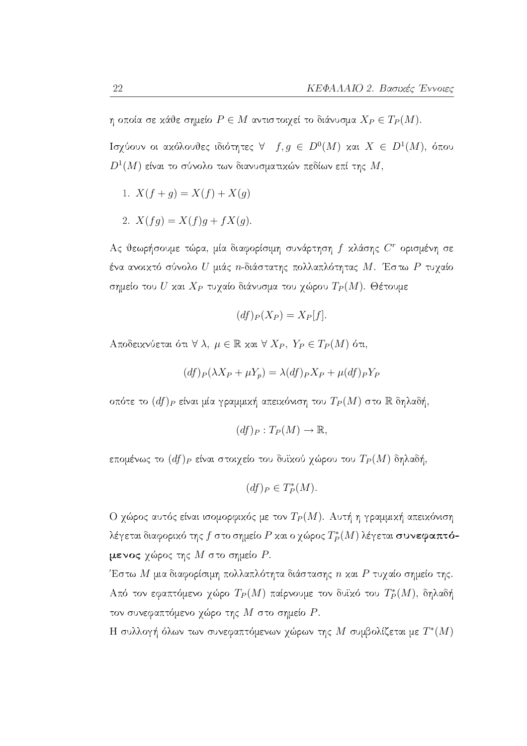η οποία σε κάθε σημείο  $P \in M$  αντιστοιχεί το διάνυσμα  $X_P \in T_P(M)$ .

Ισγύουν οι ακόλουθες ιδιότητες  $\forall$   $f, g \in D^{0}(M)$  και  $X \in D^{1}(M)$ , όπου  $D^1(M)$  είναι το σύνολο των διανυσματικών πεδίων επί της  $M,$ 

- 1.  $X(f + g) = X(f) + X(g)$
- 2.  $X(fq) = X(f)q + fX(q)$ .

Ας θεωρήσουμε τώρα, μία διαφορίσιμη συνάρτηση f χλάσης  $C^r$  ορισμένη σε ένα ανοικτό σύνολο  $U$  μιάς  $n$ -διάστατης πολλαπλότητας  $M$ . Έστω  $P$  τυγαίο σημείο του  $U$  και  $X_P$  τυχαίο διάνυσμα του χώρου  $T_P(M)$ . Θέτουμε

$$
(df)_P(X_P) = X_P[f].
$$

Aποδεικνύεται ότι  $\forall \lambda, \mu \in \mathbb{R}$  και  $\forall X_P, Y_P \in T_P(M)$  ότι,

$$
(df)_P(\lambda X_P + \mu Y_p) = \lambda (df)_P X_P + \mu (df)_P Y_P
$$

οπότε το  $(df)_P$  είναι μία γραμμική απεικόνιση του  $T_P(M)$  στο  $\mathbb R$  δηλαδή,

$$
(df)_P: T_P(M) \to \mathbb{R},
$$

επομένως το  $(df)_P$  είναι στοιχείο του δυϊκού χώρου του  $T_P(M)$  δηλαδή,

$$
(df)_P \in T_P^*(M).
$$

Ο χώρος αυτός είναι ισομορφικός με τον  $T_P(M)$ . Αυτή η γραμμική απεικόνιση λέγεται διαφορικό της  $f$  στο σημείο P και ο γώρος  $T^*_P(M)$  λέγεται συνεφαπτόμενος χώρος της  $M$  στο σημείο  $P$ .

Έστω Μ μια διαφορίσιμη πολλαπλότητα διάστασης  $n$  και  $P$  τυχαίο σημείο της. Από τον εφαπτόμενο χώρο  $T_P(M)$  παίρνουμε τον δυϊκό του  $T_P^*(M)$ , δηλαδή τον συνεφαπτόμενο χώρο της  $M$  στο σημείο  $P$ .

Η συλλογή όλων των συνεφαπτόμενων χώρων της Μ συμβολίζεται με  $T^*(M)$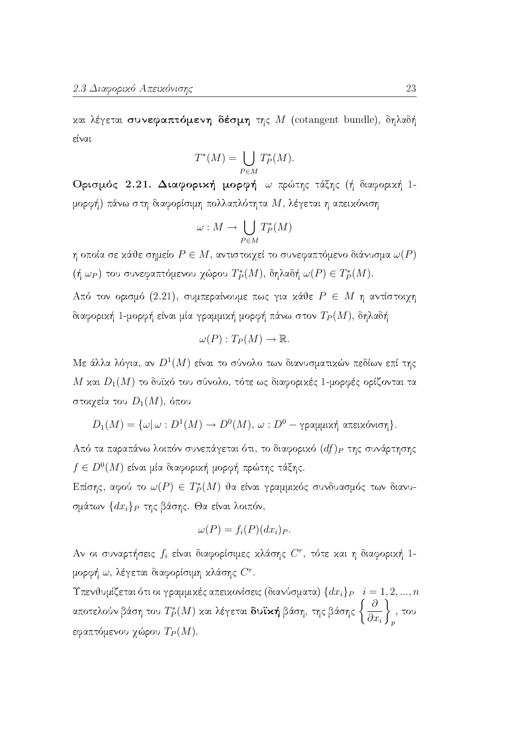και λέγεται συνεφαπτόμενη δέσμη της  $M$  (cotangent bundle), δηλαδή είναι

$$
T^*(M) = \bigcup_{P \in M} T_P^*(M).
$$

Ορισμός 2.21. Διαφορική μορφή ω πρώτης τάξης (ή διαφορική 1μορφή) πάνω στη διαφορίσιμη πολλαπλότητα  $M$ , λέγεται η απεικόνιση

$$
\omega: M \to \bigcup_{P \in M} T^*_P(M)
$$

η οποία σε κάθε σημείο  $P \in M$ , αντιστοιχεί το συνεφαπτόμενο διάνυσμα  $\omega(P)$  $(\eta \omega_P)$  του συνεφαπτόμενου χώρου  $T_P^*(M)$ , δηλαδή  $\omega(P) \in T_P^*(M)$ .

Από τον ορισμό (2.21), συμπεραίνουμε πως για κάθε  $P \in M$  η αντίστοιχη διαφορική 1-μορφή είναι μία γραμμική μορφή πάνω στον  $T_P(M)$ , δηλαδή

$$
\omega(P):T_P(M)\to\mathbb{R}
$$

Με άλλα λόγια, αν  $D^1(M)$  είναι το σύνολο των διανυσματικών πεδίων επί της Μ και  $D_1(M)$  το δυϊκό του σύνολο, τότε ως διαφορικές 1-μορφές ορίζονται τα στοιχεία του  $D_1(M)$ , όπου

$$
D_1(M)=\{\omega|\,\omega:D^1(M)\rightarrow D^0(M),\,\omega:D^0-\gamma\text{ραμμιχή απειχόνιση}\}.
$$

Από τα παραπάνω λοιπόν συνεπάγεται ότι, το διαφορικό  $(df)_P$  της συνάρτησης  $f \in D^0(M)$  είναι μία διαφορική μορφή πρώτης τάξης.

Επίσης, αφού το  $\omega(P) \in T_P^*(M)$  θα είναι γραμμικός συνδυασμός των διανυσμάτων  $\{dx_i\}_P$  της βάσης. Θα είναι λοιπόν,

$$
\omega(P) = f_i(P)(dx_i)_P.
$$

Αν οι συναρτήσεις  $f_i$  είναι διαφορίσιμες κλάσης  $C^r$ , τότε και η διαφορική 1μορφή  $\omega$ , λέγεται διαφορίσιμη κλάσης  $C^r$ .

Υπενθυμίζεται ότι οι γραμμικές απεικονίσεις (διανύσματα)  $\{dx_i\}_P \quad i=1,2,...,n$ αποτελούν βάση του  $T_P^*(M)$  και λέγεται **δυϊκή** βάση, της βάσης  $\left\{\frac{\partial}{\partial x_i}\right\}$ , του εφαπτόμενου χώρου  $T_P(M)$ .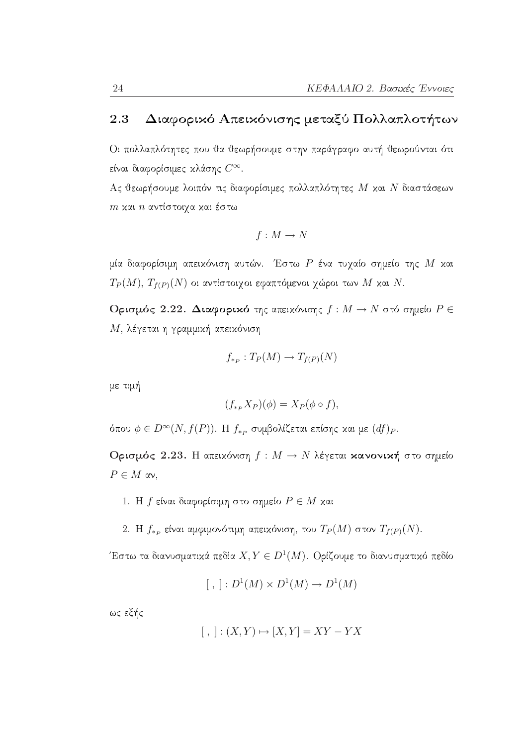#### Διαφορικό Απεικόνισης μεταξύ Πολλαπλοτήτων 2.3

Οι πολλαπλότητες που θα θεωρήσουμε στην παράγραφο αυτή θεωρούνται ότι είναι διαφορίσιμες κλάσης  $C^{\infty}$ .

Ας θεωρήσουμε λοιπόν τις διαφορίσιμες πολλαπλότητες  $M$  και  $N$  διαστάσεων  $m$  και  $n$  αντίστοιχα και έστω

$$
f: M \to N
$$

μία διαφορίσιμη απειχόνιση αυτών. Έστω Ρ ένα τυχαίο σημείο της Μ χαι  $T_P(M)$ ,  $T_{f(P)}(N)$  οι αντίστοιχοι εφαπτόμενοι χώροι των Μ και Ν.

Ορισμός 2.22. Διαφορικό της απεικόνισης  $f: M \to N$  στό σημείο  $P \in$ Μ, λέγεται η γραμμική απεικόνιση

$$
f_{\ast_P}:T_P(M)\to T_{f(P)}(N)
$$

με τιμή

$$
(f_{\ast_P}X_P)(\phi) = X_P(\phi \circ f),
$$

όπου  $\phi \in D^{\infty}(N, f(P))$ . Η  $f_{*P}$  συμβολίζεται επίσης και με  $(df)_{P}$ .

Ορισμός 2.23. Η απεικόνιση  $f: M \to N$  λέγεται κανονική στο σημείο  $P \in M$  av,

- 1. Η  $f$  είναι διαφορίσιμη στο σημείο  $P \in M$  και
- 2. Η  $f_{\ast P}$  είναι αμφιμονότιμη απειχόνιση, του  $T_P(M)$  στον  $T_{f(P)}(N)$ .

Έστω τα διανυσματικά πεδία  $X, Y \in D^1(M)$ . Ορίζουμε το διανυσματικό πεδίο

$$
[ , ]: D1(M) \times D1(M) \to D1(M)
$$

ως εξής

$$
[ , ] : (X,Y) \mapsto [X,Y] = XY - YX
$$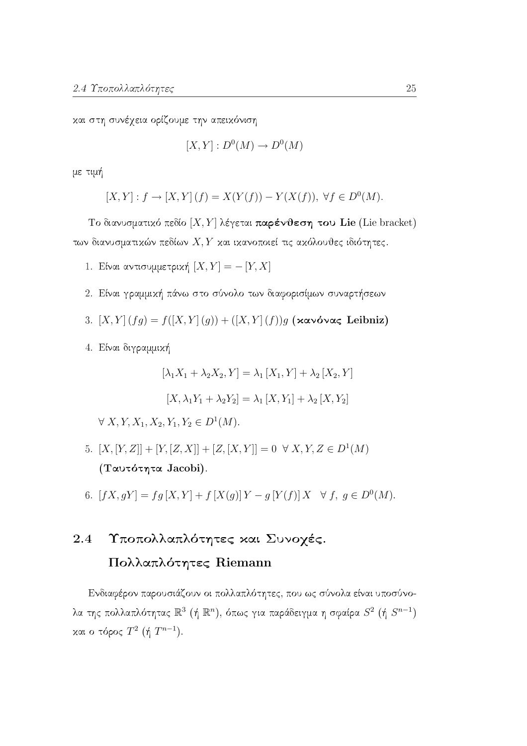και στη συνέχεια ορίζουμε την απεικόνιση

$$
[X,Y]: D^0(M) \to D^0(M)
$$

με τιμή

$$
[X,Y] : f \to [X,Y](f) = X(Y(f)) - Y(X(f)), \ \forall f \in D^{0}(M).
$$

Το διανυσματικό πεδίο  $[X, Y]$  λέγεται παρένθεση του Lie (Lie bracket) των διανυσματικών πεδίων  $X, Y$  και ικανοποιεί τις ακόλουθες ιδιότητες.

- 1. Είναι αντισυμμετρική  $[X, Y] = -[Y, X]$
- 2. Είναι γραμμική πάνω στο σύνολο των διαφορισίμων συναρτήσεων
- 3.  $[X, Y](fg) = f([X, Y](g)) + ([X, Y](f))g$  (xavóvaς Leibniz)
- 4. Είναι διγραμμική

$$
[\lambda_1 X_1 + \lambda_2 X_2, Y] = \lambda_1 [X_1, Y] + \lambda_2 [X_2, Y]
$$

$$
[X, \lambda_1 Y_1 + \lambda_2 Y_2] = \lambda_1 [X, Y_1] + \lambda_2 [X, Y_2]
$$

 $\forall X, Y, X_1, X_2, Y_1, Y_2 \in D^1(M).$ 

- 5.  $[X,[Y,Z]] + [Y,[Z,X]] + [Z,[X,Y]] = 0 \ \forall X,Y,Z \in D^1(M)$ (Ταυτότητα Jacobi).
- 6.  $[fX, qY] = fg[X, Y] + f[X(g)]Y g[Y(f)]X \quad \forall f, g \in D^{0}(M).$

### Υποπολλαπλότητες και Συνογές. 2.4 Πολλαπλότητες Riemann

Ενδιαφέρον παρουσιάζουν οι πολλαπλότητες, που ως σύνολα είναι υποσύνολα της πολλαπλότητας  $\mathbb{R}^3$  (ή  $\mathbb{R}^n$ ), όπως για παράδειγμα η σφαίρα  $S^2$  (ή  $S^{n-1}$ ) και ο τόρος  $T^2$  (ή  $T^{n-1}$ ).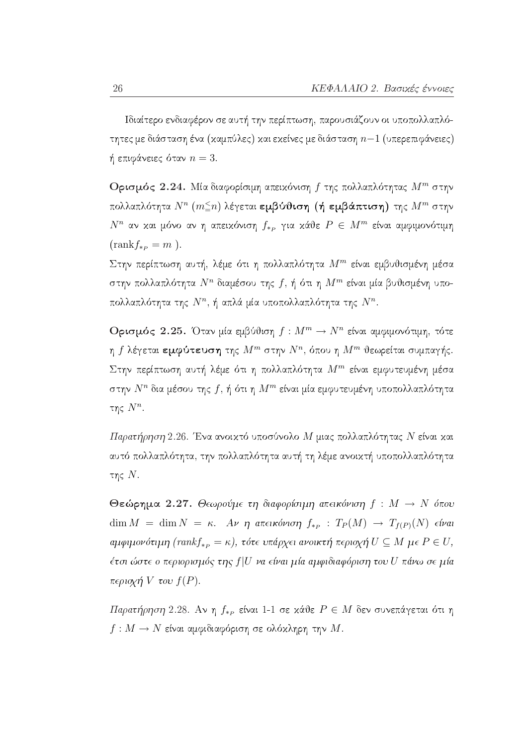Ιδιαίτερο ενδιαφέρον σε αυτή την περίπτωση, παρουσιάζουν οι υποπολλαπλότητες με διάσταση ένα (καμπύλες) και εκείνες με διάσταση  $n-1$  (υπερεπιφάνειες) ή επιφάνειες όταν  $n=3$ .

Ορισμός 2.24. Μία διαφορίσιμη απεικόνιση  $f$  της πολλαπλότητας  $M^m$  στην πολλαπλότητα  $N^n$   $(m \leq n)$  λέγεται εμβύθιση (ή εμβάπτιση) της  $M^m$  στην  $N^n$  αν και μόνο αν η απεικόνιση  $f_{*p}$  για κάθε  $P \in M^m$  είναι αμφιμονότιμη  $\text{(rank} f_{\ast P} = m$ ).

Στην περίπτωση αυτή, λέμε ότι η πολλαπλότητα  $M^m$  είναι εμβυθισμένη μέσα στην πολλαπλότητα  $N^n$  διαμέσου της  $f, \, \acute{\eta}$  ότι η  $M^m$  είναι μία βυθισμένη υποπολλαπλότητα της  $N^n$ , ή απλά μία υποπολλαπλότητα της  $N^n$ .

**Ορισμός 2.25.** Όταν μία εμβύθιση  $f: M^m \to N^n$  είναι αμφιμονότιμη, τότε η  $f$  λέγεται εμφύτευση της  $M^m$  στην  $N^n$ , όπου η  $M^m$  θεωρείται συμπαγής. Στην περίπτωση αυτή λέμε ότι η πολλαπλότητα  $M^m$  είναι εμφυτευμένη μέσα στην  $N^n$  δια μέσου της  $f$ , ή ότι η  $M^m$  είναι μία εμφυτευμένη υποπολλαπλότητα της  $N^n$ .

Παρατήρηση 2.26. Ένα ανοικτό υποσύνολο Μ μιας πολλαπλότητας Ν είναι και αυτό πολλαπλότητα, την πολλαπλότητα αυτή τη λέμε ανοικτή υποπολλαπλότητα της  $N$ .

Θεώρημα 2.27. Θεωρούμε τη διαφορίσιμη απεικόνιση  $f : M \to N$  όπου  $\dim M = \dim N = \kappa$ . Av  $\eta$  atteikóvion  $f_{\ast p} : T_P(M) \to T_{f(P)}(N)$  eívai aμφιμονότιμη (rankf<sub>\*p</sub> = κ), τότε υπάρχει aνοικτή περιοχή  $U \subseteq M$  με  $P \in U$ , έτσι ώστε ο περιορισμός της  $f|U$  να είναι μία αμφιδιαφόριση του  $U$  πάνω σε μία  $\pi \epsilon \rho \iota \alpha \chi \eta V$  του  $f(P)$ .

Παρατήρηση 2.28. Αν η  $f_{*p}$  είναι 1-1 σε κάθε  $P \in M$  δεν συνεπάγεται ότι η  $f: M \to N$  είναι αμφιδιαφόριση σε ολόκληρη την  $M$ .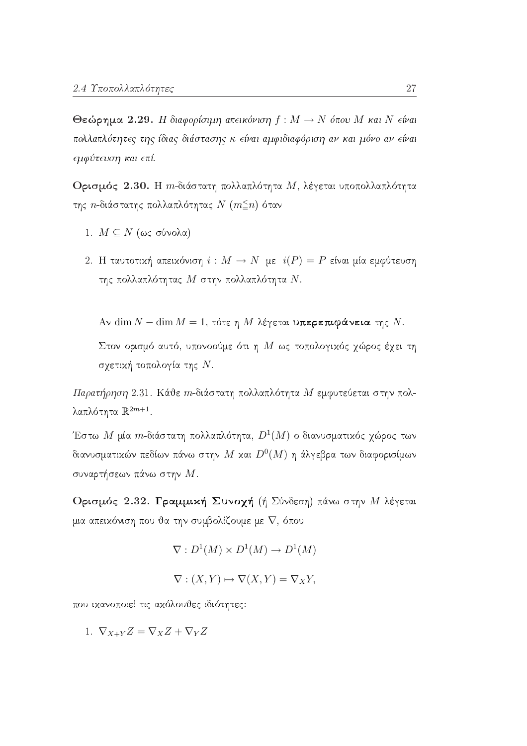Θεώρημα 2.29. Η διαφορίσιμη απεικόνιση  $f : M \to N$  όπου Μ και Ν είναι πολλαπλότητες της ίδιας διάστασης κ είναι αμφιδιαφόριση αν και μόνο αν είναι εμφύτευση και επί.

Ορισμός 2.30. Η *m*-διάστατη πολλαπλότητα Μ, λέγεται υποπολλαπλότητα της *η*-διάστατης πολλαπλότητας  $N$  ( $m \leq n$ ) όταν

- 1.  $M \subseteq N$  (ως σύνολα)
- 2. Η ταυτοτική απεικόνιση  $i : M \to N$  με  $i(P) = P$  είναι μία εμφύτευση της πολλαπλότητας  $M$  στην πολλαπλότητα  $N$ .

Aν dim  $N - \dim M = 1$ , τότε η Μ λέγεται υπερεπιφάνεια της N.

Στον ορισμό αυτό, υπονοούμε ότι η Μ ως τοπολογικός χώρος έχει τη σχετική τοπολογία της Ν.

Παρατήρηση 2.31. Κάθε m-διάστατη πολλαπλότητα Μ εμφυτεύεται στην πολλαπλότητα  $\mathbb{R}^{2m+1}$ .

Έστω Μ μία  $m$ -διάστατη πολλαπλότητα,  $D^1(M)$  ο διανυσματικός γώρος των διανυσματικών πεδίων πάνω στην Μ και  $D^0(M)$  η άλγεβρα των διαφορισίμων συναρτήσεων πάνω στην  $M.$ 

Ορισμός 2.32. Γραμμική Συνοχή (ή Σύνδεση) πάνω στην Μλέγεται μια απεικόνιση που θα την συμβολίζουμε με  $\nabla$ , όπου

$$
\nabla: D^1(M) \times D^1(M) \to D^1(M)
$$

$$
\nabla : (X, Y) \mapsto \nabla(X, Y) = \nabla_X Y,
$$

που ικανοποιεί τις ακόλουθες ιδιότητες:

1.  $\nabla_{X+Y}Z = \nabla_XZ + \nabla_YZ$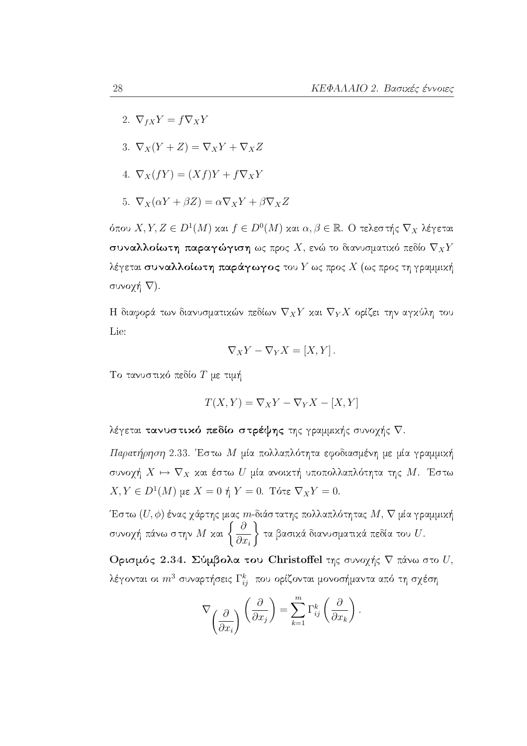- 2.  $\nabla_{fX}Y = f\nabla_XY$
- 3.  $\nabla_X(Y+Z) = \nabla_X Y + \nabla_X Z$
- 4.  $\nabla_X(fY) = (Xf)Y + f\nabla_X Y$
- 5.  $\nabla_X(\alpha Y + \beta Z) = \alpha \nabla_X Y + \beta \nabla_X Z$

όπου  $X, Y, Z \in D^1(M)$  και  $f \in D^0(M)$  και  $\alpha, \beta \in \mathbb{R}$ . Ο τελεστής  $\nabla_X$  λέγεται συναλλοίωτη παραγώγιση ως προς Χ, ενώ το διανυσματικό πεδίο  $\nabla_X Y$ λέγεται συναλλοίωτη παράγωγος του  $Y$  ως προς  $X$  (ως προς τη γραμμική συνοχή  $\nabla$ ).

Η διαφορά των διανυσματικών πεδίων  $\nabla_X Y$  και  $\nabla_Y X$  ορίζει την αγκύλη του Lie:

$$
\nabla_X Y - \nabla_Y X = [X, Y].
$$

Το τανυστικό πεδίο  $T$  με τιμή

$$
T(X, Y) = \nabla_X Y - \nabla_Y X - [X, Y]
$$

λέγεται τανυστικό πεδίο στρέψης της γραμμικής συνοχής  $\nabla$ .

Παρατήρηση 2.33. Έστω Μ μία πολλαπλότητα εφοδιασμένη με μία γραμμική συνοχή  $X \mapsto \nabla_X$  και έστω  $U$  μία ανοικτή υποπολλαπλότητα της  $M$ . Έστω  $X, Y \in D^1(M)$  με  $X = 0$  ή  $Y = 0$ . Τότε  $\nabla_X Y = 0$ .

Έστω  $(U, \phi)$  ένας γάρτης μιας *m*-διάστατης πολλαπλότητας  $M$ ,  $\nabla$  μία γραμμική συνοχή πάνω στην  $M$  και  $\left\{\frac{\partial}{\partial x_i}\right\}$  τα βασικά διανυσματικά πεδία του  $U.$ 

Ορισμός 2.34. Σύμβολα του Christoffel της συνοχής  $\nabla$  πάνω στο  $U$ , λέγονται οι  $m^3$  συναρτήσεις  $\Gamma_{ij}^k$  που ορίζονται μονοσήμαντα από τη σχέση

$$
\nabla \left(\frac{\partial}{\partial x_i}\right) \left(\frac{\partial}{\partial x_j}\right) = \sum_{k=1}^m \Gamma_{ij}^k \left(\frac{\partial}{\partial x_k}\right).
$$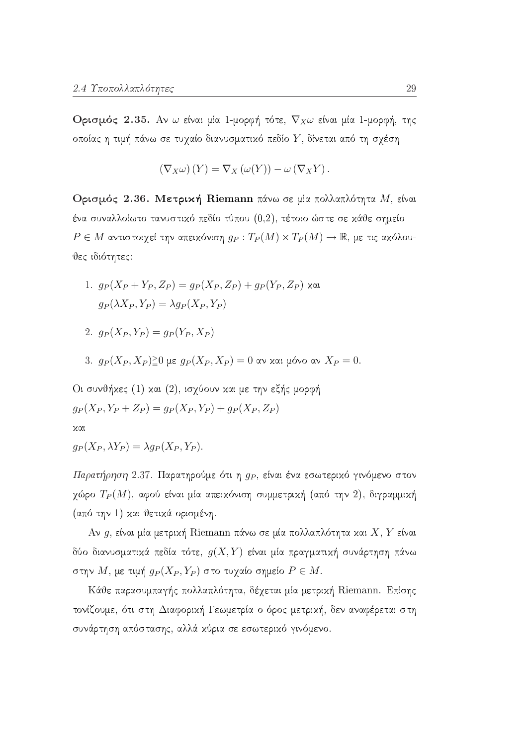Ορισμός 2.35. Αν ω είναι μία 1-μορφή τότε,  $\nabla_X \omega$  είναι μία 1-μορφή, της οποίας η τιμή πάνω σε τυχαίο διανυσματικό πεδίο Υ, δίνεται από τη σχέση

$$
(\nabla_X \omega)(Y) = \nabla_X (\omega(Y)) - \omega (\nabla_X Y).
$$

Ορισμός 2.36. Μετρική Riemann πάνω σε μία πολλαπλότητα Μ, είναι ένα συναλλοίωτο τανυστικό πεδίο τύπου  $(0,2)$ , τέτοιο ώστε σε κάθε σημείο  $P \in M$  αντιστοιγεί την απειχόνιση  $q_P: T_P(M) \times T_P(M) \to \mathbb{R}$ , με τις αχόλουθες ιδιότητες:

- 1.  $g_P(X_P + Y_P, Z_P) = g_P(X_P, Z_P) + g_P(Y_P, Z_P)$  xat  $g_P(\lambda X_P, Y_P) = \lambda g_P(X_P, Y_P)$
- 2.  $q_P(X_P, Y_P) = q_P(Y_P, X_P)$
- 3. g<sub>P</sub>(X<sub>P</sub>, X<sub>P</sub>)<sup>2</sup>0 με g<sub>P</sub>(X<sub>P</sub>, X<sub>P</sub>) = 0 αν και μόνο αν X<sub>P</sub> = 0.

Οι συνθήχες (1) χαι (2), ισχύουν χαι με την εξής μορφή  $g_P(X_P, Y_P + Z_P) = g_P(X_P, Y_P) + g_P(X_P, Z_P)$ χαι

$$
g_P(X_P, \lambda Y_P) = \lambda g_P(X_P, Y_P)
$$

Παρατήρηση 2.37. Παρατηρούμε ότι η  $g_P$ , είναι ένα εσωτερικό γινόμενο στον χώρο  $T_P(M)$ , αφού είναι μία απεικόνιση συμμετρική (από την 2), διγραμμική (από την 1) και θετικά ορισμένη.

Αν g, είναι μία μετρική Riemann πάνω σε μία πολλαπλότητα και  $X, Y$  είναι δύο διανυσματικά πεδία τότε,  $g(X, Y)$  είναι μία πραγματική συνάρτηση πάνω στην Μ, με τιμή  $g_P(X_P, Y_P)$  στο τυχαίο σημείο  $P \in M$ .

Κάθε παρασυμπαγής πολλαπλότητα, δέχεται μία μετρική Riemann. Επίσης τονίζουμε, ότι στη Διαφορική Γεωμετρία ο όρος μετρική, δεν αναφέρεται στη συνάρτηση απόστασης, αλλά χύρια σε εσωτερικό γινόμενο.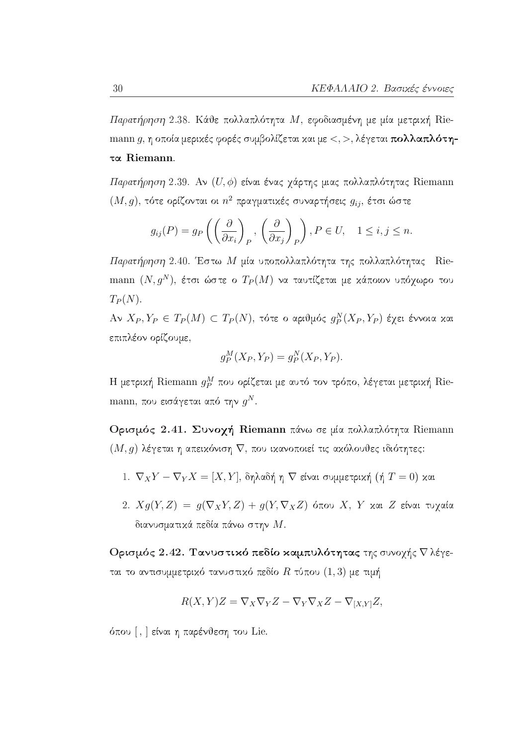Παρατήρηση 2.38. Κάθε πολλαπλότητα Μ, εφοδιασμένη με μία μετρική Riemann g, η οποία μερικές φορές συμβολίζεται και με  $\lt$ ,  $>$ , λέγεται πολλαπλότητα Riemann.

Παρατήρηση 2.39. Αν  $(U, \phi)$  είναι ένας χάρτης μιας πολλαπλότητας Riemann  $(M,g),$ τότε ορίζονται οι $n^2$ πραγματικές συναρτήσεις  $g_{ij},$ έτσι ώστε

$$
g_{ij}(P) = g_P\left(\left(\frac{\partial}{\partial x_i}\right)_P, \left(\frac{\partial}{\partial x_j}\right)_P\right), P \in U, \quad 1 \le i, j \le n
$$

Παρατήρηση 2.40. Έστω Μ μία υποπολλαπλότητα της πολλαπλότητας Riemann  $(N, g^N)$ , έτσι ώστε ο  $T_P(M)$  να ταυτίζεται με κάποιον υπόγωρο του  $T_P(N)$ .

 $A \vee X_P, Y_P \in T_P(M) \subset T_P(N)$ , τότε ο αριθμός  $g_P^N(X_P, Y_P)$  έγει έννοια και επιπλέον ορίζουμε,

$$
g_P^M(X_P, Y_P) = g_P^N(X_P, Y_P).
$$

Η μετρική Riemann  $g_P^M$  που ορίζεται με αυτό τον τρόπο, λέγεται μετρική Riemann, που εισάγεται από την  $g^N$ .

Ορισμός 2.41. Συνοχή Riemann πάνω σε μία πολλαπλότητα Riemann  $(M, g)$  λέγεται η απεικόνιση  $\nabla$ , που ικανοποιεί τις ακόλουθες ιδιότητες:

- 1.  $\nabla_X Y \nabla_Y X = [X, Y]$ , δηλαδή η  $\nabla$  είναι συμμετρική (ή  $T = 0$ ) και
- 2.  $Xg(Y, Z) = g(\nabla_X Y, Z) + g(Y, \nabla_X Z)$  όπου X, Y και Z είναι τυχαία διανυσματικά πεδία πάνω στην  $M.$

Ορισμός 2.42. Τανυστικό πεδίο καμπυλότητας της συνογής  $\nabla$  λέγεται το αντισυμμετρικό τανυστικό πεδίο  $R$  τύπου  $(1,3)$  με τιμή

$$
R(X,Y)Z = \nabla_X \nabla_Y Z - \nabla_Y \nabla_X Z - \nabla_{[X,Y]} Z,
$$

όπου [, ] είναι η παρένθεση του Lie.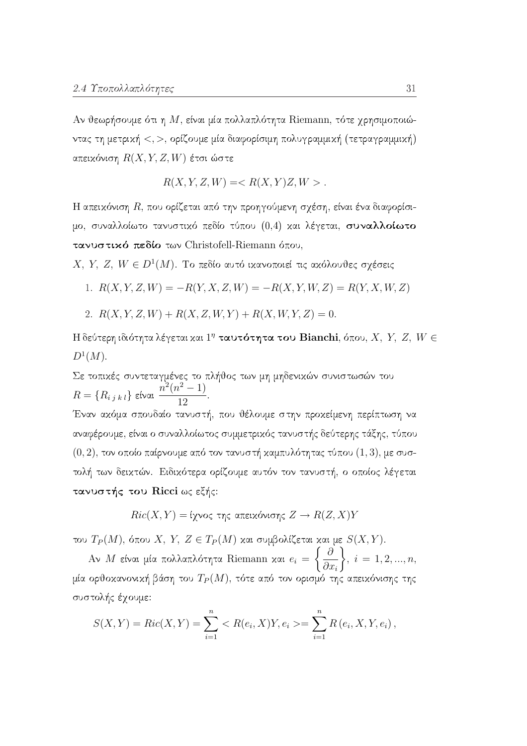Αν θεωρήσουμε ότι η Μ, είναι μία πολλαπλότητα Riemann, τότε χρησιμοποιώντας τη μετρική <, >, ορίζουμε μία διαφορίσιμη πολυγραμμική (τετραγραμμική) απεικόνιση  $R(X, Y, Z, W)$  έτσι ώστε

 $R(X, Y, Z, W) =$ .

Η απεικόνιση  $R$ , που ορίζεται από την προηγούμενη σχέση, είναι ένα διαφορίσιμο, συναλλοίωτο τανυστικό πεδίο τύπου (0,4) και λέγεται, συναλλοίωτο τανυστικό πεδίο των Christofell-Riemann όπου,

X, Y, Z, W  $\in D^1(M)$ . Το πεδίο αυτό ικανοποιεί τις ακόλουθες σχέσεις

1. 
$$
R(X, Y, Z, W) = -R(Y, X, Z, W) = -R(X, Y, W, Z) = R(Y, X, W, Z)
$$

2. 
$$
R(X, Y, Z, W) + R(X, Z, W, Y) + R(X, W, Y, Z) = 0.
$$

Η δεύτερη ιδιότητα λέγεται και  $1^n$  ταυτότητα του Bianchi, όπου, X, Y, Z, W  $\in$  $D^1(M).$ 

Σε τοπικές συντεταγμένες το πλήθος των μη μηδενικών συνιστωσών του  $R = \{R_{i j k l}\}\;$ είναι  $\frac{n^2(n^2-1)}{12}$ Έναν ακόμα σπουδαίο τανυστή, που θέλουμε στην προκείμενη περίπτωση να αναφέρουμε, είναι ο συναλλοίωτος συμμετρικός τανυστής δεύτερης τάξης, τύπου  $(0, 2)$ , τον οποίο παίρνουμε από τον τανυστή καμπυλότητας τύπου  $(1, 3)$ , με συστολή των δεικτών. Ειδικότερα ορίζουμε αυτόν τον τανυστή, ο οποίος λέγεται τανυστής του Ricci ως εξής:

$$
Ric(X,Y) = i\chi\text{voc της απεικόνισης } Z \to R(Z,X)Y
$$

του  $T_P(M)$ , όπου X, Y, Z  $\in T_P(M)$  και συμβολίζεται και με  $S(X, Y)$ .

Aν M είναι μία πολλαπλότητα Riemann και  $e_i = \left\{\frac{\partial}{\partial x_i}\right\}$ ,  $i = 1, 2, ..., n$ , μία ορθοκανονική βάση του  $T_P(M)$ , τότε από τον ορισμό της απεικόνισης της συστολής έχουμε:

$$
S(X,Y) = Ric(X,Y) = \sum_{i=1}^{n} \langle R(e_i, X)Y, e_i \rangle = \sum_{i=1}^{n} R(e_i, X, Y, e_i),
$$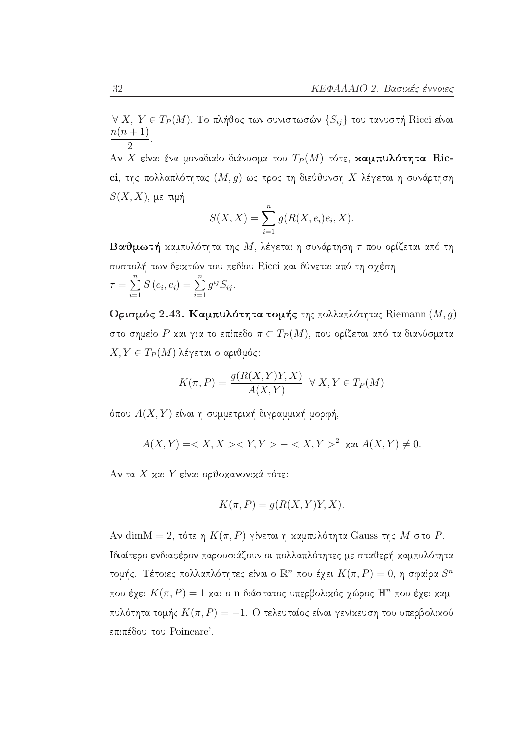$\forall$   $X,$   $Y\in T_{P}(M).$  Το πλήθος των συνιστωσών  $\{S_{ij}\}$ του τανυστή Ricci είναι  $\frac{n(n+1)}{2}$ 

Αν Χ είναι ένα μοναδιαίο διάνυσμα του  $T_P(M)$  τότε, καμπυλότητα Ricci, της πολλαπλότητας  $(M, g)$  ως προς τη διεύθυνση Χ λέγεται η συνάρτηση  $S(X, X)$ , με τιμή

$$
S(X, X) = \sum_{i=1}^{n} g(R(X, e_i)e_i, X).
$$

**Βαθμωτή** καμπυλότητα της Μ, λέγεται η συνάρτηση τ που ορίζεται από τη συστολή των δεικτών του πεδίου Ricci και δύνεται από τη σχέση  $\tau = \sum_{i=1}^{n} S(e_i, e_i) = \sum_{i=1}^{n} g^{ij} S_{ij}.$ 

Ορισμός 2.43. Καμπυλότητα τομής της πολλαπλότητας Riemann (M, g) στο σημείο P και για το επίπεδο  $\pi \subset T_P(M)$ , που ορίζεται από τα διανύσματα  $X, Y \in T_P(M)$  λέγεται ο αριθμός:

$$
K(\pi, P) = \frac{g(R(X, Y)Y, X)}{A(X, Y)} \quad \forall \ X, Y \in T_P(M)
$$

όπου  $A(X, Y)$  είναι η συμμετρική διγραμμική μορφή,

$$
A(X,Y) =   - ^2 \text{ and } A(X,Y) \neq 0.
$$

Αν τα X και Y είναι ορθοκανονικά τότε:

$$
K(\pi, P) = g(R(X, Y)Y, X).
$$

Aν dimM = 2, τότε η  $K(\pi, P)$  γίνεται η καμπυλότητα Gauss της M στο P. Ιδιαίτερο ενδιαφέρον παρουσιάζουν οι πολλαπλότητες με σταθερή καμπυλότητα τομής. Τέτοιες πολλαπλότητες είναι ο  $\mathbb{R}^n$  που έχει  $K(\pi, P) = 0$ , η σφαίρα  $S^n$ που έχει  $K(\pi, P) = 1$  και ο n-διάστατος υπερβολικός χώρος  $\mathbb{H}^n$  που έχει καμπυλότητα τομής  $K(\pi,P) = -1$ . Ο τελευταίος είναι γενίχευση του υπερβολικού επιπέδου του Poincare'.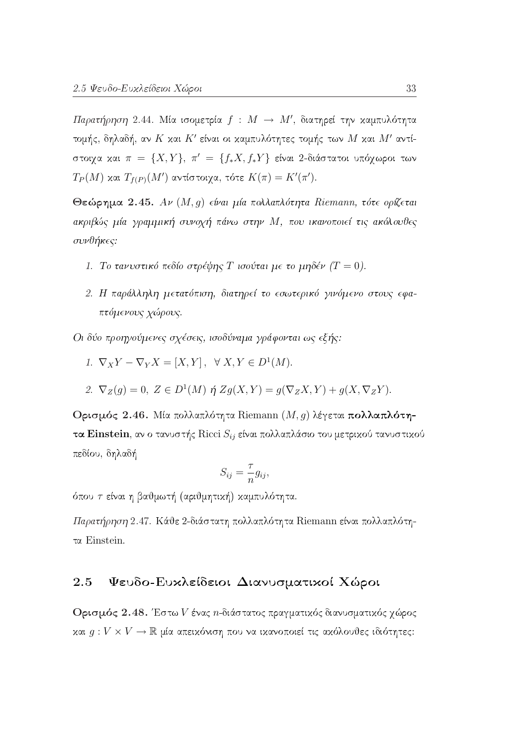Παρατήρηση 2.44. Μία ισομετρία  $f : M \rightarrow M'$ , διατηρεί την καμπυλότητα τομής, δηλαδή, αν Κ και Κ' είναι οι καμπυλότητες τομής των Μ και Μ' αντίστοιχα και  $\pi = \{X, Y\}, \pi' = \{f_*X, f_*Y\}$  είναι 2-διάστατοι υπόχωροι των  $T_P(M)$  και  $T_{f(P)}(M')$  αντίστοιχα, τότε  $K(\pi) = K'(\pi').$ 

Θεώρημα 2.45. Αν (Μ, g) είναι μία πολλαπλότητα Riemann, τότε ορίζεται ακριβώς μία γραμμική συνοχή πάνω στην Μ, που ικανοποιεί τις ακόλουθες συνθήκες:

- 1. Το τανυστικό πεδίο στρέψης T ισούται με το μηδέν ( $T = 0$ ).
- 2. Η παράλληλη μετατόπιση, διατηρεί το εσωτερικό γινόμενο στους εφαπτόμενους χώρους.

Οι δύο προηγούμενες σχέσεις, ισοδύναμα γράφονται ως εξής:

- 1.  $\nabla_X Y \nabla_Y X = [X, Y], \forall X, Y \in D^1(M).$
- 2.  $\nabla_Z(g) = 0$ ,  $Z \in D^1(M)$   $\eta$   $Zg(X,Y) = g(\nabla_Z X, Y) + g(X, \nabla_Z Y)$ .

Ορισμός 2.46. Μία πολλαπλότητα Riemann  $(M, g)$  λέγεται πολλαπλότητα Einstein, αν ο τανυστής Ricci  $S_{ij}$  είναι πολλαπλάσιο του μετρικού τανυστικού πεδίου, δηλαδή

$$
S_{ij} = \frac{\tau}{n} g_{ij},
$$

όπου τ είναι η βαθμωτή (αριθμητική) καμπυλότητα.

Παρατήρηση 2.47. Κάθε 2-διάστατη πολλαπλότητα Riemann είναι πολλαπλότητα Einstein.

### Ψευδο-Ευχλείδειοι Διανυσματικοί Χώροι 2.5

Ορισμός 2.48. Έστω V ένας n-διάστατος πραγματικός διανυσματικός χώρος και  $g: V \times V \to \mathbb{R}$  μία απεικόνιση που να ικανοποιεί τις ακόλουθες ιδιότητες: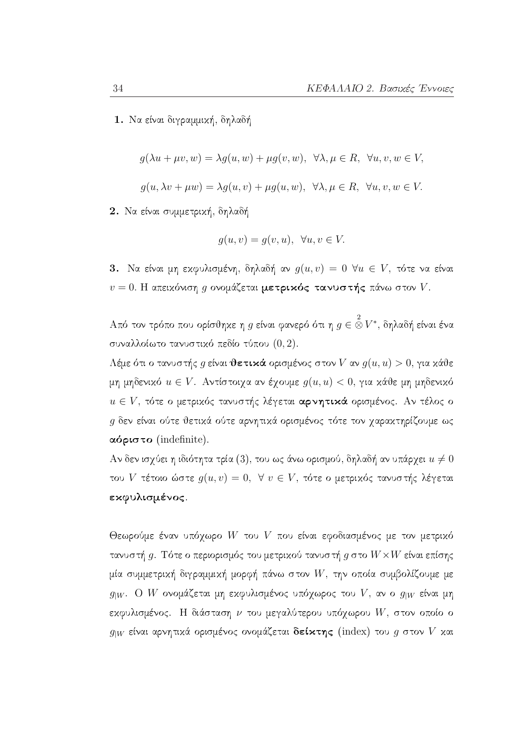1. Να είναι διγραμμική, δηλαδή

$$
g(\lambda u + \mu v, w) = \lambda g(u, w) + \mu g(v, w), \ \forall \lambda, \mu \in R, \ \forall u, v, w \in V
$$

$$
g(u, \lambda v + \mu w) = \lambda g(u, v) + \mu g(u, w), \ \forall \lambda, \mu \in R, \ \forall u, v, w \in V.
$$

2. Να είναι συμμετρική, δηλαδή

$$
g(u, v) = g(v, u), \ \forall u, v \in V.
$$

3. Να είναι μη εκφυλισμένη, δηλαδή αν  $g(u, v) = 0$   $\forall u \in V$ , τότε να είναι  $v = 0$ . Η απειχόνιση g ονομάζεται μετρικός τανυστής πάνω στον V.

. Από τον τρόπο που ορίσθηκε η  $q$  είναι φανερό ότι η  $q\in \mathop{\otimes}\limits^2 V^*$ , δηλαδή είναι ένα συναλλοίωτο τανυστικό πεδίο τύπου (0,2).

Λέμε ότι ο τανυστής g είναι θετικά ορισμένος στον V αν  $g(u, u) > 0$ , για κάθε μη μηδενικό  $u \in V$ . Αντίστοιχα αν έχουμε  $g(u, u) < 0$ , για κάθε μη μηδενικό  $u \in V$ , τότε ο μετρικός τανυστής λέγεται αρνητικά ορισμένος. Αν τέλος ο  $g$  δεν είναι ούτε θετικά ούτε αρνητικά ορισμένος τότε τον χαρακτηρίζουμε ως  $\alpha$ όριστο (indefinite).

Αν δεν ισχύει η ιδιότητα τρία (3), του ως άνω ορισμού, δηλαδή αν υπάρχει  $u \neq 0$ του V τέτοιο ώστε  $g(u, v) = 0$ ,  $\forall v \in V$ , τότε ο μετρικός τανυστής λέγεται εκφυλισμένος.

Θεωρούμε έναν υπόγωρο W του V που είναι εφοδιασμένος με τον μετρικό τανυστή  $g$ . Τότε ο περιορισμός του μετρικού τανυστή  $g$  στο  $W{\times}W$  είναι επίσης μία συμμετρική διγραμμική μορφή πάνω στον  $W$ , την οποία συμβολίζουμε με  $g_{|W}$ . Ο W ονομάζεται μη εκφυλισμένος υπόχωρος του V, αν ο  $g_{|W}$  είναι μη εκφυλισμένος. Η διάσταση  $\nu$  του μεγαλύτερου υπόχωρου W, στον οποίο ο  $g_{|W}$  είναι αρνητικά ορισμένος ονομάζεται δείκτης (index) του g στον V και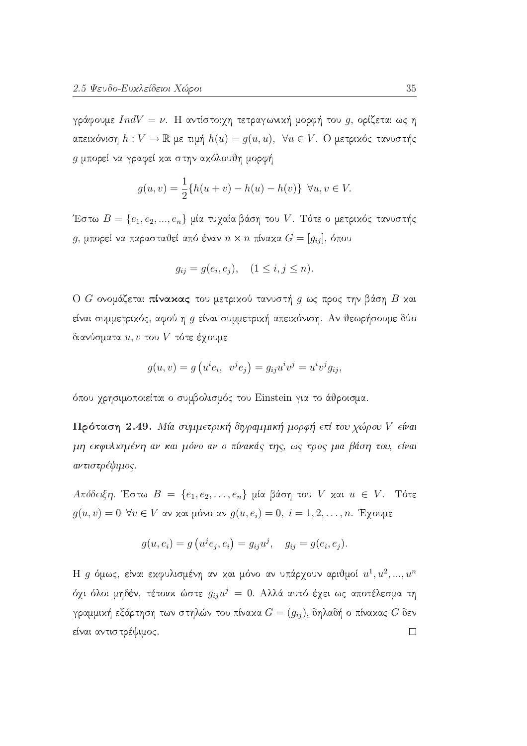γράφουμε  $IndV = \nu$ . Η αντίστοιχη τετραγωνική μορφή του g, ορίζεται ως η απεικόνιση  $h: V \to \mathbb{R}$  με τιμή  $h(u) = g(u, u)$ ,  $\forall u \in V$ . Ο μετρικός τανυστής g μπορεί να γραφεί και στην ακόλουθη μορφή

$$
g(u, v) = \frac{1}{2} \{ h(u + v) - h(u) - h(v) \} \ \forall u, v \in V.
$$

Έστω  $B = \{e_1, e_2, ..., e_n\}$ μία τυχαία βάση του V. Τότε ο μετριχός τανυστής  $g$ , μπορεί να παρασταθεί από έναν  $n \times n$  πίνακα  $G = [g_{ij}]$ , όπου

$$
g_{ij} = g(e_i, e_j), \quad (1 \le i, j \le n).
$$

Ο G ονομάζεται πίνακας του μετρικού τανυστή g ως προς την βάση B και είναι συμμετρικός, αφού η g είναι συμμετρική απεικόνιση. Αν θεωρήσουμε δύο διανύσματα  $u, v$  του  $V$  τότε έγουμε

$$
g(u, v) = g(u^{i}e_{i}, v^{j}e_{j}) = g_{ij}u^{i}v^{j} = u^{i}v^{j}g_{ij},
$$

όπου χρησιμοποιείται ο συμβολισμός του Einstein για το άθροισμα.

Πρόταση 2.49. Μία συμμετρική διγραμμική μορφή επί του χώρου V είναι μη εκφυλισμένη αν και μόνο αν ο πίνακάς της, ως προς μια βάση του, είναι αντιστρέψιμος.

 $A\pi\delta\delta\epsilon$ ιξη. Έστω  $B = \{e_1, e_2, \ldots, e_n\}$  μία βάση του V και  $u \in V$ . Τότε  $g(u, v) = 0 \ \forall v \in V$  αν και μόνο αν  $g(u, e_i) = 0$ ,  $i = 1, 2, ..., n$ . Έγουμε

$$
g(u, e_i) = g(u^j e_j, e_i) = g_{ij}u^j, \quad g_{ij} = g(e_i, e_j).
$$

Η g όμως, είναι εκφυλισμένη αν και μόνο αν υπάρχουν αριθμοί  $u^1, u^2, ..., u^n$ όχι όλοι μηδέν, τέτοιοι ώστε  $g_{ij}u^j = 0$ . Αλλά αυτό έχει ως αποτέλεσμα τη γραμμική εξάρτηση των στηλών του πίνακα  $G=(g_{ij}),$  δηλαδή ο πίνακας  $G$  δεν είναι αντιστρέψιμος.  $\Box$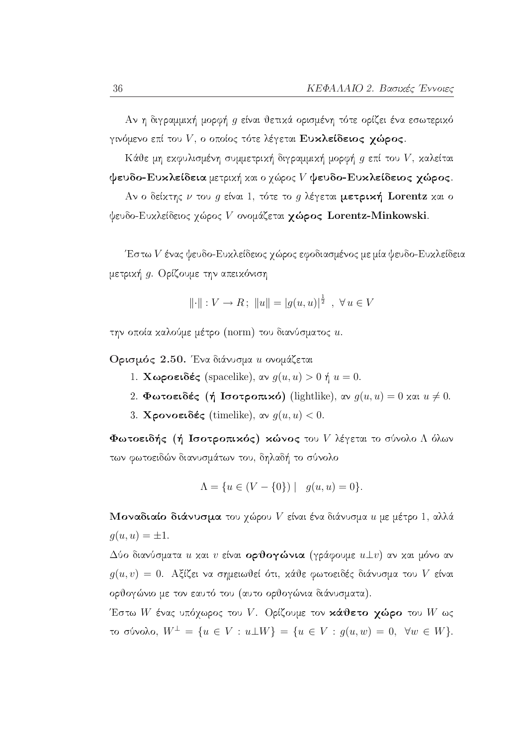Αν η διγραμμική μορφή g είναι θετικά ορισμένη τότε ορίζει ένα εσωτερικό γινόμενο επί του  $V$ , ο οποίος τότε λέγεται Ευκλείδειος χώρος.

Κάθε μη εκφυλισμένη συμμετρική διγραμμική μορφή  $g$  επί του  $V$ , καλείται  $\psi$ ευδο-Ευκλείδεια μετρική και ο χώρος  $V$  ψευδο-Ευκλείδειος χώρος.

Αν ο δείκτης  $\nu$  του  $g$  είναι 1, τότε το  $g$  λέγεται μετρική Lorentz και ο ψευδο-Ευχλείδειος χώρος V ονομάζεται χώρος Lorentz-Minkowski.

Έστω  $V$  ένας ψευδο-Ευχλείδειος χώρος εφοδιασμένος με μία ψευδο-Ευχλείδεια μετρική g. Ορίζουμε την απεικόνιση

$$
\|\cdot\|: V \to R \, ; \, \|u\| = |g(u, u)|^{\frac{1}{2}} \, , \, \forall u \in V
$$

την οποία καλούμε μέτρο (norm) του διανύσματος u.

Ορισμός 2.50. Ένα διάνυσμα *u* ονομάζεται

- 1. **Χωροειδές** (spacelike), αν  $g(u, u) > 0$  ή  $u = 0$ .
- 2. Φωτοειδές (ή Ισοτροπικό) (lightlike), αν  $g(u, u) = 0$  και  $u \neq 0$ .
- 3. Χρονοειδές (timelike), αν  $q(u, u) < 0$ .

Φωτοειδής (ή Ισοτροπικός) κώνος του  $V$  λέγεται το σύνολο Λ όλων των φωτοειδών διανυσμάτων του, δηλαδή το σύνολο

$$
\Lambda = \{ u \in (V - \{0\}) \mid g(u, u) = 0 \}.
$$

Μοναδιαίο διάνυσμα του γώρου V είναι ένα διάνυσμα  $u$  με μέτρο 1, αλλά  $q(u, u) = \pm 1.$ 

Δύο διανύσματα  $u$  και  $v$  είναι ορθογώνια (γράφουμε  $u \bot v$ ) αν και μόνο αν  $g(u, v) = 0$ . Αξίζει να σημειωθεί ότι, κάθε φωτοειδές διάνυσμα του V είναι ορθογώνιο με τον εαυτό του (αυτο ορθογώνια διάνυσματα).

Έστω W ένας υπόχωρος του V. Ορίζουμε τον κάθετο χώρο του W ως το σύνολο,  $W^{\perp} = \{u \in V : u \perp W\} = \{u \in V : g(u, w) = 0, \forall w \in W\}.$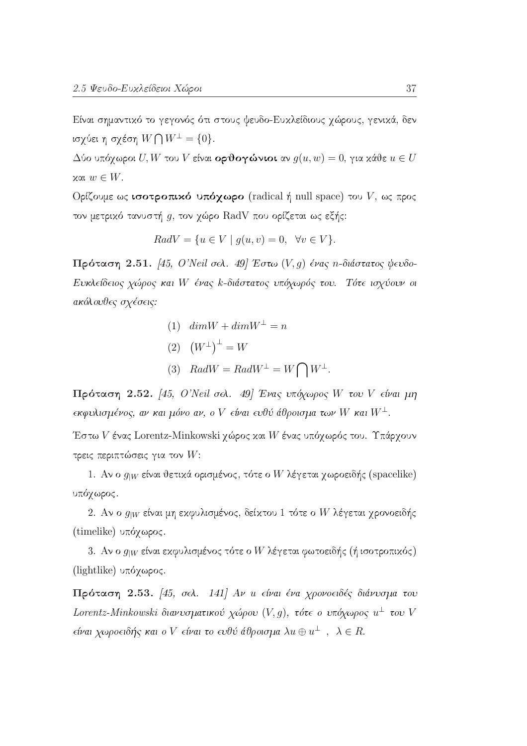Είναι σημαντικό το γεγονός ότι στους ψευδο-Ευκλείδιους χώρους, γενικά, δεν ισχύει η σχέση  $W \bigcap W^{\perp} = \{0\}.$ 

 $\Delta$ ύο υπόχωροι  $U, W$  του  $V$  είναι ορθογώνιοι αν  $g(u, w) = 0$ , για κάθε  $u \in U$  $x\alpha$ ι  $w \in W$ .

Ορίζουμε ως ισοτροπικό υπόχωρο (radical ή null space) του  $V$ , ως προς τον μετρικό τανυστή  $g$ , τον χώρο RadV που ορίζεται ως εξής:

$$
RadV = \{ u \in V \mid g(u, v) = 0, \forall v \in V \}.
$$

Πρόταση 2.51. [45, Ο'Neil σελ. 49] Έστω (V, g) ένας η-διάστατος ψευδο-Ευκλείδειος χώρος και W ένας k-διάστατος υπόχωρός του. Τότε ισχύουν οι ακόλουθες σχέσεις:

- (1)  $dim W + dim W^{\perp} = n$
- (2)  $(W^{\perp})^{\perp} = W$
- (3)  $RadW = RadW^{\perp} = W \bigcap W^{\perp}$ .

Πρόταση 2.52. [45, Ο'Neil σελ. 49] Ένας υπόχωρος W του V είναι μη  $\epsilon$ κφυλισμένος, αν και μόνο αν, ο V είναι ευθύ άθροισμα των W και  $W^{\perp}$ .

Έστω V ένας Lorentz-Minkowski χώρος και W ένας υπόχωρός του. Υπάρχουν τρεις περιπτώσεις για τον  $W$ :

1. Αν ο  $g_{W}$  είναι θετικά ορισμένος, τότε ο W λέγεται χωροειδής (spacelike) υπόχωρος.

2. Αν ο  $g_{|W}$  είναι μη εκφυλισμένος, δείκτου 1 τότε ο W λέγεται χρονοειδής (timelike) υπόγωρος.

3. Αν ο  $g_{W}$  είναι εκφυλισμένος τότε ο W λέγεται φωτοειδής (ή ισοτροπικός) (lightlike) υπόγωρος.

Πρόταση 2.53. [45, σελ. 141] Αν *u* είναι ένα χρονοειδές διάνυσμα του Lorentz-Minkowski διανυσματικού χώρου (V, g), τότε ο υπόχωρος  $u^{\perp}$  του V είναι χωροειδής και ο V είναι το ευθύ άθροισμα λ $u \oplus u^{\perp}$ , λ ∈ R.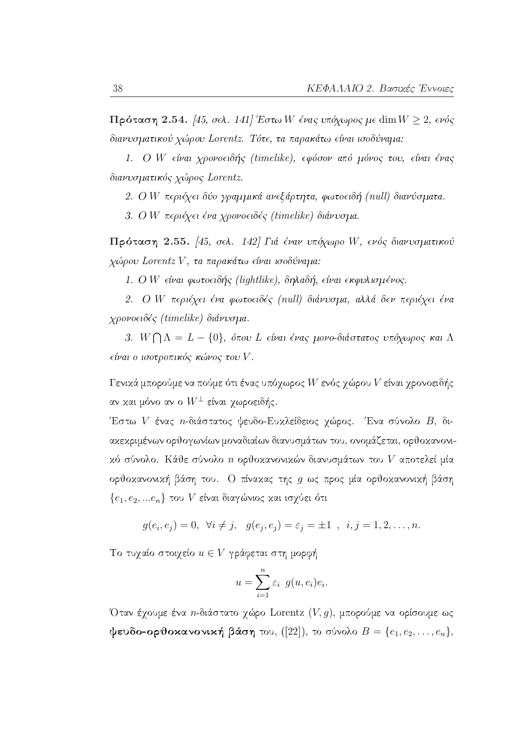$\Pi$ ρόταση 2.54. [45, σελ. 141] Έστω W ένας υπόχωρος με dim  $W \ge 2$ , ενός διανυσματικού χώρου Lorentz. Τότε, τα παρακάτω είναι ισοδύναμα:

1. Ο W είναι χρονοειδής (timelike), εφόσον από μόνος του, είναι ένας διανυσματικός χώρος Lorentz.

2. Ο W περιέχει δύο γραμμικά ανεξάρτητα, φωτοειδή (null) διανύσματα.

3. Ο W περιέχει ένα χρονοειδές (timelike) διάνυσμα.

Πρόταση 2.55. [45, σελ. 142] Γιά έναν υπόχωρο W, ενός διανυσματικού χώρου Lorentz V, τα παρακάτω είναι ισοδύναμα:

1. Ο W είναι φωτοειδής (lightlike), δηλαδή, είναι εκφυλισμένος.

2. Ο W περιέχει ένα φωτοειδές (null) διάνυσμα, αλλά δεν περιέχει ένα χρονοειδές (timelike) διάνυσμα.

3.  $W \bigcap \Lambda = L - \{0\}$ , όπου L είναι ένας μονο-διάστατος υπόχωρος και Λ είναι ο ισοτροπικός κώνος του V.

Γενικά μπορούμε να πούμε ότι ένας υπόγωρος  $W$  ενός γώρου  $V$  είναι γρονοειδής αν και μόνο αν ο  $W^{\pm}$  είναι γωροειδής.

Έστω V ένας *n*-διάστατος ψευδο-Ευχλείδειος γώρος. Ένα σύνολο Β, διακεκριμένων ορθογωνίων μοναδιαίων διανυσμάτων του, ονομάζεται, ορθοκανονικό σύνολο. Κάθε σύνολο  $n$  ορθοκανονικών διανυσμάτων του  $V$  αποτελεί μία ορθοκανονική βάση του. Ο πίνακας της g ως προς μία ορθοκανονική βάση  $\{e_1, e_2, ... e_n\}$  του V είναι διαγώνιος και ισχύει ότι

$$
g(e_i, e_j) = 0, \ \forall i \neq j, \ \ g(e_j, e_j) = \varepsilon_j = \pm 1, \ \ i, j = 1, 2, \dots, n.
$$

Το τυχαίο στοιχείο  $u \in V$  γράφεται στη μορφή

$$
u = \sum_{i=1}^{n} \varepsilon_i \ g(u, e_i) e_i.
$$

Όταν έχουμε ένα *n*-διάστατο χώρο Lorentz  $(V, g)$ , μπορούμε να ορίσουμε ως  $\phi$ ευδο-ορθοκανονική βάση του, ([22]), το σύνολο  $B = \{e_1, e_2, \ldots, e_n\},\$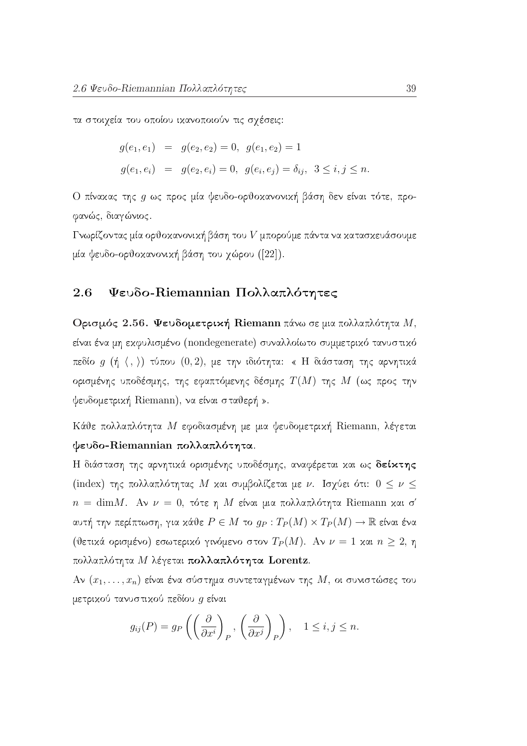τα στοιχεία του οποίου ικανοποιούν τις σχέσεις:

$$
g(e_1, e_1) = g(e_2, e_2) = 0, g(e_1, e_2) = 1
$$
  

$$
g(e_1, e_i) = g(e_2, e_i) = 0, g(e_i, e_j) = \delta_{ij}, 3 \le i, j \le n.
$$

Ο πίναχας της g ως προς μία ψευδο-ορθοχανονική βάση δεν είναι τότε, προφανώς, διαγώνιος.

Γνωρίζοντας μία ορθοκανονική βάση του  $V$  μπορούμε πάντα να κατασκευάσουμε μία ψευδο-ορθοκανονική βάση του χώρου ([22]).

### Ψευδο-Riemannian Πολλαπλότητες 2.6

Ορισμός 2.56. Ψευδομετρική Riemann πάνω σε μια πολλαπλότητα  $M$ , είναι ένα μη εκφυλισμένο (nondegenerate) συναλλοίωτο συμμετρικό τανυστικό πεδίο  $g(\nmid \langle , \rangle)$  τύπου  $(0,2)$ , με την ιδιότητα: « Η διάσταση της αρνητικά ορισμένης υποδέσμης, της εφαπτόμενης δέσμης  $T(M)$  της  $M$  (ως προς την ψευδομετρική Riemann), να είναι σταθερή ».

Κάθε πολλαπλότητα Μ εφοδιασμένη με μια ψευδομετρική Riemann, λέγεται ψευδο-Riemannian πολλαπλότητα.

Η διάσταση της αρνητικά ορισμένης υποδέσμης, αναφέρεται και ως δείκτης (index) της πολλαπλότητας Μ και συμβολίζεται με ν. Ισχύει ότι:  $0 \leq \nu \leq$  $n = \text{dim }M$ . Αν  $\nu = 0$ , τότε η Μ είναι μια πολλαπλότητα Riemann και σ' αυτή την περίπτωση, για κάθε  $P \in M$  το  $g_P: T_P(M) \times T_P(M) \to \mathbb{R}$  είναι ένα (θετικά ορισμένο) εσωτερικό γινόμενο στον  $T_P(M)$ . Αν  $\nu = 1$  και  $n \geq 2$ , η πολλαπλότητα Μ λέγεται πολλαπλότητα Lorentz.

Αν  $(x_1, \ldots, x_n)$  είναι ένα σύστημα συντεταγμένων της Μ, οι συνιστώσες του μετρικού τανυστικού πεδίου g είναι

$$
g_{ij}(P) = g_P\left(\left(\frac{\partial}{\partial x^i}\right)_P, \left(\frac{\partial}{\partial x^j}\right)_P\right), \quad 1 \le i, j \le n.
$$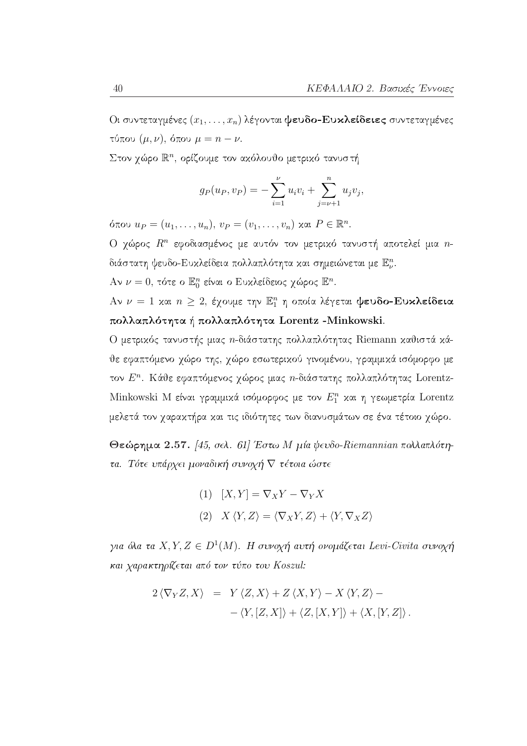Οι συντεταγμένες  $(x_1, \ldots, x_n)$  λέγονται ψευδο-Ευκλείδειες συντεταγμένες τύπου  $(\mu, \nu)$ , όπου  $\mu = n - \nu$ .

Στον χώρο  $\mathbb{R}^n$ , ορίζουμε τον ακόλουθο μετρικό τανυστή

$$
g_P(u_P, v_P) = -\sum_{i=1}^{\nu} u_i v_i + \sum_{j=\nu+1}^{n} u_j v_j,
$$

όπου  $u_P = (u_1, ..., u_n), v_P = (v_1, ..., v_n)$  και  $P \in \mathbb{R}^n$ .

Ο χώρος  $R^n$  εφοδιασμένος με αυτόν τον μετρικό τανυστή αποτελεί μια *n*διάστατη ψευδο-Ευκλείδεια πολλαπλότητα και σημειώνεται με  $\mathbb{E}^n_\nu.$ 

Aν  $\nu = 0$ , τότε ο Ε<sup>n</sup> είναι ο Ευχλείδειος χώρος Ε<sup>n</sup>.

Αν  $\nu = 1$  και  $n \geq 2$ , έχουμε την  $\mathbb{E}^n_1$  η οποία λέγεται ψευδο-Ευκλείδεια πολλαπλότητα ή πολλαπλότητα Lorentz - Minkowski.

Ο μετρικός τανυστής μιας *η*-διάστατης πολλαπλότητας Riemann καθιστά κάθε εφαπτόμενο χώρο της, χώρο εσωτερικού γινομένου, γραμμικά ισόμορφο με τον Ε". Κάθε εφαπτόμενος χώρος μιας *η*-διάστατης πολλαπλότητας Lorentz-Minkowski Μ είναι γραμμικά ισόμορφος με τον  $E_1^n$  και η γεωμετρία Lorentz μελετά τον χαρακτήρα και τις ιδιότητες των διανυσμάτων σε ένα τέτοιο χώρο.

Θεώρημα 2.57. [45, σελ. 61] Έστω Μ μία ψευδο-Riemannian πολλαπλότητα. Τότε υπάρχει μοναδική συνοχή  $\nabla$  τέτοια ώστε

(1) 
$$
[X,Y] = \nabla_X Y - \nabla_Y X
$$
  
(2) 
$$
X \langle Y, Z \rangle = \langle \nabla_X Y, Z \rangle + \langle Y, \nabla_X Z \rangle
$$

για όλα τα X, Y, Z  $\in D^1(M)$ . Η συνοχή αυτή ονομάζεται Levi-Civita συνοχή και χαρακτηρίζεται από τον τύπο του Koszul:

$$
2\langle \nabla_Y Z, X \rangle = Y \langle Z, X \rangle + Z \langle X, Y \rangle - X \langle Y, Z \rangle -
$$
  
- \langle Y, [Z, X] \rangle + \langle Z, [X, Y] \rangle + \langle X, [Y, Z] \rangle.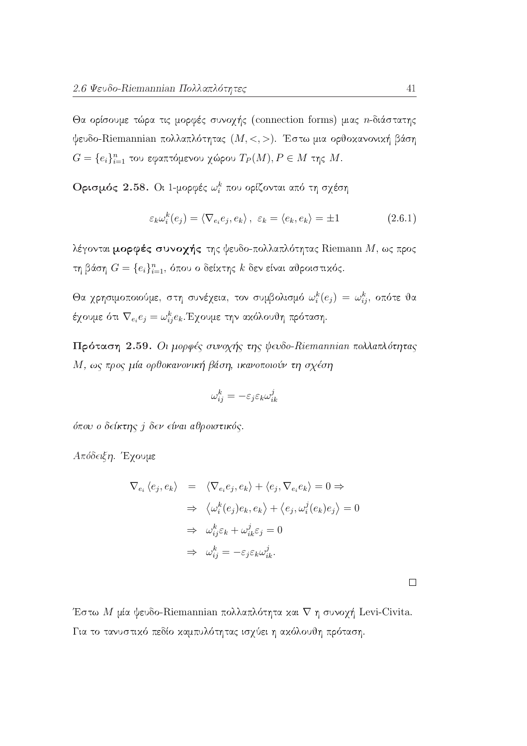Θα ορίσουμε τώρα τις μορφές συνοχής (connection forms) μιας *n*-διάστατης ψευδο-Riemannian πολλαπλότητας  $(M,<,>)$ . Έστω μια ορθοκανονική βάση  $G = \{e_i\}_{i=1}^n$  του εφαπτόμενου χώρου  $T_P(M), P \in M$  της Μ.

Ορισμός 2.58. Οι 1-μορφές ω' που ορίζονται από τη σχέση

$$
\varepsilon_k \omega_i^k(e_j) = \langle \nabla_{e_i} e_j, e_k \rangle, \ \varepsilon_k = \langle e_k, e_k \rangle = \pm 1 \tag{2.6.1}
$$

λέγονται μορφές συνοχής της ψευδο-πολλαπλότητας Riemann  $M$ , ως προς τη βάση $G = \{e_i\}_{i=1}^n$ όπου ο δείκτης $k$ δεν είναι αθροιστικός.

Θα χρησιμοποιούμε, στη συνέχεια, τον συμβολισμό  $\omega_i^k(e_j) = \omega_{ij}^k$ , οπότε θα έχουμε ότι  $\nabla_{e_i}e_j = \omega_{ij}^k e_k$ . Έχουμε την ακόλουθη πρόταση.

Πρόταση 2.59. Οι μορφές συνοχής της ψευδο-Riemannian πολλαπλότητας Μ, ως προς μία ορθοκανονική βάση, ικανοποιούν τη σχέση

$$
\omega_{ij}^k=-\varepsilon_j\varepsilon_k\omega_{ik}^j
$$

όπου ο δείκτης j δεν είναι αθροιστικός.

Απόδειξη. Έγουμε

$$
\nabla_{e_i} \langle e_j, e_k \rangle = \langle \nabla_{e_i} e_j, e_k \rangle + \langle e_j, \nabla_{e_i} e_k \rangle = 0 \Rightarrow
$$
  
\n
$$
\Rightarrow \langle \omega_i^k(e_j) e_k, e_k \rangle + \langle e_j, \omega_i^j(e_k) e_j \rangle = 0
$$
  
\n
$$
\Rightarrow \omega_{ij}^k \varepsilon_k + \omega_{ik}^j \varepsilon_j = 0
$$
  
\n
$$
\Rightarrow \omega_{ij}^k = -\varepsilon_j \varepsilon_k \omega_{ik}^j.
$$

 $\Box$ 

Έστω Μ μία ψευδο-Riemannian πολλαπλότητα και  $\nabla$  η συνοχή Levi-Civita. Για το τανυστικό πεδίο καμπυλότητας ισχύει η ακόλουθη πρόταση.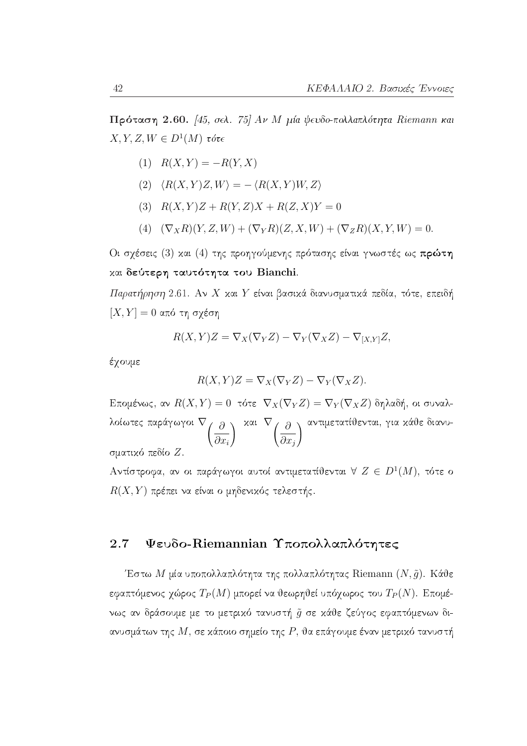$\Pi$ ρόταση 2.60. [45, σελ. 75] Αν Μ μία ψευδο-πολλαπλότητα Riemann και  $X, Y, Z, W \in D^1(M)$  τότε

- (1)  $R(X,Y) = -R(Y,X)$
- (2)  $\langle R(X, Y)Z, W \rangle = \langle R(X, Y)W, Z \rangle$
- (3)  $R(X,Y)Z + R(Y,Z)X + R(Z,X)Y = 0$
- (4)  $(\nabla_X R)(Y, Z, W) + (\nabla_Y R)(Z, X, W) + (\nabla_Z R)(X, Y, W) = 0.$

Οι σχέσεις (3) και (4) της προηγούμενης πρότασης είναι γνωστές ως πρώτη και δεύτερη ταυτότητα του Bianchi.

Παρατήρηση 2.61. Αν Χ και Υ είναι βασικά διανυσματικά πεδία, τότε, επειδή  $[X, Y] = 0$  από τη σχέση

$$
R(X,Y)Z = \nabla_X(\nabla_Y Z) - \nabla_Y(\nabla_X Z) - \nabla_{[X,Y]} Z,
$$

έχουμε

$$
R(X,Y)Z = \nabla_X(\nabla_Y Z) - \nabla_Y(\nabla_X Z).
$$

Επομένως, αν  $R(X, Y) = 0$  τότε  $\nabla_X(\nabla_Y Z) = \nabla_Y(\nabla_X Z)$  δηλαδή, οι συναλλοίωτες παράγωγοι  $\nabla \left(\frac{\partial}{\partial x_i}\right)^{-\mathsf{x} \alpha \mathsf{t}} \left[\frac{\partial}{\partial x_j}\right]^{\alpha \mathsf{v} \tau}$ μετατίθενται, για κάθε διανυσματικό πεδίο Ζ.

Αντίστροφα, αν οι παράγωγοι αυτοί αντιμετατίθενται  $\forall Z \in D^1(M)$ , τότε ο  $R(X,Y)$  πρέπει να είναι ο μηδενικός τελεστής.

#### $2.7$ Ψευδο-Riemannian Υποπολλαπλότητες

Έστω Μ μία υποπολλαπλότητα της πολλαπλότητας Riemann  $(N, \tilde{g})$ . Κάθε εφαπτόμενος χώρος  $T_P(M)$  μπορεί να θεωρηθεί υπόχωρος του  $T_P(N)$ . Επομένως αν δράσουμε με το μετρικό τανυστή  $\tilde{g}$  σε κάθε ζεύγος εφαπτόμενων διανυσμάτων της  $M$ , σε κάποιο σημείο της  $P$ , θα επάγουμε έναν μετρικό τανυστή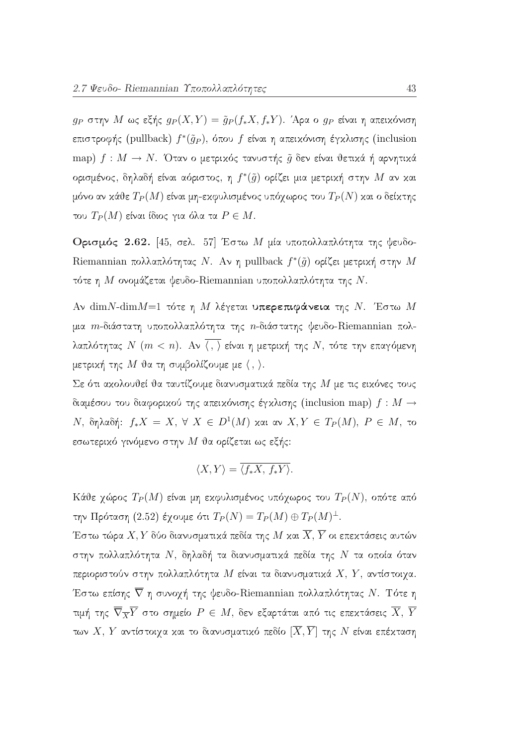$g_P$  στην Μ ως εξής  $g_P(X,Y) = \tilde{g}_P(f_*X,f_*Y)$ . Άρα ο  $g_P$  είναι η απειχόνιση επιστροφής (pullback)  $f^*(\tilde{g}_P)$ , όπου f είναι η απειχόνιση έγχλισης (inclusion map)  $f: M \to N$ . Όταν ο μετρικός τανυστής  $\tilde{g}$  δεν είναι θετικά ή αρνητικά ορισμένος, δηλαδή είναι αόριστος, η  $f^*(\tilde{g})$  ορίζει μια μετρική στην  $M$  αν και μόνο αν κάθε  $T_P(M)$  είναι μη-εκφυλισμένος υπόχωρος του  $T_P(N)$  και ο δείκτης του  $T_P(M)$  είναι ίδιος για όλα τα  $P \in M$ .

Ορισμός 2.62. [45, σελ. 57] Έστω Μ μία υποπολλαπλότητα της ψευδο-Riemannian πολλαπλότητας Ν. Αν η pullback  $f^*(\tilde{g})$  ορίζει μετρική στην Μ τότε η Μ ονομάζεται ψευδο-Riemannian υποπολλαπλότητα της Ν.

Aν dim N-dim  $M=1$  τότε η Μ λέγεται υπερεπιφάνεια της Ν. Έστω Μ μια *m*-διάστατη υποπολλαπλότητα της *n*-διάστατης ψευδο-Riemannian πολλαπλότητας  $N$  ( $m < n$ ). Αν  $\overline{\langle , \rangle}$  είναι η μετρική της  $N$ , τότε την επαγόμενη μετρική της  $M$  θα τη συμβολίζουμε με  $\langle , \rangle$ .

Σε ότι ακολουθεί θα ταυτίζουμε διανυσματικά πεδία της  $M$  με τις εικόνες τους διαμέσου του διαφορικού της απεικόνισης έγκλισης (inclusion map)  $f : M \to$ N, δηλαδή:  $f_*X = X$ ,  $\forall X \in D^1(M)$  και αν  $X, Y \in T_P(M)$ ,  $P \in M$ , το εσωτερικό γινόμενο στην  $M$  θα ορίζεται ως εξής:

$$
\langle X, Y \rangle = \overline{\langle f_* X, f_* Y \rangle}.
$$

Κάθε γώρος  $T_P(M)$  είναι μη εκφυλισμένος υπόγωρος του  $T_P(N)$ , οπότε από την Πρόταση (2.52) έγουμε ότι  $T_P(N) = T_P(M) \oplus T_P(M)^{\perp}$ .

Έστω τώρα  $X,Y$  δύο διανυσματικά πεδία της  $M$  και  $\overline{X},\overline{Y}$  οι επεκτάσεις αυτών στην πολλαπλότητα  $N$ , δηλαδή τα διανυσματικά πεδία της  $N$  τα οποία όταν περιοριστούν στην πολλαπλότητα Μ είναι τα διανυσματικά  $X, Y$ , αντίστοιχα. Έστω επίσης  $\overline{\nabla}$  η συνοχή της ψευδο-Riemannian πολλαπλότητας Ν. Τότε η τιμή της  $\overline{\nabla}_{\overline{X}}\overline{Y}$  στο σημείο  $P\,\in\, M,$  δεν εξαρτάται από τις επεχτάσεις  $\overline{X},\,\overline{Y}$ των Χ, Υ<br/> αντίστοιχα και το διανυσματικό πεδίο $[\overline{X},\overline{Y}]$ της <br/>  $N$ είναι επέκταση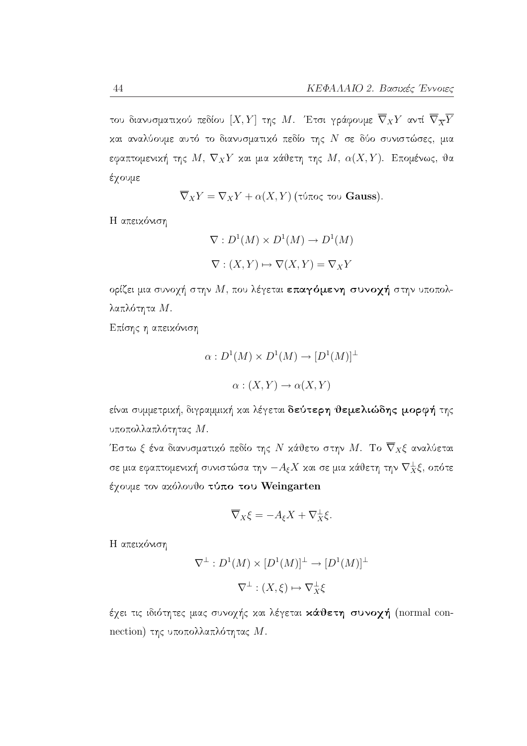του διανυσματικού πεδίου  $[X,Y]$  της  $M$ . Έτσι γράφουμε  $\overline{\nabla}_XY$  αντί  $\overline{\nabla}_{\overline{X}}\overline{Y}$ και αναλύουμε αυτό το διανυσματικό πεδίο της  $N$  σε δύο συνιστώσες, μια εφαπτομενική της  $M, \; \nabla_X Y$  και μια κάθετη της  $M, \; \alpha(X,Y)$ . Επομένως, θα έχουμε

$$
\overline{\nabla}_X Y = \nabla_X Y + \alpha(X, Y)
$$
 (τύπος του Gauss).

Η απεικόνιση

$$
\nabla: D^1(M) \times D^1(M) \to D^1(M)
$$
  

$$
\nabla: (X, Y) \mapsto \nabla(X, Y) = \nabla_X Y
$$

ορίζει μια συνοχή στην  $M$ , που λέγεται επαγόμενη συνοχή στην υποπολλαπλότητα Μ.

Επίσης η απεικόνιση

$$
\alpha: D^1(M) \times D^1(M) \to [D^1(M)]^{\perp}
$$

$$
\alpha: (X, Y) \to \alpha(X, Y)
$$

είναι συμμετρική, διγραμμική και λέγεται δεύτερη θεμελιώδης μορφή της υποπολλαπλότητας Μ.

Έστω ξ ένα διανυσματικό πεδίο της  $N$  κάθετο στην  $M.$  Το  $\overline{\nabla}_X \xi$  αναλύεται σε μια εφαπτομενική συνιστώσα την  $-A_\xi X$  και σε μια κάθετη την  $\nabla^\perp_X \xi,$  οπότε έχουμε τον ακόλουθο τύπο του Weingarten

$$
\overline{\nabla}_X \xi = -A_{\xi} X + \nabla_X^{\perp} \xi.
$$

Η απεικόνιση

$$
\nabla^{\perp}: D^1(M) \times [D^1(M)]^{\perp} \to [D^1(M)]^{\perp}
$$

$$
\nabla^{\perp}: (X, \xi) \mapsto \nabla^{\perp}_X \xi
$$

έχει τις ιδιότητες μιας συνοχής και λέγεται κάθετη συνοχή (normal connection) της υποπολλαπλότητας Μ.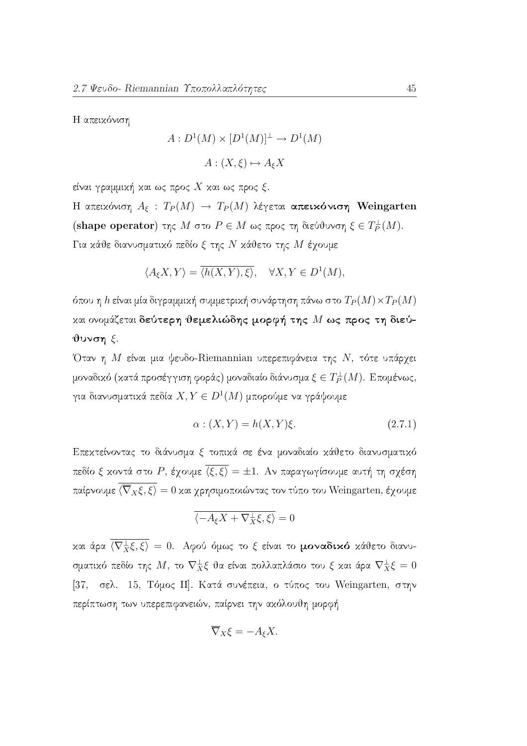Η απεικόνιση

$$
A: D^1(M) \times [D^1(M)]^{\perp} \to D^1(M)
$$

$$
A: (X, \xi) \mapsto A_{\xi}X
$$

είναι γραμμική και ως προς Χ και ως προς ξ.

Η απεικόνιση  $A_{\xi}$ :  $T_P(M) \to T_P(M)$  λέγεται απεικόνιση Weingarten (shape operator) της  $M$  στο  $P \in M$  ως προς τη διεύθυνση  $\xi \in T_P^{\perp}(M)$ . Για κάθε διανυσματικό πεδίο ξ της Ν κάθετο της Μ έγουμε

$$
\langle A_{\xi} X, Y \rangle = \overline{\langle h(X, Y), \xi \rangle}, \quad \forall X, Y \in D^{1}(M),
$$

όπου η h είναι μία διγραμμική συμμετρική συνάρτηση πάνω στο  $T_P(M) \times T_P(M)$ και ονομάζεται δεύτερη θεμελιώδης μορφή της  $M$  ως προς τη διεύ $θ$ υνση ξ.

Όταν η Μ είναι μια ψευδο-Riemannian υπερεπιφάνεια της Ν, τότε υπάρχει μοναδικό (κατά προσέγγιση φοράς) μοναδιαίο διάνυσμα $\xi\in T_P^\perp(M).$  Επομένως, για διανυσματικά πεδία $X,Y\in D^1(M)$ μπορούμε να γράψουμε

$$
\alpha : (X, Y) = h(X, Y)\xi.
$$
\n
$$
(2.7.1)
$$

Επεκτείνοντας το διάνυσμα ξ τοπικά σε ένα μοναδιαίο κάθετο διανυσματικό πεδίο ξ κοντά στο P, έχουμε  $\overline{\langle \xi, \xi \rangle} = \pm 1$ . Αν παραγωγίσουμε αυτή τη σχέση παίρνουμε  $\overline{\langle \nabla_x \xi, \xi \rangle} = 0$  και γρησιμοποιώντας τον τύπο του Weingarten, έγουμε

$$
\overline{\langle -A_{\xi}X + \nabla_{X}^{\perp}\xi, \xi \rangle} = 0
$$

και άρα  $\overline{\langle \nabla^{\perp}_{X} \xi, \xi \rangle} = 0$ . Αφού όμως το ξ είναι το μοναδικό κάθετο διανυσματικό πεδίο της  $M$ , το  $\nabla^{\perp}_X \xi$  θα είναι πολλαπλάσιο του ξ και άρα  $\nabla^{\perp}_X \xi = 0$ [37, σελ. 15, Τόμος ΙΙ]. Κατά συνέπεια, ο τύπος του Weingarten, στην περίπτωση των υπερεπιφανειών, παίρνει την ακόλουθη μορφή

$$
\overline{\nabla}_X \xi = -A_{\xi} X.
$$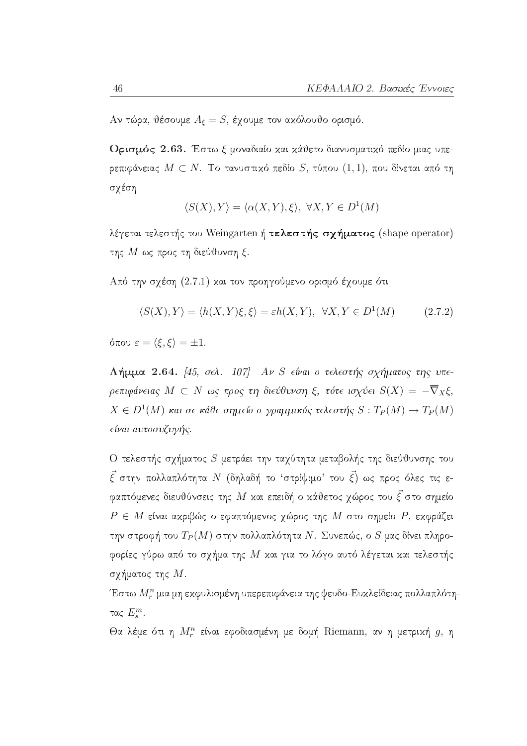Αν τώρα, θέσουμε $A_\xi=S,$ έχουμε τον ακόλουθο ορισμό.

Ορισμός 2.63. Έστω ξ μοναδιαίο και κάθετο διανυσματικό πεδίο μιας υπερεπιφάνειας  $M \subset N$ . Το τανυστικό πεδίο S, τύπου (1,1), που δίνεται από τη σχέση

$$
\langle S(X), Y \rangle = \langle \alpha(X, Y), \xi \rangle, \ \forall X, Y \in D^1(M)
$$

λέγεται τελεστής του Weingarten ή τελεστής σχήματος (shape operator) της  $M$  ως προς τη διεύθυνση ξ.

Από την σχέση (2.7.1) και τον προηγούμενο ορισμό έχουμε ότι

$$
\langle S(X), Y \rangle = \langle h(X, Y)\xi, \xi \rangle = \varepsilon h(X, Y), \ \forall X, Y \in D^1(M) \tag{2.7.2}
$$

όπου  $\varepsilon = \langle \xi, \xi \rangle = \pm 1$ .

**Λήμμα 2.64.** [45, σελ. 107] *Αν S είναι ο τελεστής σχήματος της υπε*ρεπιφάνειας  $M \subset N$  ως προς τη διεύθυνση ξ, τότε ισχύει  $S(X) = -\overline{\nabla}_X \xi$ ,  $X \in D^1(M)$  και σε κάθε σημείο ο γραμμικός τελεστής  $S: T_P(M) \to T_P(M)$ είναι αυτοσυζυγής.

Ο τελεστής σχήματος  $S$  μετράει την ταχύτητα μεταβολής της διεύθυνσης του  $\vec{\xi}$  στην πολλαπλότητα  $N$  (δηλαδή το 'στρίψιμο' του  $\vec{\xi}$ ) ως προς όλες τις εφαπτόμενες διευθύνσεις της  $M$  και επειδή ο κάθετος γώρος του  $\vec{\xi}$  στο σημείο  $P \in M$  είναι αχριβώς ο εφαπτόμενος χώρος της  $M$  στο σημείο  $P$ , εχφράζει την στροφή του  $T_P(M)$  στην πολλαπλότητα Ν. Συνεπώς, ο  $S$  μας δίνει πληροφορίες γύρω από το σχήμα της  $M$  και για το λόγο αυτό λέγεται και τελεστής σχήματος της  $M.$ 

Έστω  $M_r^n$  μια μη εκφυλισμένη υπερεπιφάνεια της ψευδο-Ευκλείδειας πολλαπλότητας  $E_s^m$ .

Θα λέμε ότι η  $M_r^n$  είναι εφοδιασμένη με δομή Riemann, αν η μετρική g, η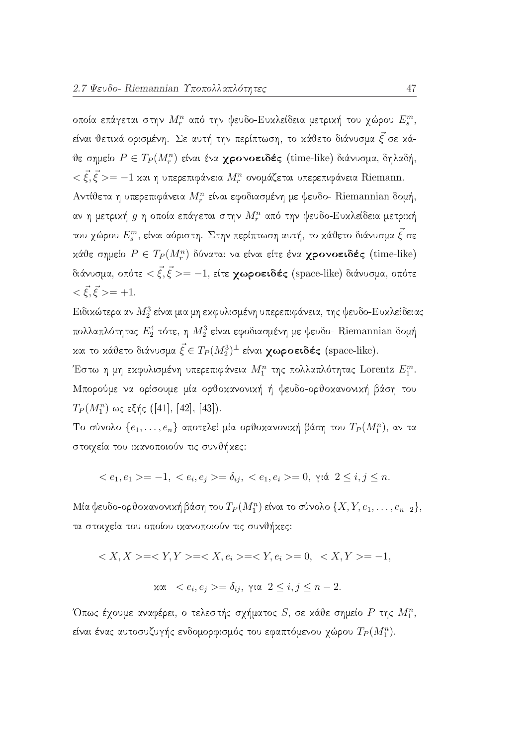οποία επάγεται στην  $M_r^n$  από την ψευδο-Ευκλείδεια μετρική του χώρου  $E_s^m$ , είναι θετικά ορισμένη. Σε αυτή την περίπτωση, το κάθετο διάνυσμα  $\vec{\xi}$  σε κάθε σημείο  $P \in T_P(M_r^n)$  είναι ένα χρονοειδές (time-like) διάνυσμα, δηλαδή,  $\langle \vec{\xi}, \vec{\xi} \rangle = -1$  και η υπερεπιφάνεια  $M_r^n$  ονομάζεται υπερεπιφάνεια Riemann. Αντίθετα η υπερεπιφάνεια  $M_r^n$  είναι εφοδιασμένη με ψευδο- Riemannian δομή, αν η μετρική  $g$  η οποία επάγεται στην  $M_r^n$  από την ψευδο-Ευκλείδεια μετρική του χώρου  $E_s^m$ , είναι αόριστη. Στην περίπτωση αυτή, το κάθετο διάνυσμα  $\vec{\xi}$  σε κάθε σημείο  $P \in T_P(M_r^n)$  δύναται να είναι είτε ένα χρονοειδές (time-like) διάνυσμα, οπότε  $\langle \vec{\xi}, \vec{\xi} \rangle = -1$ , είτε **χωροειδές** (space-like) διάνυσμα, οπότε  $\langle \vec{\xi}, \vec{\xi} \rangle = +1.$ 

Ειδικώτερα αν  $M_2^3$  είναι μια μη εκφυλισμένη υπερεπιφάνεια, της ψευδο-Ευκλείδειας πολλαπλότητας  $E_2^4$  τότε, η  $M_2^3$  είναι εφοδιασμένη με ψευδο- Riemannian δομή και το κάθετο διάνυσμα  $\vec{\xi} \in T_P(M_2^3)^{\perp}$  είναι **χωροειδές** (space-like).

Έστω η μη εκφυλισμένη υπερεπιφάνεια  $M_1^n$  της πολλαπλότητας Lorentz  $E_1^m$ . Μπορούμε να ορίσουμε μία ορθοκανονική ή ψευδο-ορθοκανονική βάση του  $T_P(M_1^n)$  ως εξής ([41], [42], [43]).

 Το σύνολο $\{e_1,\ldots,e_n\}$ αποτελεί μία ορθοκανονική βάση του  $T_P(M_1^n)$ , αν τα στοιχεία του ικανοποιούν τις συνθήκες:

$$
\langle e_1, e_1 \rangle = -1, \langle e_i, e_j \rangle = \delta_{ij}, \langle e_1, e_i \rangle = 0, \gamma \land 2 \le i, j \le n.
$$

Μία ψευδο-ορθοκανονική βάση του  $T_P(M_1^n)$  είναι το σύνολο  $\{X, Y, e_1, \ldots, e_{n-2}\},$ τα στοιχεία του οποίου ικανοποιούν τις συνθήκες:

$$
\langle X, X \rangle = \langle Y, Y \rangle = \langle X, e_i \rangle = \langle Y, e_i \rangle = 0, \langle X, Y \rangle = -1,
$$
  

$$
\forall \alpha \in \langle e_i, e_j \rangle = \delta_{ij}, \forall \alpha \quad 2 \leq i, j \leq n-2.
$$

Όπως έχουμε αναφέρει, ο τελεστής σχήματος  $S$ , σε κάθε σημείο  $P$  της  $M_1^n$ , είναι ένας αυτοσυζυγής ενδομορφισμός του εφαπτόμενου χώρου  $T_P(M_1^n)$ .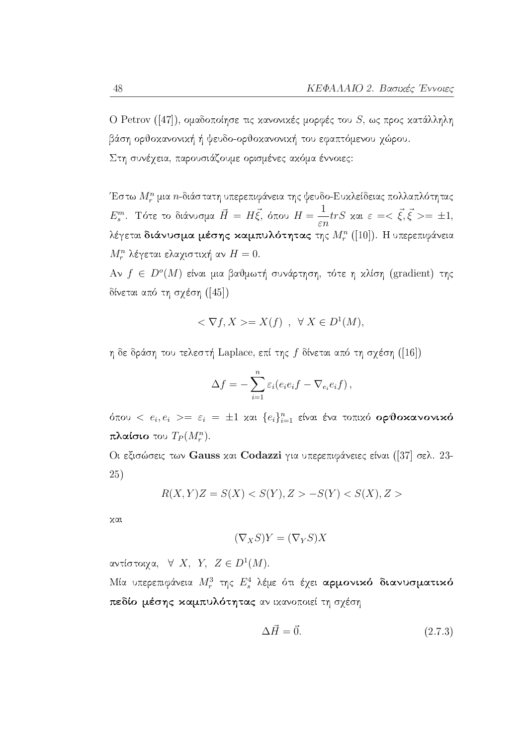Ο Petrov ([47]), ομαδοποίησε τις κανονικές μορφές του S, ως προς κατάλληλη βάση ορθοκανονική ή ψευδο-ορθοκανονική του εφαπτόμενου χώρου. Στη συνέχεια, παρουσιάζουμε ορισμένες ακόμα έννοιες:

Έστω  $M^n_r$  μια  $n$ -διάστατη υπερεπιφάνεια της ψευδο-Ευκλείδειας πολλαπλότητας  $E_s^m$ . Τότε το διάνυσμα  $\vec{H} = H\vec{\xi}$ , όπου  $H = \frac{1}{\varepsilon n} trS$  και  $\varepsilon = <\vec{\xi}, \vec{\xi}> = \pm 1$ , λέγεται διάνυσμα μέσης καμπυλότητας της  $M_r^n$  ([10]). Η υπερεπιφάνεια  $M_r^n$  λέγεται ελαχιστική αν  $H=0.$ 

Αν  $f \in D^{o}(M)$  είναι μια βαθμωτή συνάρτηση, τότε η κλίση (gradient) της δίνεται από τη σγέση ([45])

$$
\langle \nabla f, X \rangle = X(f) \ , \ \forall X \in D^1(M),
$$

η δε δράση του τελεστή Laplace, επί της  $f$  δίνεται από τη σχέση ([16])

$$
\Delta f = -\sum_{i=1}^n \varepsilon_i (e_i e_i f - \nabla_{e_i} e_i f),
$$

όπου  $\langle e_i, e_i \rangle = \varepsilon_i = \pm 1$  και  $\{e_i\}_{i=1}^n$  είναι ένα τοπικό ορθοκανονικό πλαίσιο του  $T_P(M_r^n)$ .

Οι εξισώσεις των Gauss και Codazzi για υπερεπιφάνειες είναι ([37] σελ. 23-25)

$$
R(X,Y)Z = S(X) < S(Y), Z > -S(Y) < S(X), Z > \text{}
$$

χαι

$$
(\nabla_X S)Y = (\nabla_Y S)X
$$

αντίστοιχα,  $\forall$  X, Y, Z  $\in D^1(M)$ .

Μία υπερεπιφάνεια  $M_r^3$  της  $E_s^4$  λέμε ότι έχει αρμονικό διανυσματικό πεδίο μέσης καμπυλότητας αν ικανοποιεί τη σχέση

$$
\Delta \vec{H} = \vec{0}.\tag{2.7.3}
$$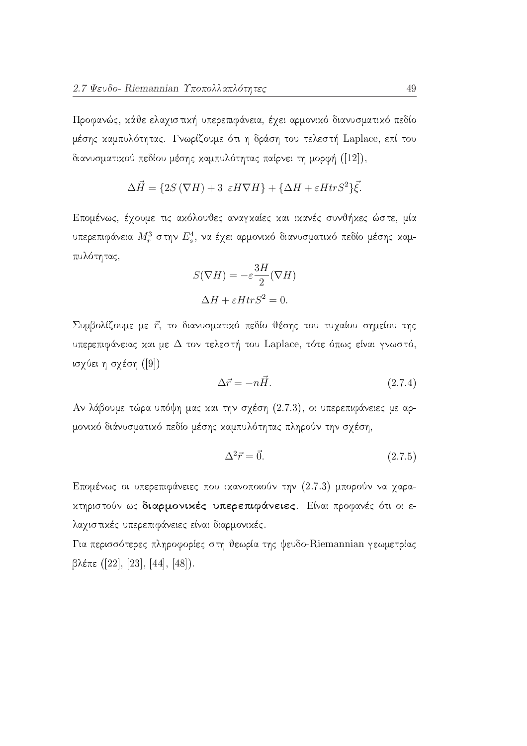Προφανώς, κάθε ελαχιστική υπερεπιφάνεια, έχει αρμονικό διανυσματικό πεδίο μέσης καμπυλότητας. Γνωρίζουμε ότι η δράση του τελεστή Laplace, επί του διανυσματικού πεδίου μέσης καμπυλότητας παίρνει τη μορφή ([12]),

$$
\Delta \vec{H} = \{2S\left(\nabla H\right) + 3 \varepsilon H \nabla H\} + \{\Delta H + \varepsilon H tr S^2\} \vec{\xi}.
$$

Επομένως, έχουμε τις ακόλουθες αναγκαίες και ικανές συνθήκες ώστε, μία υπερεπιφάνεια  $M_r^3$  στην  $E_s^4$ , να έχει αρμονικό διανυσματικό πεδίο μέσης καμπυλότητας,

$$
S(\nabla H) = -\varepsilon \frac{3H}{2}(\nabla H)
$$

$$
\Delta H + \varepsilon H tr S^2 = 0.
$$

Συμβολίζουμε με τ' το διανυσματικό πεδίο θέσης του τυγαίου σημείου της υπερεπιφάνειας και με  $\Delta$  τον τελεστή του Laplace, τότε όπως είναι γνωστό, ισχύει η σχέση ([9])

$$
\Delta \vec{r} = -n\vec{H}.\tag{2.7.4}
$$

Αν λάβουμε τώρα υπόψη μας και την σχέση (2.7.3), οι υπερεπιφάνειες με αρμονικό διάνυσματικό πεδίο μέσης καμπυλότητας πληρούν την σχέση,

$$
\Delta^2 \vec{r} = \vec{0}.\tag{2.7.5}
$$

Επομένως οι υπερεπιφάνειες που ικανοποιούν την (2.7.3) μπορούν να χαρακτηριστούν ως διαρμονικές υπερεπιφάνειες. Είναι προφανές ότι οι ελαχιστικές υπερεπιφάνειες είναι διαρμονικές.

Για περισσότερες πληροφορίες στη θεωρία της ψευδο-Riemannian γεωμετρίας  $\beta\lambda\epsilon\pi\epsilon$  ([22], [23], [44], [48]).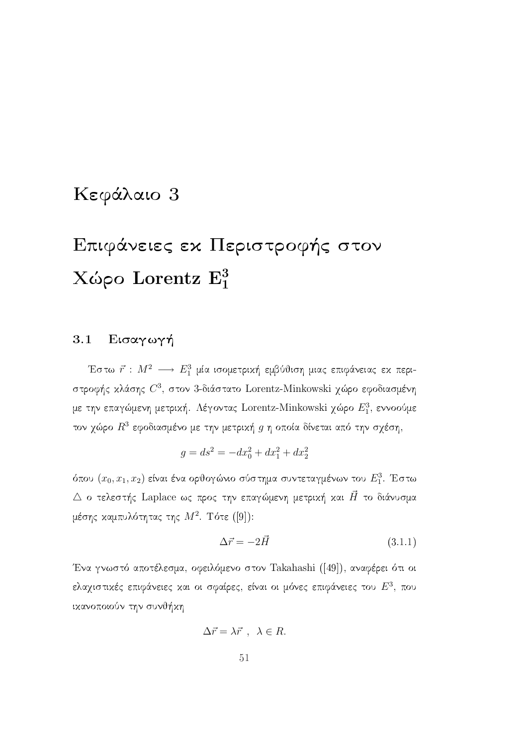## Κεφάλαιο 3

# Επιφάνειες εχ Περιστροφής στον Χώρο Lorentz  $E_1^3$

### Εισαγωγή 3.1

Έστω  $\vec{r}$  :  $M^2$   $\longrightarrow$   $E_1^3$  μία ισομετρική εμβύθιση μιας επιφάνειας εκ περιστροφής κλάσης  $C^3$ , στον 3-διάστατο Lorentz-Minkowski χώρο εφοδιασμένη με την επαγώμενη μετρική. Λέγοντας Lorentz-Minkowski χώρο  $E_1^3$ , εννοούμε τον χώρο  $R^3$  εφοδιασμένο με την μετρική  $g$  η οποία δίνεται από την σχέση,

$$
g = ds^2 = -dx_0^2 + dx_1^2 + dx_2^2
$$

όπου  $(x_0, x_1, x_2)$  είναι ένα ορθογώνιο σύστημα συντεταγμένων του  $E_1^3$ . Έστω  $\triangle$  ο τελεστής Laplace ως προς την επαγώμενη μετρική και  $\vec{H}$  το διάνυσμα μέσης καμπυλότητας της  $M^2$ . Τότε ([9]):

$$
\Delta \vec{r} = -2\vec{H} \tag{3.1.1}
$$

Ένα γνωστό αποτέλεσμα, οφειλόμενο στον Takahashi ([49]), αναφέρει ότι οι ελαγιστικές επιφάνειες και οι σφαίρες, είναι οι μόνες επιφάνειες του  $E^3$ , που ικανοποιούν την συνθήκη

$$
\Delta \vec{r} = \lambda \vec{r} \ , \ \lambda \in R.
$$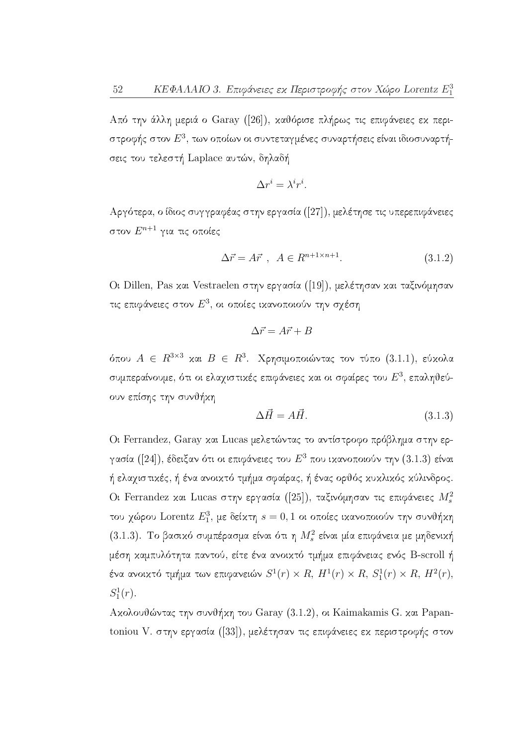Από την άλλη μεριά ο Garay ([26]), καθόρισε πλήρως τις επιφάνειες εκ περιστροφής στον  $E^3$ , των οποίων οι συντεταγμένες συναρτήσεις είναι ιδιοσυναρτήσεις του τελεστή Laplace αυτών, δηλαδή

$$
\Delta r^i = \lambda^i r^i
$$

Αργότερα, ο ίδιος συγγραφέας στην εργασία ([27]), μελέτησε τις υπερεπιφάνειες στον $E^{n+1}$ για τις οποίες

$$
\Delta \vec{r} = A \vec{r} \ , \ A \in R^{n+1 \times n+1}.
$$

Ot Dillen, Pas και Vestraelen στην εργασία ([19]), μελέτησαν και ταξινόμησαν τις επιφάνειες στον  $E^3$ , οι οποίες ικανοποιούν την σχέση

$$
\Delta \vec{r} = A\vec{r} + B
$$

όπου  $A \in R^{3\times 3}$  και  $B \in R^3$ . Χρησιμοποιώντας τον τύπο (3.1.1), εύκολα συμπεραίνουμε, ότι οι ελαχιστικές επιφάνειες και οι σφαίρες του  $E^3$ , επαληθεύουν επίσης την συνθήκη

$$
\Delta \vec{H} = A\vec{H}.\tag{3.1.3}
$$

Oι Ferrandez, Garay και Lucas μελετώντας το αντίστροφο πρόβλημα στην εργασία ([24]), έδειξαν ότι οι επιφάνειες του  $E^3$  που ικανοποιούν την (3.1.3) είναι ή ελαχιστικές, ή ένα ανοικτό τμήμα σφαίρας, ή ένας ορθός κυκλικός κύλινδρος. Οι Ferrandez και Lucas στην εργασία ([25]), ταξινόμησαν τις επιφάνειες  $M_s^2$ του γώρου Lorentz  $E_1^3$ , με δείκτη $s=0,1$  οι οποίες ικανοποιούν την συνθήκη (3.1.3). Το βασικό συμπέρασμα είναι ότι η  $M_s^2$  είναι μία επιφάνεια με μηδενική μέση καμπυλότητα παντού, είτε ένα ανοικτό τμήμα επιφάνειας ενός B-scroll ή ένα ανοικτό τμήμα των επιφανειών  $S^1(r) \times R$ ,  $H^1(r) \times R$ ,  $S_1^1(r) \times R$ ,  $H^2(r)$ ,  $S_1^1(r)$ .

Ακολουθώντας την συνθήκη του Garay (3.1.2), οι Kaimakamis G. και Papantoniou V. στην εργασία ([33]), μελέτησαν τις επιφάνειες εχ περιστροφής στον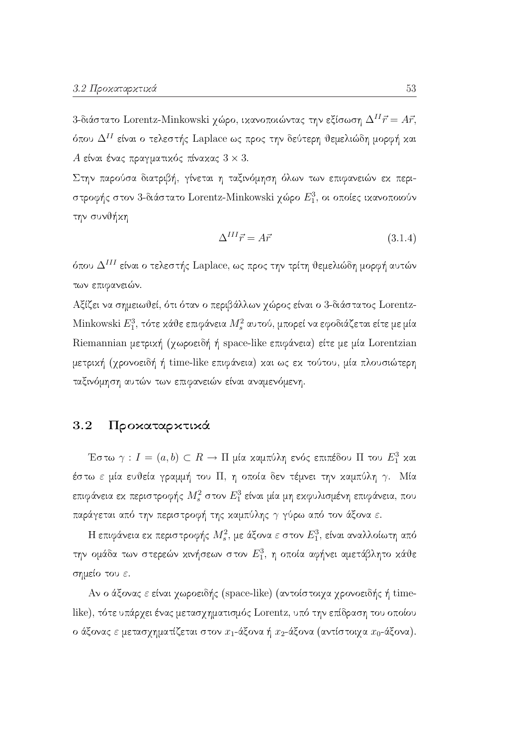3-διάστατο Lorentz-Minkowski χώρο, ικανοποιώντας την εξίσωση  $\Delta^{II} \vec{r} = A \vec{r}$ , όπου  $\Delta^{II}$  είναι ο τελεστής Laplace ως προς την δεύτερη θεμελιώδη μορφή και Α είναι ένας πραγματικός πίνακας  $3 \times 3$ .

Στην παρούσα διατριβή, γίνεται η ταξινόμηση όλων των επιφανειών εκ περιστροφής στον 3-διάστατο Lorentz-Minkowski χώρο  $E_1^3$ , οι οποίες ικανοποιούν την συνθήκη

$$
\Delta^{III}\vec{r} = A\vec{r} \tag{3.1.4}
$$

όπου  $\Delta^{III}$  είναι ο τελεστής Laplace, ως προς την τρίτη θεμελιώδη μορφή αυτών των επιφανειών.

Αξίζει να σημειωθεί, ότι όταν ο περιβάλλων χώρος είναι ο 3-διάστατος Lorentz-Minkowski  $E_1^3$ , τότε κάθε επιφάνεια  $M_s^2$  αυτού, μπορεί να εφοδιάζεται είτε με μία Riemannian μετρική (χωροειδή ή space-like επιφάνεια) είτε με μία Lorentzian μετρική (χρονοειδή ή time-like επιφάνεια) και ως εκ τούτου, μία πλουσιώτερη ταξινόμηση αυτών των επιφανειών είναι αναμενόμενη.

### Προκαταρκτικά  $3.2$

Έστω  $\gamma: I = (a, b) \subset R \to \Pi$  μία καμπύλη ενός επιπέδου  $\Pi$  του  $E_1^3$  και έστω ε μία ευθεία γραμμή του Π, η οποία δεν τέμνει την καμπύλη  $\gamma$ . Μία επιφάνεια ε<br/>κ περιστροφής $M_s^2$ στον $E_1^3$ είναι μία μη εκφυλισμένη επιφάνεια, που παράγεται από την περιστροφή της καμπύλης  $\gamma$  γύρω από τον άξονα ε.

Η επιφάνεια εκ περιστροφής  $M_s^2$ , με άξονα ε στον  $E_1^3$ , είναι αναλλοίωτη από την ομάδα των στερεών κινήσεων στον  $E_1^3$ , η οποία αφήνει αμετάβλητο κάθε σημείο του ε

Αν ο άξονας ε είναι χωροειδής (space-like) (αντοίστοιχα χρονοειδής ή timelike), τότε υπάρχει ένας μετασχηματισμός Lorentz, υπό την επίδραση του οποίου ο άξονας ε μετασχηματίζεται στον  $x_1$ -άξονα ή  $x_2$ -άξονα (αντίστοιχα  $x_0$ -άξονα).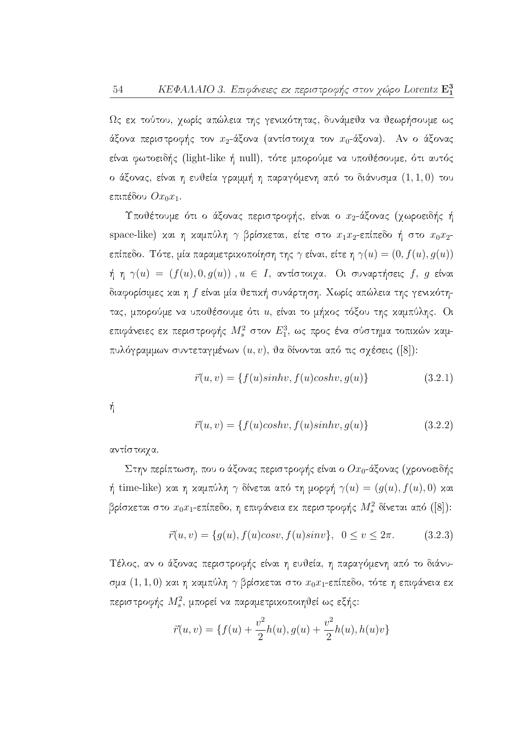Ως εχ τούτου, χωρίς απώλεια της γενιχότητας, δυνάμεθα να θεωρήσουμε ως άξονα περιστροφής τον  $x_2$ -άξονα (αντίστοιχα τον  $x_0$ -άξονα). Αν ο άξονας είναι φωτοειδής (light-like ή null), τότε μπορούμε να υποθέσουμε, ότι αυτός ο άξονας, είναι η ευθεία γραμμή η παραγόμενη από το διάνυσμα  $(1,1,0)$  του επιπέδου  $Ox_0x_1$ .

Υποθέτουμε ότι ο άξονας περιστροφής, είναι ο  $x_2$ -άξονας (χωροειδής ή space-like) και η καμπύλη γ βρίσκεται, είτε στο  $x_1x_2$ -επίπεδο ή στο  $x_0x_2$ επίπεδο. Τότε, μία παραμετρικοποίηση της  $\gamma$  είναι, είτε η  $\gamma(u)=(0,f(u),g(u))$ ή η  $\gamma(u) = (f(u), 0, g(u))$ ,  $u \in I$ , αντίστοιχα. Οι συναρτήσεις f, g είναι διαφορίσιμες και η f είναι μία θετική συνάρτηση. Χωρίς απώλεια της γενικότητας, μπορούμε να υποθέσουμε ότι u, είναι το μήχος τόξου της χαμπύλης. Οι επιφάνειες εκ περιστροφής  $M_s^2$  στον  $E_1^3$ , ως προς ένα σύστημα τοπικών καμπυλόγραμμων συντεταγμένων  $(u, v)$ , θα δίνονται από τις σχέσεις ([8]):

$$
\vec{r}(u,v) = \{f(u)sinhv, f(u)coshv, g(u)\}\tag{3.2.1}
$$

ή

$$
\vec{r}(u,v) = \{f(u)coshv, f(u)sinhv, g(u)\}\tag{3.2.2}
$$

αντίστοιχα.

Στην περίπτωση, που ο άξονας περιστροφής είναι ο  $Ox_0$ -άξονας (χρονοειδής ή time-like) και η καμπύλη  $\gamma$  δίνεται από τη μορφή  $\gamma(u) = (g(u), f(u), 0)$  και βρίσκεται στο  $x_0x_1$ -επίπεδο, η επιφάνεια εκ περιστροφής  $M_s^2$  δίνεται από ([8]):

$$
\vec{r}(u,v) = \{g(u), f(u)cosv, f(u)sinv\}, \ \ 0 \le v \le 2\pi. \tag{3.2.3}
$$

Τέλος, αν ο άξονας περιστροφής είναι η ευθεία, η παραγόμενη από το διάνυσμα  $(1,1,0)$  και η καμπύλη γ βρίσκεται στο  $x_0x_1$ -επίπεδο, τότε η επιφάνεια εκ περιστροφής $\,M_s^2,\,$ μπορεί να παραμετρικοποιηθεί ως εξής:

$$
\vec{r}(u,v) = \{f(u) + \frac{v^2}{2}h(u), g(u) + \frac{v^2}{2}h(u), h(u)v\}
$$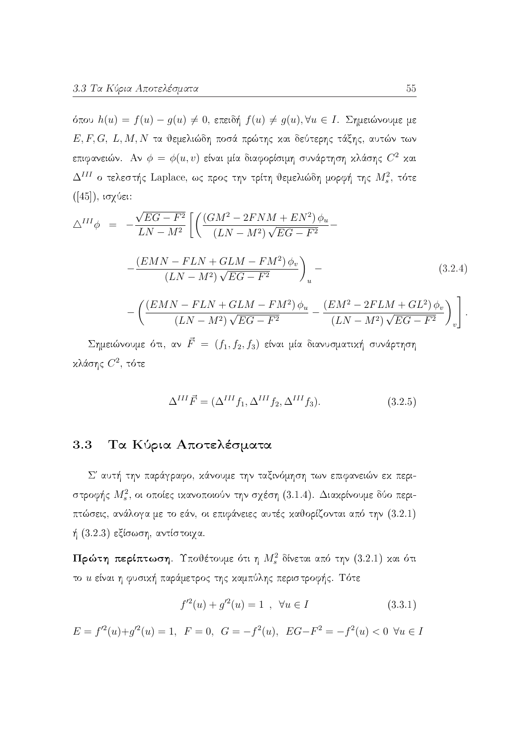όπου  $h(u) = f(u) - g(u) \neq 0$ , επειδή  $f(u) \neq g(u)$ ,  $\forall u \in I$ . Σημειώνουμε με  $E, F, G, L, M, N$ τα θεμελιώδη ποσά πρώτης και δεύτερης τάξης, αυτών των επιφανειών. Αν  $\phi = \phi(u, v)$  είναι μία διαφορίσιμη συνάρτηση κλάσης  $C^2$  και  $\Delta^{III}$  ο τελεστής Laplace, ως προς την τρίτη θεμελιώδη μορφή της  $M_s^2$ , τότε  $([45]),$  ισχύει:

$$
\Delta^{III}\phi = -\frac{\sqrt{EG - F^2}}{LN - M^2} \left[ \left( \frac{(GM^2 - 2FNM + EN^2) \phi_u}{(LN - M^2) \sqrt{EG - F^2}} - \frac{(EMN - FLN + GLM - FM^2) \phi_v}{(LN - M^2) \sqrt{EG - F^2}} \right)_u - \left( \frac{(EMN - FLN + GLM - FM^2) \phi_u}{(LN - M^2) \sqrt{EG - F^2}} - \frac{(EM^2 - 2FLM + GL^2) \phi_v}{(LN - M^2) \sqrt{EG - F^2}} \right)_v \right].
$$
\n(3.2.4)

Σημειώνουμε ότι, αν  $\vec{F} = (f_1, f_2, f_3)$  είναι μία διανυσματική συνάρτηση κλάσης  $C^2$ , τότε

$$
\Delta^{III}\vec{F} = (\Delta^{III}f_1, \Delta^{III}f_2, \Delta^{III}f_3). \tag{3.2.5}
$$

### Τα Κύρια Αποτελέσματα 3.3

Σ' αυτή την παράγραφο, κάνουμε την ταξινόμηση των επιφανειών εκ περιστροφής  $M_s^2$ , οι οποίες ικανοποιούν την σχέση (3.1.4). Διακρίνουμε δύο περιπτώσεις, ανάλογα με το εάν, οι επιφάνειες αυτές καθορίζονται από την (3.2.1) ή  $(3.2.3)$  εξίσωση, αντίστοιχα.

Πρώτη περίπτωση. Υποθέτουμε ότι η  $M_s^2$  δίνεται από την (3.2.1) και ότι το *u* είναι η φυσική παράμετρος της καμπύλης περιστροφής. Τότε

$$
f'^{2}(u) + g'^{2}(u) = 1 \quad , \quad \forall u \in I \tag{3.3.1}
$$

 $E = f'^2(u) + g'^2(u) = 1$ ,  $F = 0$ ,  $G = -f^2(u)$ ,  $EG - F^2 = -f^2(u) < 0$   $\forall u \in I$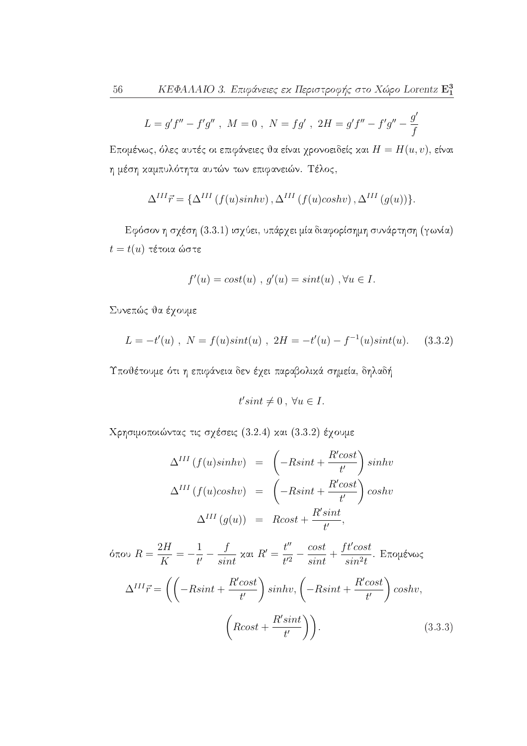$$
L = g'f'' - f'g'' , \ M = 0 , \ N = fg' , \ 2H = g'f'' - f'g'' - \frac{g'}{f}
$$

Επομένως, όλες αυτές οι επιφάνειες θα είναι χρονοειδείς και  $H = H(u, v)$ , είναι η μέση καμπυλότητα αυτών των επιφανειών. Τέλος,

$$
\Delta^{III} \vec{r} = \{ \Delta^{III} (f(u)sinhv), \Delta^{III} (f(u)coshv), \Delta^{III} (g(u)) \}.
$$

Εφόσον η σχέση (3.3.1) ισχύει, υπάρχει μία διαφορίσημη συνάρτηση (γωνία)  $t = t(u)$  τέτοια ώστε

$$
f'(u) = cost(u) , g'(u) = sint(u) , \forall u \in I.
$$

Συνεπώς θα έχουμε

$$
L = -t'(u) , N = f(u)sin(tu) , 2H = -t'(u) - f^{-1}(u)sin(tu). \quad (3.3.2)
$$

Υποθέτουμε ότι η επιφάνεια δεν έχει παραβολικά σημεία, δηλαδή

$$
t'sint \neq 0 \,,\,\forall u \in I.
$$

Χρησιμοποιώντας τις σχέσεις (3.2.4) και (3.3.2) έχουμε

$$
\Delta^{III} (f(u)sinhv) = \left(-Rsint + \frac{R'cost}{t'}\right)sinhv
$$
  

$$
\Delta^{III} (f(u)coshv) = \left(-Rsint + \frac{R'cost}{t'}\right) coshv
$$
  

$$
\Delta^{III} (g(u)) = Rcost + \frac{R'sint}{t'},
$$

$$
\delta \pi \circ u \quad R = \frac{2H}{K} = -\frac{1}{t'} - \frac{f}{sint} \quad \text{and} \quad R' = \frac{t''}{t'^2} - \frac{\cos t}{\sin t} + \frac{ft'\cos t}{\sin^2 t}. \quad \text{Exop}(i \text{ and } \text{Cov}(i \text{ and } \text{Cov}(i \text{ and } \text{Cov}(i \text{ and } \text{Cov}(i \text{ and } \text{Cov}(i \text{ and } \text{Cov}(i \text{ and } \text{Cov}(i \text{ and } \text{Cov}(i \text{ and } \text{Cov}(i \text{ and } \text{Cov}(i \text{ and } \text{Cov}(i \text{ and } \text{Cov}(i \text{ and } \text{Cov}(i \text{ and } \text{Cov}(i \text{ and } \text{Cov}(i \text{ and } \text{Cov}(i \text{ and } \text{Cov}(i \text{ and } \text{Cov}(i \text{ and } \text{Cov}(i \text{ and } \text{Cov}(i \text{ and } \text{Cov}(i \text{ and } \text{Cov}(i \text{ and } \text{Cov}(i \text{ and } \text{Cov}(i \text{ and } \text{Cov}(i \text{ and } \text{Cov}(i \text{ and } \text{Cov}(i \text{ and } \text{Cov}(i \text{ and } \text{Cov}(i \text{ and } \text{Cov}(i \text{ and } \text{Cov}(i \text{ and } \text{Cov}(i \text{ and } \text{Cov}(i \text{ and } \text{Cov}(i \text{ and } \text{Cov}(i \text{ and } \text{Cov}(i \text{ and } \text{Cov}(i \text{ and } \text{Cov}(i \text{ and } \text{Cov}(i \text{ and } \text{Cov}(i \text{ and } \text{Cov}(i \text{ and } \text{Cov}(i \text{ and } \text{Cov}(i \text{ and } \text{Cov}(i \text{ and } \text{Cov}(i \text{ and } \text{Cov}(i \text{ and } \text{Cov}(i \text{ and } \text{Cov}(i \text{ and } \text{Cov}(i \text{ and } \text{Cov}(i \text{ and } \text{Cov}(i \text{ and } \text{Cov}(i \text{ and } \text{Cov}(i \text{ and } \text{Cov}(i \text{ and } \text{Cov}(i \text{ and } \
$$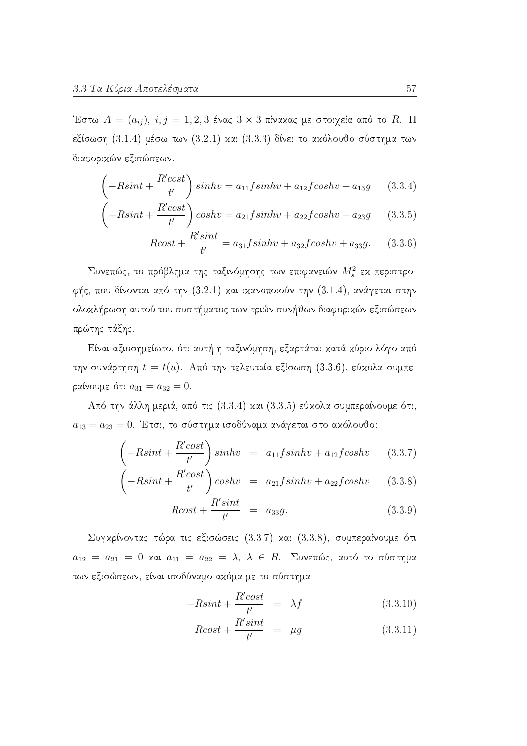Έστω  $A = (a_{ij})$ ,  $i, j = 1, 2, 3$  ένας  $3 \times 3$  πίναχας με στοιχεία από το R. H εξίσωση (3.1.4) μέσω των (3.2.1) και (3.3.3) δίνει το ακόλουθο σύστημα των διαφορικών εξισώσεων.

$$
\left(-R\sin t + \frac{R'\cos t}{t'}\right)\sin hv = a_{11}f\sin hv + a_{12}f\cos hv + a_{13}g\tag{3.3.4}
$$

$$
-Rsint + \frac{R'cost}{t'}\bigg)coshv = a_{21}fsinhv + a_{22}fcoshv + a_{23}g \qquad (3.3.5)
$$

$$
Rcost + \frac{R'sint}{t'} = a_{31}fsinhv + a_{32}fcoshv + a_{33}g.
$$
 (3.3.6)

Συνεπώς, το πρόβλημα της ταξινόμησης των επιφανειών  $M_s^2$  εκ περιστροφής, που δίνονται από την (3.2.1) και ικανοποιούν την (3.1.4), ανάγεται στην ολοκλήρωση αυτού του συστήματος των τριών συνήθων διαφορικών εξισώσεων πρώτης τάξης.

Είναι αξιοσημείωτο, ότι αυτή η ταξινόμηση, εξαρτάται κατά κύριο λόγο από την συνάρτηση  $t = t(u)$ . Από την τελευταία εξίσωση  $(3.3.6)$ , εύχολα συμπεραίνουμε ότι  $a_{31} = a_{32} = 0$ .

Από την άλλη μεριά, από τις (3.3.4) και (3.3.5) εύκολα συμπεραίνουμε ότι,  $a_{13}=a_{23}=0$ . Έτσι, το σύστημα ισοδύναμα ανάγεται στο ακόλουθο:

$$
\left(-R\sin t + \frac{R'\cos t}{t'}\right)\sin hv = a_{11}f\sin hv + a_{12}f\cosh v \qquad (3.3.7)
$$

$$
\left(-R\sin t + \frac{R'\cos t}{t'}\right)\cosh v = a_{21}f\sin hv + a_{22}f\cosh v \qquad (3.3.8)
$$

$$
Rcost + \frac{R'sint}{t'} = a_{33}g.
$$
\n(3.3.9)

Συγκρίνοντας τώρα τις εξισώσεις (3.3.7) και (3.3.8), συμπεραίνουμε ότι  $a_{12} = a_{21} = 0$  και  $a_{11} = a_{22} = \lambda$ ,  $\lambda \in R$ . Συνεπώς, αυτό το σύστημα των εξισώσεων, είναι ισοδύναμο ακόμα με το σύστημα

$$
-R\sin t + \frac{R'\cos t}{t'} = \lambda f \tag{3.3.10}
$$

$$
Rcost + \frac{R'sint}{t'} = \mu g \tag{3.3.11}
$$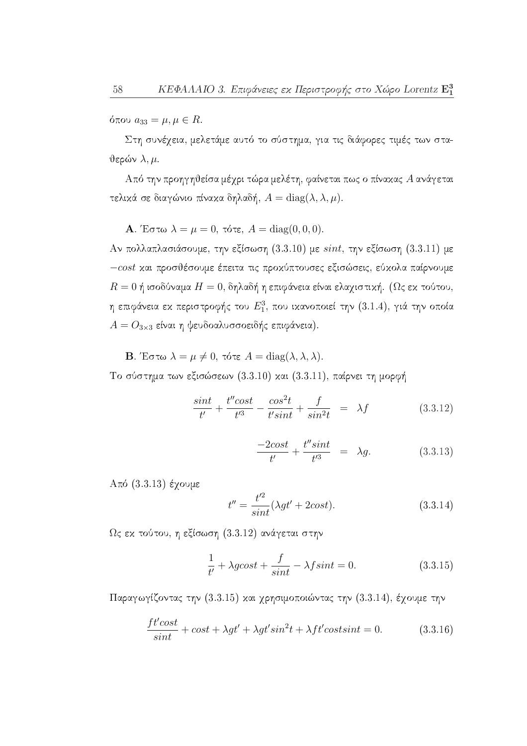όπου  $a_{33} = \mu, \mu \in R$ .

Στη συνέχεια, μελετάμε αυτό το σύστημα, για τις διάφορες τιμές των στα- $\theta$ ερών λ, μ.

Από την προηγηθείσα μέχρι τώρα μελέτη, φαίνεται πως ο πίνακας Α ανάγεται τελικά σε διαγώνιο πίνακα δηλαδή,  $A = diag(\lambda, \lambda, \mu)$ .

**A**. Έστω  $\lambda = \mu = 0$ , τότε,  $A = diag(0, 0, 0)$ .

Αν πολλαπλασιάσουμε, την εξίσωση (3.3.10) με  $sint$ , την εξίσωση (3.3.11) με  $-cost$  και προσθέσουμε έπειτα τις προκύπτουσες εξισώσεις, εύκολα παίρνουμε  $R=0$  ή ισοδύναμα  $H=0$ , δηλαδή η επιφάνεια είναι ελαχιστική. ( $\Omega$ ς εκ τούτου, η επιφάνεια εκ περιστροφής του  $E_1^3$ , που ικανοποιεί την (3.1.4), γιά την οποία  $A = O_{3\times 3}$  είναι η ψευδοαλυσσοειδής επιφάνεια).

**B**. Έστω  $\lambda = \mu \neq 0$ , τότε  $A = \text{diag}(\lambda, \lambda, \lambda)$ .

Το σύστημα των εξισώσεων (3.3.10) και (3.3.11), παίρνει τη μορφή

$$
\frac{\sin t}{t'} + \frac{t'' \cos t}{t'^3} - \frac{\cos^2 t}{t' \sin t} + \frac{f}{\sin^2 t} = \lambda f \tag{3.3.12}
$$

$$
\frac{-2\cos t}{t'} + \frac{t''\sin t}{t'^3} = \lambda g.
$$
 (3.3.13)

 $A\pi$ ό (3.3.13) έγουμε

$$
t'' = \frac{t'^2}{\sin t} (\lambda gt' + 2\cos t). \tag{3.3.14}
$$

 $\Omega$ ς εκ τούτου, η εξίσωση  $(3.3.12)$  ανάγεται στην

$$
\frac{1}{t'} + \lambda g \cos t + \frac{f}{\sin t} - \lambda f \sin t = 0.
$$
 (3.3.15)

Παραγωγίζοντας την (3.3.15) και γρησιμοποιώντας την (3.3.14), έγουμε την

$$
\frac{ft'\text{cost}}{\text{sin}t} + \text{cost} + \lambda gt' + \lambda gt'\text{sin}^2t + \lambda ft'\text{cost} \text{sin}t = 0.
$$
 (3.3.16)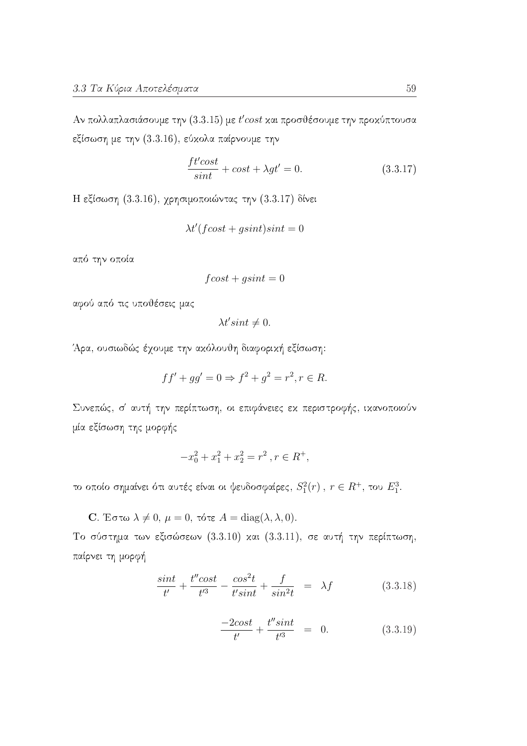Αν πολλαπλασιάσουμε την (3.3.15) με  $t'cost$  και προσθέσουμε την προχύπτουσα εξίσωση με την (3.3.16), εύχολα παίρνουμε την

$$
\frac{ft'cost}{sint} + cost + \lambda gt' = 0.
$$
\n(3.3.17)

Η εξίσωση (3.3.16), χρησιμοποιώντας την (3.3.17) δίνει

$$
\lambda t'(f\cos t + g\sin t)\sin t = 0
$$

από την οποία

$$
fcost + g sint = 0
$$

αφού από τις υποθέσεις μας

 $\lambda t' \sin t \neq 0.$ 

Άρα, ουσιωδώς έχουμε την ακόλουθη διαφορική εξίσωση:

$$
ff' + gg' = 0 \Rightarrow f^2 + g^2 = r^2, r \in R.
$$

Συνεπώς, σ' αυτή την περίπτωση, οι επιφάνειες εκ περιστροφής, ικανοποιούν μία εξίσωση της μορφής

$$
-x_0^2 + x_1^2 + x_2^2 = r^2 \,, r \in R^+,
$$

το οποίο σημαίνει ότι αυτές είναι οι ψευδοσφαίρες,  $S_1^2(r)$ ,  $r \in R^+$ , του  $E_1^3$ .

C. Έστω  $\lambda \neq 0$ ,  $\mu = 0$ , τότε  $A = \text{diag}(\lambda, \lambda, 0)$ .

Το σύστημα των εξισώσεων (3.3.10) και (3.3.11), σε αυτή την περίπτωση, παίρνει τη μορφή

$$
\frac{\sin t}{t'} + \frac{t'' \cos t}{t'^3} - \frac{\cos^2 t}{t' \sin t} + \frac{f}{\sin^2 t} = \lambda f \tag{3.3.18}
$$

$$
\frac{-2\cos t}{t'} + \frac{t''\sin t}{t'^3} = 0.
$$
 (3.3.19)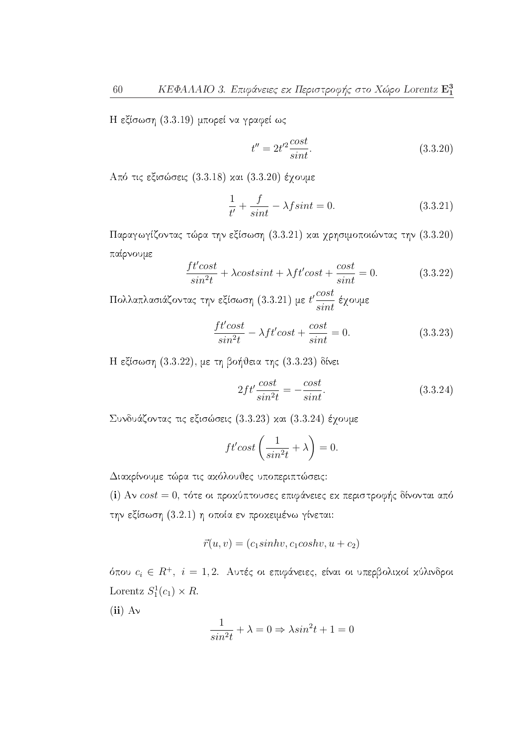Η εξίσωση (3.3.19) μπορεί να γραφεί ως

$$
t'' = 2t'^2 \frac{\cos t}{\sin t}.\tag{3.3.20}
$$

Από τις εξισώσεις (3.3.18) και (3.3.20) έχουμε

$$
\frac{1}{t'} + \frac{f}{sint} - \lambda f \sin t = 0.
$$
\n(3.3.21)

Παραγωγίζοντας τώρα την εξίσωση (3.3.21) και χρησιμοποιώντας την (3.3.20) παίρνουμε

$$
\frac{ft'\text{cost}}{\sin^2 t} + \lambda \text{cost}\text{sin}t + \lambda ft'\text{cost} + \frac{\text{cost}}{\sin t} = 0.
$$
 (3.3.22)

Πολλαπλασιάζοντας την εξίσωση (3.3.21) με  $t'\frac{cost}{sint}$  έχουμε

$$
\frac{ft'cost}{sin^2t} - \lambda ft'cost + \frac{cost}{sint} = 0.
$$
\n(3.3.23)

Η εξίσωση (3.3.22), με τη βοήθεια της (3.3.23) δίνει

$$
2ft' \frac{\cos t}{\sin^2 t} = -\frac{\cos t}{\sin t}.\tag{3.3.24}
$$

Συνδυάζοντας τις εξισώσεις (3.3.23) και (3.3.24) έγουμε

$$
ft'cost\left(\frac{1}{sin^2t} + \lambda\right) = 0.
$$

Διακρίνουμε τώρα τις ακόλουθες υποπεριπτώσεις:

(i) Αν  $cost = 0$ , τότε οι προχύπτουσες επιφάνειες εχ περιστροφής δίνονται από την εξίσωση (3.2.1) η οποία εν προχειμένω γίνεται:

$$
\vec{r}(u,v) = (c_1\sinh v, c_1\cosh v, u + c_2)
$$

όπου  $c_i \in R^+$ ,  $i = 1, 2$ . Αυτές οι επιφάνειες, είναι οι υπερβολικοί κύλινδροι Lorentz  $S_1^1(c_1) \times R$ .

 $(ii)$  Av

$$
\frac{1}{\sin^2 t} + \lambda = 0 \Rightarrow \lambda \sin^2 t + 1 = 0
$$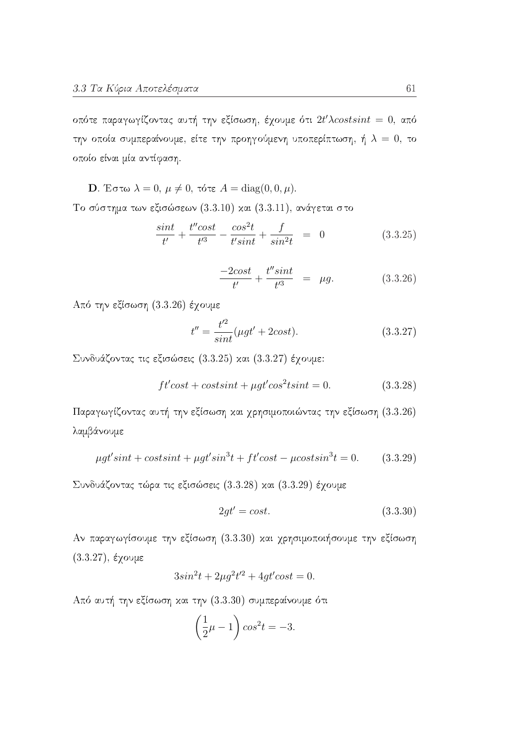οπότε παραγωγίζοντας αυτή την εξίσωση, έχουμε ότι  $2t' \lambda costsint = 0$ , από την οποία συμπεραίνουμε, είτε την προηγούμενη υποπερίπτωση, ή  $\lambda = 0$ , το οποίο είναι μία αντίφαση.

D. Έστω 
$$
\lambda = 0
$$
,  $\mu \neq 0$ , τότε  $A = \text{diag}(0, 0, \mu)$ 

Το σύστημα των εξισώσεων (3.3.10) και (3.3.11), ανάγεται στο

$$
\frac{\sin t}{t'} + \frac{t'' \cos t}{t'^3} - \frac{\cos^2 t}{t' \sin t} + \frac{f}{\sin^2 t} = 0 \tag{3.3.25}
$$

$$
\frac{-2\cos t}{t'} + \frac{t''\sin t}{t'^3} = \mu g.
$$
 (3.3.26)

Από την εξίσωση (3.3.26) έχουμε

$$
t'' = \frac{t'^2}{\sin t} (\mu gt' + 2\cos t). \tag{3.3.27}
$$

Συνδυάζοντας τις εξισώσεις (3.3.25) και (3.3.27) έχουμε:

$$
ft'cost + costsint + \mu gt'cos^2t sint = 0.
$$
 (3.3.28)

Παραγωγίζοντας αυτή την εξίσωση και χρησιμοποιώντας την εξίσωση (3.3.26) λαμβάνουμε

$$
\mu gt'sint + \cos tsint + \mu gt'sin3t + ft'\cos t - \mu \cos tsin3t = 0.
$$
 (3.3.29)

Συνδυάζοντας τώρα τις εξισώσεις (3.3.28) και (3.3.29) έγουμε

$$
2gt' = cost.\tag{3.3.30}
$$

Αν παραγωγίσουμε την εξίσωση (3.3.30) και χρησιμοποιήσουμε την εξίσωση  $(3.3.27), \,$ έχουμε

$$
3\sin^2 t + 2\mu g^2 t'^2 + 4gt' \cos t = 0.
$$

Από αυτή την εξίσωση και την (3.3.30) συμπεραίνουμε ότι

$$
\left(\frac{1}{2}\mu - 1\right)\cos^2 t = -3.
$$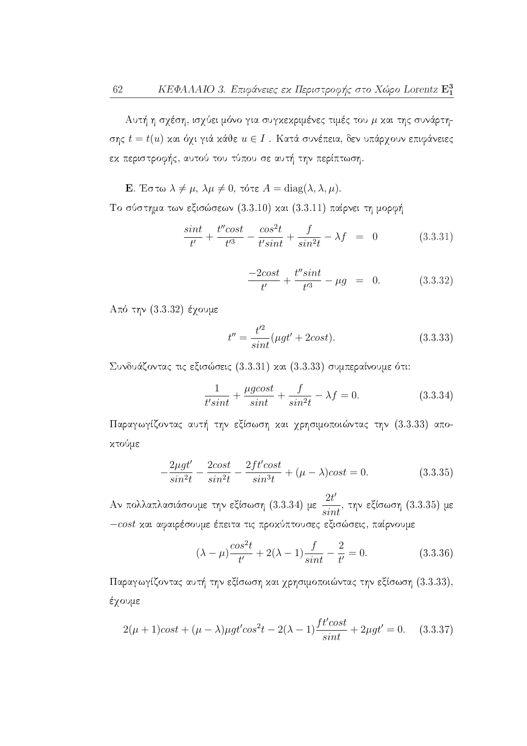Αυτή η σχέση, ισχύει μόνο για συγκεκριμένες τιμές του  $\mu$  και της συνάρτησης  $t = t(u)$  και όχι γιά κάθε $u \in I$ . Κατά συνέπεια, δεν υπάρχουν επιφάνειες εχ περιστροφής, αυτού του τύπου σε αυτή την περίπτωση.

**E**. Έστω  $\lambda \neq \mu$ ,  $\lambda \mu \neq 0$ , τότε  $A = \text{diag}(\lambda, \lambda, \mu)$ .

Το σύστημα των εξισώσεων (3.3.10) και (3.3.11) παίρνει τη μορφή

$$
\frac{\sin t}{t'} + \frac{t'' \cos t}{t'^3} - \frac{\cos^2 t}{t' \sin t} + \frac{f}{\sin^2 t} - \lambda f = 0 \tag{3.3.31}
$$

$$
\frac{-2\cos t}{t'} + \frac{t''\sin t}{t'^3} - \mu g = 0. \tag{3.3.32}
$$

 $A\pi$ ό την (3.3.32) έχουμε

$$
t'' = \frac{t'^2}{\sin t} (\mu gt' + 2\cos t). \tag{3.3.33}
$$

Συνδυάζοντας τις εξισώσεις (3.3.31) και (3.3.33) συμπεραίνουμε ότι:

$$
\frac{1}{t'sint} + \frac{\mu g cost}{sint} + \frac{f}{\sin^2 t} - \lambda f = 0.
$$
 (3.3.34)

Παραγωγίζοντας αυτή την εξίσωση και χρησιμοποιώντας την (3.3.33) αποχτούμε

$$
-\frac{2\mu gt'}{\sin^2 t} - \frac{2\cos t}{\sin^2 t} - \frac{2ft'\cos t}{\sin^3 t} + (\mu - \lambda)\cos t = 0.
$$
 (3.3.35)

Αν πολλαπλασιάσουμε την εξίσωση  $(3.3.34)$  με  $\frac{2t'}{sint}$ , την εξίσωση  $(3.3.35)$  με -cost και αφαιρέσουμε έπειτα τις προκύπτουσες εξισώσεις, παίρνουμε

$$
(\lambda - \mu) \frac{\cos^2 t}{t'} + 2(\lambda - 1) \frac{f}{\sin t} - \frac{2}{t'} = 0.
$$
 (3.3.36)

Παραγωγίζοντας αυτή την εξίσωση και χρησιμοποιώντας την εξίσωση (3.3.33), έγουμε

$$
2(\mu + 1)cost + (\mu - \lambda)\mu gt' cos^{2}t - 2(\lambda - 1)\frac{ft' cost}{sint} + 2\mu gt' = 0.
$$
 (3.3.37)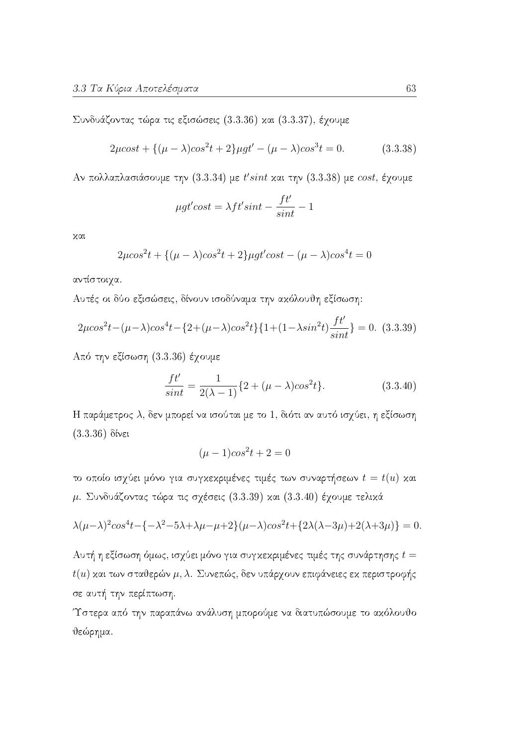Συνδυάζοντας τώρα τις εξισώσεις (3.3.36) και (3.3.37), έχουμε

$$
2\mu cost + \{(\mu - \lambda)cos^{2}t + 2\}\mu gt' - (\mu - \lambda)cos^{3}t = 0.
$$
 (3.3.38)

Αν πολλαπλασιάσουμε την (3.3.34) με  $t'sint$  και την (3.3.38) με  $cost$ , έγουμε

$$
\mu gt' cost = \lambda ft' sint - \frac{ft'}{sint} - 1
$$

χαι

$$
2\mu\cos^2 t + \{(\mu - \lambda)\cos^2 t + 2\}\mu gt'\cos t - (\mu - \lambda)\cos^4 t = 0
$$

αντίστοιχα.

Αυτές οι δύο εξισώσεις, δίνουν ισοδύναμα την ακόλουθη εξίσωση:

$$
2\mu\cos^2 t - (\mu - \lambda)\cos^4 t - \left\{2 + (\mu - \lambda)\cos^2 t\right\} \left\{1 + (1 - \lambda\sin^2 t)\frac{ft'}{\sin t}\right\} = 0. \tag{3.3.39}
$$

Από την εξίσωση (3.3.36) έχουμε

$$
\frac{ft'}{sint} = \frac{1}{2(\lambda - 1)} \{2 + (\mu - \lambda)\cos^2 t\}.
$$
 (3.3.40)

Η παράμετρος  $\lambda$ , δεν μπορεί να ισούται με το 1, διότι αν αυτό ισχύει, η εξίσωση  $(3.3.36)$  δίνει

$$
(\mu - 1)cos^2 t + 2 = 0
$$

το οποίο ισχύει μόνο για συγκεκριμένες τιμές των συναρτήσεων  $t = t(u)$  και μ. Συνδυάζοντας τώρα τις σχέσεις (3.3.39) και (3.3.40) έχουμε τελικά

$$
\lambda(\mu-\lambda)^2 \cos^4 t - \left\{-\lambda^2 - 5\lambda + \lambda\mu - \mu + 2\right\} (\mu-\lambda) \cos^2 t + \left\{2\lambda(\lambda-3\mu) + 2(\lambda+3\mu)\right\} = 0
$$

Αυτή η εξίσωση όμως, ισχύει μόνο για συγκεκριμένες τιμές της συνάρτησης  $t=$  $t(u)$  και των σταθερών  $\mu$ , λ. Συνεπώς, δεν υπάρχουν επιφάνειες εκ περιστροφής σε αυτή την περίπτωση.

Τστερα από την παραπάνω ανάλυση μπορούμε να διατυπώσουμε το ακόλουθο θεώρημα.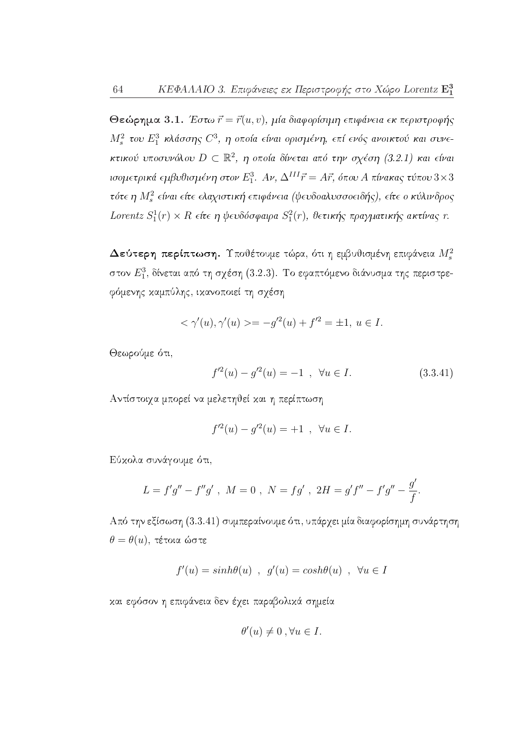Θεώρημα 3.1. Έστω  $\vec{r} = \vec{r}(u, v)$ , μία διαφορίσιμη επιφάνεια εκ περιστροφής  $M_s^2$  του  $E_1^3$  κλάσσης  $C^3$ , η οποία είναι ορισμένη, επί ενός ανοικτού και συνεκτικού υποσυνόλου  $D \subset \mathbb{R}^2$ , η οποία δίνεται από την σχέση (3.2.1) και είναι ισομετρικά εμβυθισμένη στον  $E_1^3$ . Αν,  $\Delta^{III} \vec{r} = A \vec{r}$ , όπου Α πίνακας τύπου  $3 \times 3$ τότε η  $M_s^2$  είναι είτε ελαχιστική επιφάνεια (ψευδοαλυσσοειδής), είτε ο κύλινδρος Lorentz  $S_1^1(r) \times R$  είτε η ψευδόσφαιρα  $S_1^2(r)$ , θετικής πραγματικής ακτίνας r.

Δεύτερη περίπτωση. Υποθέτουμε τώρα, ότι η εμβυθισμένη επιφάνεια  $M_s^2$ στον  $E_1^3$ , δίνεται από τη σχέση (3.2.3). Το εφαπτόμενο διάνυσμα της περιστρεφόμενης καμπύλης, ικανοποιεί τη σχέση

$$
<\gamma'(u), \gamma'(u) > = -g'^2(u) + f'^2 = \pm 1, u \in I.
$$

Θεωρούμε ότι,

$$
f'^2(u) - g'^2(u) = -1 \quad , \quad \forall u \in I. \tag{3.3.41}
$$

Αντίστοιγα μπορεί να μελετηθεί και η περίπτωση

$$
f'^2(u) - g'^2(u) = +1
$$
,  $\forall u \in I$ .

Εύκολα συνάγουμε ότι,

$$
L = f'g'' - f''g' , \ M = 0 , \ N = fg' , \ 2H = g'f'' - f'g'' - \frac{g'}{f}.
$$

Από την εξίσωση (3.3.41) συμπεραίνουμε ότι, υπάρχει μία διαφορίσημη συνάρτηση  $\theta = \theta(u)$ , τέτοια ώστε

$$
f'(u) = sinh\theta(u) , g'(u) = cosh\theta(u) , \forall u \in I
$$

και εφόσον η επιφάνεια δεν έχει παραβολικά σημεία

$$
\theta'(u) \neq 0, \forall u \in I.
$$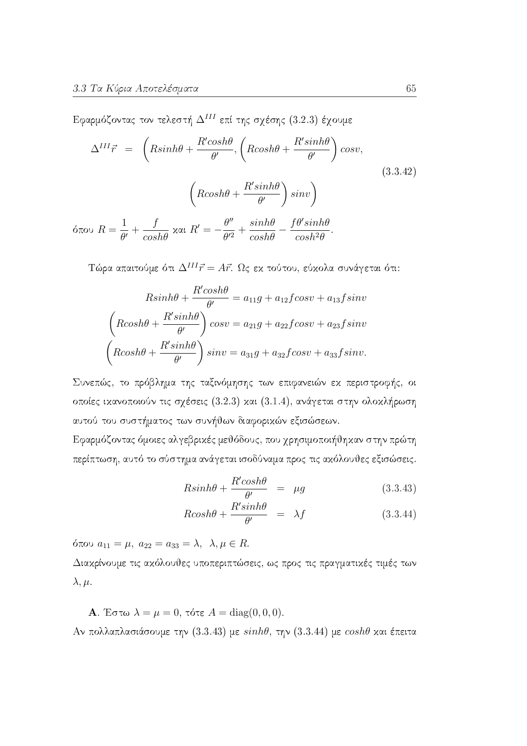Εφαρμόζοντας τον τελεστή  $\Delta^{III}$  επί της σχέσης (3.2.3) έχουμε

$$
\Delta^{III} \vec{r} = \left(R \sinh \theta + \frac{R' \cosh \theta}{\theta'}, \left(R \cosh \theta + \frac{R' \sinh \theta}{\theta'}\right) \cos v,\right)
$$
\n
$$
\left(R \cosh \theta + \frac{R' \sinh \theta}{\theta'}\right) \sin v\right)
$$
\n
$$
1 \qquad f \qquad \theta'' \qquad \sinh \theta \qquad f \theta' \sinh \theta
$$
\n(3.3.42)

όπου  $R = \frac{1}{\theta'} + \frac{f}{cosh\theta}$  και  $R' = -\frac{\theta''}{\theta'^2} + \frac{sinh\theta}{cosh\theta} - \frac{f\theta'sinh\theta}{cosh^2\theta}$ .

Τώρα απαιτούμε ότι $\Delta^{III} \vec{r} = A \vec{r}$ . Ως εκ τούτου, εύκολα συνάγεται ότι:

$$
Rsinh\theta + \frac{R'cosh\theta}{\theta'} = a_{11}g + a_{12}fcos\theta + a_{13}fsin\theta
$$

$$
\left(Rcosh\theta + \frac{R'sinh\theta}{\theta'}\right)cos\theta = a_{21}g + a_{22}fcos\theta + a_{23}fsin\theta
$$

$$
\left(Rcosh\theta + \frac{R'sinh\theta}{\theta'}\right)sin\theta = a_{31}g + a_{32}fcos\theta + a_{33}fsin\theta.
$$

Συνεπώς, το πρόβλημα της ταξινόμησης των επιφανειών εκ περιστροφής, οι οποίες ικανοποιούν τις σχέσεις (3.2.3) και (3.1.4), ανάγεται στην ολοκλήρωση αυτού του συστήματος των συνήθων διαφορικών εξισώσεων.

Εφαρμόζοντας όμοιες αλγεβρικές μεθόδους, που χρησιμοποιήθηκαν στην πρώτη περίπτωση, αυτό το σύστημα ανάγεται ισοδύναμα προς τις ακόλουθες εξισώσεις.

$$
R\sinh\theta + \frac{R'\cosh\theta}{\theta'} = \mu g \tag{3.3.43}
$$

$$
R\cosh\theta + \frac{R'\sinh\theta}{\theta'} = \lambda f \tag{3.3.44}
$$

όπου  $a_{11} = \mu$ ,  $a_{22} = a_{33} = \lambda$ ,  $\lambda, \mu \in R$ .

Διακρίνουμε τις ακόλουθες υποπεριπτώσεις, ως προς τις πραγματικές τιμές των  $\lambda, \mu.$ 

**A**. Έστω  $\lambda = \mu = 0$ , τότε  $A = \text{diag}(0, 0, 0)$ .

Αν πολλαπλασιάσουμε την (3.3.43) με  $sinh\theta$ , την (3.3.44) με  $cosh\theta$  και έπειτα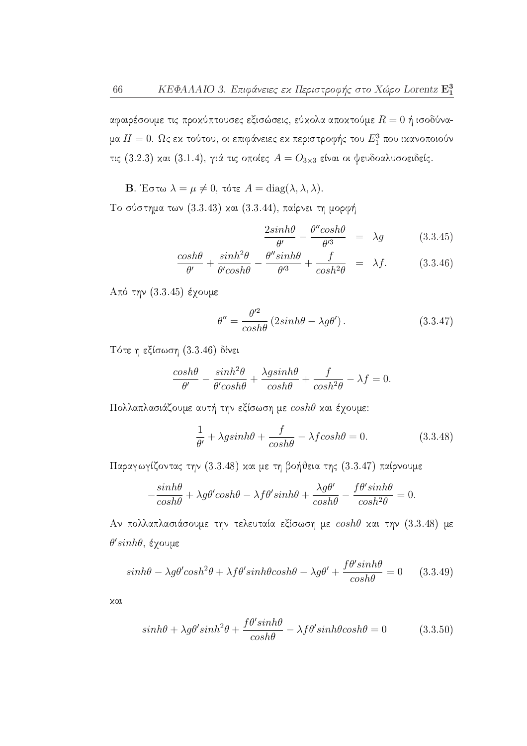αφαιρέσουμε τις προκύπτουσες εξισώσεις, εύκολα αποκτούμε $R=0$ ή ισοδύναμα  $H=0$ . Ως εκ τούτου, οι επιφάνειες εκ περιστροφής του  $E_1^3$  που ικανοποιούν τις (3.2.3) και (3.1.4), γιά τις οποίες  $A = O_{3\times 3}$  είναι οι ψευδοαλυσοειδείς.

**B**. Έστω  $\lambda = \mu \neq 0$ , τότε  $A = \text{diag}(\lambda, \lambda, \lambda)$ .

Το σύστημα των (3.3.43) και (3.3.44), παίρνει τη μορφή

$$
\frac{2\sinh\theta}{\theta'} - \frac{\theta''\cosh\theta}{\theta'^3} = \lambda g \tag{3.3.45}
$$

$$
\frac{\cosh\theta}{\theta'} + \frac{\sinh^2\theta}{\theta'\cosh\theta} - \frac{\theta''\sinh\theta}{\theta'^3} + \frac{f}{\cosh^2\theta} = \lambda f. \tag{3.3.46}
$$

 $A\pi\acute{o}$  την (3.3.45) έχουμε

$$
\theta'' = \frac{\theta'^2}{\cosh\theta} \left( 2\sinh\theta - \lambda g\theta' \right). \tag{3.3.47}
$$

Τότε η εξίσωση (3.3.46) δίνει

$$
\frac{\cosh\theta}{\theta'} - \frac{\sinh^2\theta}{\theta' \cosh\theta} + \frac{\lambda g \sinh\theta}{\cosh\theta} + \frac{f}{\cosh^2\theta} - \lambda f = 0.
$$

Πολλαπλασιάζουμε αυτή την εξίσωση με coshθ και έχουμε:

$$
\frac{1}{\theta'} + \lambda g \sinh\theta + \frac{f}{\cosh\theta} - \lambda f \cosh\theta = 0.
$$
 (3.3.48)

Παραγωγίζοντας την (3.3.48) και με τη βοήθεια της (3.3.47) παίρνουμε

$$
-\frac{\sinh\theta}{\cosh\theta} + \lambda g\theta' \cosh\theta - \lambda f\theta' \sinh\theta + \frac{\lambda g\theta'}{\cosh\theta} - \frac{f\theta' \sinh\theta}{\cosh^2\theta} = 0.
$$

Αν πολλαπλασιάσουμε την τελευταία εξίσωση με coshθ και την (3.3.48) με  $θ'sinhθ$ , έγουμε

$$
\sinh\theta - \lambda g\theta' \cosh^2\theta + \lambda f\theta' \sinh\theta \cosh\theta - \lambda g\theta' + \frac{f\theta' \sinh\theta}{\cosh\theta} = 0 \qquad (3.3.49)
$$

χαι

$$
sinh\theta + \lambda g\theta'sinh^{2}\theta + \frac{f\theta'sinh\theta}{\cosh\theta} - \lambda f\theta'sinh\theta\cosh\theta = 0
$$
 (3.3.50)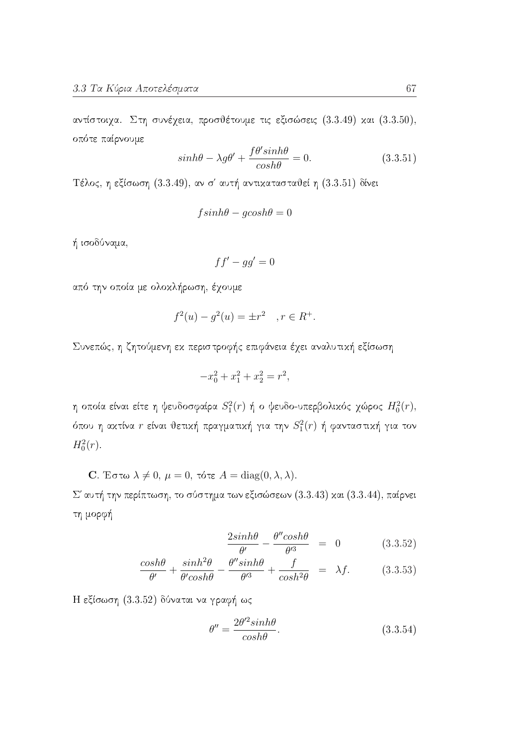αντίστοιχα. Στη συνέχεια, προσθέτουμε τις εξισώσεις (3.3.49) και (3.3.50), οπότε παίρνουμε

$$
\sinh\theta - \lambda g\theta' + \frac{f\theta'\sinh\theta}{\cosh\theta} = 0.
$$
 (3.3.51)

Τέλος, η εξίσωση (3.3.49), αν σ' αυτή αντικατασταθεί η (3.3.51) δίνει

$$
f\sinh\theta - g\cosh\theta = 0
$$

ή ισοδύναμα,

$$
ff' - gg' = 0
$$

από την οποία με ολοκλήρωση, έχουμε

$$
f^{2}(u) - g^{2}(u) = \pm r^{2} \quad , r \in R^{+}.
$$

Συνεπώς, η ζητούμενη εκ περιστροφής επιφάνεια έχει αναλυτική εξίσωση

$$
-x_0^2 + x_1^2 + x_2^2 = r^2,
$$

η οποία είναι είτε η ψευδοσφαίρα  $S_1^2(r)$  ή ο ψευδο-υπερβολικός χώρος  $H_0^2(r)$ , όπου η ακτίνα  $r$  είναι θετική πραγματική για την  $S_1^2(r)$  ή φανταστική για τον  $H_0^2(r)$ .

C. Έστω  $\lambda \neq 0$ ,  $\mu = 0$ , τότε  $A = \text{diag}(0, \lambda, \lambda)$ .  $\Sigma'$  αυτή την περίπτωση, το σύστημα των εξισώσεων (3.3.43) και (3.3.44), παίρνει τη μορφή

$$
\frac{2\sinh\theta}{\theta'} - \frac{\theta''\cosh\theta}{\theta'^3} = 0 \qquad (3.3.52)
$$

$$
\frac{\cosh\theta}{\theta'} + \frac{\sinh^2\theta}{\theta' \cosh\theta} - \frac{\theta'' \sinh\theta}{\theta'^3} + \frac{f}{\cosh^2\theta} = \lambda f. \tag{3.3.53}
$$

Η εξίσωση (3.3.52) δύναται να γραφή ως

$$
\theta'' = \frac{2\theta'^2 \sinh\theta}{\cosh\theta}.\tag{3.3.54}
$$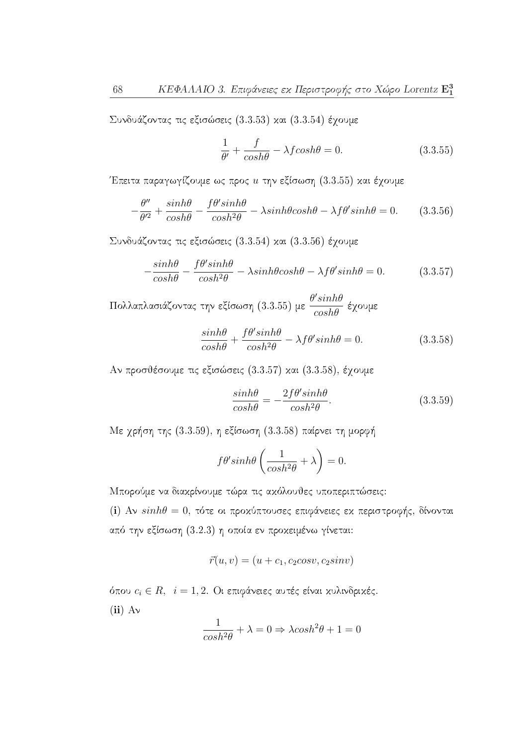Συνδυάζοντας τις εξισώσεις (3.3.53) και (3.3.54) έχουμε

$$
\frac{1}{\theta'} + \frac{f}{\cosh\theta} - \lambda f \cosh\theta = 0.
$$
 (3.3.55)

Έπειτα παραγωγίζουμε ως προς  $u$  την εξίσωση (3.3.55) και έγουμε

$$
-\frac{\theta''}{\theta'^2} + \frac{\sinh\theta}{\cosh\theta} - \frac{f\theta'\sinh\theta}{\cosh^2\theta} - \lambda\sinh\theta\cosh\theta - \lambda f\theta'\sinh\theta = 0.
$$
 (3.3.56)

Συνδυάζοντας τις εξισώσεις (3.3.54) και (3.3.56) έχουμε

$$
-\frac{\sinh\theta}{\cosh\theta} - \frac{f\theta'\sinh\theta}{\cosh^2\theta} - \lambda\sinh\theta\cosh\theta - \lambda f\theta'\sinh\theta = 0.
$$
 (3.3.57)

Πολλαπλασιάζοντας την εξίσωση (3.3.55) με  $\frac{\theta'sinh\theta}{cosh\theta}$  έχουμε

$$
\frac{\sinh\theta}{\cosh\theta} + \frac{f\theta'\sinh\theta}{\cosh^2\theta} - \lambda f\theta'\sinh\theta = 0.
$$
 (3.3.58)

Αν προσθέσουμε τις εξισώσεις (3.3.57) και  $(3.3.58)$ , έγουμε

$$
\frac{\sinh\theta}{\cosh\theta} = -\frac{2f\theta'\sinh\theta}{\cosh^2\theta}.\tag{3.3.59}
$$

Με χρήση της  $(3.3.59)$ , η εξίσωση  $(3.3.58)$  παίρνει τη μορφή

$$
f\theta' \sinh\theta \left(\frac{1}{\cosh^2\theta} + \lambda\right) = 0.
$$

Μπορούμε να διακρίνουμε τώρα τις ακόλουθες υποπεριπτώσεις:

(i) Αν  $sinh\theta = 0$ , τότε οι προχύπτουσες επιφάνειες εχ περιστροφής, δίνονται από την εξίσωση (3.2.3) η οποία εν προχειμένω γίνεται:

$$
\vec{r}(u,v) = (u + c_1, c_2 \cos v, c_2 \sin v)
$$

όπου  $c_i \in R, \;\; i=1,2.$ Οι επιφάνειες αυτές είναι κυλινδρικές.  $(ii)$  Av  $\overline{a}$ 

$$
\frac{1}{\cosh^2 \theta} + \lambda = 0 \Rightarrow \lambda \cosh^2 \theta + 1 = 0
$$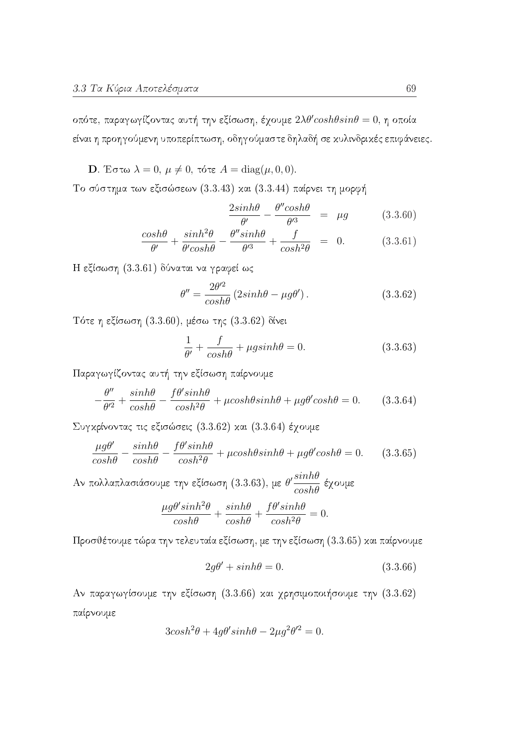οπότε, παραγωγίζοντας αυτή την εξίσωση, έχουμε  $2\lambda\theta'cosh\theta sin\theta = 0$ , η οποία είναι η προηγούμενη υποπερίπτωση, οδηγούμαστε δηλαδή σε κυλινδρικές επιφάνειες.

**D**. Έστω  $\lambda = 0$ ,  $\mu \neq 0$ , τότε  $A = \text{diag}(\mu, 0, 0)$ .

Το σύστημα των εξισώσεων (3.3.43) και (3.3.44) παίρνει τη μορφή

$$
\frac{2\sinh\theta}{\theta'} - \frac{\theta''\cosh\theta}{\theta'^3} = \mu g \tag{3.3.60}
$$

$$
\frac{\cosh\theta}{\theta'} + \frac{\sinh^2\theta}{\theta'\cosh\theta} - \frac{\theta''\sinh\theta}{\theta'^3} + \frac{f}{\cosh^2\theta} = 0.
$$
 (3.3.61)

Η εξίσωση (3.3.61) δύναται να γραφεί ως

$$
\theta'' = \frac{2\theta'^2}{\cosh\theta} \left(2\sinh\theta - \mu g\theta'\right). \tag{3.3.62}
$$

Τότε η εξίσωση (3.3.60), μέσω της (3.3.62) δίνει

$$
\frac{1}{\theta'} + \frac{f}{\cosh\theta} + \mu g \sinh\theta = 0.
$$
 (3.3.63)

Παραγωγίζοντας αυτή την εξίσωση παίρνουμε

$$
-\frac{\theta''}{\theta'^2} + \frac{\sinh\theta}{\cosh\theta} - \frac{f\theta'\sinh\theta}{\cosh^2\theta} + \mu\cosh\theta\sinh\theta + \mu g\theta'\cosh\theta = 0.
$$
 (3.3.64)

Συγκρίνοντας τις εξισώσεις (3.3.62) και (3.3.64) έχουμε

$$
\frac{\mu g \theta'}{\cosh \theta} - \frac{\sinh \theta}{\cosh \theta} - \frac{f \theta' \sinh \theta}{\cosh^2 \theta} + \mu \cosh \theta \sinh \theta + \mu g \theta' \cosh \theta = 0. \tag{3.3.65}
$$

Αν πολλαπλασιάσουμε την εξίσωση (3.3.63), με  $\theta' \frac{sinh\theta}{cosh\theta}$  έχουμε

$$
\frac{\mu g \theta' \sinh^2 \theta}{\cosh \theta} + \frac{\sinh \theta}{\cosh \theta} + \frac{f \theta' \sinh \theta}{\cosh^2 \theta} = 0.
$$

Προσθέτουμε τώρα την τελευταία εξίσωση, με την εξίσωση (3.3.65) και παίρνουμε

$$
2g\theta' + \sinh\theta = 0. \tag{3.3.66}
$$

Αν παραγωγίσουμε την εξίσωση (3.3.66) και χρησιμοποιήσουμε την (3.3.62) παίρνουμε

$$
3\cosh^2\theta + 4g\theta'\sinh\theta - 2\mu g^2\theta'^2 = 0.
$$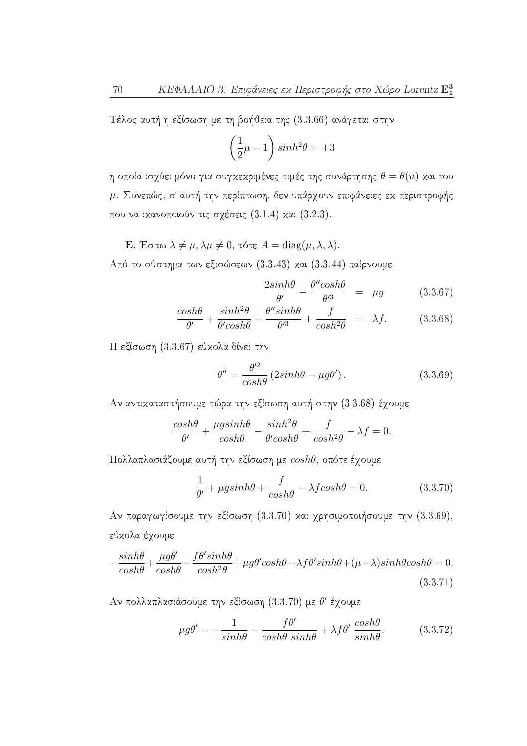Τέλος αυτή η εξίσωση με τη βοήθεια της (3.3.66) ανάγεται στην

$$
\left(\frac{1}{2}\mu - 1\right)\sinh^2\theta = +3
$$

η οποία ισχύει μόνο για συγκεκριμένες τιμές της συνάρτησης  $\theta = \theta(u)$  και του μ. Συνεπώς, σ' αυτή την περίπτωση, δεν υπάρχουν επιφάνειες εκ περιστροφής που να ικανοποιούν τις σχέσεις  $(3.1.4)$  και  $(3.2.3)$ .

**E**. Έστω  $\lambda \neq \mu$ ,  $\lambda \mu \neq 0$ , τότε  $A = \text{diag}(\mu, \lambda, \lambda)$ .

Από το σύστημα των εξισώσεων (3.3.43) και (3.3.44) παίρνουμε

$$
\frac{2\sinh\theta}{\theta'} - \frac{\theta''\cosh\theta}{\theta'^3} = \mu g \tag{3.3.67}
$$

$$
\frac{\cosh\theta}{\theta'} + \frac{\sinh^2\theta}{\theta' \cosh\theta} - \frac{\theta'' \sinh\theta}{\theta'^3} + \frac{f}{\cosh^2\theta} = \lambda f. \tag{3.3.68}
$$

Η εξίσωση (3.3.67) εύκολα δίνει την

$$
\theta'' = \frac{\theta'^2}{\cosh\theta} \left( 2\sinh\theta - \mu g\theta' \right). \tag{3.3.69}
$$

Αν αντικαταστήσουμε τώρα την εξίσωση αυτή στην (3.3.68) έχουμε

$$
\frac{\cosh\theta}{\theta'} + \frac{\mu g \sinh\theta}{\cosh\theta} - \frac{\sinh^2\theta}{\theta' \cosh\theta} + \frac{f}{\cosh^2\theta} - \lambda f = 0
$$

Πολλαπλασιάζουμε αυτή την εξίσωση με coshθ, οπότε έχουμε

$$
\frac{1}{\theta'} + \mu g \sinh\theta + \frac{f}{\cosh\theta} - \lambda f \cosh\theta = 0.
$$
 (3.3.70)

Αν παραγωγίσουμε την εξίσωση (3.3.70) και χρησιμοποιήσουμε την (3.3.69), εύκολα έγουμε

$$
-\frac{\sinh\theta}{\cosh\theta} + \frac{\mu g \theta'}{\cosh\theta} - \frac{f\theta'\sinh\theta}{\cosh^2\theta} + \mu g\theta'\cosh\theta - \lambda f\theta'\sinh\theta + (\mu - \lambda)\sinh\theta\cosh\theta = 0.
$$
\n(3.3.71)

Αν πολλαπλασιάσουμε την εξίσωση (3.3.70) με θ' έχουμε

$$
\mu g \theta' = -\frac{1}{\sinh \theta} - \frac{f \theta'}{\cosh \theta \sinh \theta} + \lambda f \theta' \frac{\cosh \theta}{\sinh \theta}.
$$
 (3.3.72)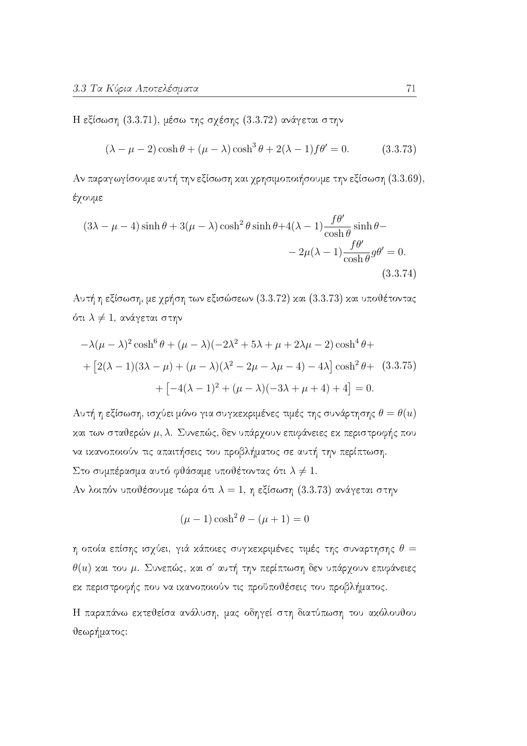Η εξίσωση  $(3.3.71)$ , μέσω της σχέσης  $(3.3.72)$  ανάγεται στην

$$
(\lambda - \mu - 2)\cosh\theta + (\mu - \lambda)\cosh^3\theta + 2(\lambda - 1)f\theta' = 0.
$$
 (3.3.73)

Αν παραγωγίσουμε αυτή την εξίσωση και χρησιμοποιήσουμε την εξίσωση  $(3.3.69)$ , έχουμε

$$
(3\lambda - \mu - 4)\sinh\theta + 3(\mu - \lambda)\cosh^2\theta\sinh\theta + 4(\lambda - 1)\frac{f\theta'}{\cosh\theta}\sinh\theta - 2\mu(\lambda - 1)\frac{f\theta'}{\cosh\theta}g\theta' = 0.
$$
\n
$$
(3.3.74)
$$

Αυτή η εξίσωση, με χρήση των εξισώσεων (3.3.72) και (3.3.73) και υποθέτοντας ότι  $\lambda \neq 1$ , ανάγεται στην

$$
-\lambda(\mu - \lambda)^2 \cosh^6 \theta + (\mu - \lambda)(-2\lambda^2 + 5\lambda + \mu + 2\lambda\mu - 2) \cosh^4 \theta +
$$
  
+ 
$$
[2(\lambda - 1)(3\lambda - \mu) + (\mu - \lambda)(\lambda^2 - 2\mu - \lambda\mu - 4) - 4\lambda] \cosh^2 \theta + (3.3.75)
$$
  
+ 
$$
[-4(\lambda - 1)^2 + (\mu - \lambda)(-3\lambda + \mu + 4) + 4] = 0.
$$

Αυτή η εξίσωση, ισχύει μόνο για συγκεκριμένες τιμές της συνάρτησης  $\theta = \theta(u)$ και των σταθερών  $\mu$ , λ. Συνεπώς, δεν υπάρχουν επιφάνειες εκ περιστροφής που να ικανοποιούν τις απαιτήσεις του προβλήματος σε αυτή την περίπτωση. Στο συμπέρασμα αυτό φθάσαμε υποθέτοντας ότι  $\lambda \neq 1$ .

Αν λοιπόν υποθέσουμε τώρα ότι  $\lambda = 1$ , η εξίσωση (3.3.73) ανάγεται στην

$$
(\mu - 1)\cosh^2 \theta - (\mu + 1) = 0
$$

η οποία επίσης ισχύει, γιά κάποιες συγκεκριμένες τιμές της συναρτησης  $\theta =$  $\theta(u)$  και του μ. Συνεπώς, και σ' αυτή την περίπτωση δεν υπάρχουν επιφάνειες εχ περιστροφής που να ιχανοποιούν τις προϋποθέσεις του προβλήματος.

Η παραπάνω εκτεθείσα ανάλυση, μας οδηγεί στη διατύπωση του ακόλουθου θεωρήματος: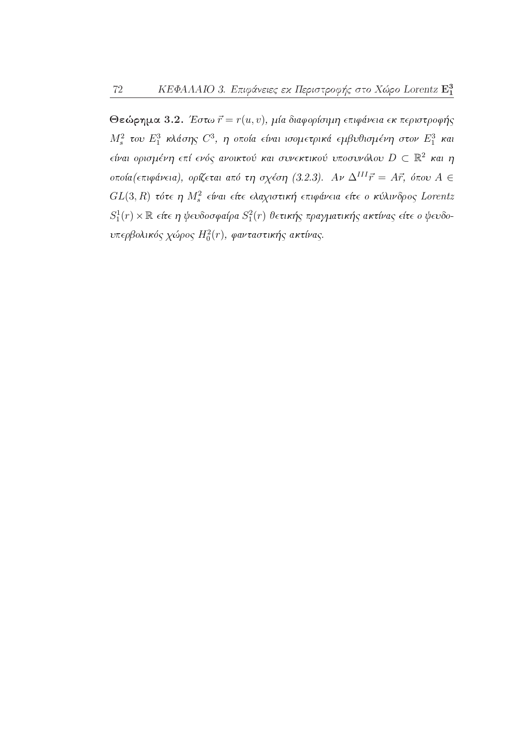72

Θεώρημα 3.2. Έστω  $\vec{r} = r(u, v)$ , μία διαφορίσιμη επιφάνεια εκ περιστροφής  $M_s^2$  του  $E_1^3$  κλάσης  $C^3$ , η οποία είναι ισομετρικά εμβυθισμένη στον  $E_1^3$  και είναι ορισμένη επί ενός ανοικτού και συνεκτικού υποσυνόλου  $D \subset \mathbb{R}^2$  και η οποία (επιφάνεια), ορίζεται από τη σχέση (3.2.3). Αν  $\Delta^{III} \vec{r} = A \vec{r}$ , όπου  $A \in$  $GL(3, R)$  τότε η  $M_s^2$  είναι είτε ελαχιστική επιφάνεια είτε ο κύλινδρος Lorentz  $S_1^1(r) \times \mathbb{R}$  είτε η ψευδοσφαίρα  $S_1^2(r)$  θετικής πραγματικής ακτίνας είτε ο ψευδουπερβολικός χώρος  $H_0^2(r)$ , φανταστικής ακτίνας.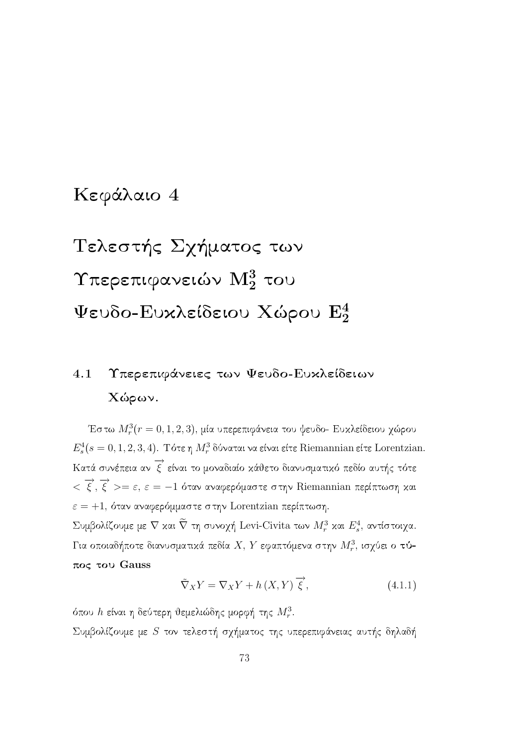## Κεφάλαιο 4

# Τελεστής Σχήματος των Υπερεπιφανειών  $\mathrm{M}_2^3$  του Ψευδο-Ευχλείδειου Χώρου  $\mathrm{E}_2^4$

## Υπερεπιφάνειες των Ψευδο-Ευχλείδειων 4.1 Χώρων.

Έστω  $M_r^3(r=0,1,2,3)$ , μία υπερεπιφάνεια του ψευδο- Ευχλείδειου χώρου  $E_s^4(s=0,1,2,3,4)$ . Τότε η  $M_r^3$ δύναται να είναι είτε Riemannian είτε Lorentzian. Κατά συνέπεια αν  $\overrightarrow{\xi}$  είναι το μοναδιαίο κάθετο διανυσματικό πεδίο αυτής τότε  $\langle \overrightarrow{\xi}, \overrightarrow{\xi} \rangle = \varepsilon$ ,  $\varepsilon = -1$  όταν αναφερόμαστε στην Riemannian περίπτωση και  $\varepsilon = +1$ , όταν αναφερόμμαστε στην Lorentzian περίπτωση. Συμβολίζουμε με  $\nabla$  και  $\widetilde{\nabla}$  τη συνοχή Levi-Civita των  $M_r^3$  και  $E_s^4$ , αντίστοιχα. Για οποιαδήποτε διανυσματικά πεδία  $X, Y$  εφαπτόμενα στην  $M_r^3$ , ισχύει ο τύ-

#### $πος του$  Gauss

$$
\tilde{\nabla}_X Y = \nabla_X Y + h(X, Y) \overrightarrow{\xi}, \qquad (4.1.1)
$$

όπου h είναι η δεύτερη θεμελιώδης μορφή της  $M_r^3$ . Συμβολίζουμε με S τον τελεστή σχήματος της υπερεπιφάνειας αυτής δηλαδή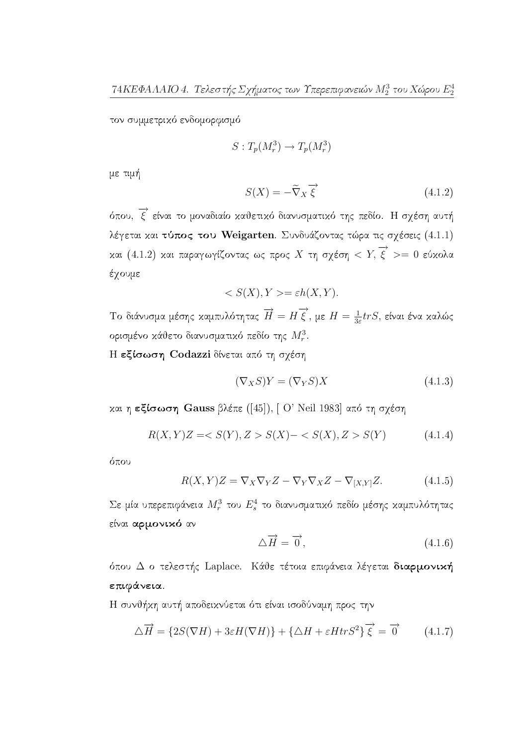τον συμμετρικό ενδομορφισμό

$$
S: T_p(M_r^3) \to T_p(M_r^3)
$$

με τιμή

$$
S(X) = -\tilde{\nabla}_X \overrightarrow{\xi}
$$
\n(4.1.2)

όπου,  $\overrightarrow{\xi}$  είναι το μοναδιαίο καθετικό διανυσματικό της πεδίο. Η σχέση αυτή λέγεται και τύπος του Weigarten. Συνδυάζοντας τώρα τις σχέσεις (4.1.1) και (4.1.2) και παραγωγίζοντας ως προς Χ τη σχέση < Υ,  $\overrightarrow{\xi}$  >= 0 εύκολα έχουμε

$$
\langle S(X), Y \rangle = \varepsilon h(X, Y).
$$

Tο διάνυσμα μέσης καμπυλότητας  $\overrightarrow{H} = H \overrightarrow{\xi}$ , με  $H = \frac{1}{3\varepsilon} trS$ , είναι ένα καλώς ορισμένο κάθετο διανυσματικό πεδίο της  $M_r^3$ .

Η εξίσωση Codazzi δίνεται από τη σχέση

$$
(\nabla_X S)Y = (\nabla_Y S)X\tag{4.1.3}
$$

και η εξίσωση Gauss βλέπε ([45]), [Ο' Neil 1983] από τη σχέση

$$
R(X,Y)Z = \langle S(Y), Z \rangle S(X) - \langle S(X), Z \rangle S(Y) \tag{4.1.4}
$$

όπου

$$
R(X,Y)Z = \nabla_X \nabla_Y Z - \nabla_Y \nabla_X Z - \nabla_{[X,Y]} Z.
$$
 (4.1.5)

Σε μία υπερεπιφάνεια  $M_r^3$  του  $E_s^4$  το διανυσματικό πεδίο μέσης καμπυλότητας είναι αρμονικό αν

$$
\Delta \overrightarrow{H} = \overrightarrow{0}, \qquad (4.1.6)
$$

όπου Δ ο τελεστής Laplace. Κάθε τέτοια επιφάνεια λέγεται διαρμονική επιφάνεια.

Η συνθήκη αυτή αποδεικνύεται ότι είναι ισοδύναμη προς την

$$
\Delta \overrightarrow{H} = \{ 2S(\nabla H) + 3\varepsilon H(\nabla H) \} + \{ \Delta H + \varepsilon H tr S^2 \} \overrightarrow{\xi} = \overrightarrow{0} \tag{4.1.7}
$$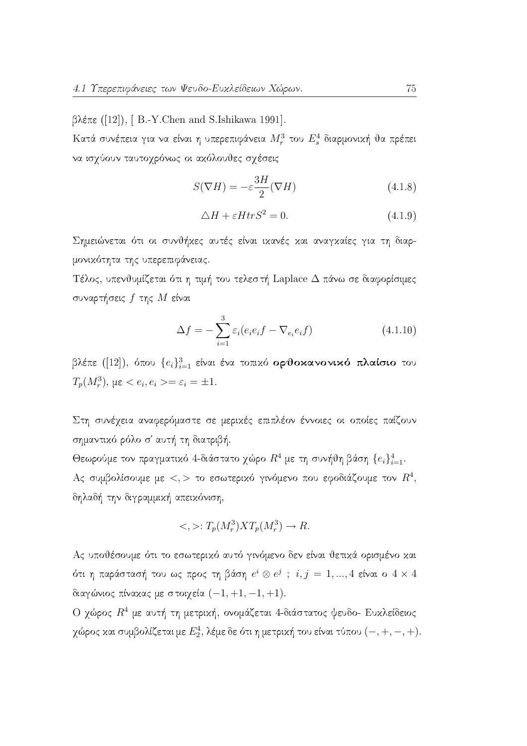$\beta$ λέπε ([12]), [B.-Y.Chen and S.Ishikawa 1991].

Κατά συνέπεια για να είναι η υπερεπιφάνεια  $M_r^3$  του  $E_s^4$  διαρμονική θα πρέπει να ισχύουν ταυτοχρόνως οι ακόλουθες σχέσεις

$$
S(\nabla H) = -\varepsilon \frac{3H}{2}(\nabla H)
$$
\n(4.1.8)

$$
\triangle H + \varepsilon H tr S^2 = 0. \tag{4.1.9}
$$

Σημειώνεται ότι οι συνθήχες αυτές είναι ιχανές χαι αναγχαίες για τη διαρμονικότητα της υπερεπιφάνειας.

Τέλος, υπενθυμίζεται ότι η τιμή του τελεστή Laplace Δ πάνω σε διαφορίσιμες συναρτήσεις  $f$  της  $M$  είναι

$$
\Delta f = -\sum_{i=1}^{3} \varepsilon_i (e_i e_i f - \nabla_{e_i} e_i f) \tag{4.1.10}
$$

βλέπε ([12]), όπου  $\{e_i\}_{i=1}^3$  είναι ένα τοπικό ορθοκανονικό πλαίσιο του  $T_p(M_r^3)$ ,  $\mu \varepsilon < e_i, e_i > = \varepsilon_i = \pm 1$ .

Στη συνέχεια αναφερόμαστε σε μερικές επιπλέον έννοιες οι οποίες παίζουν σημαντικό ρόλο σ' αυτή τη διατριβή.

Θεωρούμε τον πραγματικό 4-διάστατο χώρο  $R^4$  με τη συνήθη βάση  $\{e_i\}_{i=1}^4$ . Ας συμβολίσουμε με  $\langle \cdot, \cdot \rangle$  το εσωτερικό γινόμενο που εφοδιάζουμε τον  $R^4$ , δηλαδή την διγραμμική απεικόνιση,

$$
\langle , \rangle : T_p(M_r^3) X T_p(M_r^3) \to R.
$$

Ας υποθέσουμε ότι το εσωτερικό αυτό γινόμενο δεν είναι θετικά ορισμένο και ότι η παράστασή του ως προς τη βάση  $e^i \otimes e^j$ ;  $i, j = 1, ..., 4$  είναι ο  $4 \times 4$ διαγώνιος πίνακας με στοιχεία  $(-1, +1, -1, +1)$ .

Ο χώρος  $R^4$  με αυτή τη μετρική, ονομάζεται 4-διάστατος ψευδο- Ευκλείδειος χώρος και συμβολίζεται με  $E_2^4$ , λέμε δε ότι η μετρική του είναι τύπου  $(-, +, -, +)$ .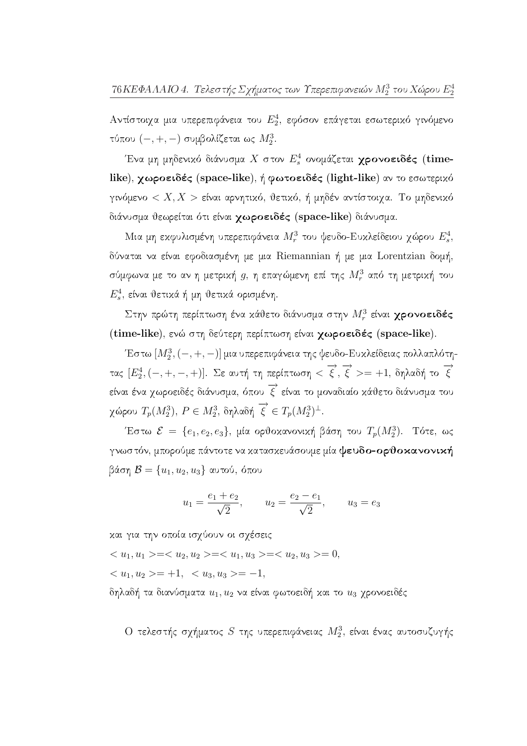Αντίστοιχα μια υπερεπιφάνεια του  $E_2^4$ , εφόσον επάγεται εσωτερικό γινόμενο τύπου  $(-, +, -)$  συμβολίζεται ως  $M_2^3$ .

Ένα μη μηδενικό διάνυσμα Χ στον  $E^4_s$  ονομάζεται χρονοειδές (timelike), χωροειδές (space-like), ή φωτοειδές (light-like) αν το εσωτερικό γινόμενο  $\langle X,X\rangle$  είναι αρνητικό, θετικό, ή μηδέν αντίστοιχα. Το μηδενικό διάνυσμα θεωρείται ότι είναι χωροειδές (space-like) διάνυσμα.

Μια μη εκφυλισμένη υπερεπιφάνεια  $M_r^3$  του ψευδο-Ευκλείδειου χώρου  $E_s^4$ , δύναται να είναι εφοδιασμένη με μια Riemannian ή με μια Lorentzian δομή, σύμφωνα με το αν η μετρική  $g$ , η επαγώμενη επί της  $M_r^3$  από τη μετρική του  $E_s^4$ , είναι θετικά ή μη θετικά ορισμένη.

Στην πρώτη περίπτωση ένα κάθετο διάνυσμα στην  $M_r^3$  είναι χρονοειδές (time-like), ενώ στη δεύτερη περίπτωση είναι χωροειδές (space-like).

Έστω  $[M_2^3, (-, +, -)]$  μια υπερεπιφάνεια της ψευδο-Ευκλείδειας πολλαπλότητας  $[E_2^4, (-, +, -, +)]$ . Σε αυτή τη περίπτωση  $<\vec{\xi}, \vec{\xi}>=+1$ , δηλαδή το  $\vec{\xi}$ είναι ένα χωροειδές διάνυσμα, όπου  $\overrightarrow{\xi}$  είναι το μοναδιαίο κάθετο διάνυσμα του χώρου  $T_p(M_2^3)$ ,  $P \in M_2^3$ , δηλαδή  $\overrightarrow{\xi} \in T_p(M_2^3)^{\perp}$ .

Έστω  $\mathcal{E} = \{e_1, e_2, e_3\}$ , μία ορθοχανονική βάση του  $T_p(M_2^3)$ . Τότε, ως γνωστόν, μπορούμε πάντοτε να κατασκευάσουμε μία ψευδο-ορθοκανονική βάση  $\mathcal{B} = \{u_1, u_2, u_3\}$  αυτού, όπου

$$
u_1 = \frac{e_1 + e_2}{\sqrt{2}},
$$
  $u_2 = \frac{e_2 - e_1}{\sqrt{2}},$   $u_3 = e_3$ 

και για την οποία ισχύουν οι σχέσεις

 $===0,$ </u>

 $\langle u_1, u_2 \rangle = +1, \langle u_3, u_3 \rangle = -1,$ 

δηλαδή τα διανύσματα  $u_1,u_2$  να είναι φωτοειδή και το  $u_3$  χρονοειδές

Ο τελεστής σχήματος  $S$  της υπερεπιφάνειας  $M_2^3$ , είναι ένας αυτοσυζυγής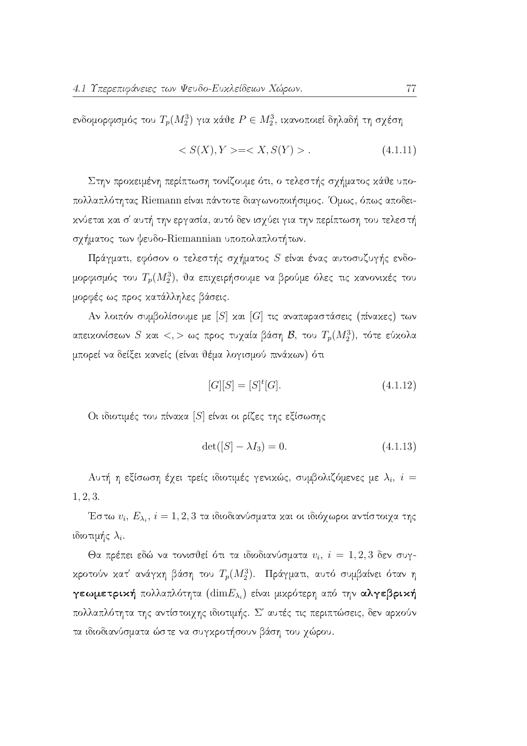ενδομορφισμός του  $T_p(M_2^3)$  για κάθε  $P \in M_2^3$ , ικανοποιεί δηλαδή τη σχέση

$$
\langle S(X), Y \rangle = \langle X, S(Y) \rangle. \tag{4.1.11}
$$

Στην προχειμένη περίπτωση τονίζουμε ότι, ο τελεστής σχήματος χάθε υποπολλαπλότητας Riemann είναι πάντοτε διαγωνοποιήσιμος. Όμως, όπως αποδεικνύεται και σ' αυτή την εργασία, αυτό δεν ισχύει για την περίπτωση του τελεστή σχήματος των ψευδο-Riemannian υποπολαπλοτήτων.

Πράγματι, εφόσον ο τελεστής σχήματος  $S$  είναι ένας αυτοσυζυγής ενδομορφισμός του  $T_p(M_2^3)$ , θα επιχειρήσουμε να βρούμε όλες τις κανονικές του μορφές ως προς κατάλληλες βάσεις.

Αν λοιπόν συμβολίσουμε με [S] και [G] τις αναπαραστάσεις (πίνακες) των απεικονίσεων S και <, > ως προς τυχαία βάση  $\mathcal{B}$ , του  $T_p(M_2^3)$ , τότε εύκολα μπορεί να δείξει κανείς (είναι θέμα λογισμού πινάκων) ότι

$$
[G][S] = [S]^t [G]. \tag{4.1.12}
$$

Οι ιδιοτιμές του πίναχα [S] είναι οι ρίζες της εξίσωσης

$$
\det([S] - \lambda I_3) = 0. \tag{4.1.13}
$$

Αυτή η εξίσωση έχει τρείς ιδιοτιμές γενικώς, συμβολιζόμενες με  $\lambda_i$ ,  $i=$  $1, 2, 3.$ 

Έστω  $v_i, E_{\lambda_i}, i = 1, 2, 3$  τα ιδιοδιανύσματα και οι ιδιόχωροι αντίστοιχα της ιδιοτιμής  $\lambda_i$ .

Θα πρέπει εδώ να τονισθεί ότι τα ιδιοδιανύσματα  $v_i$ ,  $i = 1, 2, 3$  δεν συγκροτούν κατ' ανάγκη βάση του  $T_p(M_2^3)$ . Πράγματι, αυτό συμβαίνει όταν η γεωμετρική πολλαπλότητα ( $\dim E_{\lambda_i}$ ) είναι μικρότερη από την αλγεβρική πολλαπλότητα της αντίστοιχης ιδιοτιμής. Σ' αυτές τις περιπτώσεις, δεν αρχούν τα ιδιοδιανύσματα ώστε να συγκροτήσουν βάση του γώρου.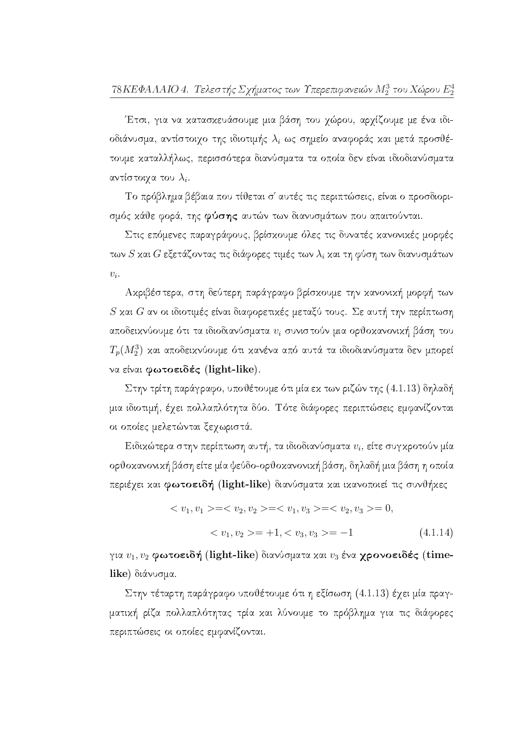Έτσι, για να χατασχευάσουμε μια βάση του χώρου, αρχίζουμε με ένα ιδιοδιάνυσμα, αντίστοιχο της ιδιοτιμής  $\lambda_i$  ως σημείο αναφοράς και μετά προσθέτουμε καταλλήλως, περισσότερα διανύσματα τα οποία δεν είναι ιδιοδιανύσματα αντίστοιχα του  $\lambda_i$ .

Το πρόβλημα βέβαια που τίθεται σ' αυτές τις περιπτώσεις, είναι ο προσδιορισμός κάθε φορά, της φύσης αυτών των διανυσμάτων που απαιτούνται.

Στις επόμενες παραγράφους, βρίσκουμε όλες τις δυνατές κανονικές μορφές των  $S$  και  $G$  εξετάζοντας τις διάφορες τιμές των  $\lambda_i$  και τη φύση των διανυσμάτων  $v_i$ .

Αχριβέστερα, στη δεύτερη παράγραφο βρίσχουμε την χανονική μορφή των  $S$  και  $G$  αν οι ιδιοτιμές είναι διαφορετικές μεταξύ τους. Σε αυτή την περίπτωση αποδεικνύουμε ότι τα ιδιοδιανύσματα  $v_i$  συνιστούν μια ορθοκανονική βάση του  $T_p(M_2^3)$  και αποδεικνύουμε ότι κανένα από αυτά τα ιδιοδιανύσματα δεν μπορεί να είναι φωτοειδές (light-like).

Στην τρίτη παράγραφο, υποθέτουμε ότι μία εκ των ριζών της  $(4.1.13)$  δηλαδή μια ιδιοτιμή, έχει πολλαπλότητα δύο. Τότε διάφορες περιπτώσεις εμφανίζονται οι οποίες μελετώνται ξεχωριστά.

Ειδικώτερα στην περίπτωση αυτή, τα ιδιοδιανύσματα  $v_i$ , είτε συγκροτούν μία ορθοκανονική βάση είτε μία ψεύδο-ορθοκανονική βάση, δηλαδή μια βάση η οποία περιέγει και φωτοειδή (light-like) διανύσματα και ικανοποιεί τις συνθήκες

$$
\langle v_1, v_1 \rangle = \langle v_2, v_2 \rangle = \langle v_1, v_3 \rangle = \langle v_2, v_3 \rangle = 0,
$$
  

$$
\langle v_1, v_2 \rangle = +1, \langle v_3, v_3 \rangle = -1
$$
 (4.1.14)

για  $v_1, v_2$  φωτοειδή (light-like) διανύσματα και  $v_3$  ένα χρονοειδές (timelike) διάνυσμα.

Στην τέταρτη παράγραφο υποθέτουμε ότι η εξίσωση (4.1.13) έχει μία πραγματική ρίζα πολλαπλότητας τρία και λύνουμε το πρόβλημα για τις διάφορες περιπτώσεις οι οποίες εμφανίζονται.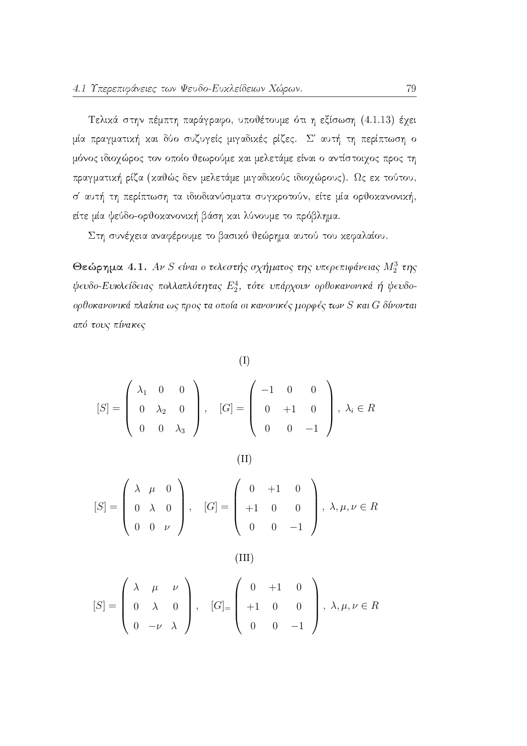Τελικά στην πέμπτη παράγραφο, υποθέτουμε ότι η εξίσωση (4.1.13) έχει μία πραγματική και δύο συζυγείς μιγαδικές ρίζες. Σ' αυτή τη περίπτωση ο μόνος ιδιοχώρος τον οποίο θεωρούμε και μελετάμε είναι ο αντίστοιχος προς τη πραγματική ρίζα (καθώς δεν μελετάμε μιγαδικούς ιδιοχώρους). Ως εκ τούτου, σ' αυτή τη περίπτωση τα ιδιοδιανύσματα συγκροτούν, είτε μία ορθοκανονική, είτε μία ψεύδο-ορθοκανονική βάση και λύνουμε το πρόβλημα.

Στη συνέχεια αναφέρουμε το βασικό θεώρημα αυτού του κεφαλαίου.

Θεώρημα 4.1. Αν S είναι ο τελεστής σχήματος της υπερεπιφάνειας  $M_2^3$  της  $\psi \in V$ δο-Ευκλείδειας πολλαπλότητας  $E_2^4$ , τότε υπάρχουν ορθοκανονικά ή ψευδοορθοκανονικά πλαίσια ως προς τα οποία οι κανονικές μορφές των S και G δίνονται από τους πίνακες

 $(I)$ 

 $(II)$ 

$$
[S] = \begin{pmatrix} \lambda_1 & 0 & 0 \\ 0 & \lambda_2 & 0 \\ 0 & 0 & \lambda_3 \end{pmatrix}, \quad [G] = \begin{pmatrix} -1 & 0 & 0 \\ 0 & +1 & 0 \\ 0 & 0 & -1 \end{pmatrix}, \lambda_i \in R
$$

$$
[S] = \begin{pmatrix} \lambda & \mu & 0 \\ 0 & \lambda & 0 \\ 0 & 0 & \nu \end{pmatrix}, \quad [G] = \begin{pmatrix} 0 & +1 & 0 \\ +1 & 0 & 0 \\ 0 & 0 & -1 \end{pmatrix}, \lambda, \mu, \nu \in R
$$

 $(III)$ 

$$
[S] = \begin{pmatrix} \lambda & \mu & \nu \\ 0 & \lambda & 0 \\ 0 & -\nu & \lambda \end{pmatrix}, \quad [G]_ = \begin{pmatrix} 0 & +1 & 0 \\ +1 & 0 & 0 \\ 0 & 0 & -1 \end{pmatrix}, \lambda, \mu, \nu \in R
$$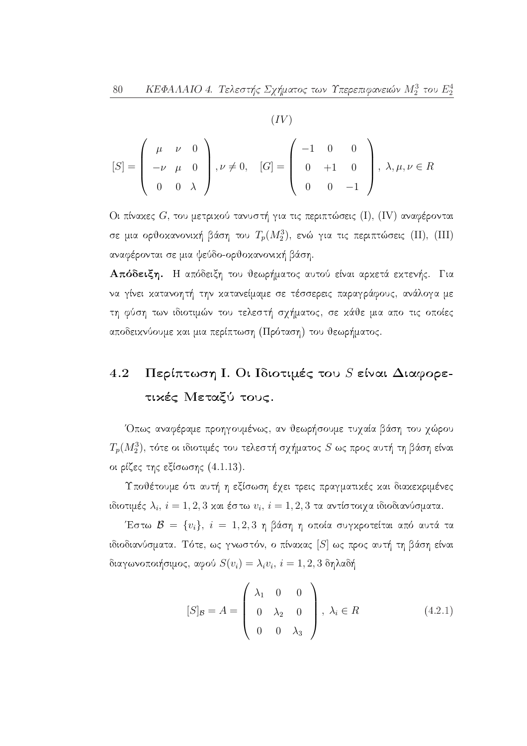$$
[S] = \begin{pmatrix} \mu & \nu & 0 \\ -\nu & \mu & 0 \\ 0 & 0 & \lambda \end{pmatrix}, \nu \neq 0, \quad [G] = \begin{pmatrix} -1 & 0 & 0 \\ 0 & +1 & 0 \\ 0 & 0 & -1 \end{pmatrix}, \lambda, \mu, \nu \in R
$$

Οι πίναχες  $G$ , του μετριχού τανυστή για τις περιπτώσεις (Ι), (IV) αναφέρονται σε μια ορθοκανονική βάση του  $T_p(M_2^3)$ , ενώ για τις περιπτώσεις (II), (III) αναφέρονται σε μια ψεύδο-ορθοκανονική βάση.

Απόδειξη. Η απόδειξη του θεωρήματος αυτού είναι αρχετά εχτενής. Για να γίνει κατανοητή την κατανείμαμε σε τέσσερεις παραγράφους, ανάλογα με τη φύση των ιδιοτιμών του τελεστή σχήματος, σε κάθε μια απο τις οποίες αποδεικνύουμε και μια περίπτωση (Πρόταση) του θεωρήματος.

### Περίπτωση Ι. Οι Ιδιοτιμές του  $S$  είναι Διαφορε-4.2 τικές Μεταξύ τους.

Όπως αναφέραμε προηγουμένως, αν θεωρήσουμε τυχαία βάση του χώρου  $T_p(M_2^3)$ , τότε οι ιδιοτιμές του τελεστή σχήματος  $S$  ως προς αυτή τη βάση είναι οι ρίζες της εξίσωσης  $(4.1.13)$ .

Υποθέτουμε ότι αυτή η εξίσωση έχει τρεις πραγματικές και διακεκριμένες ιδιοτιμές  $\lambda_i$ ,  $i = 1, 2, 3$  και έστω  $v_i$ ,  $i = 1, 2, 3$  τα αντίστοιχα ιδιοδιανύσματα.

Έστω  $\mathcal{B} = \{v_i\}, i = 1, 2, 3$  η βάση η οποία συγκροτείται από αυτά τα ιδιοδιανύσματα. Τότε, ως γνωστόν, ο πίνακας [S] ως προς αυτή τη βάση είναι διαγωνοποιήσιμος, αφού  $S(v_i) = \lambda_i v_i, i = 1, 2, 3$  δηλαδή

$$
[S]_{\mathcal{B}} = A = \begin{pmatrix} \lambda_1 & 0 & 0 \\ 0 & \lambda_2 & 0 \\ 0 & 0 & \lambda_3 \end{pmatrix}, \lambda_i \in R
$$
 (4.2.1)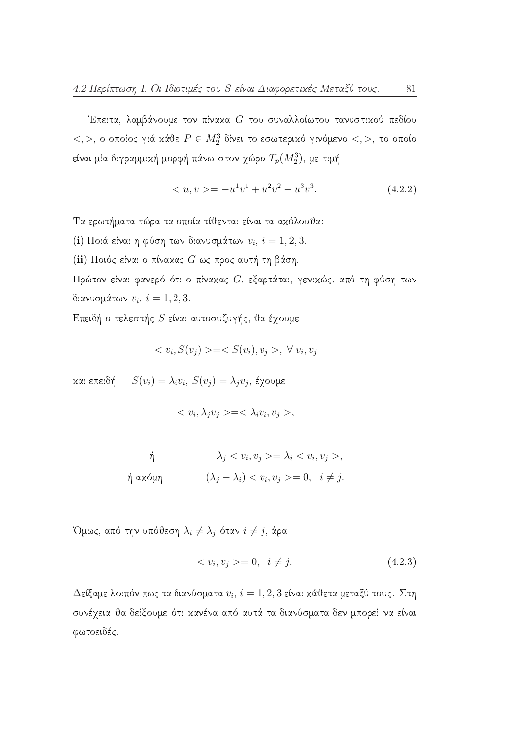Έπειτα, λαμβάνουμε τον πίνακα  $G$  του συναλλοίωτου τανυστικού πεδίου  $\langle 0, 0 \rangle$ , ο οποίος γιά κάθε  $P \in M_2^3$  δίνει το εσωτερικό γινόμενο  $\langle 0, 0 \rangle$ , το οποίο είναι μία διγραμμική μορφή πάνω στον χώρο  $T_p(M_2^3)$ , με τιμή

$$
\langle u, v \rangle = -u^1 v^1 + u^2 v^2 - u^3 v^3. \tag{4.2.2}
$$

Τα ερωτήματα τώρα τα οποία τίθενται είναι τα ακόλουθα:

(i) Ποιά είναι η φύση των διανυσμάτων  $v_i$ ,  $i = 1, 2, 3$ .

(ii) Ποιός είναι ο πίνακας  $G$  ως προς αυτή τη βάση.

Πρώτον είναι φανερό ότι ο πίνακας  $G$ , εξαρτάται, γενικώς, από τη φύση των διανυσμάτων  $v_i$ ,  $i = 1, 2, 3$ .

Επειδή ο τελεστής S είναι αυτοσυζυγής, θα έχουμε

$$
\langle v_i, S(v_j) \rangle = \langle S(v_i), v_j \rangle, \forall v_i, v_j
$$

και επειδή  $S(v_i) = \lambda_i v_i, S(v_j) = \lambda_j v_j, \xi \chi$ ουμε

$$
\langle v_i, \lambda_j v_j \rangle = \langle \lambda_i v_i, v_j \rangle,
$$

$$
\begin{aligned}\n\dot{\eta} & \lambda_j < v_i, v_j >= \lambda_i < v_i, v_j >, \\
\dot{\eta} \, \text{ax\'o} \mu \eta & \left(\lambda_j - \lambda_i\right) < v_i, v_j >= 0, \quad i \neq j.\n\end{aligned}
$$

Όμως, από την υπόθεση  $\lambda_i \neq \lambda_j$  όταν  $i \neq j$ , άρα

$$
\langle v_i, v_j \rangle = 0, \quad i \neq j. \tag{4.2.3}
$$

Δείξαμε λοιπόν πως τα διανύσματα  $v_i$ ,  $i = 1, 2, 3$  είναι κάθετα μεταξύ τους. Στη συνέχεια θα δείξουμε ότι κανένα από αυτά τα διανύσματα δεν μπορεί να είναι φωτοειδές.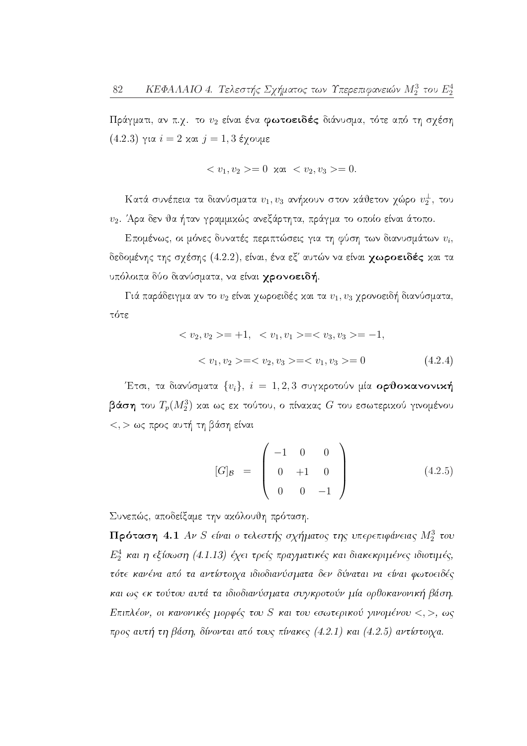Πράγματι, αν π.χ. το  $v_2$  είναι ένα φωτοειδές διάνυσμα, τότε από τη σχέση  $(4.2.3)$  για  $i = 2$  και  $j = 1, 3$  έχουμε

$$
\langle v_1, v_2 \rangle = 0 \quad \text{and} \quad \langle v_2, v_3 \rangle = 0.
$$

Κατά συνέπεια τα διανύσματα  $v_1,v_3$  ανήκουν στον κάθετον χώρο  $v_2^{\perp}$ , του υ2. Άρα δεν θα ήταν γραμμικώς ανεξάρτητα, πράγμα το οποίο είναι άτοπο.

Επομένως, οι μόνες δυνατές περιπτώσεις για τη φύση των διανυσμάτων  $v_i$ , δεδομένης της σχέσης (4.2.2), είναι, ένα εξ' αυτών να είναι χωροειδές και τα υπόλοιπα δύο διανύσματα, να είναι γρονοειδή.

Γιά παράδειγμα αν το  $v_2$  είναι χωροειδές και τα  $v_1, v_3$  χρονοειδή διανύσματα, τότε

$$
\langle v_2, v_2 \rangle = +1, \quad \langle v_1, v_1 \rangle = \langle v_3, v_3 \rangle = -1,
$$
  

$$
\langle v_1, v_2 \rangle = \langle v_2, v_3 \rangle = \langle v_1, v_3 \rangle = 0
$$
 (4.2.4)

Έτσι, τα διανύσματα  $\{v_i\}, i = 1, 2, 3$  συγκροτούν μία ορθοκανονική βάση του  $T_p(M_2^3)$  και ως εκ τούτου, ο πίνακας  $G$  του εσωτερικού γινομένου  $<, > \omega$ ς προς αυτή τη βάση είναι

$$
[G]_{\mathcal{B}} = \begin{pmatrix} -1 & 0 & 0 \\ 0 & +1 & 0 \\ 0 & 0 & -1 \end{pmatrix}
$$
 (4.2.5)

Συνεπώς, αποδείξαμε την ακόλουθη πρόταση.

Πρόταση 4.1 Αν S είναι ο τελεστής σχήματος της υπερεπιφάνειας  $M_2^3$  του  $E_2^4$  και η εξίσωση (4.1.13) έχει τρείς πραγματικές και διακεκριμένες ιδιοτιμές, τότε κανένα από τα αντίστοιχα ιδιοδιανύσματα δεν δύναται να είναι φωτοειδές και ως εκ τούτου αυτά τα ιδιοδιανύσματα συγκροτούν μία ορθοκανονική βάση. Επιπλέον, οι κανονικές μορφές του S και του εσωτερικού γινομένου <, >, ως προς αυτή τη βάση, δίνονται από τους πίνακες (4.2.1) και (4.2.5) αντίστοιχα.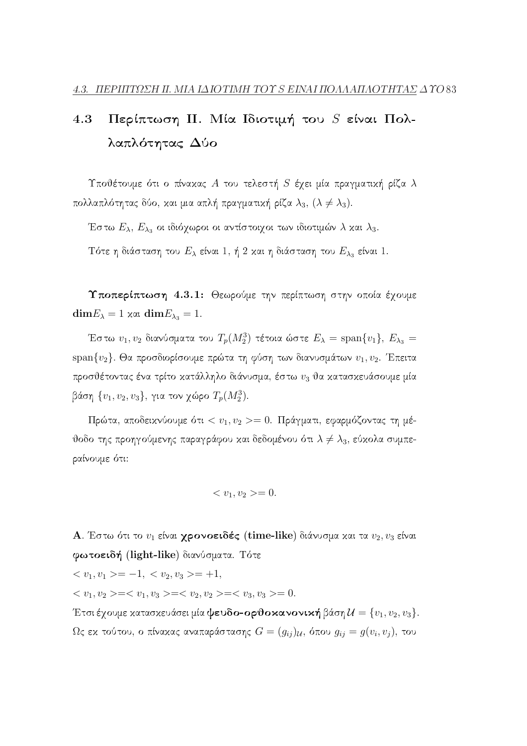#### 4.3 Περίπτωση ΙΙ. Μία Ιδιοτιμή του  $S$  είναι Πολλαπλότητας Δύο

Υποθέτουμε ότι ο πίναχας  $A$  του τελεστή  $S$  έχει μία πραγματική ρίζα  $\lambda$ πολλαπλότητας δύο, και μια απλή πραγματική ρίζα  $\lambda_3$ ,  $(\lambda \neq \lambda_3)$ .

Έστω  $E_\lambda, \, E_{\lambda_3}$  οι ιδιόχωροι οι αντίστοιχοι των ιδιοτιμών  $\lambda$  και  $\lambda_3.$ 

Τότε η διάσταση του  $E_{\lambda}$  είναι 1, ή 2 και η διάσταση του  $E_{\lambda_3}$  είναι 1.

Υποπερίπτωση 4.3.1: Θεωρούμε την περίπτωση στην οποία έχουμε  $\dim E_{\lambda} = 1$  xat  $\dim E_{\lambda_3} = 1$ .

Έστω  $v_1, v_2$  διανύσματα του  $T_p(M_2^3)$  τέτοια ώστε  $E_{\lambda} = \text{span}\{v_1\}, E_{\lambda_3} =$ span $\{v_2\}$ . Θα προσδιορίσουμε πρώτα τη φύση των διανυσμάτων  $v_1, v_2$ . Έπειτα προσθέτοντας ένα τρίτο κατάλληλο διάνυσμα, έστω  $v_3$  θα κατασκευάσουμε μία βάση  $\{v_1, v_2, v_3\}$ , για τον γώρο  $T_p(M_2^3)$ .

Πρώτα, αποδεικνύουμε ότι <  $v_1, v_2 >= 0$ . Πράγματι, εφαρμόζοντας τη μέθοδο της προηγούμενης παραγράφου και δεδομένου ότι  $\lambda \neq \lambda_3$ , εύκολα συμπεραίνουμε ότι:

$$
\langle v_1, v_2 \rangle = 0.
$$

Α. Έστω ότι το  $v_1$  είναι γρονοειδές (time-like) διάνυσμα και τα  $v_2$ ,  $v_3$  είναι φωτοειδή (light-like) διανύσματα. Τότε

 $\langle v_1, v_1 \rangle = -1, \langle v_2, v_3 \rangle = +1,$ 

 $\langle v_1, v_2 \rangle = \langle v_1, v_3 \rangle = \langle v_2, v_2 \rangle = \langle v_3, v_3 \rangle = 0.$ 

Έτσι έχουμε κατασκευάσει μία ψευδο-ορθοκανονική βάση  $\mathcal{U} = \{v_1, v_2, v_3\}.$  $\Omega$ ς εκ τούτου, ο πίνακας αναπαράστασης  $G = (g_{ij})_{\mathcal{U}}$ , όπου  $g_{ij} = g(v_i, v_j)$ , του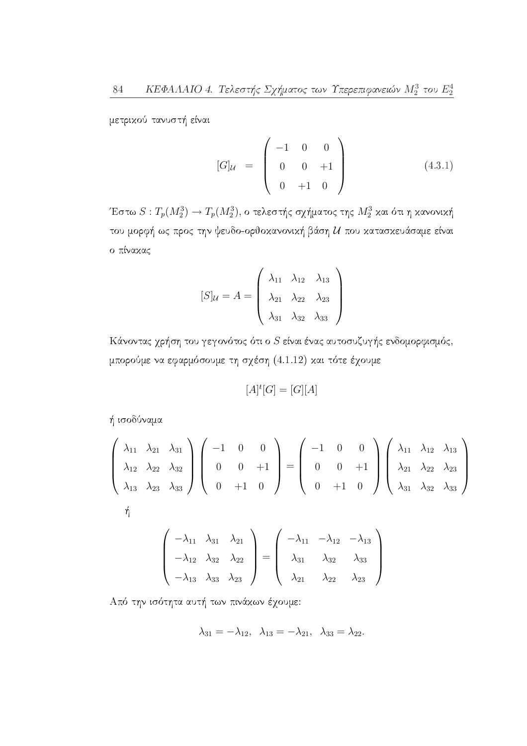μετρικού τανυστή είναι

$$
[G]_{\mathcal{U}} = \begin{pmatrix} -1 & 0 & 0 \\ 0 & 0 & +1 \\ 0 & +1 & 0 \end{pmatrix}
$$
 (4.3.1)

Έστω $S: T_p(M^3_2) \to T_p(M^3_2),$ ο τελεστής σχήματος της $M^3_2$ και ότι η κανονική του μορφή ως προς την ψευδο-ορθοκανονική βάση  $\mathcal U$  που κατασκευάσαμε είναι ο πίνακας

$$
[S]_{\mathcal{U}} = A = \begin{pmatrix} \lambda_{11} & \lambda_{12} & \lambda_{13} \\ \lambda_{21} & \lambda_{22} & \lambda_{23} \\ \lambda_{31} & \lambda_{32} & \lambda_{33} \end{pmatrix}
$$

Κάνοντας χρήση του γεγονότος ότι ο  $S$  είναι ένας αυτοσυζυγής ενδομορφισμός, μπορούμε να εφαρμόσουμε τη σχέση (4.1.12) και τότε έχουμε

$$
[A]^t[G] = [G][A]
$$

ή ισοδύναμα

$$
\begin{pmatrix}\n\lambda_{11} & \lambda_{21} & \lambda_{31} \\
\lambda_{12} & \lambda_{22} & \lambda_{32} \\
\lambda_{13} & \lambda_{23} & \lambda_{33}\n\end{pmatrix}\n\begin{pmatrix}\n-1 & 0 & 0 \\
0 & 0 & +1 \\
0 & +1 & 0\n\end{pmatrix}\n=\n\begin{pmatrix}\n-1 & 0 & 0 \\
0 & 0 & +1 \\
0 & +1 & 0\n\end{pmatrix}\n\begin{pmatrix}\n\lambda_{11} & \lambda_{12} & \lambda_{13} \\
\lambda_{21} & \lambda_{22} & \lambda_{23} \\
\lambda_{31} & \lambda_{32} & \lambda_{33}\n\end{pmatrix}
$$
\n
$$
\begin{pmatrix}\n-\lambda_{11} & \lambda_{31} & \lambda_{21} \\
-\lambda_{12} & \lambda_{32} & \lambda_{22} \\
-\lambda_{13} & \lambda_{33} & \lambda_{23}\n\end{pmatrix}\n=\n\begin{pmatrix}\n-\lambda_{11} & -\lambda_{12} & -\lambda_{13} \\
\lambda_{31} & \lambda_{32} & \lambda_{33} \\
\lambda_{21} & \lambda_{22} & \lambda_{23}\n\end{pmatrix}
$$

Από την ισότητα αυτή των πινάχων έχουμε:

$$
\lambda_{31} = -\lambda_{12}, \lambda_{13} = -\lambda_{21}, \lambda_{33} = \lambda_{22}.
$$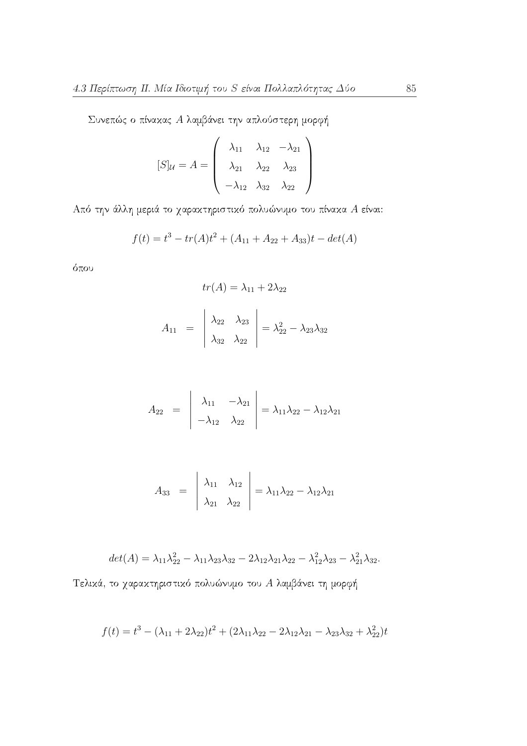Συνεπώς ο πίναχας Α λαμβάνει την απλούστερη μορφή

$$
[S]_{\mathcal{U}} = A = \begin{pmatrix} \lambda_{11} & \lambda_{12} & -\lambda_{21} \\ \lambda_{21} & \lambda_{22} & \lambda_{23} \\ -\lambda_{12} & \lambda_{32} & \lambda_{22} \end{pmatrix}
$$

Από την άλλη μεριά το χαρακτηριστικό πολυώνυμο του πίνακα Α είναι:

$$
f(t) = t3 - tr(A)t2 + (A11 + A22 + A33)t - det(A)
$$

όπου

$$
tr(A) = \lambda_{11} + 2\lambda_{22}
$$

$$
A_{11} = \begin{vmatrix} \lambda_{22} & \lambda_{23} \\ \lambda_{32} & \lambda_{22} \end{vmatrix} = \lambda_{22}^2 - \lambda_{23}\lambda_{32}
$$

$$
A_{22} = \begin{vmatrix} \lambda_{11} & -\lambda_{21} \\ -\lambda_{12} & \lambda_{22} \end{vmatrix} = \lambda_{11}\lambda_{22} - \lambda_{12}\lambda_{21}
$$

$$
A_{33} = \begin{vmatrix} \lambda_{11} & \lambda_{12} \\ \lambda_{21} & \lambda_{22} \end{vmatrix} = \lambda_{11}\lambda_{22} - \lambda_{12}\lambda_{21}
$$

$$
det(A) = \lambda_{11}\lambda_{22}^2 - \lambda_{11}\lambda_{23}\lambda_{32} - 2\lambda_{12}\lambda_{21}\lambda_{22} - \lambda_{12}^2\lambda_{23} - \lambda_{21}^2\lambda_{32}.
$$

Τελικά, το χαρακτηριστικό πολυώνυμο του Α<br/> λαμβάνει τη μορφή

$$
f(t) = t3 - (\lambda_{11} + 2\lambda_{22})t2 + (2\lambda_{11}\lambda_{22} - 2\lambda_{12}\lambda_{21} - \lambda_{23}\lambda_{32} + \lambda_{22}^{2})t
$$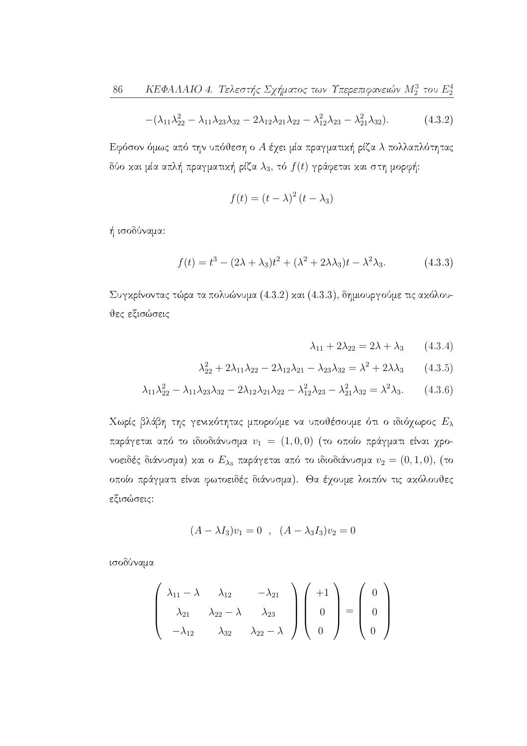$$
-(\lambda_{11}\lambda_{22}^2 - \lambda_{11}\lambda_{23}\lambda_{32} - 2\lambda_{12}\lambda_{21}\lambda_{22} - \lambda_{12}^2\lambda_{23} - \lambda_{21}^2\lambda_{32}).
$$
 (4.3.2)

Εφόσον όμως από την υπόθεση ο Α έχει μία πραγματική ρίζα λ πολλαπλότητας δύο και μία απλή πραγματική ρίζα  $\lambda_3$ , τό  $f(t)$  γράφεται και στη μορφή:

$$
f(t) = (t - \lambda)^2 (t - \lambda_3)
$$

ή ισοδύναμα:

$$
f(t) = t3 - (2\lambda + \lambda_3)t2 + (\lambda2 + 2\lambda\lambda_3)t - \lambda2\lambda_3.
$$
 (4.3.3)

Συγκρίνοντας τώρα τα πολυώνυμα  $(4.3.2)$  και  $(4.3.3)$ , δημιουργούμε τις ακόλουθες εξισώσεις

$$
\lambda_{11} + 2\lambda_{22} = 2\lambda + \lambda_3 \qquad (4.3.4)
$$

$$
\lambda_{22}^2 + 2\lambda_{11}\lambda_{22} - 2\lambda_{12}\lambda_{21} - \lambda_{23}\lambda_{32} = \lambda^2 + 2\lambda\lambda_3 \qquad (4.3.5)
$$

$$
\lambda_{11}\lambda_{22}^2 - \lambda_{11}\lambda_{23}\lambda_{32} - 2\lambda_{12}\lambda_{21}\lambda_{22} - \lambda_{12}^2\lambda_{23} - \lambda_{21}^2\lambda_{32} = \lambda^2\lambda_3. \tag{4.3.6}
$$

Χωρίς βλάβη της γενικότητας μπορούμε να υποθέσουμε ότι ο ιδιόχωρος  $E_{\lambda}$ παράγεται από το ιδιοδιάνυσμα  $v_1 = (1,0,0)$  (το οποίο πράγματι είναι χρονοειδές διάνυσμα) και ο  $E_{\lambda_3}$  παράγεται από το ιδιοδιάνυσμα  $v_2=(0,1,0)$ , (το οποίο πράγματι είναι φωτοειδές διάνυσμα). Θα έχουμε λοιπόν τις ακόλουθες εξισώσεις:

$$
(A - \lambda I_3)v_1 = 0 \quad , \quad (A - \lambda_3 I_3)v_2 = 0
$$

ισοδύναμα

$$
\begin{pmatrix}\n\lambda_{11} - \lambda & \lambda_{12} & -\lambda_{21} \\
\lambda_{21} & \lambda_{22} - \lambda & \lambda_{23} \\
-\lambda_{12} & \lambda_{32} & \lambda_{22} - \lambda\n\end{pmatrix}\n\begin{pmatrix}\n+1 \\
0 \\
0\n\end{pmatrix} = \begin{pmatrix}\n0 \\
0 \\
0\n\end{pmatrix}
$$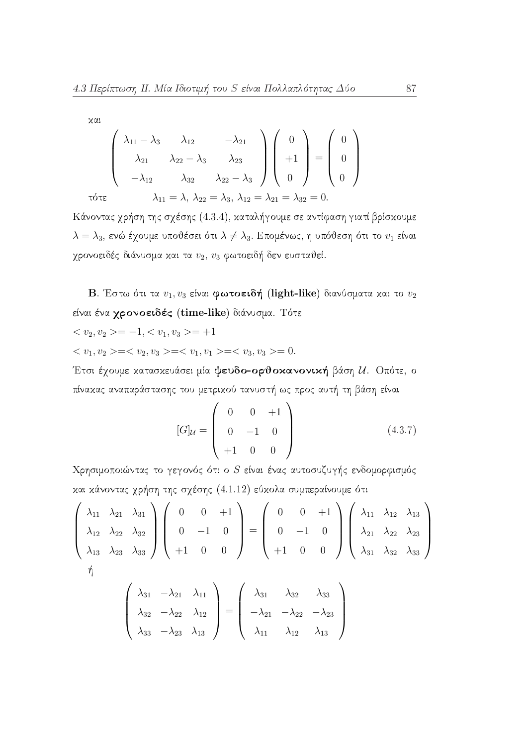$$
\begin{pmatrix}\n\lambda_{11} - \lambda_3 & \lambda_{12} & -\lambda_{21} \\
\lambda_{21} & \lambda_{22} - \lambda_3 & \lambda_{23} \\
-\lambda_{12} & \lambda_{32} & \lambda_{22} - \lambda_3\n\end{pmatrix}\n\begin{pmatrix}\n0 \\
+1 \\
0\n\end{pmatrix} = \begin{pmatrix}\n0 \\
0 \\
0\n\end{pmatrix}
$$
\n
$$
\begin{pmatrix}\n\lambda_{11} - \lambda_3 & \lambda_{12} \\
-\lambda_{12} & \lambda_{32} & \lambda_{22} - \lambda_3\n\end{pmatrix}\n\begin{pmatrix}\n0 \\
+1 \\
0\n\end{pmatrix} = \begin{pmatrix}\n0 \\
0 \\
0\n\end{pmatrix}
$$
\n
$$
\begin{pmatrix}\n\lambda_{11} = \lambda, \lambda_{22} = \lambda_3, \lambda_{12} = \lambda_{21} = \lambda_{32} = 0.
$$

Κάνοντας χρήση της σχέσης (4.3.4), καταλήγουμε σε αντίφαση γιατί βρίσκουμε  $\lambda = \lambda_3$ , ενώ έχουμε υποθέσει ότι  $\lambda \neq \lambda_3$ . Επομένως, η υπόθεση ότι το  $v_1$  είναι χρονοειδές διάνυσμα και τα  $v_2$ ,  $v_3$  φωτοειδή δεν ευσταθεί.

**B**. Έστω ότι τα  $v_1, v_3$  είναι φωτοειδή (light-like) διανύσματα και το  $v_2$ είναι ένα χρονοειδές (time-like) διάνυσμα. Τότε

$$
\langle v_2, v_2 \rangle = -1, \langle v_1, v_3 \rangle = +1
$$

 $\langle v_1, v_2 \rangle = \langle v_2, v_3 \rangle = \langle v_1, v_1 \rangle = \langle v_3, v_3 \rangle = 0.$ 

Έτσι έχουμε κατασκευάσει μία ψευδο-ορθοκανονική βάση  $U$ . Οπότε, ο πίνακας αναπαράστασης του μετρικού τανυστή ως προς αυτή τη βάση είναι

$$
[G]_{\mathcal{U}} = \begin{pmatrix} 0 & 0 & +1 \\ 0 & -1 & 0 \\ +1 & 0 & 0 \end{pmatrix}
$$
 (4.3.7)

Χρησιμοποιώντας το γεγονός ότι ο S είναι ένας αυτοσυζυγής ενδομορφισμός και κάνοντας χρήση της σχέσης (4.1.12) εύκολα συμπεραίνουμε ότι

$$
\begin{pmatrix}\n\lambda_{11} & \lambda_{21} & \lambda_{31} \\
\lambda_{12} & \lambda_{22} & \lambda_{32} \\
\lambda_{13} & \lambda_{23} & \lambda_{33}\n\end{pmatrix}\n\begin{pmatrix}\n0 & 0 & +1 \\
0 & -1 & 0 \\
+1 & 0 & 0\n\end{pmatrix}\n=\n\begin{pmatrix}\n0 & 0 & +1 \\
0 & -1 & 0 \\
+1 & 0 & 0\n\end{pmatrix}\n\begin{pmatrix}\n\lambda_{11} & \lambda_{12} & \lambda_{13} \\
\lambda_{21} & \lambda_{22} & \lambda_{23} \\
\lambda_{31} & \lambda_{32} & \lambda_{33}\n\end{pmatrix}
$$
\n
$$
\begin{pmatrix}\n\lambda_{31} & -\lambda_{21} & \lambda_{11} \\
\end{pmatrix}\n\begin{pmatrix}\n\lambda_{31} & \lambda_{32} & \lambda_{33} \\
\end{pmatrix}
$$

$$
\begin{pmatrix}\n\lambda_{31} & -\lambda_{21} & \lambda_{11} \\
\lambda_{32} & -\lambda_{22} & \lambda_{12} \\
\lambda_{33} & -\lambda_{23} & \lambda_{13}\n\end{pmatrix} = \begin{pmatrix}\n\lambda_{31} & \lambda_{32} & \lambda_{33} \\
-\lambda_{21} & -\lambda_{22} & -\lambda_{23} \\
\lambda_{11} & \lambda_{12} & \lambda_{13}\n\end{pmatrix}
$$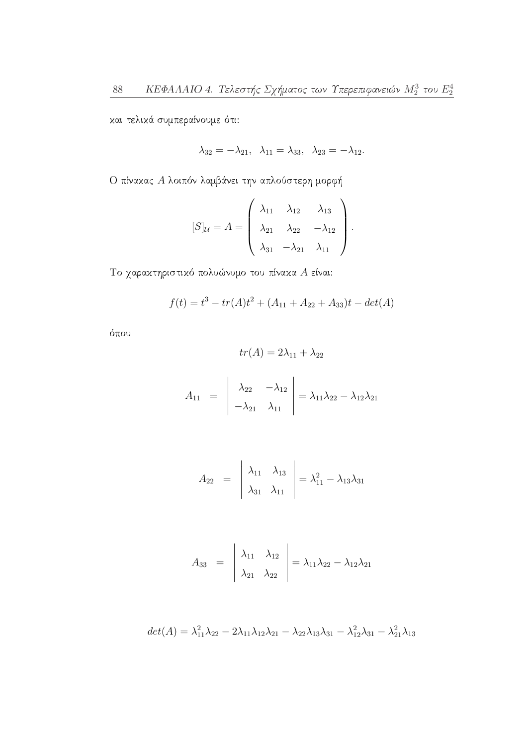και τελικά συμπεραίνουμε ότι:

$$
\lambda_{32} = -\lambda_{21}, \lambda_{11} = \lambda_{33}, \lambda_{23} = -\lambda_{12}.
$$

Ο πίνακας Α λοιπόν λαμβάνει την απλούστερη μορφή

$$
[S]_{\mathcal{U}} = A = \begin{pmatrix} \lambda_{11} & \lambda_{12} & \lambda_{13} \\ \lambda_{21} & \lambda_{22} & -\lambda_{12} \\ \lambda_{31} & -\lambda_{21} & \lambda_{11} \end{pmatrix}.
$$

Το χαρακτηριστικό πολυώνυμο του πίνακα  $A$  είναι:

$$
f(t) = t3 - tr(A)t2 + (A11 + A22 + A33)t - det(A)
$$

όπου

$$
tr(A) = 2\lambda_{11} + \lambda_{22}
$$

$$
A_{11} = \begin{vmatrix} \lambda_{22} & -\lambda_{12} \\ -\lambda_{21} & \lambda_{11} \end{vmatrix} = \lambda_{11}\lambda_{22} - \lambda_{12}\lambda_{21}
$$

$$
A_{22} = \begin{vmatrix} \lambda_{11} & \lambda_{13} \\ \lambda_{31} & \lambda_{11} \end{vmatrix} = \lambda_{11}^2 - \lambda_{13}\lambda_{31}
$$

$$
A_{33} = \begin{vmatrix} \lambda_{11} & \lambda_{12} \\ \lambda_{21} & \lambda_{22} \end{vmatrix} = \lambda_{11}\lambda_{22} - \lambda_{12}\lambda_{21}
$$

$$
det(A) = \lambda_{11}^2 \lambda_{22} - 2\lambda_{11} \lambda_{12} \lambda_{21} - \lambda_{22} \lambda_{13} \lambda_{31} - \lambda_{12}^2 \lambda_{31} - \lambda_{21}^2 \lambda_{13}
$$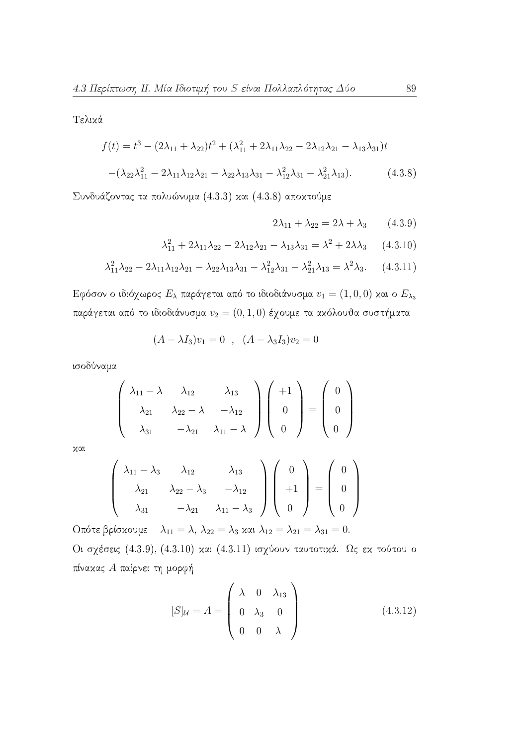Τελικά

$$
f(t) = t3 - (2\lambda_{11} + \lambda_{22})t2 + (\lambda_{11}^{2} + 2\lambda_{11}\lambda_{22} - 2\lambda_{12}\lambda_{21} - \lambda_{13}\lambda_{31})t
$$

$$
-(\lambda_{22}\lambda_{11}^{2} - 2\lambda_{11}\lambda_{12}\lambda_{21} - \lambda_{22}\lambda_{13}\lambda_{31} - \lambda_{12}^{2}\lambda_{31} - \lambda_{21}^{2}\lambda_{13}).
$$
(4.3.8)

Συνδυάζοντας τα πολυώνυμα (4.3.3) και (4.3.8) αποκτούμε

$$
2\lambda_{11} + \lambda_{22} = 2\lambda + \lambda_3 \qquad (4.3.9)
$$

$$
\lambda_{11}^2 + 2\lambda_{11}\lambda_{22} - 2\lambda_{12}\lambda_{21} - \lambda_{13}\lambda_{31} = \lambda^2 + 2\lambda\lambda_3 \qquad (4.3.10)
$$

$$
\lambda_{11}^2 \lambda_{22} - 2\lambda_{11} \lambda_{12} \lambda_{21} - \lambda_{22} \lambda_{13} \lambda_{31} - \lambda_{12}^2 \lambda_{31} - \lambda_{21}^2 \lambda_{13} = \lambda^2 \lambda_3. \tag{4.3.11}
$$

Εφόσον ο ιδιόχωρος  $E_{\lambda}$  παράγεται από το ιδιοδιάνυσμα  $v_1 = (1,0,0)$  και ο  $E_{\lambda_3}$ παράγεται από το ιδιοδιάνυσμα $v_2=(0,1,0)$ έχουμε τα ακόλουθα συστήματα

$$
(A - \lambda I_3)v_1 = 0 \quad , \quad (A - \lambda_3 I_3)v_2 = 0
$$

ισοδύναμα

$$
\begin{pmatrix}\n\lambda_{11} - \lambda & \lambda_{12} & \lambda_{13} \\
\lambda_{21} & \lambda_{22} - \lambda & -\lambda_{12} \\
\lambda_{31} & -\lambda_{21} & \lambda_{11} - \lambda\n\end{pmatrix}\n\begin{pmatrix}\n+1 \\
0 \\
0\n\end{pmatrix} = \begin{pmatrix}\n0 \\
0 \\
0\n\end{pmatrix}
$$

 $x\alpha$ 

$$
\begin{pmatrix}\n\lambda_{11} - \lambda_3 & \lambda_{12} & \lambda_{13} \\
\lambda_{21} & \lambda_{22} - \lambda_3 & -\lambda_{12} \\
\lambda_{31} & -\lambda_{21} & \lambda_{11} - \lambda_3\n\end{pmatrix}\n\begin{pmatrix}\n0 \\
+1 \\
0\n\end{pmatrix} =\n\begin{pmatrix}\n0 \\
0 \\
0\n\end{pmatrix}
$$

Oπότε βρίσκουμε  $\lambda_{11} = \lambda$ ,  $\lambda_{22} = \lambda_3$  και  $\lambda_{12} = \lambda_{21} = \lambda_{31} = 0$ . Οι σχέσεις (4.3.9), (4.3.10) και (4.3.11) ισχύουν ταυτοτικά. Ως εκ τούτου ο πίνακας Α παίρνει τη μορφή

$$
[S]_{\mathcal{U}} = A = \begin{pmatrix} \lambda & 0 & \lambda_{13} \\ 0 & \lambda_3 & 0 \\ 0 & 0 & \lambda \end{pmatrix}
$$
 (4.3.12)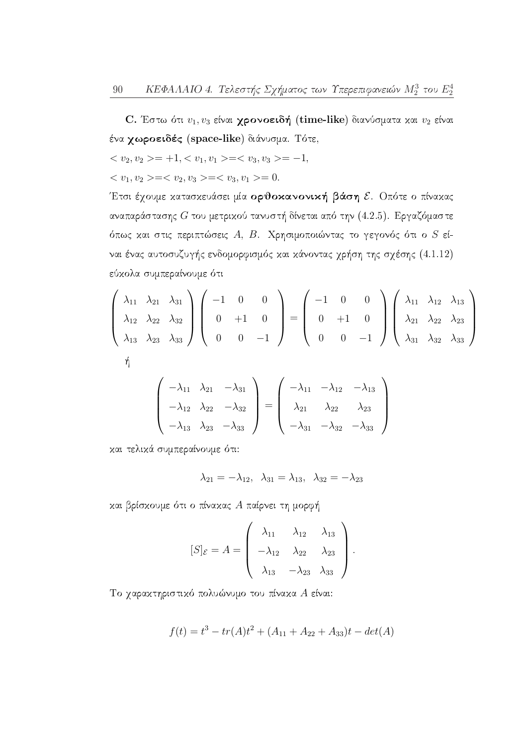C. Έστω ότι  $v_1, v_3$  είναι χρονοειδή (time-like) διανύσματα και  $v_2$  είναι ένα χωροειδές (space-like) διάνυσμα. Τότε,

$$
\langle v_2, v_2 \rangle = +1, \langle v_1, v_1 \rangle = \langle v_3, v_3 \rangle = -1,
$$

 $\langle v_1, v_2 \rangle = \langle v_2, v_3 \rangle = \langle v_3, v_1 \rangle = 0.$ 

Έτσι έχουμε κατασκευάσει μία ορθοκανονική βάση ε. Οπότε ο πίνακας αναπαράστασης  $G$  του μετρικού τανυστή δίνεται από την (4.2.5). Εργαζόμαστε όπως και στις περιπτώσεις Α, Β. Χρησιμοποιώντας το γεγονός ότι ο  $S$  είναι ένας αυτοσυζυγής ενδομορφισμός και κάνοντας χρήση της σχέσης (4.1.12) εύχολα συμπεραίνουμε ότι

$$
\begin{pmatrix}\n\lambda_{11} & \lambda_{21} & \lambda_{31} \\
\lambda_{12} & \lambda_{22} & \lambda_{32} \\
\lambda_{13} & \lambda_{23} & \lambda_{33}\n\end{pmatrix}\n\begin{pmatrix}\n-1 & 0 & 0 \\
0 & +1 & 0 \\
0 & 0 & -1\n\end{pmatrix}\n=\n\begin{pmatrix}\n-1 & 0 & 0 \\
0 & +1 & 0 \\
0 & 0 & -1\n\end{pmatrix}\n\begin{pmatrix}\n\lambda_{11} & \lambda_{12} & \lambda_{13} \\
\lambda_{21} & \lambda_{22} & \lambda_{23} \\
\lambda_{31} & \lambda_{32} & \lambda_{33}\n\end{pmatrix}
$$
\n
$$
\begin{pmatrix}\n-\lambda_{11} & \lambda_{21} & -\lambda_{31} \\
\lambda_{21} & -\lambda_{12} & -\lambda_{13}\n\end{pmatrix}
$$

$$
\begin{pmatrix}\n-\lambda_{11} & \lambda_{21} & -\lambda_{31} \\
-\lambda_{12} & \lambda_{22} & -\lambda_{32} \\
-\lambda_{13} & \lambda_{23} & -\lambda_{33}\n\end{pmatrix} = \begin{pmatrix}\n-\lambda_{11} & -\lambda_{12} & -\lambda_{13} \\
\lambda_{21} & \lambda_{22} & \lambda_{23} \\
-\lambda_{31} & -\lambda_{32} & -\lambda_{33}\n\end{pmatrix}
$$

και τελικά συμπεραίνουμε ότι:

$$
\lambda_{21} = -\lambda_{12}, \ \lambda_{31} = \lambda_{13}, \ \lambda_{32} = -\lambda_{23}
$$

και βρίσκουμε ότι ο πίνακας Α παίρνει τη μορφή

$$
[S]_{\mathcal{E}} = A = \begin{pmatrix} \lambda_{11} & \lambda_{12} & \lambda_{13} \\ -\lambda_{12} & \lambda_{22} & \lambda_{23} \\ \lambda_{13} & -\lambda_{23} & \lambda_{33} \end{pmatrix}.
$$

Το χαρακτηριστικό πολυώνυμο του πίνακα Α είναι:

$$
f(t) = t3 - tr(A)t2 + (A11 + A22 + A33)t - det(A)
$$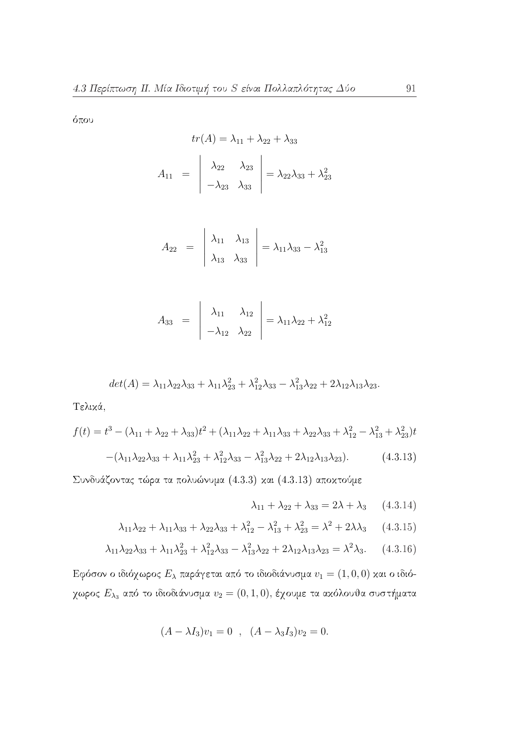όπου

$$
tr(A) = \lambda_{11} + \lambda_{22} + \lambda_{33}
$$

$$
A_{11} = \begin{vmatrix} \lambda_{22} & \lambda_{23} \\ -\lambda_{23} & \lambda_{33} \end{vmatrix} = \lambda_{22}\lambda_{33} + \lambda_{23}^2
$$

$$
A_{22} = \begin{vmatrix} \lambda_{11} & \lambda_{13} \\ \lambda_{13} & \lambda_{33} \end{vmatrix} = \lambda_{11}\lambda_{33} - \lambda_{13}^2
$$

$$
A_{33} = \begin{vmatrix} \lambda_{11} & \lambda_{12} \\ -\lambda_{12} & \lambda_{22} \end{vmatrix} = \lambda_{11}\lambda_{22} + \lambda_{12}^2
$$

$$
det(A) = \lambda_{11}\lambda_{22}\lambda_{33} + \lambda_{11}\lambda_{23}^2 + \lambda_{12}^2\lambda_{33} - \lambda_{13}^2\lambda_{22} + 2\lambda_{12}\lambda_{13}\lambda_{23}.
$$

Τελικά,

$$
f(t) = t^3 - (\lambda_{11} + \lambda_{22} + \lambda_{33})t^2 + (\lambda_{11}\lambda_{22} + \lambda_{11}\lambda_{33} + \lambda_{22}\lambda_{33} + \lambda_{12}^2 - \lambda_{13}^2 + \lambda_{23}^2)t
$$

$$
-(\lambda_{11}\lambda_{22}\lambda_{33} + \lambda_{11}\lambda_{23}^2 + \lambda_{12}^2\lambda_{33} - \lambda_{13}^2\lambda_{22} + 2\lambda_{12}\lambda_{13}\lambda_{23}).
$$
(4.3.13)

Συνδυάζοντας τώρα τα πολυώνυμα (4.3.3) και (4.3.13) αποκτούμε

$$
\lambda_{11} + \lambda_{22} + \lambda_{33} = 2\lambda + \lambda_3 \qquad (4.3.14)
$$

$$
\lambda_{11}\lambda_{22} + \lambda_{11}\lambda_{33} + \lambda_{22}\lambda_{33} + \lambda_{12}^2 - \lambda_{13}^2 + \lambda_{23}^2 = \lambda^2 + 2\lambda\lambda_3 \qquad (4.3.15)
$$

$$
\lambda_{11}\lambda_{22}\lambda_{33} + \lambda_{11}\lambda_{23}^2 + \lambda_{12}^2\lambda_{33} - \lambda_{13}^2\lambda_{22} + 2\lambda_{12}\lambda_{13}\lambda_{23} = \lambda^2\lambda_3. \tag{4.3.16}
$$

Εφόσον ο ιδιόχωρος $E_{\lambda}$ παράγεται από το ιδιοδιάνυσμα $v_1=(1,0,0)$  και ο ιδιόχωρος $E_{\lambda_3}$ από το ιδιοδιάνυσμα $v_2=(0,1,0),$ έχουμε τα ακόλουθα συστήματα

$$
(A - \lambda I_3)v_1 = 0 \quad , \quad (A - \lambda_3 I_3)v_2 = 0.
$$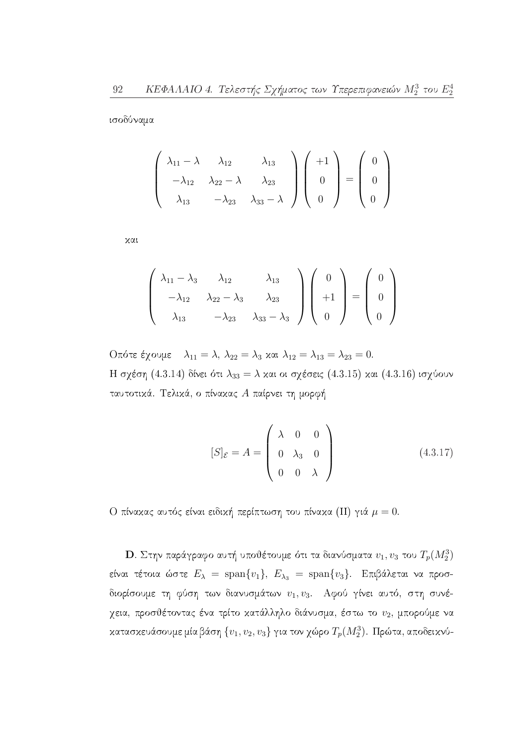ισοδύναμα

$$
\begin{pmatrix}\n\lambda_{11} - \lambda & \lambda_{12} & \lambda_{13} \\
-\lambda_{12} & \lambda_{22} - \lambda & \lambda_{23} \\
\lambda_{13} & -\lambda_{23} & \lambda_{33} - \lambda\n\end{pmatrix}\n\begin{pmatrix}\n+1 \\
0 \\
0\n\end{pmatrix} = \begin{pmatrix}\n0 \\
0 \\
0\n\end{pmatrix}
$$

χαι

$$
\begin{pmatrix}\n\lambda_{11} - \lambda_3 & \lambda_{12} & \lambda_{13} \\
-\lambda_{12} & \lambda_{22} - \lambda_3 & \lambda_{23} \\
\lambda_{13} & -\lambda_{23} & \lambda_{33} - \lambda_3\n\end{pmatrix}\n\begin{pmatrix}\n0 \\
+1 \\
0\n\end{pmatrix} = \begin{pmatrix}\n0 \\
0 \\
0\n\end{pmatrix}
$$

Oπότε έχουμε  $\lambda_{11} = \lambda$ ,  $\lambda_{22} = \lambda_3$  και  $\lambda_{12} = \lambda_{13} = \lambda_{23} = 0$ . Η σχέση (4.3.14) δίνει ότι  $\lambda_{33} = \lambda$  και οι σχέσεις (4.3.15) και (4.3.16) ισχύουν ταυτοτικά. Τελικά, ο πίνακας Α παίρνει τη μορφή

$$
[S]_{\mathcal{E}} = A = \begin{pmatrix} \lambda & 0 & 0 \\ 0 & \lambda_3 & 0 \\ 0 & 0 & \lambda \end{pmatrix}
$$
 (4.3.17)

Ο πίναχας αυτός είναι ειδιχή περίπτωση του πίναχα (II) γιά  $\mu=0.$ 

**D**. Στην παράγραφο αυτή υποθέτουμε ότι τα διανύσματα  $v_1, v_3$  του  $T_p(M_2^3)$ είναι τέτοια ώστε  $E_{\lambda} = \text{span}\{v_1\}, E_{\lambda_3} = \text{span}\{v_3\}.$  Επιβάλεται να προσδιορίσουμε τη φύση των διανυσμάτων  $v_1, v_3$ . Αφού γίνει αυτό, στη συνέχεια, προσθέτοντας ένα τρίτο κατάλληλο διάνυσμα, έστω το  $v_2$ , μπορούμε να κατασκευάσουμε μία βάση  $\{v_1, v_2, v_3\}$  για τον χώρο  $T_p(M_2^3)$ . Πρώτα, αποδεικνύ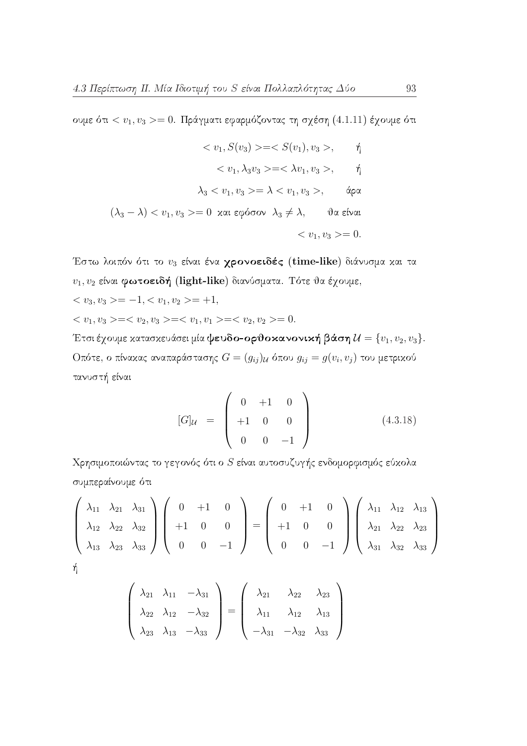ουμε ότι <  $v_1, v_3 >= 0$ . Πράγματι εφαρμόζοντας τη σχέση (4.1.11) έχουμε ότι

$$
\langle v_1, S(v_3) \rangle = \langle S(v_1), v_3 \rangle, \qquad \eta
$$

$$
\langle v_1, \lambda_3 v_3 \rangle = \langle \lambda v_1, v_3 \rangle, \qquad \eta
$$

$$
\lambda_3 \langle v_1, v_3 \rangle = \lambda \langle v_1, v_3 \rangle, \qquad \phi \varphi
$$

$$
(\lambda_3 - \lambda) \langle v_1, v_3 \rangle = 0 \text{ and } \varepsilon \varphi \phi \sigma \sigma \sigma \lambda_3 \neq \lambda, \qquad \vartheta \alpha \varepsilon \psi \alpha \tau
$$

$$
\langle v_1, v_3 \rangle = 0.
$$

Έστω λοιπόν ότι το  $v_3$  είναι ένα χρονοειδές (time-like) διάνυσμα και τα  $v_1, v_2$  είναι φωτοειδή (light-like) διανύσματα. Τότε θα έχουμε,

 $\langle v_3, v_3 \rangle = -1, \langle v_1, v_2 \rangle = +1,$ 

 $\langle v_1, v_3 \rangle = \langle v_2, v_3 \rangle = \langle v_1, v_1 \rangle = \langle v_2, v_2 \rangle = 0.$ 

Έτσι έχουμε κατασκευάσει μία ψευδο-ορθοκανονική βάση $\mathcal{U} = \{v_1, v_2, v_3\}.$  Οπότε, ο πίνα<br/>κας αναπαράστασης $G=(g_{ij})_{\mathcal{U}}$ όπου $g_{ij}=g(v_i,v_j)$ του μετρικού τανυστή είναι

$$
[G]_{\mathcal{U}} = \begin{pmatrix} 0 & +1 & 0 \\ +1 & 0 & 0 \\ 0 & 0 & -1 \end{pmatrix}
$$
 (4.3.18)

Χρησιμοποιώντας το γεγονός ότι ο  $S$  είναι αυτοσυζυγής ενδομορφισμός εύχολα συμπεραίνουμε ότι

$$
\begin{pmatrix}\n\lambda_{11} & \lambda_{21} & \lambda_{31} \\
\lambda_{12} & \lambda_{22} & \lambda_{32} \\
\lambda_{13} & \lambda_{23} & \lambda_{33}\n\end{pmatrix}\n\begin{pmatrix}\n0 & +1 & 0 \\
+1 & 0 & 0 \\
0 & 0 & -1\n\end{pmatrix}\n=\n\begin{pmatrix}\n0 & +1 & 0 \\
+1 & 0 & 0 \\
0 & 0 & -1\n\end{pmatrix}\n\begin{pmatrix}\n\lambda_{11} & \lambda_{12} & \lambda_{13} \\
\lambda_{21} & \lambda_{22} & \lambda_{23} \\
\lambda_{31} & \lambda_{32} & \lambda_{33}\n\end{pmatrix}
$$

$$
\begin{pmatrix}\n\lambda_{21} & \lambda_{11} & -\lambda_{31} \\
\lambda_{22} & \lambda_{12} & -\lambda_{32} \\
\lambda_{23} & \lambda_{13} & -\lambda_{33}\n\end{pmatrix} = \begin{pmatrix}\n\lambda_{21} & \lambda_{22} & \lambda_{23} \\
\lambda_{11} & \lambda_{12} & \lambda_{13} \\
-\lambda_{31} & -\lambda_{32} & \lambda_{33}\n\end{pmatrix}
$$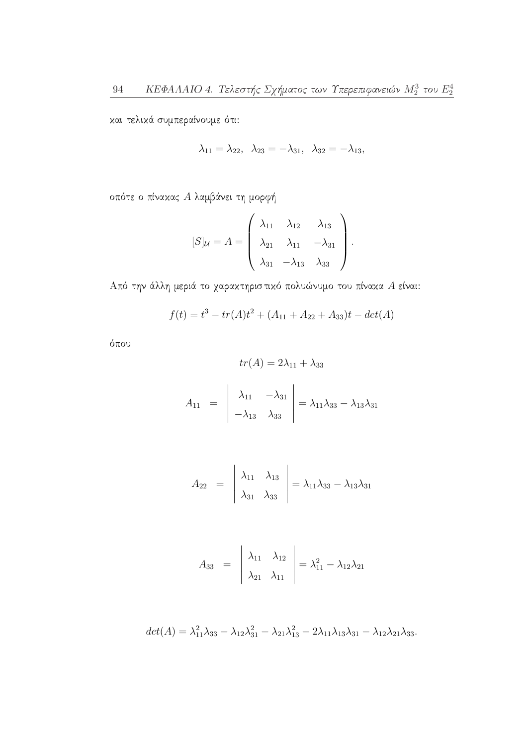και τελικά συμπεραίνουμε ότι:

$$
\lambda_{11} = \lambda_{22}, \quad \lambda_{23} = -\lambda_{31}, \quad \lambda_{32} = -\lambda_{13},
$$

οπότε ο πίνακας Α λαμβάνει τη μορφή

$$
[S]_{\mathcal{U}} = A = \begin{pmatrix} \lambda_{11} & \lambda_{12} & \lambda_{13} \\ \lambda_{21} & \lambda_{11} & -\lambda_{31} \\ \lambda_{31} & -\lambda_{13} & \lambda_{33} \end{pmatrix}.
$$

Από την άλλη μεριά το χαρακτηριστικό πολυώνυμο του πίνακα $A$  είναι:

$$
f(t) = t3 - tr(A)t2 + (A11 + A22 + A33)t - det(A)
$$

όπου

$$
tr(A) = 2\lambda_{11} + \lambda_{33}
$$

$$
A_{11} = \begin{vmatrix} \lambda_{11} & -\lambda_{31} \\ -\lambda_{13} & \lambda_{33} \end{vmatrix} = \lambda_{11}\lambda_{33} - \lambda_{13}\lambda_{31}
$$

$$
A_{22} = \begin{vmatrix} \lambda_{11} & \lambda_{13} \\ \lambda_{31} & \lambda_{33} \end{vmatrix} = \lambda_{11}\lambda_{33} - \lambda_{13}\lambda_{31}
$$

$$
A_{33} = \begin{vmatrix} \lambda_{11} & \lambda_{12} \\ \lambda_{21} & \lambda_{11} \end{vmatrix} = \lambda_{11}^2 - \lambda_{12}\lambda_{21}
$$

$$
det(A) = \lambda_{11}^2 \lambda_{33} - \lambda_{12} \lambda_{31}^2 - \lambda_{21} \lambda_{13}^2 - 2\lambda_{11} \lambda_{13} \lambda_{31} - \lambda_{12} \lambda_{21} \lambda_{33}.
$$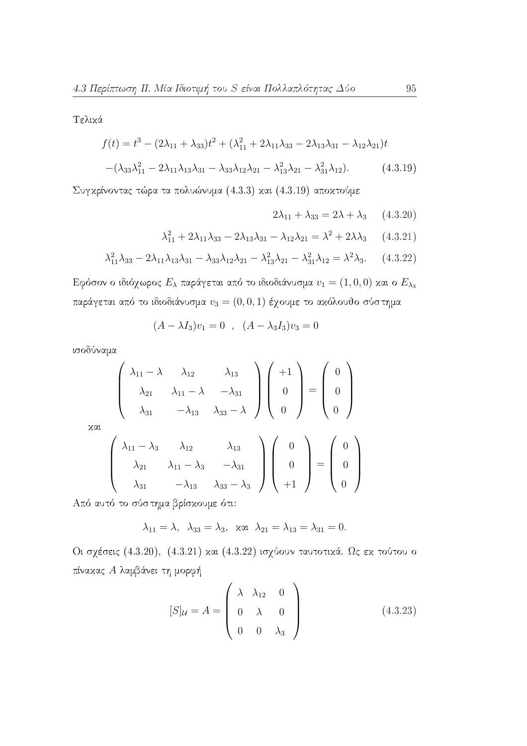Τελικά

$$
f(t) = t3 - (2\lambda_{11} + \lambda_{33})t2 + (\lambda_{11}^{2} + 2\lambda_{11}\lambda_{33} - 2\lambda_{13}\lambda_{31} - \lambda_{12}\lambda_{21})t
$$

$$
-(\lambda_{33}\lambda_{11}^{2} - 2\lambda_{11}\lambda_{13}\lambda_{31} - \lambda_{33}\lambda_{12}\lambda_{21} - \lambda_{13}^{2}\lambda_{21} - \lambda_{31}^{2}\lambda_{12}).
$$
(4.3.19)

Συγκρίνοντας τώρα τα πολυώνυμα (4.3.3) και (4.3.19) αποκτούμε

$$
2\lambda_{11} + \lambda_{33} = 2\lambda + \lambda_3 \qquad (4.3.20)
$$

$$
\lambda_{11}^2 + 2\lambda_{11}\lambda_{33} - 2\lambda_{13}\lambda_{31} - \lambda_{12}\lambda_{21} = \lambda^2 + 2\lambda\lambda_3 \qquad (4.3.21)
$$

$$
\lambda_{11}^2 \lambda_{33} - 2\lambda_{11} \lambda_{13} \lambda_{31} - \lambda_{33} \lambda_{12} \lambda_{21} - \lambda_{13}^2 \lambda_{21} - \lambda_{31}^2 \lambda_{12} = \lambda^2 \lambda_3. \tag{4.3.22}
$$

Εφόσον ο ιδιόχωρος  $E_{\lambda}$  παράγεται από το ιδιοδιάνυσμα  $v_1 = (1,0,0)$  και ο  $E_{\lambda_3}$ παράγεται από το ιδιοδιάνυσμα  $v_3 = (0,0,1)$  έχουμε το ακόλουθο σύστημα

$$
(A - \lambda I_3)v_1 = 0 \quad , \quad (A - \lambda_3 I_3)v_3 = 0
$$

ισοδύναμα

$$
\begin{pmatrix}\n\lambda_{11} - \lambda & \lambda_{12} & \lambda_{13} \\
\lambda_{21} & \lambda_{11} - \lambda & -\lambda_{31} \\
\lambda_{31} & -\lambda_{13} & \lambda_{33} - \lambda\n\end{pmatrix}\n\begin{pmatrix}\n+1 \\
0 \\
0\n\end{pmatrix} = \begin{pmatrix}\n0 \\
0 \\
0\n\end{pmatrix}
$$

$$
\times \alpha \iota
$$

$$
\begin{pmatrix}\n\lambda_{11} - \lambda_3 & \lambda_{12} & \lambda_{13} \\
\lambda_{21} & \lambda_{11} - \lambda_3 & -\lambda_{31} \\
\lambda_{31} & -\lambda_{13} & \lambda_{33} - \lambda_3\n\end{pmatrix}\n\begin{pmatrix}\n0 \\
0 \\
+1\n\end{pmatrix} = \begin{pmatrix}\n0 \\
0 \\
0\n\end{pmatrix}
$$

Από αυτό το σύστημα βρίσκουμε ότι:

$$
\lambda_{11} = \lambda, \ \lambda_{33} = \lambda_3, \ \text{and} \ \lambda_{21} = \lambda_{13} = \lambda_{31} = 0.
$$

Οι σχέσεις (4.3.20), (4.3.21) και (4.3.22) ισχύουν ταυτοτικά. Ως εκ τούτου ο πίνακας Α λαμβάνει τη μορφή

$$
[S]_{\mathcal{U}} = A = \begin{pmatrix} \lambda & \lambda_{12} & 0 \\ 0 & \lambda & 0 \\ 0 & 0 & \lambda_3 \end{pmatrix}
$$
 (4.3.23)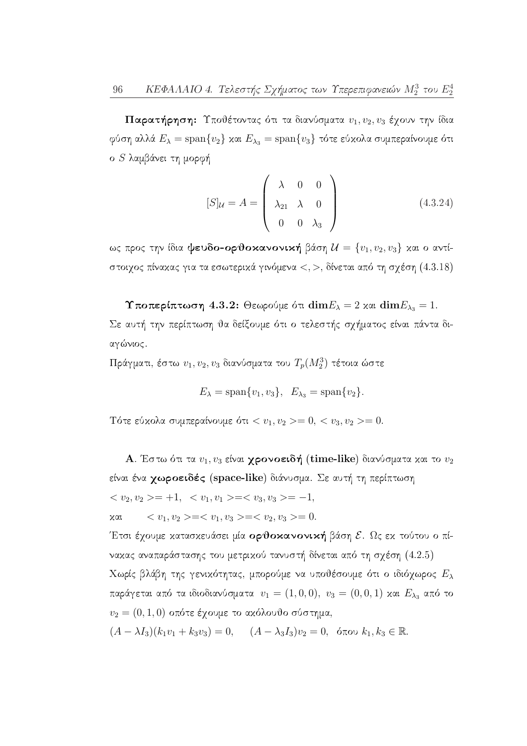Παρατήρηση: Υποθέτοντας ότι τα διανύσματα  $v_1, v_2, v_3$  έχουν την ίδια φύση αλλά  $E_{\lambda} = \text{span}\{v_2\}$  και  $E_{\lambda_3} = \text{span}\{v_3\}$  τότε εύκολα συμπεραίνουμε ότι ο S λαμβάνει τη μορφή

$$
[S]_{\mathcal{U}} = A = \begin{pmatrix} \lambda & 0 & 0 \\ \lambda_{21} & \lambda & 0 \\ 0 & 0 & \lambda_3 \end{pmatrix}
$$
 (4.3.24)

ως προς την ίδια ψευδο-ορθοκανονική βάση  $\mathcal{U} = \{v_1, v_2, v_3\}$  και ο αντίστοιχος πίνακας για τα εσωτερικά γινόμενα <, >, δίνεται από τη σχέση  $(4.3.18)$ 

Υποπερίπτωση 4.3.2: Θεωρούμε ότι  $\dim E_{\lambda} = 2$  και  $\dim E_{\lambda_3} = 1$ . Σε αυτή την περίπτωση θα δείξουμε ότι ο τελεστής σχήματος είναι πάντα διαγώνιος.

Πράγματι, έστω  $v_1, v_2, v_3$  διανύσματα του  $T_p(M_2^3)$  τέτοια ώστε

$$
E_{\lambda} = \text{span}\{v_1, v_3\}, \quad E_{\lambda_3} = \text{span}\{v_2\}.
$$

Tότε εύχολα συμπεραίνουμε ότι <  $v_1, v_2 >= 0, < v_3, v_2 >= 0.$ 

 $\bf A$ . Έστω ότι τα  $v_1,v_3$  είναι **χρονοειδή** (time-like) διανύσματα και το  $v_2$ είναι ένα **χωροειδές** (space-like) διάνυσμα. Σε αυτή τη περίπτωση  $\langle v_2, v_2 \rangle = +1, \langle v_1, v_1 \rangle = \langle v_3, v_3 \rangle = -1,$  $\langle v_1, v_2 \rangle = \langle v_1, v_3 \rangle = \langle v_2, v_3 \rangle = 0.$ χαι

Έτσι έχουμε κατασκευάσει μία ορθοκανονική βάση ε. Ως εκ τούτου ο πίνακας αναπαράστασης του μετρικού τανυστή δίνεται από τη σχέση (4.2.5) Χωρίς βλάβη της γενικότητας, μπορούμε να υποθέσουμε ότι ο ιδιόχωρος  $E_{\lambda}$  παράγεται από τα ιδιοδιανύσματα  $\ v_1=(1,0,0),\ v_3=(0,0,1)$  και  $E_{\lambda_3}$ από το  $v_2 = (0, 1, 0)$  οπότε έχουμε το ακόλουθο σύστημα,

$$
(A - \lambda I_3)(k_1v_1 + k_3v_3) = 0, \quad (A - \lambda_3I_3)v_2 = 0, \text{ for all } k_1, k_3 \in \mathbb{R}.
$$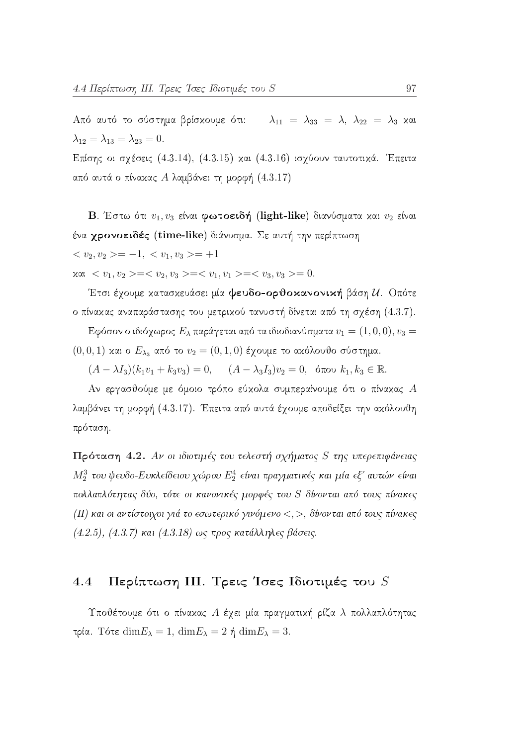Από αυτό το σύστημα βρίσκουμε ότι:  $\lambda_{11} = \lambda_{33} = \lambda$ ,  $\lambda_{22} = \lambda_3$  και  $\lambda_{12} = \lambda_{13} = \lambda_{23} = 0.$ Επίσης οι σχέσεις (4.3.14), (4.3.15) και (4.3.16) ισχύουν ταυτοτικά. Έπειτα

από αυτά ο πίνακας Α λαμβάνει τη μορφή  $(4.3.17)$ 

B. Έστω ότι  $v_1, v_3$  είναι φωτοειδή (light-like) διανύσματα και  $v_2$  είναι ένα χρονοειδές (time-like) διάνυσμα. Σε αυτή την περίπτωση  $\langle v_2, v_2 \rangle = -1, \langle v_1, v_3 \rangle = +1$ 

 $x \alpha_1 < v_1, v_2 \geq -\langle v_2, v_3 \rangle = \langle v_1, v_1 \rangle = \langle v_3, v_3 \rangle = 0.$ 

Έτσι έχουμε κατασκευάσει μία ψευδο-ορθοκανονική βάση  $\mathcal{U}$ . Οπότε ο πίνακας αναπαράστασης του μετρικού τανυστή δίνεται από τη σχέση (4.3.7).

Εφόσον ο ιδιόχωρος  $E_{\lambda}$  παράγεται από τα ιδιοδιανύσματα  $v_1=(1,0,0), v_3=0$  $(0,0,1)$  και ο  $E_{\lambda_3}$  από το  $v_2=(0,1,0)$  έχουμε το ακόλουθο σύστημα.

 $(A - \lambda I_3)(k_1v_1 + k_3v_3) = 0, \quad (A - \lambda_3I_3)v_2 = 0, \text{ for all } k_1, k_3 \in \mathbb{R}.$ 

Αν εργασθούμε με όμοιο τρόπο εύχολα συμπεραίνουμε ότι ο πίναχας  $A$ λαμβάνει τη μορφή (4.3.17). Έπειτα από αυτά έχουμε αποδείξει την ακόλουθη πρόταση.

Πρόταση 4.2. Αν οι ιδιοτιμές του τελεστή σχήματος S της υπερεπιφάνειας  $M_2^3$  του ψευδο-Ευκλείδειου χώρου  $E_2^4$  είναι πραγματικές και μία εξ' αυτών είναι πολλαπλότητας δύο, τότε οι κανονικές μορφές του S δίνονται από τους πίνακες (II) και οι αντίστοιχοι γιά το εσωτερικό γινόμενο  $\lt,$ , >, δίνονται από τους πίνακες  $(4.2.5), (4.3.7)$  και  $(4.3.18)$  ως προς κατάλληλες βάσεις.

#### Περίπτωση ΙΙΙ. Τρεις Ίσες Ιδιοτιμές του S  $4.4$

Υποθέτουμε ότι ο πίνακας Α έχει μία πραγματική ρίζα λ πολλαπλότητας τρία. Τότε  $\dim E_{\lambda} = 1$ ,  $\dim E_{\lambda} = 2$  ή  $\dim E_{\lambda} = 3$ .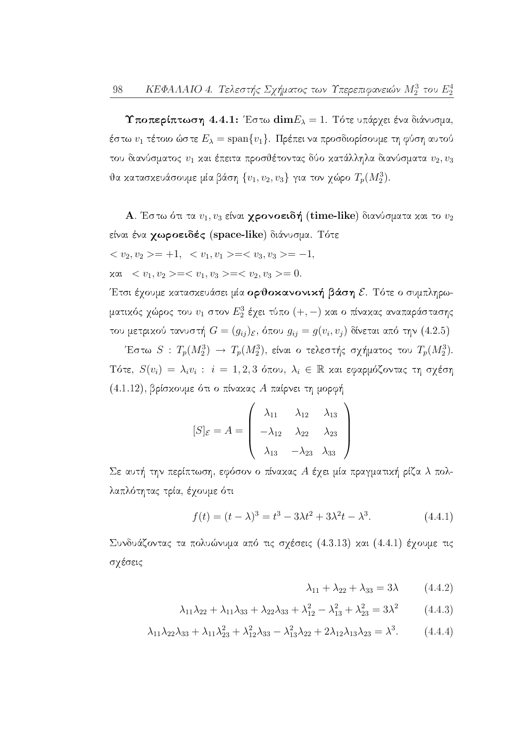**Υποπερίπτωση** 4.4.1: Έστω  $\textbf{dim}E_{\lambda}=1$ . Τότε υπάρχει ένα διάνυσμα, έστω  $v_1$  τέτοιο ώστε  $E_{\lambda} = \text{span}\{v_1\}$ . Πρέπει να προσδιορίσουμε τη φύση αυτού του διανύσματος  $v_1$  και έπειτα προσθέτοντας δύο κατάλληλα διανύσματα  $v_2, v_3$ θα κατασκευάσουμε μία βάση  $\{v_1, v_2, v_3\}$  για τον χώρο  $T_p(M_2^3)$ .

**A**. Έστω ότι τα  $v_1, v_3$  είναι **χρονοειδή** (time-like) διανύσματα και το  $v_2$ είναι ένα χωροειδές (space-like) διάνυσμα. Τότε

$$
\langle v_2, v_2 \rangle = +1, \langle v_1, v_1 \rangle = \langle v_3, v_3 \rangle = -1
$$
  

$$
\forall x \in \langle v_1, v_2 \rangle = \langle v_1, v_3 \rangle = \langle v_2, v_3 \rangle = 0.
$$

Έτσι έχουμε κατασκευάσει μία ορθοκανονική βάση ε. Τότε ο συμπληρωματικός χώρος του  $v_1$  στον  $E_2^3$  έχει τύπο  $(+,-)$  και ο πίνακας αναπαράστασης του μετρικού τανυστή  $G = (g_{ij})_{\mathcal{E}}$ , όπου  $g_{ij} = g(v_i, v_j)$  δίνεται από την (4.2.5)

Έστω  $S$  :  $T_p(M_2^3) \to T_p(M_2^3)$ , είναι ο τελεστής σχήματος του  $T_p(M_2^3)$ . Τότε,  $S(v_i) = \lambda_i v_i$ :  $i = 1, 2, 3$  όπου,  $\lambda_i \in \mathbb{R}$  και εφαρμόζοντας τη σχέση  $(4.1.12)$ , βρίσκουμε ότι ο πίνακας Α παίρνει τη μορφή

$$
[S]_{\mathcal{E}} = A = \begin{pmatrix} \lambda_{11} & \lambda_{12} & \lambda_{13} \\ -\lambda_{12} & \lambda_{22} & \lambda_{23} \\ \lambda_{13} & -\lambda_{23} & \lambda_{33} \end{pmatrix}
$$

Σε αυτή την περίπτωση, εφόσον ο πίναχας Α έχει μία πραγματιχή ρίζα λ πολλαπλότητας τρία, έχουμε ότι

$$
f(t) = (t - \lambda)^3 = t^3 - 3\lambda t^2 + 3\lambda^2 t - \lambda^3.
$$
 (4.4.1)

Συνδυάζοντας τα πολυώνυμα από τις σχέσεις (4.3.13) και (4.4.1) έχουμε τις σχέσεις

$$
\lambda_{11} + \lambda_{22} + \lambda_{33} = 3\lambda \qquad (4.4.2)
$$

$$
\lambda_{11}\lambda_{22} + \lambda_{11}\lambda_{33} + \lambda_{22}\lambda_{33} + \lambda_{12}^2 - \lambda_{13}^2 + \lambda_{23}^2 = 3\lambda^2 \qquad (4.4.3)
$$

$$
\lambda_{11}\lambda_{22}\lambda_{33} + \lambda_{11}\lambda_{23}^2 + \lambda_{12}^2\lambda_{33} - \lambda_{13}^2\lambda_{22} + 2\lambda_{12}\lambda_{13}\lambda_{23} = \lambda^3. \tag{4.4.4}
$$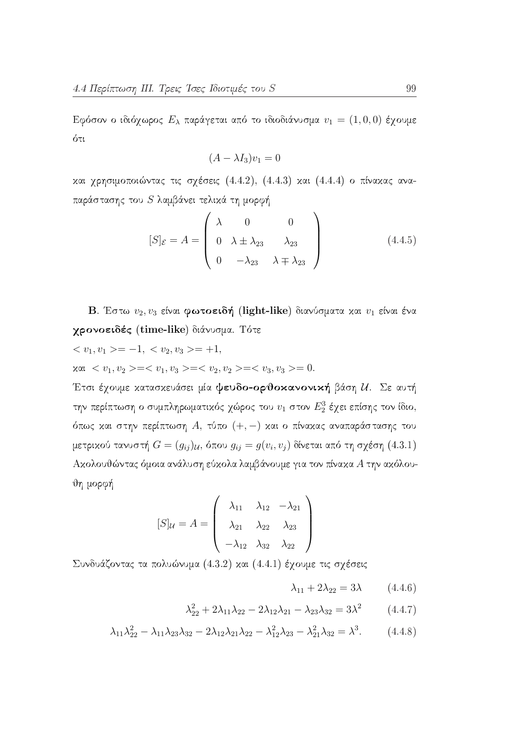Εφόσον ο ιδιόχωρος  $E_{\lambda}$  παράγεται από το ιδιοδιάνυσμα  $v_1 = (1,0,0)$  έχουμε ότι

$$
(A - \lambda I_3)v_1 = 0
$$

χαι χρησιμοποιώντας τις σχέσεις (4.4.2), (4.4.3) και (4.4.4) ο πίναχας αναπαράστασης του  $S$  λαμβάνει τελικά τη μορφή

$$
[S]_{\mathcal{E}} = A = \begin{pmatrix} \lambda & 0 & 0 \\ 0 & \lambda \pm \lambda_{23} & \lambda_{23} \\ 0 & -\lambda_{23} & \lambda \mp \lambda_{23} \end{pmatrix}
$$
 (4.4.5)

B. Έστω  $v_2, v_3$  είναι φωτοειδή (light-like) διανύσματα και  $v_1$  είναι ένα γρονοειδές (time-like) διάνυσμα. Τότε

$$
\langle v_1, v_1 \rangle = -1, \langle v_2, v_3 \rangle = +1,
$$

 $x \alpha_1 < v_1, v_2 > =  =  =  = 0.$ 

Έτσι έχουμε κατασκευάσει μία ψευδο-ορθοκανονική βάση  $u$ . Σε αυτή την περίπτωση ο συμπληρωματικός χώρος του  $v_1$  στον  $E_2^3$  έχει επίσης τον ίδιο, όπως και στην περίπτωση Α, τύπο  $(+,-)$  και ο πίνακας αναπαράστασης του μετρικού τανυστή  $G = (g_{ij})_{\mathcal{U}}$ , όπου  $g_{ij} = g(v_i, v_j)$  δίνεται από τη σχέση (4.3.1) Ακολουθώντας όμοια ανάλυση εύκολα λαμβάνουμε για τον πίνακα Α την ακόλουθη μορφή

$$
[S]_{\mathcal{U}} = A = \begin{pmatrix} \lambda_{11} & \lambda_{12} & -\lambda_{21} \\ \lambda_{21} & \lambda_{22} & \lambda_{23} \\ -\lambda_{12} & \lambda_{32} & \lambda_{22} \end{pmatrix}
$$

Συνδυάζοντας τα πολυώνυμα (4.3.2) και (4.4.1) έχουμε τις σχέσεις

$$
\lambda_{11} + 2\lambda_{22} = 3\lambda \qquad (4.4.6)
$$

$$
\lambda_{22}^2 + 2\lambda_{11}\lambda_{22} - 2\lambda_{12}\lambda_{21} - \lambda_{23}\lambda_{32} = 3\lambda^2 \qquad (4.4.7)
$$

$$
\lambda_{11}\lambda_{22}^2 - \lambda_{11}\lambda_{23}\lambda_{32} - 2\lambda_{12}\lambda_{21}\lambda_{22} - \lambda_{12}^2\lambda_{23} - \lambda_{21}^2\lambda_{32} = \lambda^3. \tag{4.4.8}
$$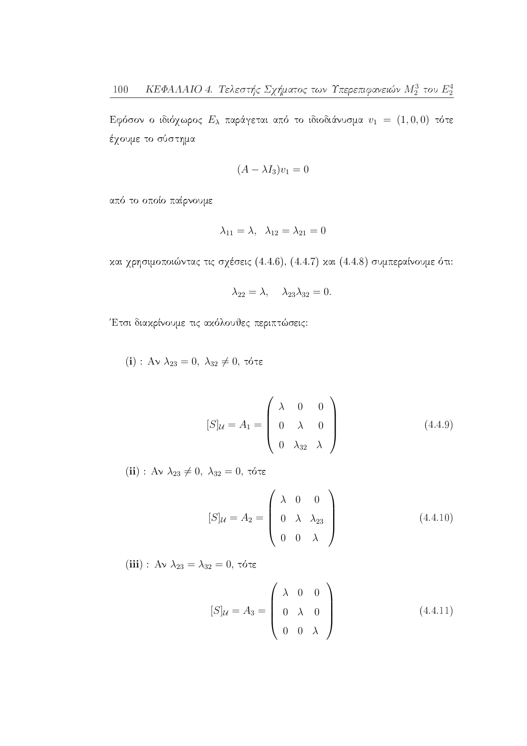Εφόσον ο ιδιόχωρος  $E_{\lambda}$  παράγεται από το ιδιοδιάνυσμα  $v_1 = (1,0,0)$  τότε έχουμε το σύστημα

$$
(A - \lambda I_3)v_1 = 0
$$

από το οποίο παίρνουμε

$$
\lambda_{11} = \lambda, \quad \lambda_{12} = \lambda_{21} = 0
$$

και χρησιμοποιώντας τις σχέσεις (4.4.6), (4.4.7) και (4.4.8) συμπεραίνουμε ότι:

$$
\lambda_{22} = \lambda, \quad \lambda_{23}\lambda_{32} = 0.
$$

Έτσι διακρίνουμε τις ακόλουθες περιπτώσεις:

(i) :  $A \vee \lambda_{23} = 0$ ,  $\lambda_{32} \neq 0$ , τότε

$$
[S]_{\mathcal{U}} = A_1 = \begin{pmatrix} \lambda & 0 & 0 \\ 0 & \lambda & 0 \\ 0 & \lambda_{32} & \lambda \end{pmatrix} \tag{4.4.9}
$$

(ii) :  $A\nu \ \lambda_{23} \neq 0, \ \lambda_{32} = 0, \ \tau \acute{o} \tau \epsilon$ 

$$
[S]_{\mathcal{U}} = A_2 = \begin{pmatrix} \lambda & 0 & 0 \\ 0 & \lambda & \lambda_{23} \\ 0 & 0 & \lambda \end{pmatrix} \tag{4.4.10}
$$

(iii) : Αν $\lambda_{23} = \lambda_{32} = 0$ , τότε

$$
[S]_{\mathcal{U}} = A_3 = \begin{pmatrix} \lambda & 0 & 0 \\ 0 & \lambda & 0 \\ 0 & 0 & \lambda \end{pmatrix}
$$
 (4.4.11)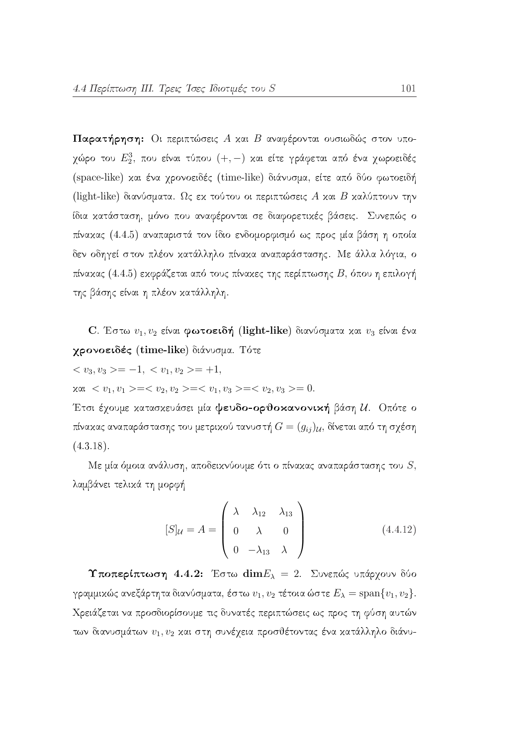Παρατήρηση: Οι περιπτώσεις Α και Β αναφέρονται ουσιωδώς στον υποχώρο του  $E_2^3$ , που είναι τύπου  $(+,-)$  και είτε γράφεται από ένα χωροειδές (space-like) και ένα χρονοειδές (time-like) διάνυσμα, είτε από δύο φωτοειδή (light-like) διανύσματα. Ως εχ τούτου οι περιπτώσεις Α χαι Β χαλύπτουν την ίδια κατάσταση, μόνο που αναφέρονται σε διαφορετικές βάσεις. Συνεπώς ο πίνακας (4.4.5) αναπαριστά τον ίδιο ενδομορφισμό ως προς μία βάση η οποία δεν οδηγεί στον πλέον κατάλληλο πίνακα αναπαράστασης. Με άλλα λόγια, ο πίνακας (4.4.5) εκφράζεται από τους πίνακες της περίπτωσης  $B$ , όπου η επιλογή της βάσης είναι η πλέον κατάλληλη.

C. Έστω  $v_1, v_2$  είναι φωτοειδή (light-like) διανύσματα και  $v_3$  είναι ένα γρονοειδές (time-like) διάνυσμα. Τότε

$$
\langle v_3, v_3 \rangle = -1, \langle v_1, v_2 \rangle = +1,
$$

 $x \alpha_1 < v_1, v_1 \geq c < v_2, v_2 \geq c < v_1, v_3 \geq c < v_2, v_3 \geq 0.$ 

Έτσι έχουμε κατασκευάσει μία ψευδο-ορθοκανονική βάση  $u$ . Οπότε ο πίνακας αναπαράστασης του μετρικού τανυστή  $G=(g_{ij})_{\mathcal{U}},$  δίνεται από τη σχέση  $(4.3.18).$ 

Με μία όμοια ανάλυση, αποδεικνύουμε ότι ο πίνακας αναπαράστασης του  $S$ , λαμβάνει τελικά τη μορφή

$$
[S]_{\mathcal{U}} = A = \begin{pmatrix} \lambda & \lambda_{12} & \lambda_{13} \\ 0 & \lambda & 0 \\ 0 & -\lambda_{13} & \lambda \end{pmatrix}
$$
 (4.4.12)

Υποπερίπτωση 4.4.2: Έστω  $\dim E_{\lambda} = 2$ . Συνεπώς υπάρχουν δύο γραμμικώς ανεξάρτητα διανύσματα, έστω  $v_1, v_2$  τέτοια ώστε  $E_{\lambda} = \text{span}\{v_1, v_2\}.$ Χρειάζεται να προσδιορίσουμε τις δυνατές περιπτώσεις ως προς τη φύση αυτών των διανυσμάτων  $v_1, v_2$  και στη συνέχεια προσθέτοντας ένα κατάλληλο διάνυ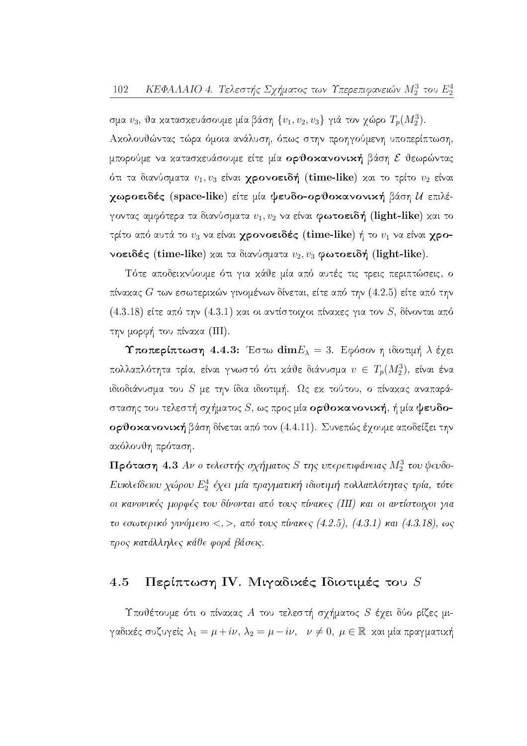σμα  $v_3$ , θα κατασκευάσουμε μία βάση  $\{v_1, v_2, v_3\}$  γιά τον χώρο  $T_p(M_2^3)$ . Αχολουθώντας τώρα όμοια ανάλυση, όπως στην προηγούμενη υποπερίπτωση, μπορούμε να κατασκευάσουμε είτε μία ορθοκανονική βάση ε θεωρώντας ότι τα διανύσματα  $v_1, v_3$  είναι **χρονοειδή** (time-like) και το τρίτο  $v_2$  είναι χωροειδές (space-like) είτε μία ψευδο-ορθοκανονική βάση *U* επιλέγοντας αμφότερα τα διανύσματα  $v_1, v_2$  να είναι φωτοειδή (light-like) και το τρίτο από αυτά το  $v_3$  να είναι χρονοειδές (time-like) ή το  $v_1$  να είναι χρονοειδές (time-like) και τα διανύσματα  $v_2, v_3$  φωτοειδή (light-like).

Τότε αποδειχνύουμε ότι για χάθε μία από αυτές τις τρεις περιπτώσεις, ο πίνακας  $G$  των εσωτερικών γινομένων δίνεται, είτε από την  $(4.2.5)$  είτε από την  $(4.3.18)$  είτε από την  $(4.3.1)$  και οι αντίστοιχοι πίναχες για τον S, δίνονται από την μορφή του πίνακα (III).

Υποπερίπτωση 4.4.3: Έστω  $\mathrm{dim} E_{\lambda}=3$ . Εφόσον η ιδιοτιμή λ έχει πολλαπλότητα τρία, είναι γνωστό ότι κάθε διάνυσμα  $v \in T_p(M_2^3)$ , είναι ένα ιδιοδιάνυσμα του  $S$  με την ίδια ιδιοτιμή. Ως εκ τούτου, ο πίνακας αναπαράστασης του τελεστή σχήματος  $S$ , ως προς μία ορθοκανονική, ή μία ψευδοορθοκανονική βάση δίνεται από τον (4.4.11). Συνεπώς έχουμε αποδείξει την ακόλουθη πρόταση.

Πρόταση 4.3 Αν ο τελεστής σχήματος S της υπερεπιφάνειας  $M_2^3$  του ψευδο-Ευκλείδειου χώρου  $E_2^4$  έχει μία πραγματική ιδιοτιμή πολλαπλότητας τρία, τότε οι κανονικές μορφές του δίνονται από τους πίνακες (III) και οι αντίστοιχοι για το εσωτερικό γινόμενο <, >, από τους πίνακες (4.2.5), (4.3.1) και (4.3.18), ως προς κατάλληλες κάθε φορά βάσεις.

#### Περίπτωση IV. Μιγαδικές Ιδιοτιμές του S 4.5

Υποθέτουμε ότι ο πίναχας  $A$  του τελεστή σχήματος  $S$  έχει δύο ρίζες μιγαδικές συζυγείς  $\lambda_1 = \mu + i\nu$ ,  $\lambda_2 = \mu - i\nu$ ,  $\nu \neq 0$ ,  $\mu \in \mathbb{R}$  και μία πραγματική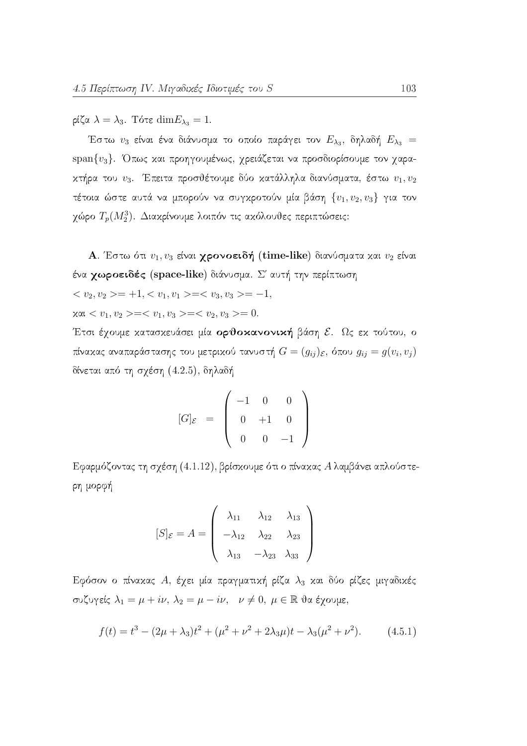ρίζα  $\lambda = \lambda_3$ . Τότε  $\dim E_{\lambda_3} = 1$ .

Έστω  $v_3$  είναι ένα διάνυσμα το οποίο παράγει τον  $E_{\lambda_3}$ , δηλαδή  $E_{\lambda_3}$ span $\{v_3\}$ . Όπως και προηγουμένως, χρειάζεται να προσδιορίσουμε τον χαρακτήρα του  $v_3$ . Έπειτα προσθέτουμε δύο κατάλληλα διανύσματα, έστω  $v_1, v_2$ τέτοια ώστε αυτά να μπορούν να συγκροτούν μία βάση  $\{v_1, v_2, v_3\}$  για τον χώρο  $T_p(M_2^3)$ . Διακρίνουμε λοιπόν τις ακόλουθες περιπτώσεις:

**A**. Έστω ότι  $v_1, v_3$  είναι **χρονοειδή** (time-like) διανύσματα και  $v_2$  είναι ένα χωροειδές (space-like) διάνυσμα. Σ' αυτή την περίπτωση

$$
\langle v_2, v_2 \rangle = +1, \langle v_1, v_1 \rangle = \langle v_3, v_3 \rangle = -1
$$

 $x \alpha_1 < v_1, v_2 > =  =  = 0.$ 

Έτσι έχουμε χατασχευάσει μία ορθοκανονική βάση ε. Ως εχ τούτου, ο πίνακας αναπαράστασης του μετρικού τανυστή  $G=(g_{ij})_{\varepsilon}$ , όπου  $g_{ij}=g(v_i,v_j)$ δίνεται από τη σχέση (4.2.5), δηλαδή

$$
[G]_{\mathcal{E}} = \left( \begin{array}{ccc} -1 & 0 & 0 \\ 0 & +1 & 0 \\ 0 & 0 & -1 \end{array} \right)
$$

Εφαρμόζοντας τη σχέση (4.1.12), βρίσκουμε ότι ο πίνακας Αλαμβάνει απλούστερη μορφή

$$
[S]_{\mathcal{E}} = A = \begin{pmatrix} \lambda_{11} & \lambda_{12} & \lambda_{13} \\ -\lambda_{12} & \lambda_{22} & \lambda_{23} \\ \lambda_{13} & -\lambda_{23} & \lambda_{33} \end{pmatrix}
$$

Εφόσον ο πίναχας Α, έχει μία πραγματική ρίζα  $\lambda_3$  και δύο ρίζες μιγαδικές συζυγείς  $\lambda_1 = \mu + i\nu$ ,  $\lambda_2 = \mu - i\nu$ ,  $\nu \neq 0$ ,  $\mu \in \mathbb{R}$  θα έγουμε,

$$
f(t) = t3 - (2\mu + \lambda_3)t2 + (\mu2 + \nu2 + 2\lambda_3\mu)t - \lambda_3(\mu2 + \nu2).
$$
 (4.5.1)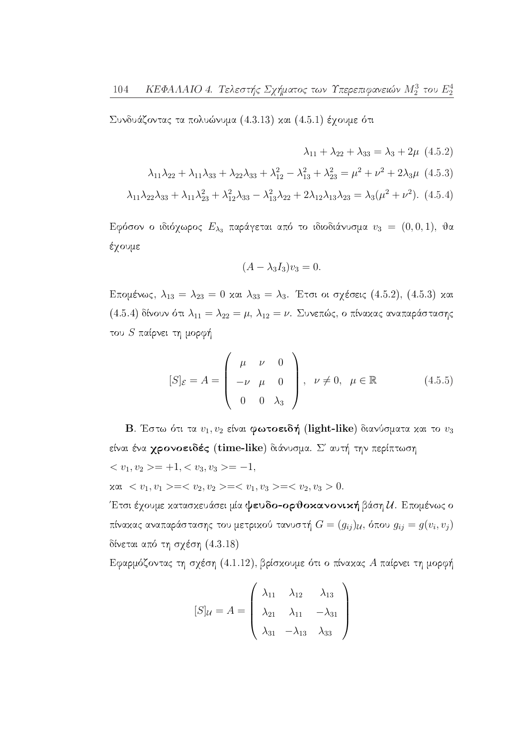Συνδυάζοντας τα πολυώνυμα  $(4.3.13)$  και  $(4.5.1)$  έχουμε ότι

 $\lambda_{11} + \lambda_{22} + \lambda_{33} = \lambda_3 + 2\mu$  (4.5.2)  $\lambda_{11}\lambda_{22} + \lambda_{11}\lambda_{33} + \lambda_{22}\lambda_{33} + \lambda_{12}^2 - \lambda_{13}^2 + \lambda_{23}^2 = \mu^2 + \nu^2 + 2\lambda_3\mu$  (4.5.3)  $\lambda_{11}\lambda_{22}\lambda_{33} + \lambda_{11}\lambda_{23}^2 + \lambda_{12}^2\lambda_{33} - \lambda_{13}^2\lambda_{22} + 2\lambda_{12}\lambda_{13}\lambda_{23} = \lambda_3(\mu^2 + \nu^2).$  (4.5.4)

Εφόσον ο ιδιόχωρος  $E_{\lambda_3}$  παράγεται από το ιδιοδιάνυσμα  $v_3 = (0,0,1)$ , θα έχουμε

$$
(A - \lambda_3 I_3)v_3 = 0.
$$

Επομένως,  $\lambda_{13} = \lambda_{23} = 0$  και  $\lambda_{33} = \lambda_3$ . Έτσι οι σχέσεις (4.5.2), (4.5.3) και (4.5.4) δίνουν ότι  $\lambda_{11} = \lambda_{22} = \mu$ ,  $\lambda_{12} = \nu$ . Συνεπώς, ο πίνακας αναπαράστασης του  $S$  παίρνει τη μορφή

$$
[S]_{\mathcal{E}} = A = \begin{pmatrix} \mu & \nu & 0 \\ -\nu & \mu & 0 \\ 0 & 0 & \lambda_3 \end{pmatrix}, \quad \nu \neq 0, \quad \mu \in \mathbb{R} \tag{4.5.5}
$$

**B**. Έστω ότι τα  $v_1, v_2$  είναι φωτοειδή (light-like) διανύσματα και το  $v_3$ είναι ένα χρονοειδές (time-like) διάνυσμα. Σ' αυτή την περίπτωση  $\langle v_1, v_2 \rangle = +1, \langle v_3, v_3 \rangle = -1,$  $x \alpha_1 < v_1, v_1 \geq -\langle v_2, v_2 \rangle = \langle v_1, v_3 \rangle = \langle v_2, v_3 \rangle = 0.$ 

Έτσι έχουμε κατασκευάσει μία ψευδο-ορθοκανονική βάση  $\mathcal{U}$ . Επομένως ο πίνακας αναπαράστασης του μετρικού τανυστή  $G = (g_{ij})_{\mathcal{U}},$  όπου  $g_{ij} = g(v_i, v_j)$ δίνεται από τη σχέση  $(4.3.18)$ 

Εφαρμόζοντας τη σχέση (4.1.12), βρίσκουμε ότι ο πίνακας Α παίρνει τη μορφή

$$
[S]_{\mathcal{U}} = A = \begin{pmatrix} \lambda_{11} & \lambda_{12} & \lambda_{13} \\ \lambda_{21} & \lambda_{11} & -\lambda_{31} \\ \lambda_{31} & -\lambda_{13} & \lambda_{33} \end{pmatrix}
$$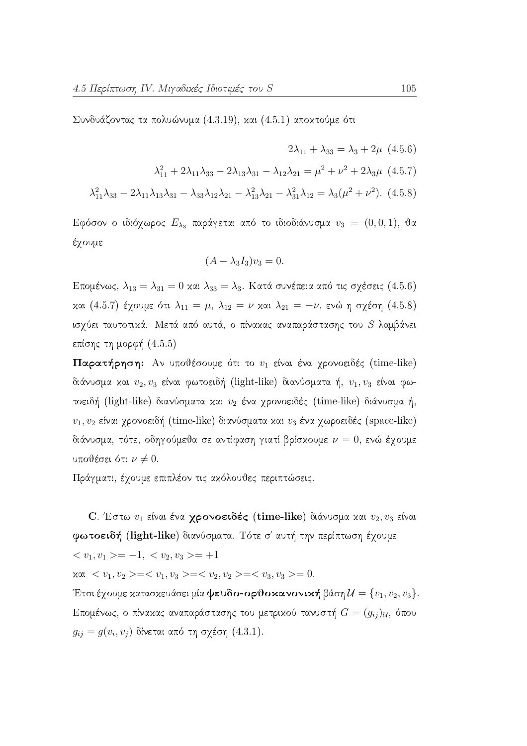Συνδυάζοντας τα πολυώνυμα  $(4.3.19)$ , και  $(4.5.1)$  αποκτούμε ότι

 $2\lambda_{11} + \lambda_{33} = \lambda_3 + 2\mu$  (4.5.6)  $\lambda_{11}^2 + 2\lambda_{11}\lambda_{33} - 2\lambda_{13}\lambda_{31} - \lambda_{12}\lambda_{21} = \mu^2 + \nu^2 + 2\lambda_3\mu$  (4.5.7)  $\lambda_{11}^2 \lambda_{33} - 2\lambda_{11} \lambda_{13} \lambda_{31} - \lambda_{33} \lambda_{12} \lambda_{21} - \lambda_{13}^2 \lambda_{21} - \lambda_{31}^2 \lambda_{12} = \lambda_3(\mu^2 + \nu^2).$  (4.5.8)

Εφόσον ο ιδιόχωρος  $E_{\lambda_3}$  παράγεται από το ιδιοδιάνυσμα  $v_3 = (0,0,1)$ , θα έχουμε

$$
(A - \lambda_3 I_3)v_3 = 0.
$$

Επομένως,  $\lambda_{13} = \lambda_{31} = 0$  και  $\lambda_{33} = \lambda_3$ . Κατά συνέπεια από τις σχέσεις (4.5.6) και (4.5.7) έχουμε ότι  $\lambda_{11} = \mu$ ,  $\lambda_{12} = \nu$  και  $\lambda_{21} = -\nu$ , ενώ η σχέση (4.5.8) ισχύει ταυτοτικά. Μετά από αυτά, ο πίνακας αναπαράστασης του S λαμβάνει επίσης τη μορφή  $(4.5.5)$ 

Παρατήρηση: Αν υποθέσουμε ότι το  $v_1$  είναι ένα χρονοειδές (time-like) διάνυσμα και  $v_2, v_3$  είναι φωτοειδή (light-like) διανύσματα ή,  $v_1, v_3$  είναι φωτοειδή (light-like) διανύσματα και  $v_2$  ένα χρονοειδές (time-like) διάνυσμα ή,  $v_1, v_2$  είναι χρονοειδή (time-like) διανύσματα και  $v_3$  ένα χωροειδές (space-like) διάνυσμα, τότε, οδηγούμεθα σε αντίφαση γιατί βρίσκουμε  $\nu = 0$ , ενώ έχουμε υποθέσει ότι  $\nu \neq 0$ .

Πράγματι, έχουμε επιπλέον τις ακόλουθες περιπτώσεις.

C. Έστω  $v_1$  είναι ένα γρονοειδές (time-like) διάνυσμα και  $v_2, v_3$  είναι φωτοειδή (light-like) διανύσματα. Τότε σ' αυτή την περίπτωση έχουμε  $\langle v_1, v_1 \rangle = -1, \langle v_2, v_3 \rangle = +1$ 

 $x \alpha_1 < v_1, v_2 \geq c < v_1, v_3 \geq c < v_2, v_2 \geq c < v_3, v_3 \geq 0.$ 

Έτσι έχουμε κατασκευάσει μία ψευδο-ορθοκανονική βάση  $\mathcal{U} = \{v_1, v_2, v_3\}.$ Επομένως, ο πίνακας αναπαράστασης του μετρικού τανυστή  $G=(g_{ij})_{\mathcal{U}},$  όπου  $g_{ij} = g(v_i, v_j)$  δίνεται από τη σχέση (4.3.1).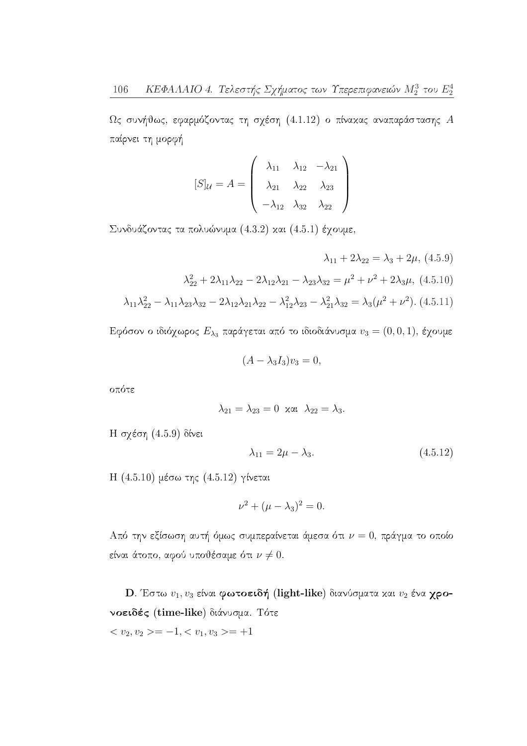$\Omega$ ς συνήθως, εφαρμόζοντας τη σχέση (4.1.12) ο πίνακας αναπαράστασης  $A$ παίρνει τη μορφή

$$
[S]_{\mathcal{U}} = A = \begin{pmatrix} \lambda_{11} & \lambda_{12} & -\lambda_{21} \\ \lambda_{21} & \lambda_{22} & \lambda_{23} \\ -\lambda_{12} & \lambda_{32} & \lambda_{22} \end{pmatrix}
$$

Συνδυάζοντας τα πολυώνυμα (4.3.2) και (4.5.1) έχουμε,

$$
\lambda_{11} + 2\lambda_{22} = \lambda_3 + 2\mu, (4.5.9)
$$

$$
\lambda_{22}^2 + 2\lambda_{11}\lambda_{22} - 2\lambda_{12}\lambda_{21} - \lambda_{23}\lambda_{32} = \mu^2 + \nu^2 + 2\lambda_3\mu, (4.5.10)
$$

$$
\lambda_{11}\lambda_{22}^2 - \lambda_{11}\lambda_{23}\lambda_{32} - 2\lambda_{12}\lambda_{21}\lambda_{22} - \lambda_{12}^2\lambda_{23} - \lambda_{21}^2\lambda_{32} = \lambda_3(\mu^2 + \nu^2). (4.5.11)
$$

Εφόσον ο ιδιόχωρος  $E_{\lambda_3}$  παράγεται από το ιδιοδιάνυσμα  $v_3 = (0,0,1)$ , έχουμε

$$
(A - \lambda_3 I_3)v_3 = 0,
$$

οπότε

$$
\lambda_{21} = \lambda_{23} = 0 \quad \text{and} \quad \lambda_{22} = \lambda_3.
$$

 $H \sigma$ γέση (4.5.9) δίνει

$$
\lambda_{11} = 2\mu - \lambda_3. \tag{4.5.12}
$$

Η (4.5.10) μέσω της (4.5.12) γίνεται

$$
\nu^2 + (\mu - \lambda_3)^2 = 0.
$$

Από την εξίσωση αυτή όμως συμπεραίνεται άμεσα ότι  $\nu = 0$ , πράγμα το οποίο είναι άτοπο, αφού υποθέσαμε ότι  $\nu \neq 0$ .

**D.** Έστω  $v_1, v_3$  είναι φωτοειδή (light-like) διανύσματα και  $v_2$  ένα χρονοειδές (time-like) διάνυσμα. Τότε

 $\langle v_2, v_2 \rangle = -1, \langle v_1, v_3 \rangle = +1$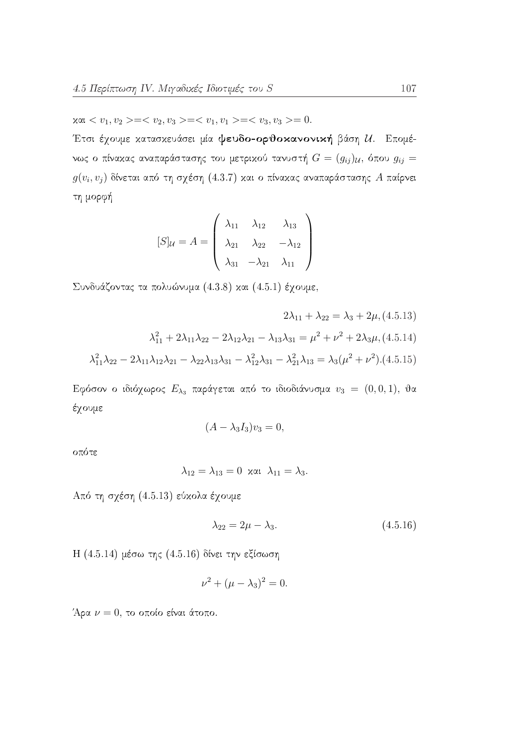$x \alpha_1 < v_1, v_2 > =  =  =  = 0.$ 

Έτσι έχουμε κατασκευάσει μία ψευδο-ορθοκανονική βάση  $U$ . Επομένως ο πίνακας αναπαράστασης του μετρικού τανυστή  $G = (g_{ij})_{\mathcal{U}},$  όπου  $g_{ij} =$  $g(v_i, v_j)$  δίνεται από τη σχέση (4.3.7) και ο πίνακας αναπαράστασης Α παίρνει τη μορφή

$$
[S]_{\mathcal{U}} = A = \begin{pmatrix} \lambda_{11} & \lambda_{12} & \lambda_{13} \\ \lambda_{21} & \lambda_{22} & -\lambda_{12} \\ \lambda_{31} & -\lambda_{21} & \lambda_{11} \end{pmatrix}
$$

Συνδυάζοντας τα πολυώνυμα (4.3.8) και (4.5.1) έχουμε,

$$
2\lambda_{11} + \lambda_{22} = \lambda_3 + 2\mu, (4.5.13)
$$

$$
\lambda_{11}^2 + 2\lambda_{11}\lambda_{22} - 2\lambda_{12}\lambda_{21} - \lambda_{13}\lambda_{31} = \mu^2 + \nu^2 + 2\lambda_3\mu, (4.5.14)
$$

$$
\lambda_{11}^2 \lambda_{22} - 2\lambda_{11}\lambda_{12}\lambda_{21} - \lambda_{22}\lambda_{13}\lambda_{31} - \lambda_{12}^2\lambda_{31} - \lambda_{21}^2\lambda_{13} = \lambda_3(\mu^2 + \nu^2). (4.5.15)
$$

Εφόσον ο ιδιόχωρος  $E_{\lambda_3}$  παράγεται από το ιδιοδιάνυσμα  $v_3 = (0,0,1)$ , θα έχουμε

$$
(A - \lambda_3 I_3)v_3 = 0,
$$

οπότε

$$
\lambda_{12}=\lambda_{13}=0\ \ \text{and}\ \ \lambda_{11}=\lambda_3.
$$

Από τη σχέση (4.5.13) εύκολα έχουμε

$$
\lambda_{22} = 2\mu - \lambda_3. \tag{4.5.16}
$$

Η (4.5.14) μέσω της (4.5.16) δίνει την εξίσωση

$$
\nu^2 + (\mu - \lambda_3)^2 = 0.
$$

Άρα  $\nu = 0$ , το οποίο είναι άτοπο.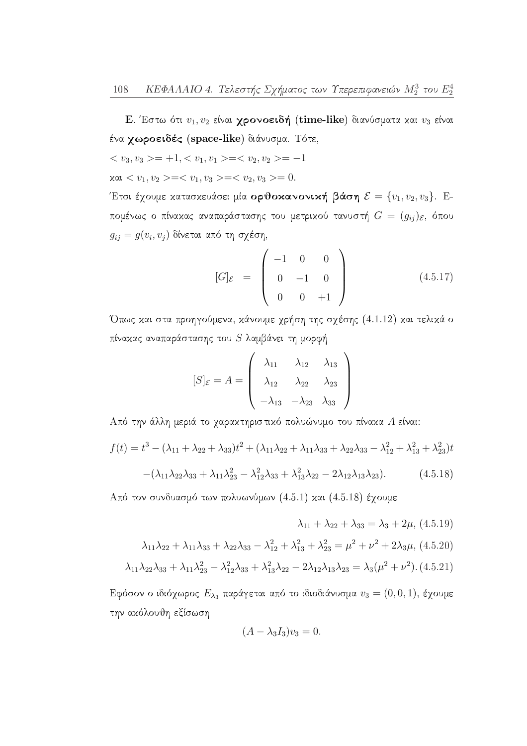Ε. Έστω ότι  $v_1, v_2$  είναι χρονοειδή (time-like) διανύσματα και  $v_3$  είναι ένα χωροειδές (space-like) διάνυσμα. Τότε,

$$
=+1,==-1
$$

 $x \alpha l < v_1, v_2 \geq -\langle v_1, v_3 \rangle = \langle v_2, v_3 \rangle = 0.$ 

Έτσι έχουμε κατασκευάσει μία ορθοκανονική βάση  $\mathcal{E} = \{v_1, v_2, v_3\}$ . Επομένως ο πίνακας αναπαράστασης του μετρικού τανυστή  $G = (g_{ij})_{\mathcal{E}},$  όπου  $g_{ij}=g(v_i,v_j)$ δίνεται από τη σχέση,

$$
[G]_{\mathcal{E}} = \begin{pmatrix} -1 & 0 & 0 \\ 0 & -1 & 0 \\ 0 & 0 & +1 \end{pmatrix}
$$
 (4.5.17)

Όπως και στα προηγούμενα, κάνουμε χρήση της σχέσης (4.1.12) και τελικά ο πίνακας αναπαράστασης του  $S$  λαμβάνει τη μορφή

$$
[S]_{\mathcal{E}} = A = \begin{pmatrix} \lambda_{11} & \lambda_{12} & \lambda_{13} \\ \lambda_{12} & \lambda_{22} & \lambda_{23} \\ -\lambda_{13} & -\lambda_{23} & \lambda_{33} \end{pmatrix}
$$

Από την άλλη μεριά το χαρακτηριστικό πολυώνυμο του πίνακα Α είναι:

$$
f(t) = t3 - (\lambda_{11} + \lambda_{22} + \lambda_{33})t2 + (\lambda_{11}\lambda_{22} + \lambda_{11}\lambda_{33} + \lambda_{22}\lambda_{33} - \lambda_{12}^{2} + \lambda_{13}^{2} + \lambda_{23}^{2})t
$$

$$
-(\lambda_{11}\lambda_{22}\lambda_{33} + \lambda_{11}\lambda_{23}^{2} - \lambda_{12}^{2}\lambda_{33} + \lambda_{13}^{2}\lambda_{22} - 2\lambda_{12}\lambda_{13}\lambda_{23}).
$$
(4.5.18)

Από τον συνδυασμό των πολυωνύμων (4.5.1) και (4.5.18) έχουμε

$$
\lambda_{11} + \lambda_{22} + \lambda_{33} = \lambda_3 + 2\mu, (4.5.19)
$$

$$
\lambda_{11}\lambda_{22} + \lambda_{11}\lambda_{33} + \lambda_{22}\lambda_{33} - \lambda_{12}^2 + \lambda_{13}^2 + \lambda_{23}^2 = \mu^2 + \nu^2 + 2\lambda_3\mu, (4.5.20)
$$

$$
\lambda_{11}\lambda_{22}\lambda_{33} + \lambda_{11}\lambda_{23}^2 - \lambda_{12}^2\lambda_{33} + \lambda_{13}^2\lambda_{22} - 2\lambda_{12}\lambda_{13}\lambda_{23} = \lambda_3(\mu^2 + \nu^2). (4.5.21)
$$

Εφόσον ο ιδιόχωρος  $E_{\lambda_3}$  παράγεται από το ιδιοδιάνυσμα  $v_3 = (0,0,1)$ , έχουμε την ακόλουθη εξίσωση

$$
(A - \lambda_3 I_3)v_3 = 0.
$$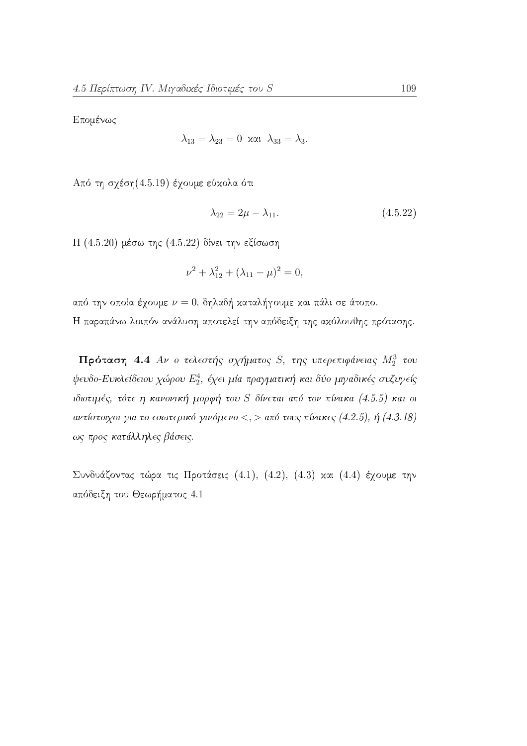Επομένως

$$
\lambda_{13} = \lambda_{23} = 0 \quad \text{and} \quad \lambda_{33} = \lambda_3.
$$

Από τη σγέση (4.5.19) έγουμε εύκολα ότι

$$
\lambda_{22} = 2\mu - \lambda_{11}.\tag{4.5.22}
$$

Η (4.5.20) μέσω της (4.5.22) δίνει την εξίσωση

$$
\nu^2 + \lambda_{12}^2 + (\lambda_{11} - \mu)^2 = 0,
$$

από την οποία έχουμε  $\nu = 0$ , δηλαδή καταλήγουμε και πάλι σε άτοπο. Η παραπάνω λοιπόν ανάλυση αποτελεί την απόδειξη της ακόλουθης πρότασης.

Πρόταση 4.4 Αν ο τελεστής σχήματος S, της υπερεπιφάνειας  $M_2^3$  του ψευδο-Ευκλείδειου χώρου  $E_2^4$ , έχει μία πραγματική και δύο μιγαδικές συζυγείς ιδιοτιμές, τότε η κανονική μορφή του S δίνεται από τον πίνακα (4.5.5) και οι αντίστοιχοι για το εσωτερικό γινόμενο <, > από τους πίνακες (4.2.5), ή (4.3.18) ως προς κατάλληλες βάσεις.

Συνδυάζοντας τώρα τις Προτάσεις (4.1), (4.2), (4.3) και (4.4) έχουμε την απόδειξη του Θεωρήματος 4.1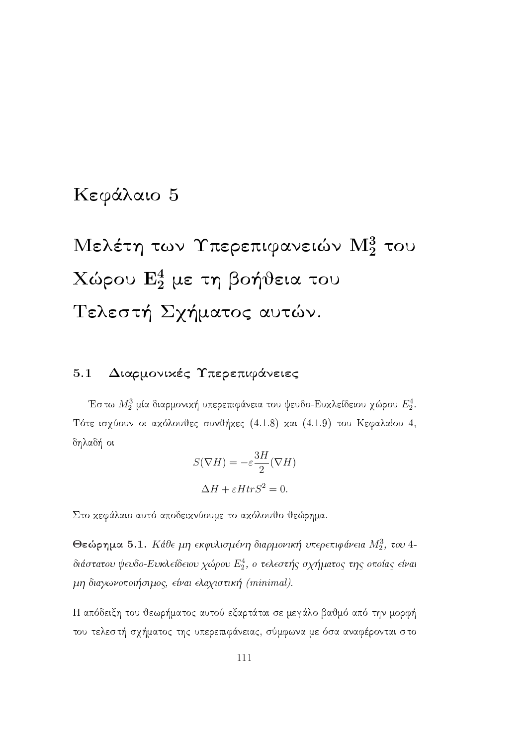## Κεφάλαιο 5

# Μελέτη των Υπερεπιφανειών  $\mathrm{M}_2^3$  του Χώρου  $E_2^4$  με τη βοήθεια του Τελεστή Σχήματος αυτών.

#### Διαρμονικές Υπερεπιφάνειες  $5.1$

Έστω  $M_2^3$  μία διαρμονική υπερεπιφάνεια του ψευδο-Ευκλείδειου χώρου  $E_2^4$ . Τότε ισχύουν οι ακόλουθες συνθήκες (4.1.8) και (4.1.9) του Κεφαλαίου 4, δηλαδή οι

$$
S(\nabla H) = -\varepsilon \frac{3H}{2} (\nabla H)
$$

$$
\Delta H + \varepsilon H tr S^2 = 0.
$$

Στο κεφάλαιο αυτό αποδεικνύουμε το ακόλουθο θεώρημα.

Θεώρημα 5.1. Κάθε μη εκφυλισμένη διαρμονική υπερεπιφάνεια  $M_2^3$ , του 4διάστατου ψευδο-Ευκλείδειου χώρου  $E_2^4$ , ο τελεστής σχήματος της οποίας είναι μη διαγωνοποιήσιμος, είναι ελαχιστική (minimal).

Η απόδειξη του θεωρήματος αυτού εξαρτάται σε μεγάλο βαθμό από την μορφή του τελεστή σχήματος της υπερεπιφάνειας, σύμφωνα με όσα αναφέρονται στο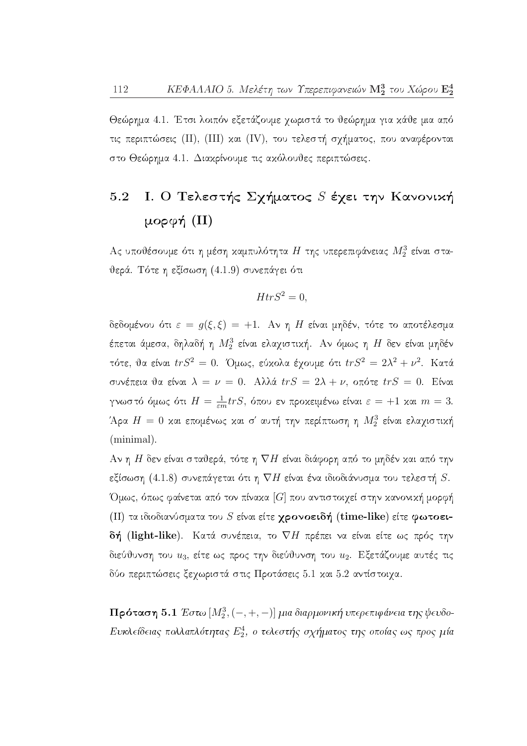Θεώρημα 4.1. Έτσι λοιπόν εξετάζουμε χωριστά το θεώρημα για κάθε μια από τις περιπτώσεις (II), (III) και (IV), του τελεστή σχήματος, που αναφέρονται στο Θεώρημα 4.1. Διακρίνουμε τις ακόλουθες περιπτώσεις.

#### Ι. Ο Τελεστής Σχήματος S έχει την Κανονική  $5.2$ μορφή (II)

Ας υποθέσουμε ότι η μέση καμπυλότητα Η της υπερεπιφάνειας  $M_2^3$  είναι σταθερά. Τότε η εξίσωση (4.1.9) συνεπάγει ότι

$$
HtrS^2 = 0,
$$

δεδομένου ότι  $\varepsilon = g(\xi, \xi) = +1$ . Αν η Η είναι μηδέν, τότε το αποτέλεσμα έπεται άμεσα, δηλαδή η  $M_2^3$  είναι ελαγιστική. Αν όμως η  $H$  δεν είναι μηδέν τότε, θα είναι  $trS^2 = 0$ . Όμως, εύχολα έχουμε ότι  $trS^2 = 2\lambda^2 + \nu^2$ . Κατά συνέπεια θα είναι  $\lambda = \nu = 0$ . Αλλά  $trS = 2\lambda + \nu$ , οπότε  $trS = 0$ . Είναι γνωστό όμως ότι  $H = \frac{1}{\varepsilon m} tr S$ , όπου εν προχειμένω είναι  $\varepsilon = +1$  χαι  $m = 3$ . Άρα  $H=0$  και επομένως και σ' αυτή την περίπτωση η  $M_2^3$  είναι ελαγιστική (minimal).

Αν η Η δεν είναι σταθερά, τότε η  $\nabla H$  είναι διάφορη από το μηδέν και από την εξίσωση (4.1.8) συνεπάγεται ότι η  $\nabla H$  είναι ένα ιδιοδιάνυσμα του τελεστή  $S$ . Όμως, όπως φαίνεται από τον πίναχα [G] που αντιστοιχεί στην χανονιχή μορφή (II) τα ιδιοδιανύσματα του  $S$  είναι είτε γρονοειδή (time-like) είτε φωτοειδή (light-like). Κατά συνέπεια, το  $\nabla H$  πρέπει να είναι είτε ως πρός την διεύθυνση του  $u_3$ , είτε ως προς την διεύθυνση του  $u_2$ . Εξετάζουμε αυτές τις δύο περιπτώσεις ξεχωριστά στις Προτάσεις 5.1 και 5.2 αντίστοιχα.

 $\Pi$ ρόταση 5.1 Έστω  $[M_2^3, (-, +, -)]$  μια διαρμονική υπερεπιφάνεια της ψευδο-Ευκλείδειας πολλαπλότητας  $E_2^4$ , ο τελεστής σχήματος της οποίας ως προς μία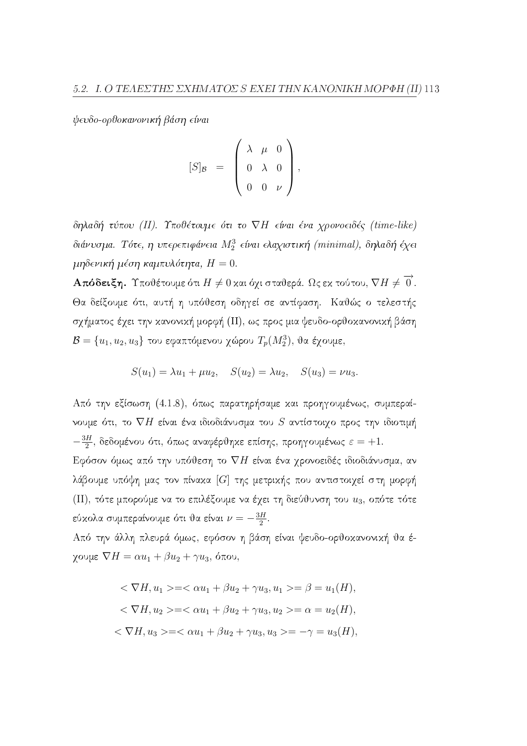ψευδο-ορθοκανονική βάση είναι

$$
[S]_{\mathcal{B}} = \left( \begin{array}{ccc} \lambda & \mu & 0 \\ 0 & \lambda & 0 \\ 0 & 0 & \nu \end{array} \right),
$$

δηλαδή τύπου (II). Υποθέτουμε ότι το  $\nabla H$  είναι ένα χρονοειδές (time-like) διάνυσμα. Τότε, η υπερεπιφάνεια  $M_2^3$  είναι ελαχιστική (minimal), δηλαδή έχει μηδενική μέση καμπυλότητα,  $H = 0$ .

**Απόδειξη.** Υποθέτουμε ότι  $H \neq 0$  και όχι σταθερά. Ως εκ τούτου,  $\nabla H \neq \overrightarrow{0}$ . Θα δείξουμε ότι, αυτή η υπόθεση οδηγεί σε αντίφαση. Καθώς ο τελεστής σχήματος έχει την κανονική μορφή (II), ως προς μια ψευδο-ορθοκανονική βάση  $\mathcal{B} = \{u_1, u_2, u_3\}$  του εφαπτόμενου χώρου  $T_p(M_2^3)$ , θα έχουμε,

$$
S(u_1) = \lambda u_1 + \mu u_2
$$
,  $S(u_2) = \lambda u_2$ ,  $S(u_3) = \nu u_3$ .

Από την εξίσωση (4.1.8), όπως παρατηρήσαμε και προηγουμένως, συμπεραίνουμε ότι, το  $\nabla H$  είναι ένα ιδιοδιάνυσμα του  $S$  αντίστοιχο προς την ιδιοτιμή  $-\frac{3H}{2}$ , δεδομένου ότι, όπως αναφέρθηκε επίσης, προηγουμένως  $\varepsilon = +1$ . Εφόσον όμως από την υπόθεση το  $\nabla H$  είναι ένα χρονοειδές ιδιοδιάνυσμα, αν λάβουμε υπόψη μας τον πίναχα [G] της μετριχής που αντιστοιχεί στη μορφή (II), τότε μπορούμε να το επιλέξουμε να έχει τη διεύθυνση του  $u_3$ , οπότε τότε εύχολα συμπεραίνουμε ότι θα είναι  $\nu = -\frac{3H}{2}$ .

Από την άλλη πλευρά όμως, εφόσον η βάση είναι ψευδο-ορθοκανονική θα έγουμε  $\nabla H = \alpha u_1 + \beta u_2 + \gamma u_3$ , όπου,

$$
\langle \nabla H, u_1 \rangle = \langle \alpha u_1 + \beta u_2 + \gamma u_3, u_1 \rangle = \beta = u_1(H),
$$
  

$$
\langle \nabla H, u_2 \rangle = \langle \alpha u_1 + \beta u_2 + \gamma u_3, u_2 \rangle = \alpha = u_2(H),
$$
  

$$
\langle \nabla H, u_3 \rangle = \langle \alpha u_1 + \beta u_2 + \gamma u_3, u_3 \rangle = -\gamma = u_3(H),
$$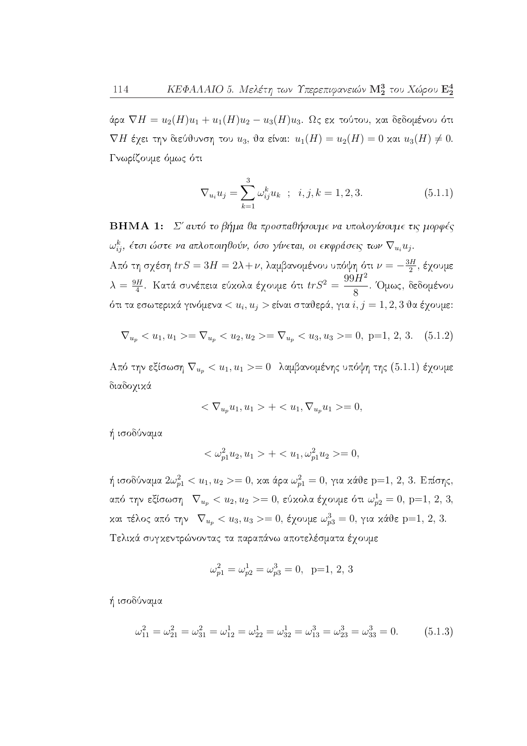άρα  $\nabla H = u_2(H)u_1 + u_1(H)u_2 - u_3(H)u_3$ . Ως εκ τούτου, και δεδομένου ότι  $\nabla H$  έχει την διεύθυνση του  $u_3$ , θα είναι:  $u_1(H) = u_2(H) = 0$  και  $u_3(H) \neq 0$ . Γνωρίζουμε όμως ότι

$$
\nabla_{u_i} u_j = \sum_{k=1}^3 \omega_{ij}^k u_k \quad ; \quad i, j, k = 1, 2, 3. \tag{5.1.1}
$$

**BHMA 1:** Σ' αυτό το βήμα θα προσπαθήσουμε να υπολογίσουμε τις μορφές  $\omega_{ij}^k$ , έτσι ώστε να απλοποιηθούν, όσο γίνεται, οι εκφράσεις των  $\nabla_{u_i} u_j$ . Από τη σχέση  $trS = 3H = 2\lambda + \nu$ , λαμβανομένου υπόψη ότι  $\nu = -\frac{3H}{2}$ , έχουμε  $\lambda = \frac{9H}{4}$ . Κατά συνέπεια εύχολα έχουμε ότι  $trS^2 = \frac{99H^2}{8}$ . Όμως, δεδομένου ότι τα εσωτερικά γινόμενα  $\langle u_i, u_j \rangle$  είναι σταθερά, για  $i, j = 1, 2, 3$  θα έγουμε:

$$
\nabla_{u_p} < u_1, u_1 \geq \nabla_{u_p} < u_2, u_2 \geq \nabla_{u_p} < u_3, u_3 \geq 0, \ p = 1, 2, 3. \quad (5.1.2)
$$

Από την εξίσωση $\nabla_{u_p} < u_1, u_1 >= 0$ λαμβανομένης υπόψη της (5.1.1) έχουμε διαδογικά

$$
\langle \nabla_{u_p} u_1, u_1 \rangle + \langle u_1, \nabla_{u_p} u_1 \rangle = 0,
$$

ή ισοδύναμα

$$
\langle \omega_{p1}^2 u_2, u_1 \rangle + \langle u_1, \omega_{p1}^2 u_2 \rangle = 0,
$$

ή ισοδύναμα $2\omega_{p1}^2 < u_1, u_2 >= 0$ , και άρα $\omega_{p1}^2 = 0$ , για κάθε p=1, 2, 3. Επίσης, από την εξίσωση  $\nabla_{u_p} < u_2, u_2 >= 0$ , εύχολα έχουμε ότι  $\omega_{p2}^1 = 0$ , p=1, 2, 3, και τέλος από την  $\nabla_{u_p} < u_3, u_3 >= 0$ , έχουμε  $\omega_{p3}^3 = 0$ , για κάθε p=1, 2, 3. Τελικά συγκεντρώνοντας τα παραπάνω αποτελέσματα έγουμε

$$
\omega_{p1}^2=\omega_{p2}^1=\omega_{p3}^3=0, \;\;\mathrm{p}{=}1,\,2,\,3
$$

ή ισοδύναμα

$$
\omega_{11}^2 = \omega_{21}^2 = \omega_{31}^2 = \omega_{12}^1 = \omega_{22}^1 = \omega_{32}^1 = \omega_{13}^3 = \omega_{23}^3 = \omega_{33}^3 = 0. \tag{5.1.3}
$$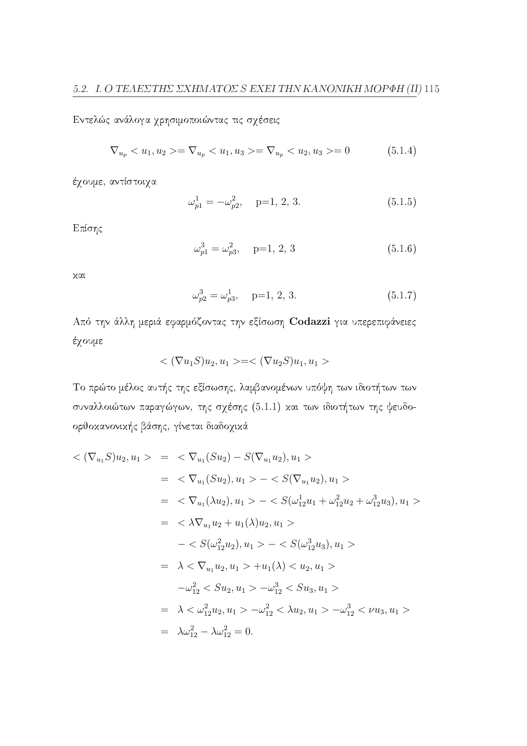Εντελώς ανάλογα χρησιμοποιώντας τις σχέσεις

$$
\nabla_{u_p} < u_1, u_2 > = \nabla_{u_p} < u_1, u_3 > = \nabla_{u_p} < u_2, u_3 > = 0 \tag{5.1.4}
$$

έχουμε, αντίστοιχα

$$
\omega_{p1}^1 = -\omega_{p2}^2, \quad p=1, 2, 3. \tag{5.1.5}
$$

Επίσης

$$
\omega_{p1}^3 = \omega_{p3}^2, \quad p=1, 2, 3 \tag{5.1.6}
$$

 $x\alpha$ 

$$
\omega_{p2}^3 = \omega_{p3}^1, \quad p=1, 2, 3. \tag{5.1.7}
$$

Από την άλλη μεριά εφαρμόζοντας την εξίσωση Codazzi για υπερεπιφάνειες έχουμε

$$
<(\nabla u_1S)u_2,u_1>=<(\nabla u_2S)u_1,u_1>
$$

Το πρώτο μέλος αυτής της εξίσωσης, λαμβανομένων υπόψη των ιδιοτήτων των συναλλοιώτων παραγώγων, της σχέσης (5.1.1) και των ιδιοτήτων της ψευδοορθοκανονικής βάσης, γίνεται διαδοχικά

$$
\langle (\nabla_{u_1} S) u_2, u_1 \rangle = \langle \nabla_{u_1} (S u_2) - S(\nabla_{u_1} u_2), u_1 \rangle
$$
  
\n
$$
= \langle \nabla_{u_1} (S u_2), u_1 \rangle - \langle S(\nabla_{u_1} u_2), u_1 \rangle
$$
  
\n
$$
= \langle \nabla_{u_1} (\lambda u_2), u_1 \rangle - \langle S(\omega_{12}^1 u_1 + \omega_{12}^2 u_2 + \omega_{12}^3 u_3), u_1 \rangle
$$
  
\n
$$
= \langle \lambda \nabla_{u_1} u_2 + u_1(\lambda) u_2, u_1 \rangle
$$
  
\n
$$
- \langle S(\omega_{12}^2 u_2), u_1 \rangle - \langle S(\omega_{12}^3 u_3), u_1 \rangle
$$
  
\n
$$
= \lambda \langle \nabla_{u_1} u_2, u_1 \rangle + u_1(\lambda) \langle u_2, u_1 \rangle
$$
  
\n
$$
- \omega_{12}^2 \langle S u_2, u_1 \rangle - \omega_{12}^3 \langle S u_3, u_1 \rangle
$$
  
\n
$$
= \lambda \langle \omega_{12}^2 u_2, u_1 \rangle - \omega_{12}^2 \langle \lambda u_2, u_1 \rangle - \omega_{12}^3 \langle \nu u_3, u_1 \rangle
$$
  
\n
$$
= \lambda \omega_{12}^2 - \lambda \omega_{12}^2 = 0.
$$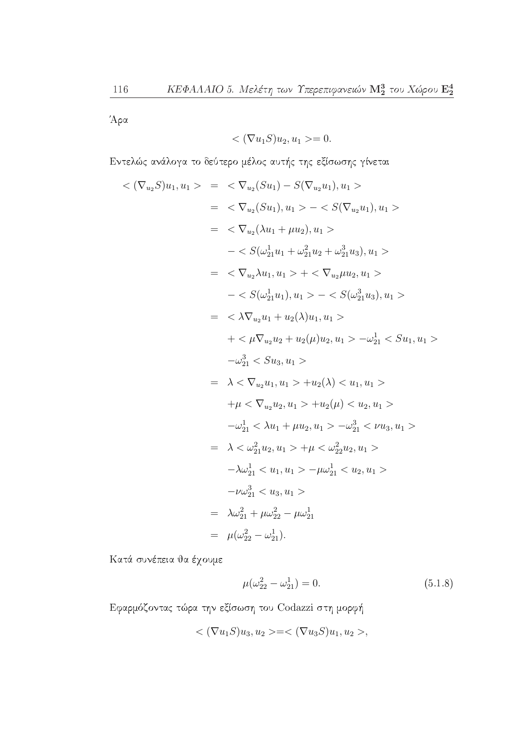Άρα

$$
\langle \nabla u_1 S \rangle u_2, u_1 \rangle = 0.
$$

Εντελώς ανάλογα το δεύτερο μέλος αυτής της εξίσωσης γίνεται

$$
\langle \nabla_{u_2} S \rangle u_1, u_1 \rangle = \langle \nabla_{u_2} (Su_1) - S(\nabla_{u_2} u_1), u_1 \rangle
$$
  
\n
$$
= \langle \nabla_{u_2} (Su_1), u_1 \rangle - \langle S(\nabla_{u_2} u_1), u_1 \rangle
$$
  
\n
$$
= \langle \nabla_{u_2} (\lambda u_1 + \mu u_2), u_1 \rangle
$$
  
\n
$$
- \langle S(\omega_{21}^1 u_1 + \omega_{21}^2 u_2 + \omega_{21}^3 u_3), u_1 \rangle
$$
  
\n
$$
= \langle \nabla_{u_2} \lambda u_1, u_1 \rangle + \langle \nabla_{u_2} \mu u_2, u_1 \rangle
$$
  
\n
$$
- \langle S(\omega_{21}^1 u_1), u_1 \rangle - \langle S(\omega_{21}^3 u_3), u_1 \rangle
$$
  
\n
$$
= \langle \lambda \nabla_{u_2} u_1 + u_2(\lambda) u_1, u_1 \rangle
$$
  
\n
$$
+ \langle \mu \nabla_{u_2} u_2 + u_2(\mu) u_2, u_1 \rangle - \omega_{21}^1 \langle S u_1, u_1 \rangle
$$
  
\n
$$
- \omega_{21}^3 \langle S u_3, u_1 \rangle
$$
  
\n
$$
= \lambda \langle \nabla_{u_2} u_1, u_1 \rangle + u_2(\lambda) \langle u_1, u_1 \rangle
$$
  
\n
$$
+ \mu \langle \nabla_{u_2} u_2, u_1 \rangle + u_2(\mu) \langle u_2, u_1 \rangle
$$
  
\n
$$
- \omega_{21}^1 \langle \lambda u_1 + \mu u_2, u_1 \rangle - \omega_{21}^3 \langle \nu u_3, u_1 \rangle
$$
  
\n
$$
= \lambda \langle \omega_{21}^2 u_2, u_1 \rangle + \mu \langle \omega_{22}^2 u_2, u_1 \rangle
$$
  
\n
$$
- \lambda \omega_{21}^1 \langle u_1, u_1 \rangle - \mu \omega_{21}^1 \langle u_2, u_1 \rangle
$$
  
\n<math display="</math>

Κατά συνέπεια θα έχουμε

$$
\mu(\omega_{22}^2 - \omega_{21}^1) = 0. \tag{5.1.8}
$$

Εφαρμόζοντας τώρα την εξίσωση του Codazzi στη μορφή

$$
\langle \nabla u_1 S \rangle u_3, u_2 \rangle = \langle \nabla u_3 S \rangle u_1, u_2 \rangle,
$$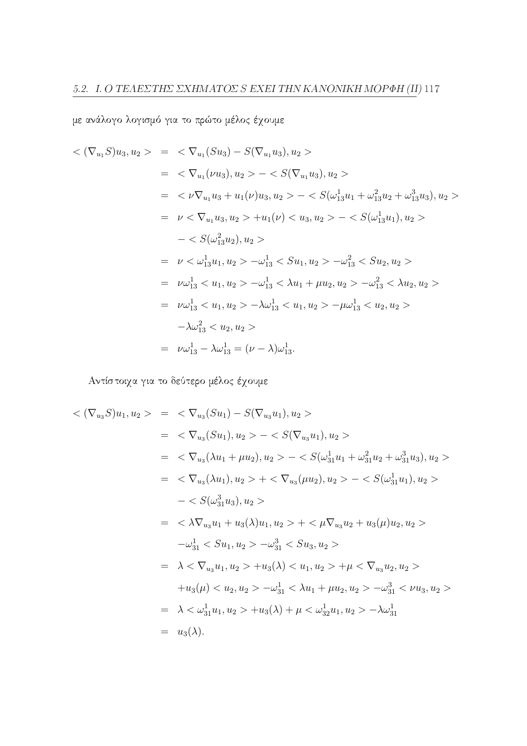με ανάλογο λογισμό για το πρώτο μέλος έχουμε

$$
\langle (\nabla_{u_1} S) u_3, u_2 \rangle = \langle \nabla_{u_1} (S u_3) - S(\nabla_{u_1} u_3), u_2 \rangle
$$
  
\n
$$
= \langle \nabla_{u_1} (\nu u_3), u_2 \rangle - \langle S(\nabla_{u_1} u_3), u_2 \rangle
$$
  
\n
$$
= \langle \nu \nabla_{u_1} u_3 + u_1(\nu) u_3, u_2 \rangle - \langle S(\omega_{13}^1 u_1 + \omega_{13}^2 u_2 + \omega_{13}^3 u_3), u_2 \rangle
$$
  
\n
$$
= \nu \langle \nabla_{u_1} u_3, u_2 \rangle + u_1(\nu) \langle u_3, u_2 \rangle - \langle S(\omega_{13}^1 u_1), u_2 \rangle
$$
  
\n
$$
- \langle S(\omega_{13}^2 u_2), u_2 \rangle
$$
  
\n
$$
= \nu \langle \omega_{13}^1 u_1, u_2 \rangle - \omega_{13}^1 \langle S u_1, u_2 \rangle - \omega_{13}^2 \langle S u_2, u_2 \rangle
$$
  
\n
$$
= \nu \omega_{13}^1 \langle u_1, u_2 \rangle - \omega_{13}^1 \langle u_1 + \mu u_2, u_2 \rangle - \omega_{13}^2 \langle u_2, u_2 \rangle
$$
  
\n
$$
= \nu \omega_{13}^1 \langle u_1, u_2 \rangle - \lambda \omega_{13}^1 \langle u_1, u_2 \rangle - \mu \omega_{13}^1 \langle u_2, u_2 \rangle
$$
  
\n
$$
- \lambda \omega_{13}^2 \langle u_2, u_2 \rangle
$$
  
\n
$$
= \nu \omega_{13}^1 - \lambda \omega_{13}^1 = (\nu - \lambda) \omega_{13}^1.
$$

Αντίστοιχα για το δεύτερο μέλος έχουμε

$$
\langle \nabla_{u_3} S \rangle u_1, u_2 \rangle = \langle \nabla_{u_3} (Su_1) - S(\nabla_{u_3} u_1), u_2 \rangle
$$
  
\n
$$
= \langle \nabla_{u_3} (Su_1), u_2 \rangle - \langle S(\nabla_{u_3} u_1), u_2 \rangle
$$
  
\n
$$
= \langle \nabla_{u_3} (\lambda u_1 + \mu u_2), u_2 \rangle - \langle S(\omega_{31}^1 u_1 + \omega_{31}^2 u_2 + \omega_{31}^3 u_3), u_2 \rangle
$$
  
\n
$$
= \langle \nabla_{u_3} (\lambda u_1), u_2 \rangle + \langle \nabla_{u_3} (\mu u_2), u_2 \rangle - \langle S(\omega_{31}^1 u_1), u_2 \rangle
$$
  
\n
$$
- \langle S(\omega_{31}^3 u_3), u_2 \rangle
$$
  
\n
$$
= \langle \lambda \nabla_{u_3} u_1 + u_3(\lambda) u_1, u_2 \rangle + \langle \mu \nabla_{u_3} u_2 + u_3(\mu) u_2, u_2 \rangle
$$
  
\n
$$
-\omega_{31}^1 \langle S u_1, u_2 \rangle - \omega_{31}^3 \langle S u_3, u_2 \rangle
$$
  
\n
$$
= \lambda \langle \nabla_{u_3} u_1, u_2 \rangle + u_3(\lambda) \langle u_1, u_2 \rangle + \mu \langle \nabla_{u_3} u_2, u_2 \rangle
$$
  
\n
$$
+ u_3(\mu) \langle u_2, u_2 \rangle - \omega_{31}^1 \langle \lambda u_1 + \mu u_2, u_2 \rangle - \omega_{31}^3 \langle \nu u_3, u_2 \rangle
$$
  
\n
$$
= \lambda \langle \omega_{31}^1 u_1, u_2 \rangle + u_3(\lambda) + \mu \langle \omega_{32}^1 u_1, u_2 \rangle - \lambda \omega_{31}^1
$$
  
\n
$$
= u_3(\lambda).
$$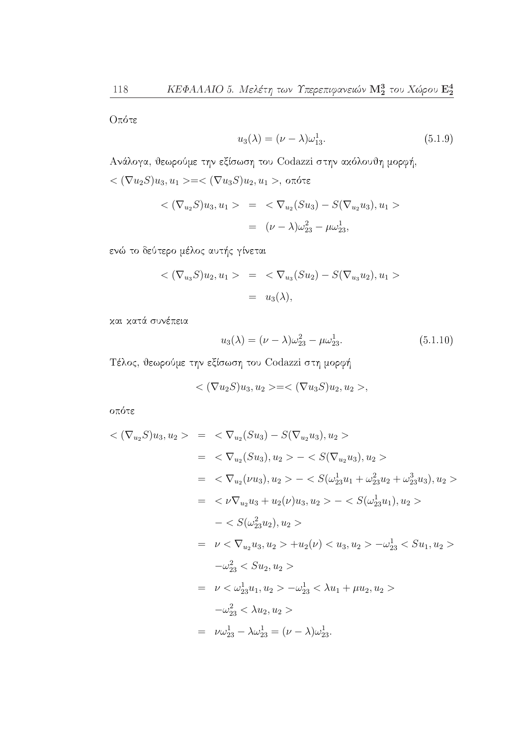Οπότε

$$
u_3(\lambda) = (\nu - \lambda)\omega_{13}^1. \tag{5.1.9}
$$

Ανάλογα, θεωρούμε την εξίσωση του Codazzi στην ακόλουθη μορφή,  $<(\nabla u_2S)u_3, u_1>=<(\nabla u_3S)u_2, u_1>, \text{ or }$ ότε

$$
\langle (\nabla_{u_2} S) u_3, u_1 \rangle = \langle \nabla_{u_2} (S u_3) - S (\nabla_{u_2} u_3), u_1 \rangle
$$
  
= 
$$
(\nu - \lambda) \omega_{23}^2 - \mu \omega_{23}^1,
$$

ενώ το δεύτερο μέλος αυτής γίνεται

$$
\langle (\nabla_{u_3} S) u_2, u_1 \rangle = \langle \nabla_{u_3} (S u_2) - S(\nabla_{u_3} u_2), u_1 \rangle
$$
  
=  $u_3(\lambda)$ ,

και κατά συνέπεια

$$
u_3(\lambda) = (\nu - \lambda)\omega_{23}^2 - \mu\omega_{23}^1. \tag{5.1.10}
$$

Τέλος, θεωρούμε την εξίσωση του Codazzi στη μορφή

$$
\langle \nabla u_2 S \rangle u_3, u_2 \rangle = \langle \nabla u_3 S \rangle u_2, u_2 \rangle,
$$

οπότε

$$
\langle \nabla_{u_2} S \rangle u_3, u_2 \rangle = \langle \nabla_{u_2} (S u_3) - S(\nabla_{u_2} u_3), u_2 \rangle
$$
  
\n
$$
= \langle \nabla_{u_2} (S u_3), u_2 \rangle - \langle S(\nabla_{u_2} u_3), u_2 \rangle
$$
  
\n
$$
= \langle \nabla_{u_2} (\nu u_3), u_2 \rangle - \langle S(\omega_{23}^1 u_1 + \omega_{23}^2 u_2 + \omega_{23}^3 u_3), u_2 \rangle
$$
  
\n
$$
= \langle \nu \nabla_{u_2} u_3 + u_2(\nu) u_3, u_2 \rangle - \langle S(\omega_{23}^1 u_1), u_2 \rangle
$$
  
\n
$$
- \langle S(\omega_{23}^2 u_2), u_2 \rangle
$$
  
\n
$$
= \nu \langle \nabla_{u_2} u_3, u_2 \rangle + u_2(\nu) \langle u_3, u_2 \rangle - \omega_{23}^1 \langle S u_1, u_2 \rangle
$$
  
\n
$$
- \omega_{23}^2 \langle S u_2, u_2 \rangle
$$
  
\n
$$
= \nu \langle \omega_{23}^1 u_1, u_2 \rangle - \omega_{23}^1 \langle S u_1 + \mu u_2, u_2 \rangle
$$
  
\n
$$
- \omega_{23}^2 \langle \lambda u_2, u_2 \rangle
$$
  
\n
$$
= \nu \omega_{23}^1 - \lambda \omega_{23}^1 = (\nu - \lambda) \omega_{23}^1.
$$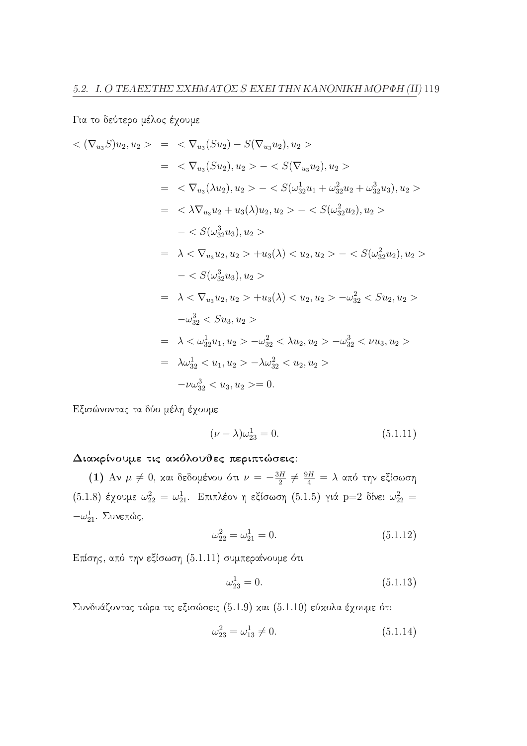Για το δεύτερο μέλος έχουμε

$$
\langle (\nabla_{u_3} S) u_2, u_2 \rangle = \langle \nabla_{u_3} (S u_2) - S(\nabla_{u_3} u_2), u_2 \rangle
$$
  
\n
$$
= \langle \nabla_{u_3} (S u_2), u_2 \rangle - \langle S(\nabla_{u_3} u_2), u_2 \rangle
$$
  
\n
$$
= \langle \nabla_{u_3} (\lambda u_2), u_2 \rangle - \langle S(\omega_{32}^1 u_1 + \omega_{32}^2 u_2 + \omega_{32}^3 u_3), u_2 \rangle
$$
  
\n
$$
= \langle \lambda \nabla_{u_3} u_2 + u_3(\lambda) u_2, u_2 \rangle - \langle S(\omega_{32}^2 u_2), u_2 \rangle
$$
  
\n
$$
- \langle S(\omega_{32}^3 u_3), u_2 \rangle
$$
  
\n
$$
= \lambda \langle \nabla_{u_3} u_2, u_2 \rangle + u_3(\lambda) \langle u_2, u_2 \rangle - \langle S(\omega_{32}^2 u_2), u_2 \rangle
$$
  
\n
$$
- \langle S(\omega_{32}^3 u_3), u_2 \rangle
$$
  
\n
$$
= \lambda \langle \nabla_{u_3} u_2, u_2 \rangle + u_3(\lambda) \langle u_2, u_2 \rangle - \omega_{32}^2 \langle S u_2, u_2 \rangle
$$
  
\n
$$
- \omega_{32}^3 \langle S u_3, u_2 \rangle
$$
  
\n
$$
= \lambda \langle \omega_{32}^1 u_1, u_2 \rangle - \omega_{32}^2 \langle \lambda u_2, u_2 \rangle - \omega_{32}^3 \langle \nu u_3, u_2 \rangle
$$
  
\n
$$
= \lambda \omega_{32}^1 \langle u_1, u_2 \rangle - \lambda \omega_{32}^2 \langle u_2, u_2 \rangle
$$
  
\n
$$
- \nu \omega_{32}^3 \langle u_3, u_2 \rangle = 0.
$$

Εξισώνοντας τα δύο μέλη έχουμε

$$
(\nu - \lambda)\omega_{23}^1 = 0. \tag{5.1.11}
$$

#### Διακρίνουμε τις ακόλουθες περιπτώσεις:

(1) Αν  $\mu \neq 0$ , και δεδομένου ότι  $\nu = -\frac{3H}{2} \neq \frac{9H}{4} = \lambda$  από την εξίσωση (5.1.8) έχουμε  $\omega_{22}^2 = \omega_{21}^1$ . Επιπλέον η εξίσωση (5.1.5) γιά p=2 δίνει  $\omega_{22}^2 =$  $-\omega_{21}^1$ . Συνεπώς,

$$
\omega_{22}^2 = \omega_{21}^1 = 0. \tag{5.1.12}
$$

Επίσης, από την εξίσωση (5.1.11) συμπεραίνουμε ότι

$$
\omega_{23}^1 = 0.\tag{5.1.13}
$$

Συνδυάζοντας τώρα τις εξισώσεις (5.1.9) και (5.1.10) εύκολα έχουμε ότι

$$
\omega_{23}^2 = \omega_{13}^1 \neq 0. \tag{5.1.14}
$$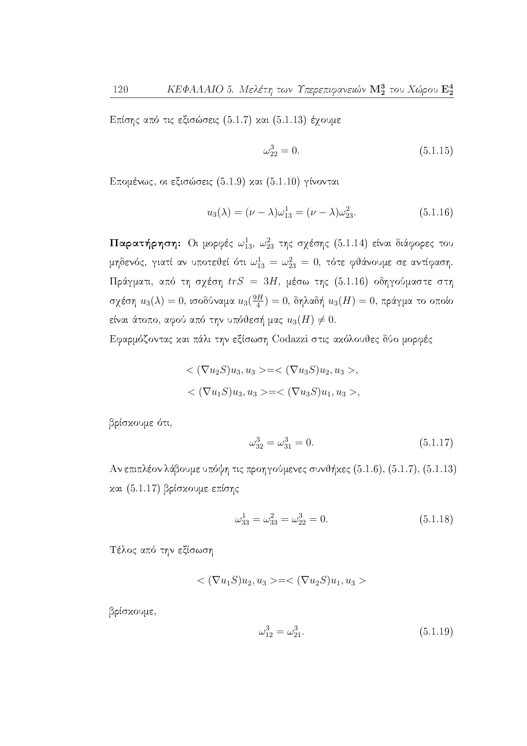Επίσης από τις εξισώσεις (5.1.7) και (5.1.13) έχουμε

$$
\omega_{22}^3 = 0.\tag{5.1.15}
$$

Επομένως, οι εξισώσεις (5.1.9) και (5.1.10) γίνονται

$$
u_3(\lambda) = (\nu - \lambda)\omega_{13}^1 = (\nu - \lambda)\omega_{23}^2.
$$
 (5.1.16)

Παρατήρηση: Οι μορφές  $\omega_{13}^1$ ,  $\omega_{23}^2$  της σχέσης (5.1.14) είναι διάφορες του μηδενός, γιατί αν υποτεθεί ότι  $\omega_{13}^1 = \omega_{23}^2 = 0$ , τότε φθάνουμε σε αντίφαση. Πράγματι, από τη σχέση  $trS = 3H$ , μέσω της (5.1.16) οδηγούμαστε στη σχέση  $u_3(\lambda) = 0$ , ισοδύναμα  $u_3(\frac{9H}{4}) = 0$ , δηλαδή  $u_3(H) = 0$ , πράγμα το οποίο είναι άτοπο, αφού από την υπόθεσή μας  $u_3(H) \neq 0$ .

Εφαρμόζοντας και πάλι την εξίσωση Codazzi στις ακόλουθες δύο μορφές

$$
\langle (\nabla u_2 S) u_3, u_3 \rangle = \langle (\nabla u_3 S) u_2, u_3 \rangle,
$$
  

$$
\langle (\nabla u_1 S) u_3, u_3 \rangle = \langle (\nabla u_3 S) u_1, u_3 \rangle,
$$

βρίσχουμε ότι,

$$
\omega_{32}^3 = \omega_{31}^3 = 0. \tag{5.1.17}
$$

Αν επιπλέον λάβουμε υπόψη τις προηγούμενες συνθήκες (5.1.6), (5.1.7), (5.1.13) και (5.1.17) βρίσκουμε επίσης

$$
\omega_{33}^1 = \omega_{33}^2 = \omega_{22}^3 = 0. \tag{5.1.18}
$$

Τέλος από την εξίσωση

$$
\langle (\nabla u_1 S) u_2, u_3 \rangle = \langle (\nabla u_2 S) u_1, u_3 \rangle
$$

βρίσχουμε,

$$
\omega_{12}^3 = \omega_{21}^3. \tag{5.1.19}
$$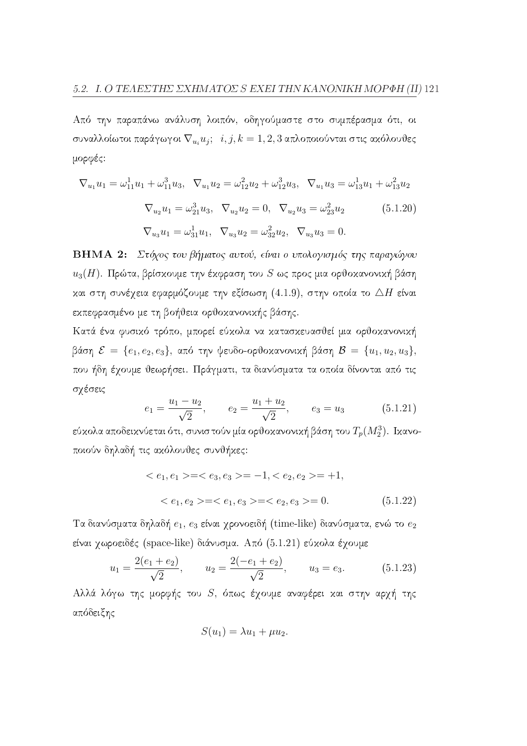Από την παραπάνω ανάλυση λοιπόν, οδηγούμαστε στο συμπέρασμα ότι, οι συναλλοίωτοι παράγωγοι  $\nabla_{u_i} u_j$ ;  $i, j, k = 1, 2, 3$  απλοποιούνται στις ακόλουθες μορφές:

$$
\nabla_{u_1} u_1 = \omega_{11}^1 u_1 + \omega_{11}^3 u_3, \quad \nabla_{u_1} u_2 = \omega_{12}^2 u_2 + \omega_{12}^3 u_3, \quad \nabla_{u_1} u_3 = \omega_{13}^1 u_1 + \omega_{13}^2 u_2
$$
\n
$$
\nabla_{u_2} u_1 = \omega_{21}^3 u_3, \quad \nabla_{u_2} u_2 = 0, \quad \nabla_{u_2} u_3 = \omega_{23}^2 u_2 \tag{5.1.20}
$$
\n
$$
\nabla_{u_3} u_1 = \omega_{31}^1 u_1, \quad \nabla_{u_3} u_2 = \omega_{32}^2 u_2, \quad \nabla_{u_3} u_3 = 0.
$$

ΒΗΜΑ 2: Στόχος του βήματος αυτού, είναι ο υπολογισμός της παραγώγου  $u_3(H)$ . Πρώτα, βρίσκουμε την έκφραση του  $S$  ως προς μια ορθοκανονική βάση και στη συνέχεια εφαρμόζουμε την εξίσωση  $(4.1.9)$ , στην οποία το  $\triangle H$  είναι εκπεφρασμένο με τη βοήθεια ορθοκανονικής βάσης.

Κατά ένα φυσικό τρόπο, μπορεί εύκολα να κατασκευασθεί μια ορθοκανονική βάση  $\mathcal{E} = \{e_1, e_2, e_3\}$ , από την ψευδο-ορθοχανονική βάση  $\mathcal{B} = \{u_1, u_2, u_3\},\$ που ήδη έχουμε θεωρήσει. Πράγματι, τα διανύσματα τα οποία δίνονται από τις σχέσεις

$$
e_1 = \frac{u_1 - u_2}{\sqrt{2}}, \qquad e_2 = \frac{u_1 + u_2}{\sqrt{2}}, \qquad e_3 = u_3
$$
 (5.1.21)

εύχολα αποδειχνύεται ότι, συνιστούν μία ορθοχανονική βάση του  $T_p(M_2^3)$ . Ικανοποιούν δηλαδή τις ακόλουθες συνθήκες:

$$
\langle e_1, e_1 \rangle = \langle e_3, e_3 \rangle = -1, \langle e_2, e_2 \rangle = +1,
$$
  

$$
\langle e_1, e_2 \rangle = \langle e_1, e_3 \rangle = \langle e_2, e_3 \rangle = 0.
$$
(5.1.22)

Τα διανύσματα δηλαδή  $e_1, e_3$  είναι χρονοειδή (time-like) διανύσματα, ενώ το  $e_2$ είναι χωροειδές (space-like) διάνυσμα. Από (5.1.21) εύχολα έχουμε

$$
u_1 = \frac{2(e_1 + e_2)}{\sqrt{2}}, \qquad u_2 = \frac{2(-e_1 + e_2)}{\sqrt{2}}, \qquad u_3 = e_3.
$$
 (5.1.23)

Αλλά λόγω της μορφής του S, όπως έχουμε αναφέρει και στην αρχή της απόδειξης

$$
S(u_1)=\lambda u_1+\mu u_2.
$$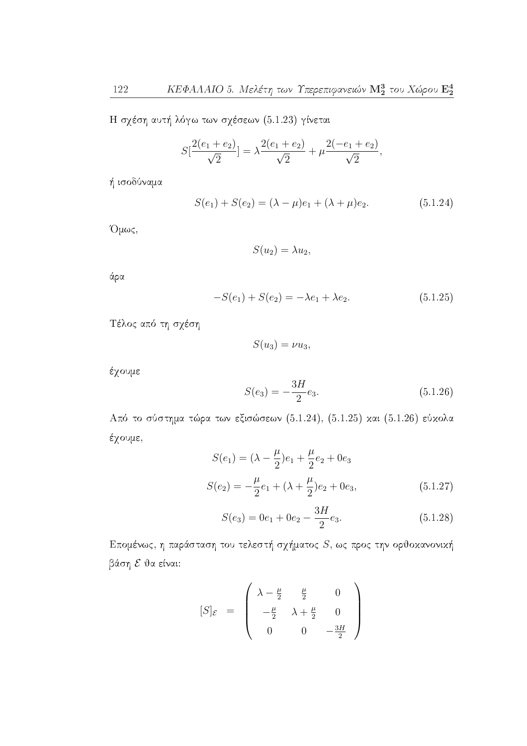Η σχέση αυτή λόγω των σχέσεων (5.1.23) γίνεται

$$
S[\frac{2(e_1+e_2)}{\sqrt{2}}] = \lambda \frac{2(e_1+e_2)}{\sqrt{2}} + \mu \frac{2(-e_1+e_2)}{\sqrt{2}},
$$

ή ισοδύναμα

$$
S(e_1) + S(e_2) = (\lambda - \mu)e_1 + (\lambda + \mu)e_2.
$$
 (5.1.24)

Όμως,

$$
S(u_2)=\lambda u_2,
$$

άρα

$$
-S(e_1) + S(e_2) = -\lambda e_1 + \lambda e_2.
$$
 (5.1.25)

Τέλος από τη σχέση

$$
S(u_3)=\nu u_3,
$$

έχουμε

$$
S(e_3) = -\frac{3H}{2}e_3.
$$
\n(5.1.26)

Από το σύστημα τώρα των εξισώσεων (5.1.24), (5.1.25) και (5.1.26) εύκολα έχουμε,

$$
S(e_1) = (\lambda - \frac{\mu}{2})e_1 + \frac{\mu}{2}e_2 + 0e_3
$$
  

$$
S(e_2) = -\frac{\mu}{2}e_1 + (\lambda + \frac{\mu}{2})e_2 + 0e_3,
$$
 (5.1.27)

$$
S(e_3) = 0e_1 + 0e_2 - \frac{3H}{2}e_3.
$$
 (5.1.28)

Επομένως, η παράσταση του τελεστή σχήματος  $S$ , ως προς την ορθοκανονική βάση ε θα είναι:

$$
[S]_{\mathcal{E}} = \begin{pmatrix} \lambda - \frac{\mu}{2} & \frac{\mu}{2} & 0 \\ -\frac{\mu}{2} & \lambda + \frac{\mu}{2} & 0 \\ 0 & 0 & -\frac{3H}{2} \end{pmatrix}
$$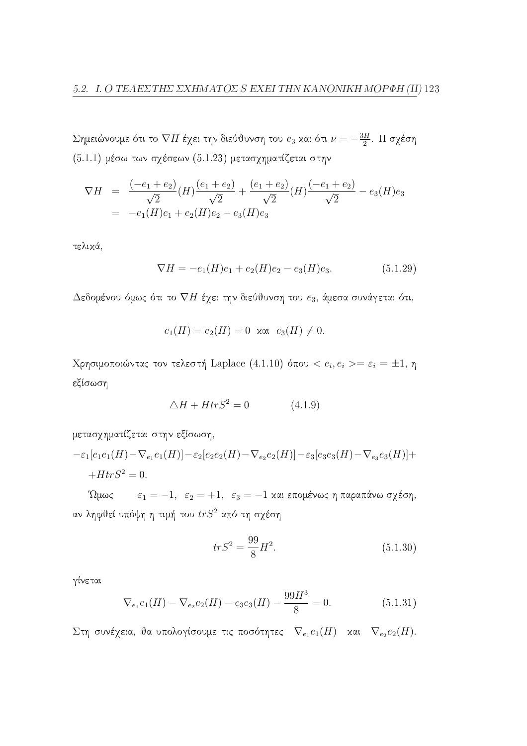Σημειώνουμε ότι το  $\nabla H$  έχει την διεύθυνση του  $e_3$  και ότι  $\nu=-\frac{3H}{2}$ . Η σχέση  $(5.1.1)$  μέσω των σχέσεων  $(5.1.23)$  μετασχηματίζεται στην

$$
\nabla H = \frac{(-e_1 + e_2)}{\sqrt{2}} (H) \frac{(e_1 + e_2)}{\sqrt{2}} + \frac{(e_1 + e_2)}{\sqrt{2}} (H) \frac{(-e_1 + e_2)}{\sqrt{2}} - e_3 (H) e_3
$$
  
= -e<sub>1</sub>(H)e<sub>1</sub> + e<sub>2</sub>(H)e<sub>2</sub> - e<sub>3</sub>(H)e<sub>3</sub>

τελικά,

$$
\nabla H = -e_1(H)e_1 + e_2(H)e_2 - e_3(H)e_3.
$$
 (5.1.29)

Δεδομένου όμως ότι το  $\nabla H$  έχει την διεύθυνση του  $e_3$ , άμεσα συνάγεται ότι,

$$
e_1(H) = e_2(H) = 0
$$
 xau  $e_3(H) \neq 0$ .

Χρησιμοποιώντας τον τελεστή Laplace (4.1.10) όπου <  $e_i, e_i >= \varepsilon_i = \pm 1, \eta$ εξίσωση

$$
\triangle H + HtrS^2 = 0 \tag{4.1.9}
$$

μετασχηματίζεται στην εξίσωση,

$$
-\varepsilon_1[e_1e_1(H) - \nabla_{e_1}e_1(H)] - \varepsilon_2[e_2e_2(H) - \nabla_{e_2}e_2(H)] - \varepsilon_3[e_3e_3(H) - \nabla_{e_3}e_3(H)] ++ HtrS^2 = 0.
$$

'Ωμως  $\varepsilon_1 = -1$ ,  $\varepsilon_2 = +1$ ,  $\varepsilon_3 = -1$  και επομένως η παραπάνω σχέση, αν ληφθεί υπόψη η τιμή του  $trS^2$  από τη σχέση

$$
trS^2 = \frac{99}{8}H^2.
$$
\n(5.1.30)

γίνεται

$$
\nabla_{e_1} e_1(H) - \nabla_{e_2} e_2(H) - e_3 e_3(H) - \frac{99H^3}{8} = 0.
$$
 (5.1.31)

Στη συνέχεια, θα υπολογίσουμε τις ποσότητες  $\nabla_{e_1}e_1(H)$  και  $\nabla_{e_2}e_2(H)$ .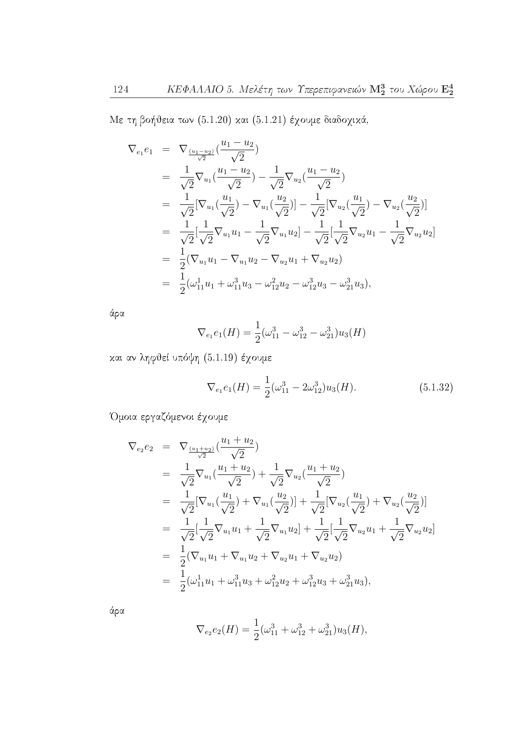Με τη βοήθεια των (5.1.20) και (5.1.21) έχουμε διαδοχικά,

$$
\nabla_{e_1} e_1 = \nabla_{\frac{(u_1 - u_2)}{\sqrt{2}}} \left( \frac{u_1 - u_2}{\sqrt{2}} \right)
$$
\n
$$
= \frac{1}{\sqrt{2}} \nabla_{u_1} \left( \frac{u_1 - u_2}{\sqrt{2}} \right) - \frac{1}{\sqrt{2}} \nabla_{u_2} \left( \frac{u_1 - u_2}{\sqrt{2}} \right)
$$
\n
$$
= \frac{1}{\sqrt{2}} [\nabla_{u_1} \left( \frac{u_1}{\sqrt{2}} \right) - \nabla_{u_1} \left( \frac{u_2}{\sqrt{2}} \right)] - \frac{1}{\sqrt{2}} [\nabla_{u_2} \left( \frac{u_1}{\sqrt{2}} \right) - \nabla_{u_2} \left( \frac{u_2}{\sqrt{2}} \right)]
$$
\n
$$
= \frac{1}{\sqrt{2}} [\frac{1}{\sqrt{2}} \nabla_{u_1} u_1 - \frac{1}{\sqrt{2}} \nabla_{u_1} u_2] - \frac{1}{\sqrt{2}} [\frac{1}{\sqrt{2}} \nabla_{u_2} u_1 - \frac{1}{\sqrt{2}} \nabla_{u_2} u_2]
$$
\n
$$
= \frac{1}{2} (\nabla_{u_1} u_1 - \nabla_{u_1} u_2 - \nabla_{u_2} u_1 + \nabla_{u_2} u_2)
$$
\n
$$
= \frac{1}{2} (\omega_{11}^1 u_1 + \omega_{11}^3 u_3 - \omega_{12}^2 u_2 - \omega_{12}^3 u_3 - \omega_{21}^3 u_3),
$$

άρα

$$
\nabla_{e_1} e_1(H) = \frac{1}{2} (\omega_{11}^3 - \omega_{12}^3 - \omega_{21}^3) u_3(H)
$$

και αν ληφθεί υπόψη (5.1.19) έχουμε

$$
\nabla_{e_1} e_1(H) = \frac{1}{2} (\omega_{11}^3 - 2\omega_{12}^3) u_3(H). \tag{5.1.32}
$$

Όμοια εργαζόμενοι έχουμε

$$
\nabla_{e_2} e_2 = \nabla_{\frac{(u_1 + u_2)}{\sqrt{2}}} \left( \frac{u_1 + u_2}{\sqrt{2}} \right)
$$
\n
$$
= \frac{1}{\sqrt{2}} \nabla_{u_1} \left( \frac{u_1 + u_2}{\sqrt{2}} \right) + \frac{1}{\sqrt{2}} \nabla_{u_2} \left( \frac{u_1 + u_2}{\sqrt{2}} \right)
$$
\n
$$
= \frac{1}{\sqrt{2}} [\nabla_{u_1} \left( \frac{u_1}{\sqrt{2}} \right) + \nabla_{u_1} \left( \frac{u_2}{\sqrt{2}} \right)] + \frac{1}{\sqrt{2}} [\nabla_{u_2} \left( \frac{u_1}{\sqrt{2}} \right) + \nabla_{u_2} \left( \frac{u_2}{\sqrt{2}} \right)]
$$
\n
$$
= \frac{1}{\sqrt{2}} [\frac{1}{\sqrt{2}} \nabla_{u_1} u_1 + \frac{1}{\sqrt{2}} \nabla_{u_1} u_2] + \frac{1}{\sqrt{2}} [\frac{1}{\sqrt{2}} \nabla_{u_2} u_1 + \frac{1}{\sqrt{2}} \nabla_{u_2} u_2]
$$
\n
$$
= \frac{1}{2} (\nabla_{u_1} u_1 + \nabla_{u_1} u_2 + \nabla_{u_2} u_1 + \nabla_{u_2} u_2)
$$
\n
$$
= \frac{1}{2} (\omega_{11}^1 u_1 + \omega_{11}^3 u_3 + \omega_{12}^2 u_2 + \omega_{12}^3 u_3 + \omega_{21}^3 u_3),
$$

άρα

$$
\nabla_{e_2} e_2(H) = \frac{1}{2} (\omega_{11}^3 + \omega_{12}^3 + \omega_{21}^3) u_3(H),
$$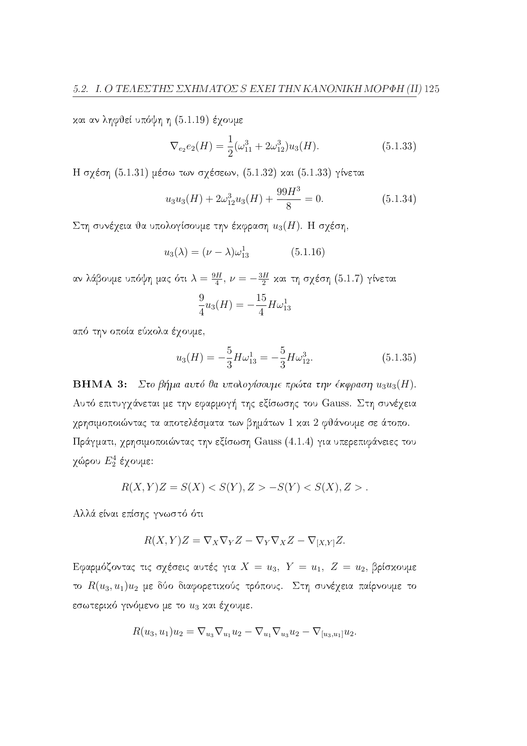και αν ληφθεί υπόψη η (5.1.19) έχουμε

$$
\nabla_{e_2} e_2(H) = \frac{1}{2} (\omega_{11}^3 + 2\omega_{12}^3) u_3(H). \tag{5.1.33}
$$

Η σχέση (5.1.31) μέσω των σχέσεων, (5.1.32) και (5.1.33) γίνεται

$$
u_3 u_3(H) + 2\omega_{12}^3 u_3(H) + \frac{99H^3}{8} = 0.
$$
 (5.1.34)

Στη συνέχεια θα υπολογίσουμε την έκφραση  $u_3(H)$ . Η σχέση,

$$
u_3(\lambda) = (\nu - \lambda)\omega_{13}^1 \tag{5.1.16}
$$

αν λάβουμε υπόψη μας ότι $\lambda=\frac{9H}{4},\,\nu=-\frac{3H}{2}$  και τη σχέση (5.1.7) γίνεται

$$
\frac{9}{4}u_3(H) = -\frac{15}{4}H\omega_{13}^1
$$

από την οποία εύχολα έχουμε,

$$
u_3(H) = -\frac{5}{3}H\omega_{13}^1 = -\frac{5}{3}H\omega_{12}^3.
$$
 (5.1.35)

**ΒΗΜΑ 3:** Στο βήμα αυτό θα υπολογίσουμε πρώτα την έκφραση  $u_3u_3(H)$ . Αυτό επιτυγγάνεται με την εφαρμογή της εξίσωσης του Gauss. Στη συνέχεια γρησιμοποιώντας τα αποτελέσματα των βημάτων 1 και 2 φθάνουμε σε άτοπο. Πράγματι, χρησιμοποιώντας την εξίσωση Gauss (4.1.4) για υπερεπιφάνειες του γώρου  $E_2^4$  έγουμε:

$$
R(X,Y)Z = S(X) < S(Y), Z > -S(Y) < S(X), Z > .
$$

Αλλά είναι επίσης γνωστό ότι

$$
R(X,Y)Z = \nabla_X \nabla_Y Z - \nabla_Y \nabla_X Z - \nabla_{[X,Y]} Z.
$$

Εφαρμόζοντας τις σχέσεις αυτές για  $X = u_3$ ,  $Y = u_1$ ,  $Z = u_2$ , βρίσκουμε το  $R(u_3, u_1)u_2$  με δύο διαφορετικούς τρόπους. Στη συνέχεια παίρνουμε το εσωτερικό γινόμενο με το  $u_3$  και έχουμε.

$$
R(u_3, u_1)u_2 = \nabla_{u_3}\nabla_{u_1}u_2 - \nabla_{u_1}\nabla_{u_3}u_2 - \nabla_{[u_3, u_1]}u_2.
$$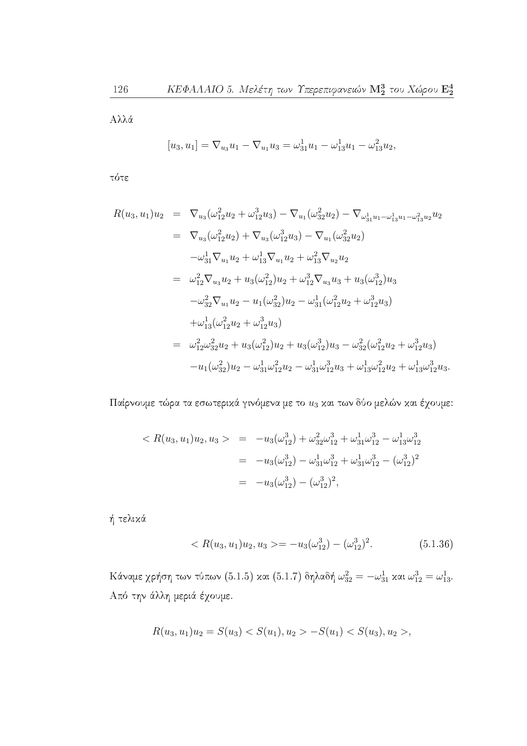${\bf A}\lambda\lambda$ ά

$$
[u_3, u_1] = \nabla_{u_3} u_1 - \nabla_{u_1} u_3 = \omega_{31}^1 u_1 - \omega_{13}^1 u_1 - \omega_{13}^2 u_2
$$

τότε

$$
R(u_3, u_1)u_2 = \nabla_{u_3}(\omega_{12}^2 u_2 + \omega_{12}^3 u_3) - \nabla_{u_1}(\omega_{32}^2 u_2) - \nabla_{\omega_{31}^1 u_1 - \omega_{13}^1 u_1 - \omega_{13}^2 u_2} u_2
$$
  
\n
$$
= \nabla_{u_3}(\omega_{12}^2 u_2) + \nabla_{u_3}(\omega_{12}^3 u_3) - \nabla_{u_1}(\omega_{32}^2 u_2)
$$
  
\n
$$
-\omega_{31}^1 \nabla_{u_1} u_2 + \omega_{13}^1 \nabla_{u_1} u_2 + \omega_{13}^2 \nabla_{u_2} u_2
$$
  
\n
$$
= \omega_{12}^2 \nabla_{u_3} u_2 + u_3(\omega_{12}^2) u_2 + \omega_{12}^3 \nabla_{u_3} u_3 + u_3(\omega_{12}^3) u_3
$$
  
\n
$$
-\omega_{32}^2 \nabla_{u_1} u_2 - u_1(\omega_{32}^2) u_2 - \omega_{31}^1(\omega_{12}^2 u_2 + \omega_{12}^3 u_3)
$$
  
\n
$$
+ \omega_{13}^1(\omega_{12}^2 u_2 + \omega_{12}^3 u_3)
$$
  
\n
$$
= \omega_{12}^2 \omega_{32}^2 u_2 + u_3(\omega_{12}^2) u_2 + u_3(\omega_{12}^3) u_3 - \omega_{32}^2(\omega_{12}^2 u_2 + \omega_{12}^3 u_3)
$$
  
\n
$$
-u_1(\omega_{32}^2)u_2 - \omega_{31}^1 \omega_{12}^2 u_2 - \omega_{31}^1 \omega_{12}^3 u_3 + \omega_{13}^1 \omega_{12}^2 u_2 + \omega_{13}^1 \omega_{12}^3 u_3.
$$

Παίρνουμε τώρα τα εσωτερικά γινόμενα με το  $u_3$  και των δύο μελών και έχουμε:

$$
\langle R(u_3, u_1)u_2, u_3 \rangle = -u_3(\omega_{12}^3) + \omega_{32}^2 \omega_{12}^3 + \omega_{31}^1 \omega_{12}^3 - \omega_{13}^1 \omega_{12}^3
$$
  

$$
= -u_3(\omega_{12}^3) - \omega_{31}^1 \omega_{12}^3 + \omega_{31}^1 \omega_{12}^3 - (\omega_{12}^3)^2
$$
  

$$
= -u_3(\omega_{12}^3) - (\omega_{12}^3)^2,
$$

ή τελικά

$$
\langle R(u_3, u_1)u_2, u_3 \rangle = -u_3(\omega_{12}^3) - (\omega_{12}^3)^2. \tag{5.1.36}
$$

 Κάναμε χρήση των τύπων (5.1.5) και (5.1.7) δηλαδή $\omega_{32}^2 = -\omega_{31}^1$ και $\omega_{12}^3 = \omega_{13}^1.$ Από την άλλη μεριά έχουμε.

$$
R(u_3, u_1)u_2 = S(u_3) < S(u_1), u_2 > -S(u_1) < S(u_3), u_2 > ,
$$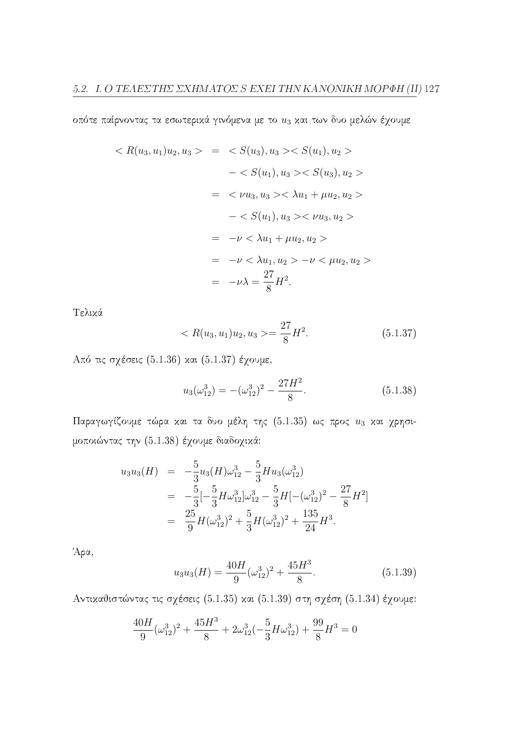οπότε παίρνοντας τα εσωτερικά γινόμενα με το  $u_3$  και των δυο μελών έχουμε

$$
\langle R(u_3, u_1)u_2, u_3 \rangle = \langle S(u_3), u_3 \rangle \langle S(u_1), u_2 \rangle
$$
  

$$
- \langle S(u_1), u_3 \rangle \langle S(u_3), u_2 \rangle
$$
  

$$
= \langle \nu u_3, u_3 \rangle \langle \lambda u_1 + \mu u_2, u_2 \rangle
$$
  

$$
- \langle S(u_1), u_3 \rangle \langle \nu u_3, u_2 \rangle
$$
  

$$
= -\nu \langle \lambda u_1 + \mu u_2, u_2 \rangle
$$
  

$$
= -\nu \langle \lambda u_1, u_2 \rangle - \nu \langle \mu u_2, u_2 \rangle
$$
  

$$
= -\nu \langle \lambda u_1, u_2 \rangle - \nu \langle \mu u_2, u_2 \rangle
$$
  

$$
= -\nu \lambda = \frac{27}{8} H^2.
$$

Τελικά

$$
\langle R(u_3, u_1)u_2, u_3 \rangle = \frac{27}{8}H^2. \tag{5.1.37}
$$

Από τις σχέσεις (5.1.36) και (5.1.37) έχουμε,

$$
u_3(\omega_{12}^3) = -(\omega_{12}^3)^2 - \frac{27H^2}{8}.
$$
\n(5.1.38)

Παραγωγίζουμε τώρα και τα δυο μέλη της (5.1.35) ως προς  $u_3$  και χρησιμοποιώντας την (5.1.38) έχουμε διαδοχικά:

$$
u_3 u_3(H) = -\frac{5}{3} u_3(H) \omega_{12}^3 - \frac{5}{3} H u_3(\omega_{12}^3)
$$
  
=  $-\frac{5}{3} [-\frac{5}{3} H \omega_{12}^3] \omega_{12}^3 - \frac{5}{3} H [-(\omega_{12}^3)^2 - \frac{27}{8} H^2]$   
=  $\frac{25}{9} H (\omega_{12}^3)^2 + \frac{5}{3} H (\omega_{12}^3)^2 + \frac{135}{24} H^3.$ 

Άρα,

$$
u_3 u_3(H) = \frac{40H}{9} (\omega_{12}^3)^2 + \frac{45H^3}{8}.
$$
 (5.1.39)

Αντικαθιστώντας τις σχέσεις (5.1.35) και (5.1.39) στη σχέση (5.1.34) έχουμε:

$$
\frac{40H}{9}(\omega_{12}^3)^2 + \frac{45H^3}{8} + 2\omega_{12}^3(-\frac{5}{3}H\omega_{12}^3) + \frac{99}{8}H^3 = 0
$$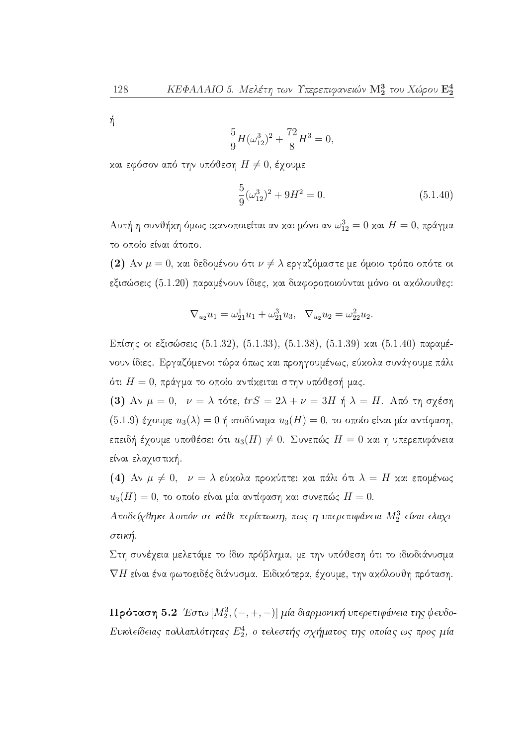ή

$$
\frac{5}{9}H(\omega_{12}^3)^2 + \frac{72}{8}H^3 = 0,
$$

και εφόσον από την υπόθεση  $H \neq 0$ , έχουμε

$$
\frac{5}{9}(\omega_{12}^3)^2 + 9H^2 = 0.
$$
\n(5.1.40)

Αυτή η συνθήκη όμως ικανοποιείται αν και μόνο αν $\omega_{12}^3=0$ και $H=0,$ πράγμα το οποίο είναι άτοπο.

(2) Αν  $\mu = 0$ , και δεδομένου ότι  $\nu \neq \lambda$  εργαζόμαστε με όμοιο τρόπο οπότε οι εξισώσεις (5.1.20) παραμένουν ίδιες, και διαφοροποιούνται μόνο οι ακόλουθες:

$$
\nabla_{u_2} u_1 = \omega_{21}^1 u_1 + \omega_{21}^3 u_3, \ \ \nabla_{u_2} u_2 = \omega_{22}^2 u_2.
$$

Επίσης οι εξισώσεις (5.1.32), (5.1.33), (5.1.38), (5.1.39) και (5.1.40) παραμένουν ίδιες. Εργαζόμενοι τώρα όπως και προηγουμένως, εύκολα συνάγουμε πάλι ότι  $H=0$ , πράγμα το οποίο αντίκειται στην υπόθεσή μας.

(3) Αν  $\mu = 0$ ,  $\nu = \lambda$  τότε,  $trS = 2\lambda + \nu = 3H$  ή  $\lambda = H$ . Από τη σχέση (5.1.9) έχουμε  $u_3(\lambda) = 0$  ή ισοδύναμα  $u_3(H) = 0$ , το οποίο είναι μία αντίφαση, επειδή έχουμε υποθέσει ότι  $u_3(H) \neq 0$ . Συνεπώς  $H = 0$  και η υπερεπιφάνεια είναι ελαγιστική.

(4) Αν  $\mu \neq 0$ ,  $\nu = \lambda$  εύχολα προχύπτει και πάλι ότι  $\lambda = H$  και επομένως  $u_3(H) = 0$ , το οποίο είναι μία αντίφαση και συνεπώς  $H = 0$ .

Αποδείχθηκε λοιπόν σε κάθε περίπτωση, πως η υπερεπιφάνεια  $M_2^3$  είναι ελαχιστική.

Στη συνέχεια μελετάμε το ίδιο πρόβλημα, με την υπόθεση ότι το ιδιοδιάνυσμα  $\nabla H$  είναι ένα φωτοειδές διάνυσμα. Ειδικότερα, έχουμε, την ακόλουθη πρόταση.

 $\Pi$ ρόταση 5.2 Έστω  $[M_2^3, (-, +, -)]$  μία διαρμονική υπερεπιφάνεια της ψευδο-Ευκλείδειας πολλαπλότητας  $E_2^4$ , ο τελεστής σχήματος της οποίας ως προς μία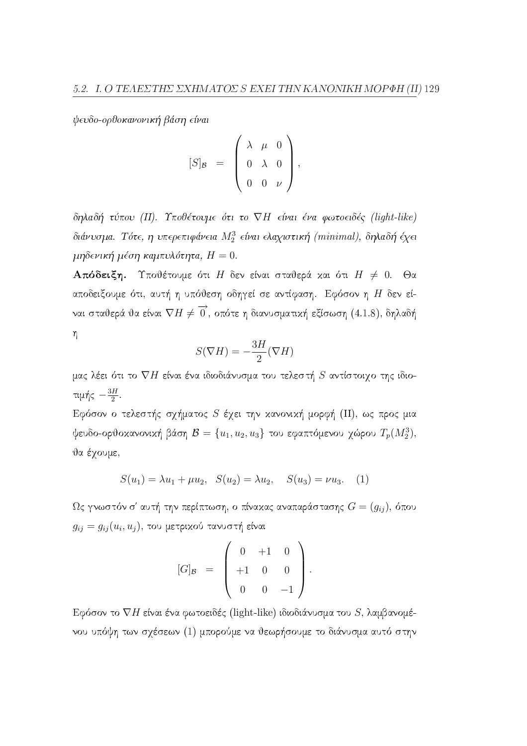ψευδο-ορθοκανονική βάση είναι

$$
[S]_{\mathcal{B}} = \left( \begin{array}{ccc} \lambda & \mu & 0 \\ 0 & \lambda & 0 \\ 0 & 0 & \nu \end{array} \right),
$$

δηλαδή τύπου (II). Υποθέτουμε ότι το VH είναι ένα φωτοειδές (light-like) διάνυσμα. Τότε, η υπερεπιφάνεια  $M_2^3$  είναι ελαχιστική (minimal), δηλαδή έχει μηδενική μέση καμπυλότητα,  $H = 0$ .

**Απόδειξη.** Υποθέτουμε ότι Η δεν είναι σταθερά και ότι  $H \neq 0$ . Θα αποδειξουμε ότι, αυτή η υπόθεση οδηγεί σε αντίφαση. Εφόσον η Η δεν είναι σταθερά θα είναι  $\nabla H \neq \overrightarrow{0}$ , οπότε η διανυσματική εξίσωση (4.1.8), δηλαδή  $\eta$ 

$$
S(\nabla H) = -\frac{3H}{2}(\nabla H)
$$

μας λέει ότι το  $\nabla H$  είναι ένα ιδιοδιάνυσμα του τελεστή  $S$  αντίστοιχο της ιδιοτιμής  $-\frac{3H}{2}$ .

Εφόσον ο τελεστής σχήματος  $S$  έχει την κανονική μορφή (II), ως προς μια ψευδο-ορθοκανονική βάση $\mathcal{B} = \{u_1, u_2, u_3\}$ του εφαπτόμενου χώρου $T_p(M_2^3)$ , θα έγουμε,

$$
S(u_1) = \lambda u_1 + \mu u_2, \quad S(u_2) = \lambda u_2, \quad S(u_3) = \nu u_3. \quad (1)
$$

 $\Omega$ ς γνωστόν σ' αυτή την περίπτωση, ο πίνακας αναπαράστασης  $G=(g_{ij}),$  όπου  $g_{ij} = g_{ij}(u_i, u_j)$ , του μετρικού τανυστή είναι

$$
[G]_{\mathcal{B}} = \left( \begin{array}{ccc} 0 & +1 & 0 \\ +1 & 0 & 0 \\ 0 & 0 & -1 \end{array} \right).
$$

Εφόσον το  $\nabla H$  είναι ένα φωτοειδές (light-like) ιδιοδιάνυσμα του S, λαμβανομένου υπόψη των σχέσεων (1) μπορούμε να θεωρήσουμε το διάνυσμα αυτό στην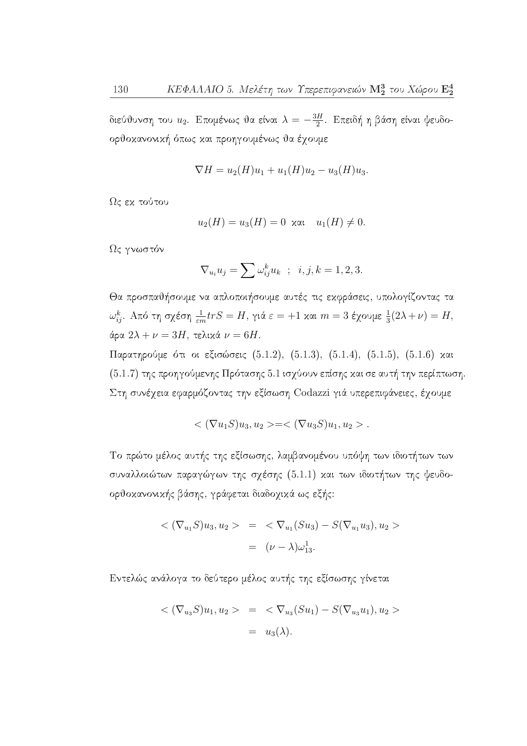διεύθυνση του  $u_2$ . Επομένως θα είναι  $\lambda = -\frac{3H}{2}$ . Επειδή η βάση είναι ψευδοορθοκανονική όπως και προηγουμένως θα έχουμε

$$
\nabla H = u_2(H)u_1 + u_1(H)u_2 - u_3(H)u_3
$$

Ως εκ τούτου

$$
u_2(H) = u_3(H) = 0 \text{ and } u_1(H) \neq 0
$$

Ως γνωστόν

$$
\nabla_{u_i} u_j = \sum \omega_{ij}^k u_k \quad ; \quad i, j, k = 1, 2, 3.
$$

Θα προσπαθήσουμε να απλοποιήσουμε αυτές τις εκφράσεις, υπολογίζοντας τα  $\omega_{ij}^k$ . Από τη σχέση $\frac{1}{\varepsilon m} tr S = H$ , γιά $\varepsilon = +1$  και  $m=3$ έχουμε $\frac{1}{3}(2\lambda + \nu) = H$ , άρα  $2\lambda + \nu = 3H$ , τελικά  $\nu = 6H$ .

Παρατηρούμε ότι οι εξισώσεις (5.1.2), (5.1.3), (5.1.4), (5.1.5), (5.1.6) και (5.1.7) της προηγούμενης Πρότασης 5.1 ισχύουν επίσης και σε αυτή την περίπτωση. Στη συνέχεια εφαρμόζοντας την εξίσωση Codazzi γιά υπερεπιφάνειες, έχουμε

$$
\langle (\nabla u_1 S) u_3, u_2 \rangle = \langle (\nabla u_3 S) u_1, u_2 \rangle.
$$

Το πρώτο μέλος αυτής της εξίσωσης, λαμβανομένου υπόψη των ιδιοτήτων των συναλλοιώτων παραγώγων της σχέσης (5.1.1) και των ιδιοτήτων της ψευδοορθοκανονικής βάσης, γράφεται διαδοχικά ως εξής:

$$
\langle (\nabla_{u_1} S) u_3, u_2 \rangle = \langle \nabla_{u_1} (S u_3) - S (\nabla_{u_1} u_3), u_2 \rangle
$$
  
=  $(\nu - \lambda) \omega_{13}^1$ .

Εντελώς ανάλογα το δεύτερο μέλος αυτής της εξίσωσης γίνεται

$$
\langle (\nabla_{u_3} S) u_1, u_2 \rangle = \langle \nabla_{u_3} (Su_1) - S(\nabla_{u_3} u_1), u_2 \rangle
$$
  
=  $u_3(\lambda)$ .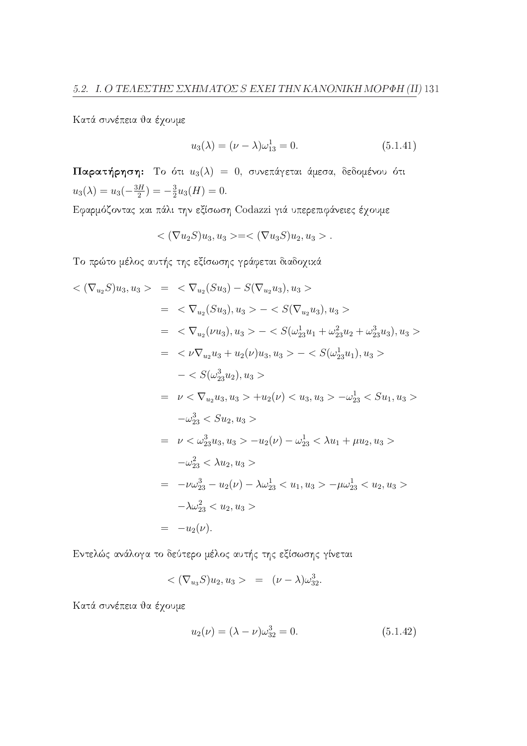Κατά συνέπεια θα έχουμε

$$
u_3(\lambda) = (\nu - \lambda)\omega_{13}^1 = 0.
$$
 (5.1.41)

Παρατήρηση: Το ότι  $u_3(\lambda) = 0$ , συνεπάγεται άμεσα, δεδομένου ότι  $u_3(\lambda) = u_3(-\frac{3H}{2}) = -\frac{3}{2}u_3(H) = 0.$ 

Εφαρμόζοντας και πάλι την εξίσωση Codazzi γιά υπερεπιφάνειες έχουμε

$$
<(\nabla u_2 S)u_3, u_3>=<(\nabla u_3 S)u_2, u_3>.
$$

Το πρώτο μέλος αυτής της εξίσωσης γράφεται διαδοχικά

$$
\langle \nabla_{u_2} S u_3, u_3 \rangle = \langle \nabla_{u_2} (S u_3) - S(\nabla_{u_2} u_3), u_3 \rangle
$$
  
\n
$$
= \langle \nabla_{u_2} (S u_3), u_3 \rangle - \langle S(\nabla_{u_2} u_3), u_3 \rangle
$$
  
\n
$$
= \langle \nabla_{u_2} (\nu u_3), u_3 \rangle - \langle S(\omega_{23}^1 u_1 + \omega_{23}^2 u_2 + \omega_{23}^3 u_3), u_3 \rangle
$$
  
\n
$$
= \langle \nu \nabla_{u_2} u_3 + u_2(\nu) u_3, u_3 \rangle - \langle S(\omega_{23}^1 u_1), u_3 \rangle
$$
  
\n
$$
- \langle S(\omega_{23}^3 u_2), u_3 \rangle
$$
  
\n
$$
= \nu \langle \nabla_{u_2} u_3, u_3 \rangle + u_2(\nu) \langle u_3, u_3 \rangle - \omega_{23}^1 \langle S u_1, u_3 \rangle
$$
  
\n
$$
- \omega_{23}^3 \langle S u_2, u_3 \rangle
$$
  
\n
$$
= \nu \langle \omega_{23}^3 u_3, u_3 \rangle - u_2(\nu) - \omega_{23}^1 \langle \lambda u_1 + \mu u_2, u_3 \rangle
$$
  
\n
$$
- \omega_{23}^2 \langle \lambda u_2, u_3 \rangle
$$
  
\n
$$
= -\nu \omega_{23}^3 - u_2(\nu) - \lambda \omega_{23}^1 \langle u_1, u_3 \rangle - \mu \omega_{23}^1 \langle u_2, u_3 \rangle
$$
  
\n
$$
- \lambda \omega_{23}^2 \langle u_2, u_3 \rangle
$$
  
\n
$$
= -u_2(\nu).
$$

Εντελώς ανάλογα το δεύτερο μέλος αυτής της εξίσωσης γίνεται

$$
\langle (\nabla_{u_3} S) u_2, u_3 \rangle = (\nu - \lambda) \omega_{32}^3.
$$

Κατά συνέπεια θα έχουμε

$$
u_2(\nu) = (\lambda - \nu)\omega_{32}^3 = 0.
$$
\n(5.1.42)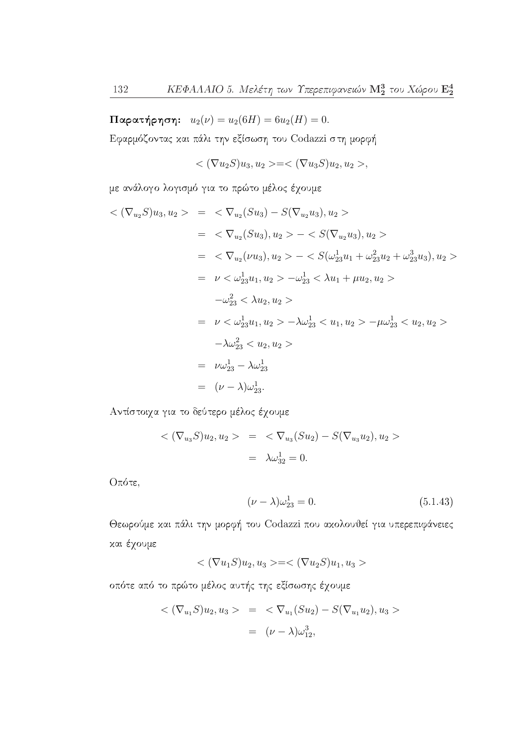$\pi$ αρατήρηση:  $u_2(\nu) = u_2(6H) = 6u_2(H) = 0.$ 

Εφαρμόζοντας και πάλι την εξίσωση του Codazzi στη μορφή

$$
\langle (\nabla u_2 S) u_3, u_2 \rangle = \langle (\nabla u_3 S) u_2, u_2 \rangle,
$$

με ανάλογο λογισμό για το πρώτο μέλος έχουμε

$$
\langle (\nabla_{u_2} S) u_3, u_2 \rangle = \langle \nabla_{u_2} (S u_3) - S(\nabla_{u_2} u_3), u_2 \rangle
$$
  
\n
$$
= \langle \nabla_{u_2} (S u_3), u_2 \rangle - \langle S(\nabla_{u_2} u_3), u_2 \rangle
$$
  
\n
$$
= \langle \nabla_{u_2} (\nu u_3), u_2 \rangle - \langle S(\omega_{23}^1 u_1 + \omega_{23}^2 u_2 + \omega_{23}^3 u_3), u_2 \rangle
$$
  
\n
$$
= \nu \langle \omega_{23}^1 u_1, u_2 \rangle - \omega_{23}^1 \langle \lambda u_1 + \mu u_2, u_2 \rangle
$$
  
\n
$$
- \omega_{23}^2 \langle \lambda u_2, u_2 \rangle
$$
  
\n
$$
= \nu \langle \omega_{23}^1 u_1, u_2 \rangle - \lambda \omega_{23}^1 \langle u_1, u_2 \rangle - \mu \omega_{23}^1 \langle u_2, u_2 \rangle
$$
  
\n
$$
- \lambda \omega_{23}^2 \langle u_2, u_2 \rangle
$$
  
\n
$$
= \nu \omega_{23}^1 - \lambda \omega_{23}^1
$$
  
\n
$$
= (\nu - \lambda) \omega_{23}^1.
$$

Αντίστοιχα για το δεύτερο μέλος έχουμε

$$
\langle (\nabla_{u_3} S) u_2, u_2 \rangle = \langle \nabla_{u_3} (S u_2) - S (\nabla_{u_3} u_2), u_2 \rangle
$$
  
=  $\lambda \omega_{32}^1 = 0.$ 

Οπότε,

$$
(\nu - \lambda)\omega_{23}^1 = 0. \tag{5.1.43}
$$

Θεωρούμε και πάλι την μορφή του Codazzi που ακολουθεί για υπερεπιφάνειες χαι έχουμε

$$
\langle (\nabla u_1 S) u_2, u_3 \rangle = \langle (\nabla u_2 S) u_1, u_3 \rangle
$$

οπότε από το πρώτο μέλος αυτής της εξίσωσης έχουμε

$$
\langle (\nabla_{u_1} S) u_2, u_3 \rangle = \langle \nabla_{u_1} (S u_2) - S (\nabla_{u_1} u_2), u_3 \rangle
$$
  
=  $(\nu - \lambda) \omega_{12}^3$ ,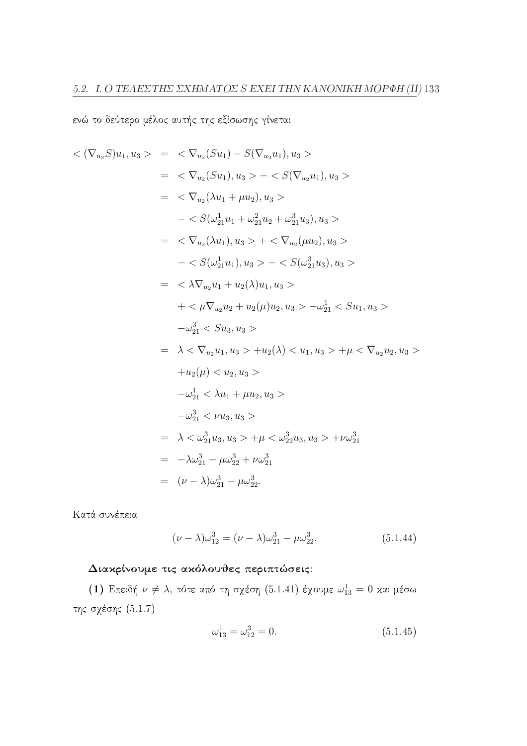ενώ το δεύτερο μέλος αυτής της εξίσωσης γίνεται

$$
\langle \nabla_{u_2} S \rangle u_1, u_3 \rangle = \langle \nabla_{u_2} (Su_1) - S(\nabla_{u_2} u_1), u_3 \rangle
$$
  
\n
$$
= \langle \nabla_{u_2} (Su_1), u_3 \rangle - \langle S(\nabla_{u_2} u_1), u_3 \rangle
$$
  
\n
$$
= \langle \nabla_{u_2} (\lambda u_1 + \mu u_2), u_3 \rangle
$$
  
\n
$$
- \langle S(\omega_{21}^1 u_1 + \omega_{21}^2 u_2 + \omega_{21}^3 u_3), u_3 \rangle
$$
  
\n
$$
= \langle \nabla_{u_2} (\lambda u_1), u_3 \rangle + \langle \nabla_{u_2} (\mu u_2), u_3 \rangle
$$
  
\n
$$
- \langle S(\omega_{21}^1 u_1), u_3 \rangle - \langle S(\omega_{21}^3 u_3), u_3 \rangle
$$
  
\n
$$
= \langle \lambda \nabla_{u_2} u_1 + u_2(\lambda) u_1, u_3 \rangle
$$
  
\n
$$
+ \langle \mu \nabla_{u_2} u_2 + u_2(\mu) u_2, u_3 \rangle - \omega_{21}^1 \langle S u_1, u_3 \rangle
$$
  
\n
$$
- \omega_{21}^3 \langle S u_3, u_3 \rangle
$$
  
\n
$$
= \lambda \langle \nabla_{u_2} u_1, u_3 \rangle + u_2(\lambda) \langle u_1, u_3 \rangle + \mu \langle \nabla_{u_2} u_2, u_3 \rangle
$$
  
\n
$$
+ u_2(\mu) \langle u_2, u_3 \rangle
$$
  
\n
$$
- \omega_{21}^1 \langle \lambda u_1 + \mu u_2, u_3 \rangle
$$
  
\n
$$
- \omega_{21}^3 \langle \nu u_3, u_3 \rangle
$$
  
\n
$$
= \lambda \langle \omega_{21}^3 u_3, u_3 \rangle + \mu \langle \omega_{22}^3 u_3, u_3 \rangle + \nu \omega_{21}^3
$$
  
\n
$$
= \lambda \omega_{21}^3 - \mu \omega_{22}^3 + \nu \omega_{21}
$$

Κατά συνέπεια

$$
(\nu - \lambda)\omega_{12}^3 = (\nu - \lambda)\omega_{21}^3 - \mu\omega_{22}^3. \tag{5.1.44}
$$

### Διακρίνουμε τις ακόλουθες περιπτώσεις:

(1) Επειδή  $\nu \neq \lambda$ , τότε από τη σχέση (5.1.41) έχουμε  $\omega_{13}^1 = 0$  και μέσω της σχέσης  $(5.1.7)$ 

$$
\omega_{13}^1 = \omega_{12}^3 = 0. \tag{5.1.45}
$$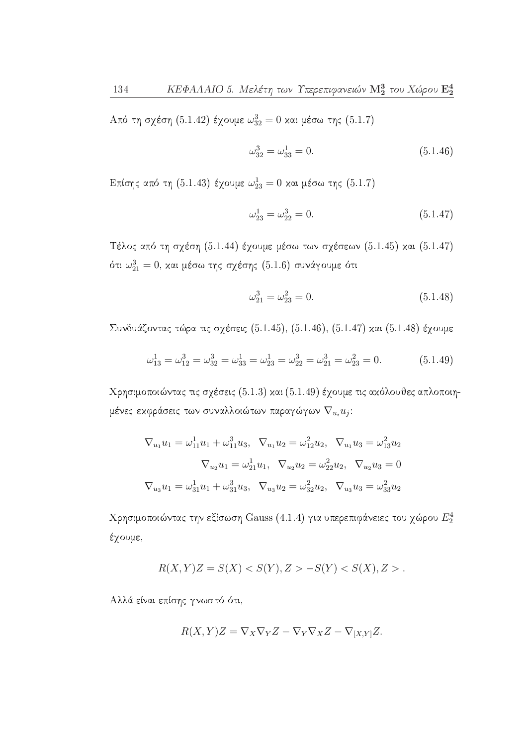Από τη σχέση (5.1.42) έχουμε  $\omega_{32}^3 = 0$  και μέσω της (5.1.7)

$$
\omega_{32}^3 = \omega_{33}^1 = 0. \tag{5.1.46}
$$

Επίσης από τη (5.1.43) έχουμε $\omega_{23}^1=0$  και μέσω της (5.1.7)

$$
\omega_{23}^1 = \omega_{22}^3 = 0. \tag{5.1.47}
$$

Τέλος από τη σχέση (5.1.44) έχουμε μέσω των σχέσεων (5.1.45) και (5.1.47) ότι  $\omega_{21}^3=0$ , και μέσω της σχέσης (5.1.6) συνάγουμε ότι

$$
\omega_{21}^3 = \omega_{23}^2 = 0. \tag{5.1.48}
$$

Συνδυάζοντας τώρα τις σχέσεις (5.1.45), (5.1.46), (5.1.47) και (5.1.48) έχουμε

$$
\omega_{13}^1 = \omega_{12}^3 = \omega_{32}^3 = \omega_{33}^1 = \omega_{23}^1 = \omega_{22}^3 = \omega_{21}^3 = \omega_{23}^2 = 0.
$$
 (5.1.49)

Χρησιμοποιώντας τις σχέσεις (5.1.3) και (5.1.49) έχουμε τις ακόλουθες απλοποιημένες εκφράσεις των συναλλοιώτων παραγώγων  $\nabla_{u_i} u_j$ :

$$
\nabla_{u_1} u_1 = \omega_{11}^1 u_1 + \omega_{11}^3 u_3, \ \nabla_{u_1} u_2 = \omega_{12}^2 u_2, \ \nabla_{u_1} u_3 = \omega_{13}^2 u_2
$$

$$
\nabla_{u_2} u_1 = \omega_{21}^1 u_1, \ \nabla_{u_2} u_2 = \omega_{22}^2 u_2, \ \nabla_{u_2} u_3 = 0
$$

$$
\nabla_{u_3} u_1 = \omega_{31}^1 u_1 + \omega_{31}^3 u_3, \ \nabla_{u_3} u_2 = \omega_{32}^2 u_2, \ \nabla_{u_3} u_3 = \omega_{33}^2 u_2
$$

Χρησιμοποιώντας την εξίσωση Gauss (4.1.4) για υπερεπιφάνειες του χώρου  $E_2^4$ έχουμε,

$$
R(X,Y)Z = S(X) < S(Y), Z > -S(Y) < S(X), Z > .
$$

Αλλά είναι επίσης γνωστό ότι,

$$
R(X,Y)Z = \nabla_X \nabla_Y Z - \nabla_Y \nabla_X Z - \nabla_{[X,Y]} Z.
$$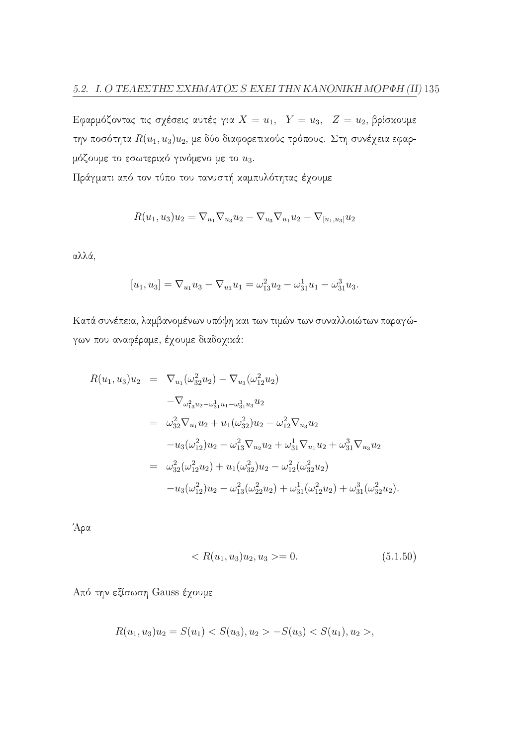Εφαρμόζοντας τις σχέσεις αυτές για  $X = u_1$ ,  $Y = u_3$ ,  $Z = u_2$ , βρίσκουμε την ποσότητα  $R(u_1, u_3)u_2$ , με δύο διαφορετικούς τρόπους. Στη συνέχεια εφαρμόζουμε το εσωτερικό γινόμενο με το  $u_3$ .

Πράγματι από τον τύπο του τανυστή καμπυλότητας έχουμε

$$
R(u_1, u_3)u_2 = \nabla_{u_1}\nabla_{u_3}u_2 - \nabla_{u_3}\nabla_{u_1}u_2 - \nabla_{[u_1, u_3]}u_2
$$

αλλά,

$$
[u_1, u_3] = \nabla_{u_1} u_3 - \nabla_{u_3} u_1 = \omega_{13}^2 u_2 - \omega_{31}^1 u_1 - \omega_{31}^3 u_3.
$$

Κατά συνέπεια, λαμβανομένων υπόψη και των τιμών των συναλλοιώτων παραγώγων που αναφέραμε, έχουμε διαδοχικά:

$$
R(u_1, u_3)u_2 = \nabla_{u_1}(\omega_{32}^2 u_2) - \nabla_{u_3}(\omega_{12}^2 u_2)
$$
  
\n
$$
-\nabla_{\omega_{13}^2 u_2 - \omega_{31}^1 u_1 - \omega_{31}^3 u_3} u_2
$$
  
\n
$$
= \omega_{32}^2 \nabla_{u_1} u_2 + u_1(\omega_{32}^2) u_2 - \omega_{12}^2 \nabla_{u_3} u_2
$$
  
\n
$$
-u_3(\omega_{12}^2) u_2 - \omega_{13}^2 \nabla_{u_2} u_2 + \omega_{31}^1 \nabla_{u_1} u_2 + \omega_{31}^3 \nabla_{u_3} u_2
$$
  
\n
$$
= \omega_{32}^2(\omega_{12}^2 u_2) + u_1(\omega_{32}^2) u_2 - \omega_{12}^2(\omega_{32}^2 u_2)
$$
  
\n
$$
-u_3(\omega_{12}^2) u_2 - \omega_{13}^2(\omega_{22}^2 u_2) + \omega_{31}^1(\omega_{12}^2 u_2) + \omega_{31}^3(\omega_{32}^2 u_2).
$$

Άρα

$$
\langle R(u_1, u_3)u_2, u_3 \rangle = 0. \tag{5.1.50}
$$

Από την εξίσωση Gauss έχουμε

$$
R(u_1, u_3)u_2 = S(u_1) < S(u_3), u_2 > -S(u_3) < S(u_1), u_2 > ,
$$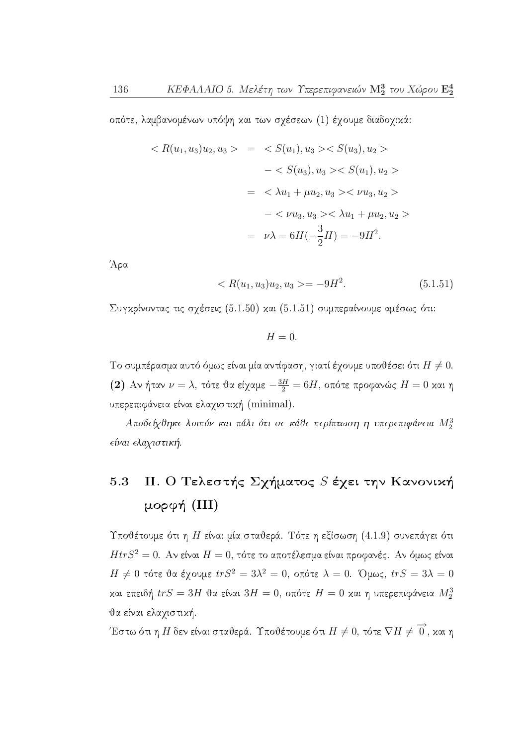οπότε, λαμβανομένων υπόψη και των σχέσεων (1) έχουμε διαδοχικά:

$$
\langle R(u_1, u_3)u_2, u_3 \rangle = \langle S(u_1), u_3 \rangle \langle S(u_3), u_2 \rangle
$$
  

$$
- \langle S(u_3), u_3 \rangle \langle S(u_1), u_2 \rangle
$$
  

$$
= \langle \lambda u_1 + \mu u_2, u_3 \rangle \langle \nu u_3, u_2 \rangle
$$
  

$$
- \langle \nu u_3, u_3 \rangle \langle \lambda u_1 + \mu u_2, u_2 \rangle
$$
  

$$
= \nu \lambda = 6H(-\frac{3}{2}H) = -9H^2.
$$

Άρα

$$
\langle R(u_1, u_3)u_2, u_3 \rangle = -9H^2. \tag{5.1.51}
$$

Συγκρίνοντας τις σχέσεις (5.1.50) και (5.1.51) συμπεραίνουμε αμέσως ότι:

 $H=0$ .

Το συμπέρασμα αυτό όμως είναι μία αντίφαση, γιατί έγουμε υποθέσει ότι  $H \neq 0$ . (2) Αν ήταν  $\nu = \lambda$ , τότε θα είχαμε  $-\frac{3H}{2} = 6H$ , οπότε προφανώς  $H = 0$  και η υπερεπιφάνεια είναι ελαχιστική (minimal).

Αποδείχθηκε λοιπόν και πάλι ότι σε κάθε περίπτωση η υπερεπιφάνεια  $M_2^3$ είναι ελαχιστική.

#### ΙΙ. Ο Τελεστής Σχήματος S έχει την Κανονική 5.3 μορφή (III)

Υποθέτουμε ότι η Η είναι μία σταθερά. Τότε η εξίσωση (4.1.9) συνεπάγει ότι  $HtrS^2 = 0$ . Αν είναι  $H = 0$ , τότε το αποτέλεσμα είναι προφανές. Αν όμως είναι  $H \neq 0$  τότε θα έχουμε  $trS^2 = 3\lambda^2 = 0$ , οπότε  $\lambda = 0$ . Όμως,  $trS = 3\lambda = 0$ και επειδή  $trS = 3H$  θα είναι  $3H = 0$ , οπότε  $H = 0$  και η υπερεπιφάνεια  $M_2^3$ θα είναι ελαχιστική.

Έστω ότι η Η δεν είναι σταθερά. Υποθέτουμε ότι  $H\neq 0,$  τότε  $\nabla H\neq \overrightarrow{0}$ , και η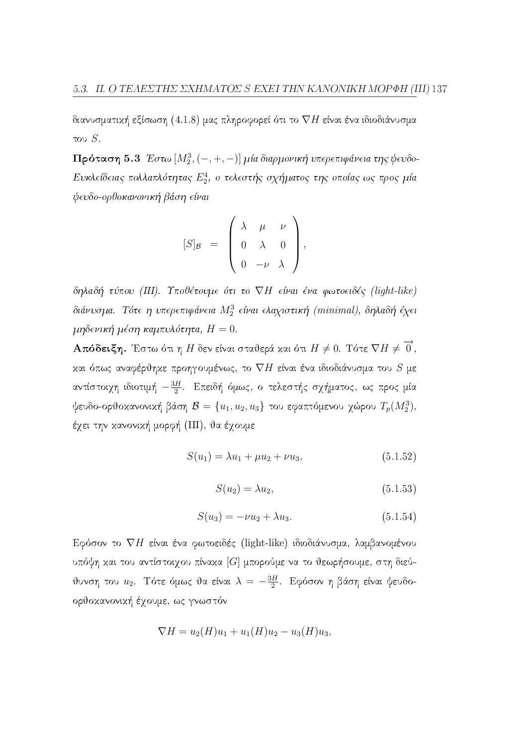διανυσματική εξίσωση (4.1.8) μας πληροφορεί ότι το  $\nabla H$  είναι ένα ιδιοδιάνυσμα του  $S$ .

 $\Pi$ ρόταση 5.3 Έστω  $[M_2^3, (-, +, -)]$  μία διαρμονική υπερεπιφάνεια της ψευδο-Ευκλείδειας πολλαπλότητας  $E_2^4$ , ο τελεστής σχήματος της οποίας ως προς μία ψευδο-ορθοκανονική βάση είναι

$$
[S]_{\mathcal{B}} = \left( \begin{array}{ccc} \lambda & \mu & \nu \\ 0 & \lambda & 0 \\ 0 & -\nu & \lambda \end{array} \right),
$$

δηλαδή τύπου (III). Υποθέτουμε ότι το VH είναι ένα φωτοειδές (light-like) διάνυσμα. Τότε η υπερεπιφάνεια  $M_2^3$  είναι ελαχιστική (minimal), δηλαδή έχει μηδενική μέση καμπυλότητα,  $H = 0$ .

**Απόδειξη.** Έστω ότι η Η δεν είναι σταθερά και ότι  $H \neq 0$ . Τότε  $\nabla H \neq \overrightarrow{0}$ , και όπως αναφέρθηκε προηγουμένως, το  $\nabla H$  είναι ένα ιδιοδιάνυσμα του  $S$  με αντίστοιχη ιδιοτιμή  $-\frac{3H}{2}$ . Επειδή όμως, ο τελεστής σχήματος, ως προς μία ψευδο-ορθοκανονική βάση  $\mathcal{B} = \{u_1, u_2, u_3\}$  του εφαπτόμενου χώρου  $T_p(M_2^3)$ , έχει την κανονική μορφή (III), θα έχουμε

$$
S(u_1) = \lambda u_1 + \mu u_2 + \nu u_3, \tag{5.1.52}
$$

$$
S(u_2) = \lambda u_2,\tag{5.1.53}
$$

$$
S(u_3) = -\nu u_2 + \lambda u_3. \tag{5.1.54}
$$

Εφόσον το  $\nabla H$  είναι ένα φωτοειδές (light-like) ιδιοδιάνυσμα, λαμβανομένου υπόψη και του αντίστοιχου πίνακα [G] μπορούμε να το θεωρήσουμε, στη διεύυνση του  $u_2$ . Τότε όμως θα είναι  $\lambda = -\frac{3H}{2}$ . Εφόσον η βάση είναι ψευδοορθοκανονική έχουμε, ως γνωστόν

$$
\nabla H = u_2(H)u_1 + u_1(H)u_2 - u_3(H)u_3,
$$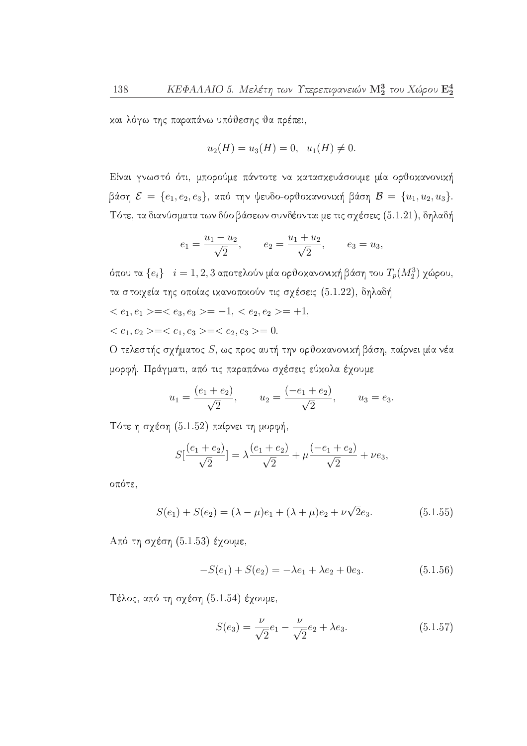και λόγω της παραπάνω υπόθεσης θα πρέπει,

$$
u_2(H) = u_3(H) = 0, \ \ u_1(H) \neq 0.
$$

Είναι γνωστό ότι, μπορούμε πάντοτε να κατασκευάσουμε μία ορθοκανονική βάση  $\mathcal{E} = \{e_1, e_2, e_3\}$ , από την ψευδο-ορθοκανονική βάση  $\mathcal{B} = \{u_1, u_2, u_3\}.$ Τότε, τα διανύσματα των δύο βάσεων συνδέονται με τις σχέσεις (5.1.21), δηλαδή

$$
e_1 = \frac{u_1 - u_2}{\sqrt{2}}, \qquad e_2 = \frac{u_1 + u_2}{\sqrt{2}}, \qquad e_3 = u_3,
$$

όπου τα  $\{e_i\}$   $i=1,2,3$  αποτελούν μία ορθοκανονική βάση του  $T_p(M_2^3)$  χώρου, τα στοιχεία της οποίας ικανοποιούν τις σχέσεις (5.1.22), δηλαδή  $\langle e_1, e_1 \rangle = \langle e_3, e_3 \rangle = -1, \langle e_2, e_2 \rangle = +1,$ 

$$
\langle e_1, e_1 \rangle \langle e_3, e_3 \rangle \langle e_4, e_2 \rangle \langle e_1, e_3 \rangle = \langle e_2, e_3 \rangle = 0.
$$

Ο τελεστής σχήματος  $S$ , ως προς αυτή την ορθοκανονική βάση, παίρνει μία νέα μορφή. Πράγματι, από τις παραπάνω σχέσεις εύχολα έχουμε

$$
u_1 = \frac{(e_1 + e_2)}{\sqrt{2}},
$$
  $u_2 = \frac{(-e_1 + e_2)}{\sqrt{2}},$   $u_3 = e_3.$ 

Τότε η σχέση (5.1.52) παίρνει τη μορφή,

$$
S\left[\frac{(e_1+e_2)}{\sqrt{2}}\right] = \lambda \frac{(e_1+e_2)}{\sqrt{2}} + \mu \frac{(-e_1+e_2)}{\sqrt{2}} + \nu e_3,
$$

οπότε,

$$
S(e_1) + S(e_2) = (\lambda - \mu)e_1 + (\lambda + \mu)e_2 + \nu\sqrt{2}e_3.
$$
 (5.1.55)

Από τη σχέση (5.1.53) έχουμε,

$$
-S(e_1) + S(e_2) = -\lambda e_1 + \lambda e_2 + 0e_3.
$$
 (5.1.56)

Τέλος, από τη σχέση (5.1.54) έχουμε,

$$
S(e_3) = \frac{\nu}{\sqrt{2}}e_1 - \frac{\nu}{\sqrt{2}}e_2 + \lambda e_3.
$$
 (5.1.57)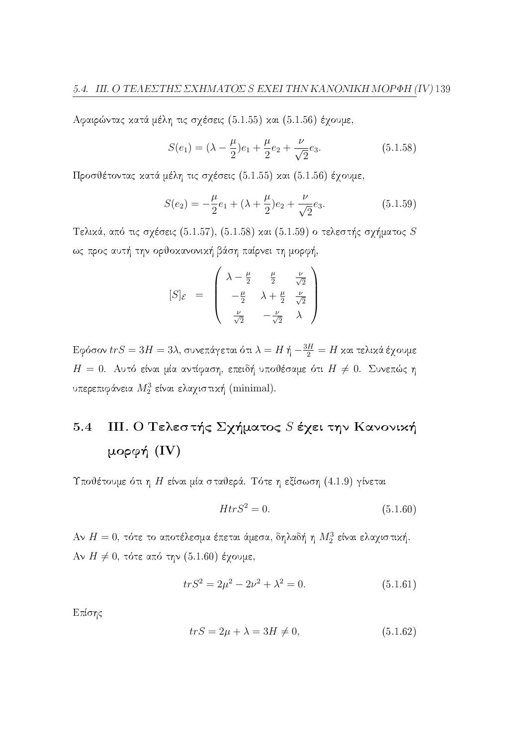Αφαιρώντας κατά μέλη τις σχέσεις (5.1.55) και (5.1.56) έχουμε,

$$
S(e_1) = (\lambda - \frac{\mu}{2})e_1 + \frac{\mu}{2}e_2 + \frac{\nu}{\sqrt{2}}e_3.
$$
 (5.1.58)

Προσθέτοντας κατά μέλη τις σγέσεις (5.1.55) και (5.1.56) έγουμε,

$$
S(e_2) = -\frac{\mu}{2}e_1 + (\lambda + \frac{\mu}{2})e_2 + \frac{\nu}{\sqrt{2}}e_3.
$$
 (5.1.59)

Τελικά, από τις σχέσεις (5.1.57), (5.1.58) και (5.1.59) ο τελεστής σχήματος  $S$ ως προς αυτή την ορθοκανονική βάση παίρνει τη μορφή,

$$
[S]_{\mathcal{E}} = \begin{pmatrix} \lambda - \frac{\mu}{2} & \frac{\mu}{2} & \frac{\nu}{\sqrt{2}} \\ -\frac{\mu}{2} & \lambda + \frac{\mu}{2} & \frac{\nu}{\sqrt{2}} \\ \frac{\nu}{\sqrt{2}} & -\frac{\nu}{\sqrt{2}} & \lambda \end{pmatrix}
$$

 Εφόσον $trS=3H=3\lambda,$ συνεπάγεται ότι $\lambda=H$ ή $-\frac{3H}{2}=H$  και τελικά έχουμε  $H=0$ . Αυτό είναι μία αντίφαση, επειδή υποθέσαμε ότι  $H\neq 0$ . Συνεπώς η υπερεπιφάνεια  $M_2^3$  είναι ελαχιστική (minimal).

#### III. Ο Τελεστής Σχήματος *S* έχει την Κανονική  $5.4$ μορφή  $(IV)$

Υποθέτουμε ότι η Η είναι μία σταθερά. Τότε η εξίσωση (4.1.9) γίνεται

$$
HtrS^2 = 0.\t\t(5.1.60)
$$

Αν  $H=0$ , τότε το αποτέλεσμα έπεται άμεσα, δηλαδή η  $M_2^3$  είναι ελαχιστική. Aν  $H \neq 0$ , τότε από την (5.1.60) έχουμε,

$$
trS^2 = 2\mu^2 - 2\nu^2 + \lambda^2 = 0.
$$
 (5.1.61)

Επίσης

$$
trS = 2\mu + \lambda = 3H \neq 0,\tag{5.1.62}
$$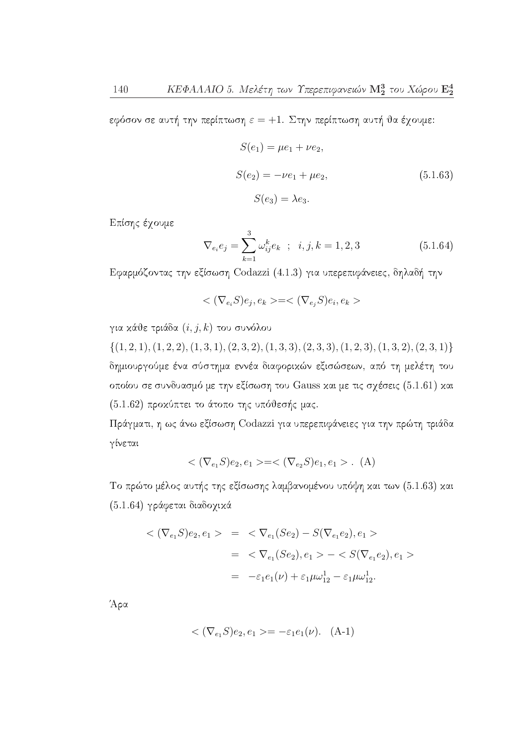εφόσον σε αυτή την περίπτωση  $\varepsilon = +1$ . Στην περίπτωση αυτή θα έχουμε:

$$
S(e_1) = \mu e_1 + \nu e_2,
$$
  
\n
$$
S(e_2) = -\nu e_1 + \mu e_2,
$$
  
\n
$$
S(e_3) = \lambda e_3.
$$
  
\n(5.1.63)

Επίσης έχουμε

$$
\nabla_{e_i} e_j = \sum_{k=1}^3 \omega_{ij}^k e_k \quad ; \quad i, j, k = 1, 2, 3 \tag{5.1.64}
$$

Εφαρμόζοντας την εξίσωση Codazzi (4.1.3) για υπερεπιφάνειες, δηλαδή την

$$
\langle (\nabla_{e_i} S)e_j, e_k \rangle = \langle (\nabla_{e_j} S)e_i, e_k \rangle
$$

για κάθε τριάδα  $(i, j, k)$  του συνόλου

 $\{(1,2,1), (1,2,2), (1,3,1), (2,3,2), (1,3,3), (2,3,3), (1,2,3), (1,3,2), (2,3,1)\}\$ δημιουργούμε ένα σύστημα εννέα διαφορικών εξισώσεων, από τη μελέτη του οποίου σε συνδυασμό με την εξίσωση του Gauss και με τις σχέσεις (5.1.61) και (5.1.62) προκύπτει το άτοπο της υπόθεσής μας.

Πράγματι, η ως άνω εξίσωση Codazzi για υπερεπιφάνειες για την πρώτη τριάδα γίνεται

$$
\langle (\nabla_{e_1} S)e_2, e_1 \rangle = \langle (\nabla_{e_2} S)e_1, e_1 \rangle . \quad (A)
$$

Το πρώτο μέλος αυτής της εξίσωσης λαμβανομένου υπόψη και των (5.1.63) και (5.1.64) γράφεται διαδοχικά

$$
\langle (\nabla_{e_1} S)e_2, e_1 \rangle = \langle \nabla_{e_1} (Se_2) - S(\nabla_{e_1} e_2), e_1 \rangle
$$
  
=  $\langle \nabla_{e_1} (Se_2), e_1 \rangle - \langle S(\nabla_{e_1} e_2), e_1 \rangle$   
=  $-\varepsilon_1 e_1(\nu) + \varepsilon_1 \mu \omega_{12}^1 - \varepsilon_1 \mu \omega_{12}^1.$ 

Άρα

$$
\langle (\nabla_{e_1} S)e_2, e_1 \rangle = -\varepsilon_1 e_1(\nu). \quad (A-1)
$$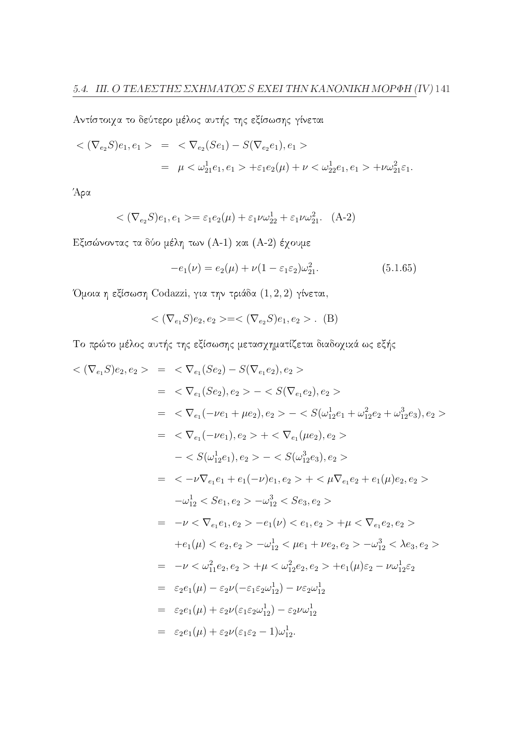Αντίστοιχα το δεύτερο μέλος αυτής της εξίσωσης γίνεται

$$
\langle (\nabla_{e_2} S)e_1, e_1 \rangle = \langle \nabla_{e_2} (Se_1) - S(\nabla_{e_2} e_1), e_1 \rangle
$$
  
=  $\mu \langle \omega_{21}^1 e_1, e_1 \rangle + \varepsilon_1 e_2(\mu) + \nu \langle \omega_{22}^1 e_1, e_1 \rangle + \nu \omega_{21}^2 \varepsilon_1.$ 

Άρα

$$
\langle (\nabla_{e_2} S)e_1, e_1 \rangle = \varepsilon_1 e_2(\mu) + \varepsilon_1 \nu \omega_{22}^1 + \varepsilon_1 \nu \omega_{21}^2. \quad (A-2)
$$

Εξισώνοντας τα δύο μέλη των (Α-1) και (Α-2) έχουμε

$$
-e_1(\nu) = e_2(\mu) + \nu(1 - \varepsilon_1 \varepsilon_2)\omega_{21}^2. \tag{5.1.65}
$$

Όμοια η εξίσωση Codazzi, για την τριάδα  $(1, 2, 2)$  γίνεται,

$$
\langle (\nabla_{e_1} S)e_2, e_2 \rangle = \langle (\nabla_{e_2} S)e_1, e_2 \rangle. \quad (B)
$$

Το πρώτο μέλος αυτής της εξίσωσης μετασχηματίζεται διαδοχικά ως εξής

$$
\langle \nabla_{e_1} S \rangle e_2 \rangle = \langle \nabla_{e_1} (Se_2) - S(\nabla_{e_1} e_2), e_2 \rangle
$$
  
\n
$$
= \langle \nabla_{e_1} (Se_2), e_2 \rangle - \langle S(\nabla_{e_1} e_2), e_2 \rangle
$$
  
\n
$$
= \langle \nabla_{e_1} (-\nu e_1 + \mu e_2), e_2 \rangle - \langle S(\omega_{12}^1 e_1 + \omega_{12}^2 e_2 + \omega_{12}^3 e_3), e_2 \rangle
$$
  
\n
$$
= \langle \nabla_{e_1} (-\nu e_1), e_2 \rangle + \langle \nabla_{e_1} (\mu e_2), e_2 \rangle
$$
  
\n
$$
- \langle S(\omega_{12}^1 e_1), e_2 \rangle - \langle S(\omega_{12}^3 e_3), e_2 \rangle
$$
  
\n
$$
= \langle -\nu \nabla_{e_1} e_1 + e_1(-\nu) e_1, e_2 \rangle + \langle \mu \nabla_{e_1} e_2 + e_1(\mu) e_2, e_2 \rangle
$$
  
\n
$$
-\omega_{12}^1 \langle S e_1, e_2 \rangle - \omega_{12}^3 \langle S e_3, e_2 \rangle
$$
  
\n
$$
= -\nu \langle \nabla_{e_1} e_1, e_2 \rangle - e_1(\nu) \langle e_1, e_2 \rangle + \mu \langle \nabla_{e_1} e_2, e_2 \rangle
$$
  
\n
$$
+ e_1(\mu) \langle e_2, e_2 \rangle - \omega_{12}^1 \langle \mu e_1 + \nu e_2, e_2 \rangle - \omega_{12}^3 \langle \lambda e_3, e_2 \rangle
$$
  
\n
$$
= -\nu \langle \omega_{11}^2 e_2, e_2 \rangle + \mu \langle \omega_{12}^2 e_2, e_2 \rangle + e_1(\mu) \varepsilon_2 - \nu \omega_{12}^1 \varepsilon_2
$$
  
\n
$$
= \varepsilon_2 e_1(\mu) - \varepsilon_2 \nu(-\varepsilon_1 \varepsilon_2 \omega_{12}^1) - \nu \varepsilon_2 \omega_{12}
$$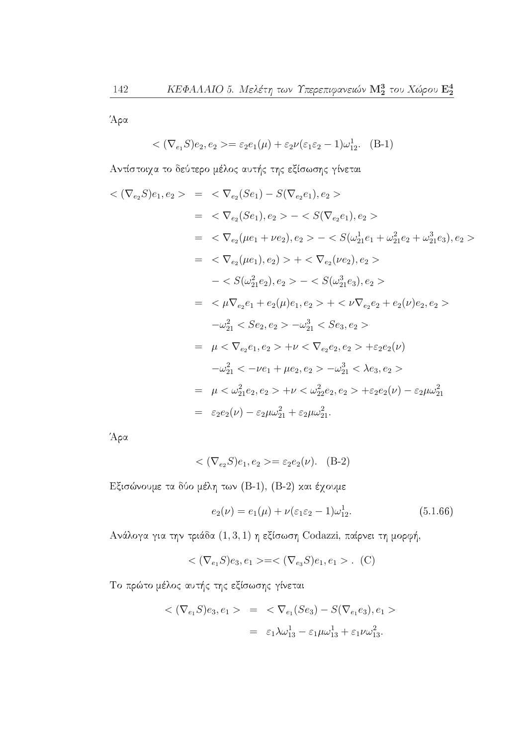Άρα

$$
\langle (\nabla_{e_1} S)e_2, e_2 \rangle = \varepsilon_2 e_1(\mu) + \varepsilon_2 \nu (\varepsilon_1 \varepsilon_2 - 1) \omega_{12}^1. \quad \text{(B-1)}
$$

Αντίστοιχα το δεύτερο μέλος αυτής της εξίσωσης γίνεται

$$
\langle (\nabla_{e_2} S)e_1, e_2 \rangle = \langle \nabla_{e_2} (Se_1) - S(\nabla_{e_2} e_1), e_2 \rangle
$$
  
\n
$$
= \langle \nabla_{e_2} (Se_1), e_2 \rangle - \langle S(\nabla_{e_2} e_1), e_2 \rangle
$$
  
\n
$$
= \langle \nabla_{e_2} (\mu e_1 + \nu e_2), e_2 \rangle - \langle S(\omega_{21}^1 e_1 + \omega_{21}^2 e_2 + \omega_{21}^3 e_3), e_2 \rangle
$$
  
\n
$$
= \langle \nabla_{e_2} (\mu e_1), e_2 \rangle \rangle + \langle \nabla_{e_2} (\nu e_2), e_2 \rangle
$$
  
\n
$$
- \langle S(\omega_{21}^2 e_2), e_2 \rangle - \langle S(\omega_{21}^3 e_3), e_2 \rangle
$$
  
\n
$$
= \langle \mu \nabla_{e_2} e_1 + e_2(\mu) e_1, e_2 \rangle + \langle \nu \nabla_{e_2} e_2 + e_2(\nu) e_2, e_2 \rangle
$$
  
\n
$$
-\omega_{21}^2 \langle Se_2, e_2 \rangle - \omega_{21}^3 \langle Se_3, e_2 \rangle
$$
  
\n
$$
= \mu \langle \nabla_{e_2} e_1, e_2 \rangle + \nu \langle \nabla_{e_2} e_2, e_2 \rangle + \varepsilon_2 e_2(\nu)
$$
  
\n
$$
-\omega_{21}^2 \langle -\nu e_1 + \mu e_2, e_2 \rangle - \omega_{21}^3 \langle \lambda e_3, e_2 \rangle
$$
  
\n
$$
= \mu \langle \omega_{21}^2 e_2, e_2 \rangle + \nu \langle \omega_{22}^2 e_2, e_2 \rangle + \varepsilon_2 e_2(\nu) - \varepsilon_2 \mu \omega_{21}^2
$$
  
\n
$$
= \varepsilon_2 e_2(\nu) - \varepsilon_2 \mu \omega_{21}^2 + \varepsilon_2 \mu \omega_{21}^2.
$$

Άρα

$$
\langle (\nabla_{e_2} S)e_1, e_2 \rangle = \varepsilon_2 e_2(\nu). \quad (B-2)
$$

Εξισώνουμε τα δύο μέλη των (Β-1), (Β-2) και έχουμε

$$
e_2(\nu) = e_1(\mu) + \nu(\varepsilon_1 \varepsilon_2 - 1)\omega_{12}^1. \tag{5.1.66}
$$

Ανάλογα για την τριάδα  $(1,3,1)$  η εξίσωση Codazzi, παίρνει τη μορφή,

$$
\langle (\nabla_{e_1} S)e_3, e_1 \rangle = \langle (\nabla_{e_3} S)e_1, e_1 \rangle .
$$
 (C)

Το πρώτο μέλος αυτής της εξίσωσης γίνεται

$$
<(\nabla_{e_1} S)e_3, e_1> = <\nabla_{e_1}(S e_3) - S(\nabla_{e_1} e_3), e_1> \\ = \varepsilon_1 \lambda \omega_{13}^1 - \varepsilon_1 \mu \omega_{13}^1 + \varepsilon_1 \nu \omega_{13}^2.
$$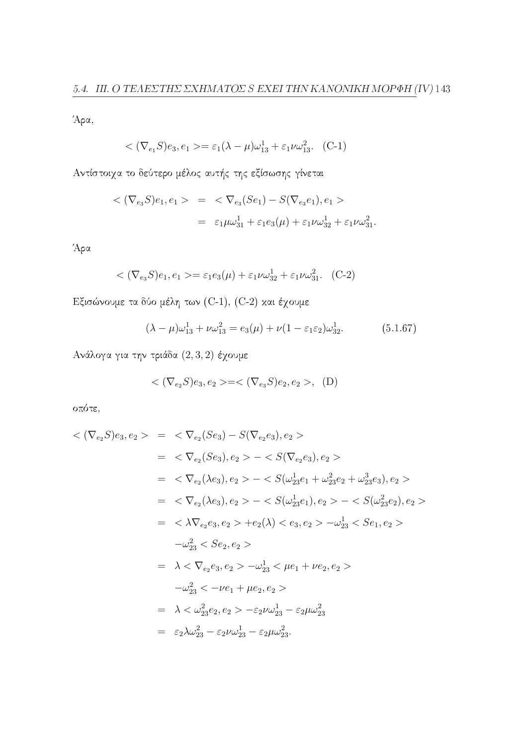Άρα,

$$
\langle (\nabla_{e_1} S)e_3, e_1 \rangle = \varepsilon_1 (\lambda - \mu) \omega_{13}^1 + \varepsilon_1 \nu \omega_{13}^2. (C-1)
$$

Αντίστοιχα το δεύτερο μέλος αυτής της εξίσωσης γίνεται

$$
<(\nabla_{e_3} S)e_1, e_1> = \langle \nabla_{e_3}(Se_1) - S(\nabla_{e_3} e_1), e_1> \rangle
$$
  
 $= \varepsilon_1 \mu \omega_{31}^1 + \varepsilon_1 e_3(\mu) + \varepsilon_1 \nu \omega_{32}^1 + \varepsilon_1 \nu \omega_{31}^2.$ 

Άρα

$$
\langle (\nabla_{e_3} S)e_1, e_1 \rangle = \varepsilon_1 e_3(\mu) + \varepsilon_1 \nu \omega_{32}^1 + \varepsilon_1 \nu \omega_{31}^2. \quad (C-2)
$$

Εξισώνουμε τα δύο μέλη των (C-1), (C-2) και έχουμε

$$
(\lambda - \mu)\omega_{13}^1 + \nu\omega_{13}^2 = e_3(\mu) + \nu(1 - \varepsilon_1 \varepsilon_2)\omega_{32}^1. \tag{5.1.67}
$$

Ανάλογα για την τριάδα  $(2,3,2)$  έχουμε

$$
<(\nabla_{e_2}S)e_3,e_2>=<(\nabla_{e_3}S)e_2,e_2>, \ (D)
$$

οπότε,

$$
\langle \nabla_{e_2} S \rangle e_3, e_2 \rangle = \langle \nabla_{e_2} (Se_3) - S(\nabla_{e_2} e_3), e_2 \rangle
$$
  
\n
$$
= \langle \nabla_{e_2} (Se_3), e_2 \rangle - \langle S(\nabla_{e_2} e_3), e_2 \rangle
$$
  
\n
$$
= \langle \nabla_{e_2} (\lambda e_3), e_2 \rangle - \langle S(\omega_{23}^1 e_1 + \omega_{23}^2 e_2 + \omega_{23}^3 e_3), e_2 \rangle
$$
  
\n
$$
= \langle \nabla_{e_2} (\lambda e_3), e_2 \rangle - \langle S(\omega_{23}^1 e_1), e_2 \rangle - \langle S(\omega_{23}^2 e_2), e_2 \rangle
$$
  
\n
$$
= \langle \lambda \nabla_{e_2} e_3, e_2 \rangle + e_2(\lambda) \langle e_3, e_2 \rangle - \omega_{23}^1 \langle S e_1, e_2 \rangle
$$
  
\n
$$
- \omega_{23}^2 \langle Se_2, e_2 \rangle
$$
  
\n
$$
= \lambda \langle \nabla_{e_2} e_3, e_2 \rangle - \omega_{23}^1 \langle \mu e_1 + \nu e_2, e_2 \rangle
$$
  
\n
$$
- \omega_{23}^2 \langle -\nu e_1 + \mu e_2, e_2 \rangle
$$
  
\n
$$
= \lambda \langle \omega_{23}^2 e_2, e_2 \rangle - \langle \omega_{23}^1 - \langle \varepsilon_{23} \mu \omega_{23}^2 \rangle
$$
  
\n
$$
= \langle \varepsilon_{23} \lambda \omega_{23}^2 - \langle \varepsilon_{23} \nu \omega_{23}^2 - \langle \varepsilon_{23} \mu \omega_{23}^2 \rangle
$$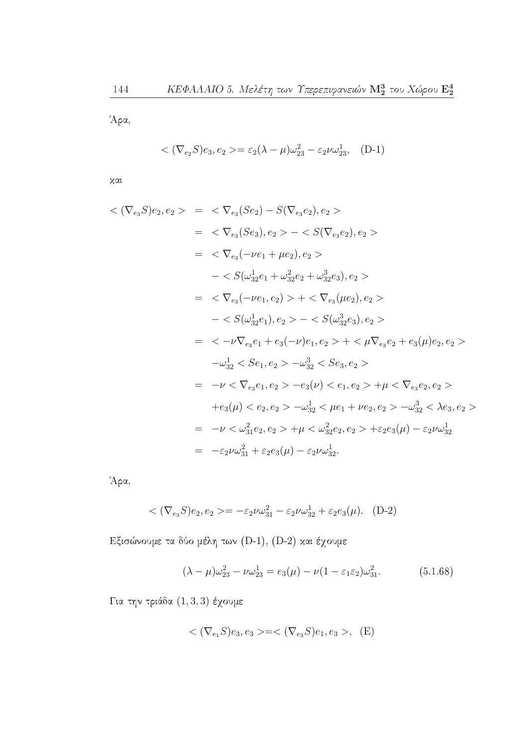Άρα,

$$
\langle (\nabla_{e_2} S)e_3, e_2 \rangle = \varepsilon_2 (\lambda - \mu) \omega_{23}^2 - \varepsilon_2 \nu \omega_{23}^1, \quad (D-1)
$$

χαι

$$
\langle \nabla_{e_3} S \rangle e_2, e_2 \rangle = \langle \nabla_{e_3} (Se_2) - S(\nabla_{e_3} e_2), e_2 \rangle
$$
  
\n
$$
= \langle \nabla_{e_3} (Se_3), e_2 \rangle - \langle S(\nabla_{e_3} e_2), e_2 \rangle
$$
  
\n
$$
= \langle \nabla_{e_3} (-\nu e_1 + \mu e_2), e_2 \rangle
$$
  
\n
$$
- \langle S(\omega_{32}^1 e_1 + \omega_{32}^2 e_2 + \omega_{32}^3 e_3), e_2 \rangle
$$
  
\n
$$
= \langle \nabla_{e_3} (-\nu e_1, e_2) \rangle + \langle \nabla_{e_3} (\mu e_2), e_2 \rangle
$$
  
\n
$$
- \langle S(\omega_{32}^1 e_1), e_2 \rangle - \langle S(\omega_{32}^3 e_3), e_2 \rangle
$$
  
\n
$$
= \langle -\nu \nabla_{e_3} e_1 + e_3(-\nu) e_1, e_2 \rangle + \langle \nabla_{e_3} e_2 + e_3(\mu) e_2, e_2 \rangle
$$
  
\n
$$
- \omega_{32}^1 \langle S e_1, e_2 \rangle - \omega_{32}^3 \langle S e_3, e_2 \rangle
$$
  
\n
$$
= -\nu \langle \nabla_{e_3} e_1, e_2 \rangle - e_3(\nu) \langle e_1, e_2 \rangle + \mu \langle \nabla_{e_3} e_2, e_2 \rangle
$$
  
\n
$$
+ e_3(\mu) \langle e_2, e_2 \rangle - \omega_{32}^1 \langle \mu e_1 + \nu e_2, e_2 \rangle - \omega_{32}^3 \langle \lambda e_3, e_2 \rangle
$$
  
\n
$$
= -\nu \langle \omega_{31}^2 e_2, e_2 \rangle + \mu \langle \omega_{32}^2 e_2, e_2 \rangle + \varepsilon_2 e_3(\mu) - \varepsilon_2 \nu \omega_{32}^1
$$
  
\n
$$
= -\varepsilon_2 \nu \omega_{31}^2 + \varepsilon_2 e_3(\mu) - \varepsilon_2 \nu \omega_{
$$

Άρα,

$$
\langle (\nabla_{e_3} S)e_2, e_2 \rangle = -\varepsilon_2 \nu \omega_{31}^2 - \varepsilon_2 \nu \omega_{32}^1 + \varepsilon_2 e_3(\mu). \quad (D-2)
$$

Εξισώνουμε τα δύο μέλη των (D-1), (D-2) και έχουμε

$$
(\lambda - \mu)\omega_{23}^2 - \nu\omega_{23}^1 = e_3(\mu) - \nu(1 - \varepsilon_1 \varepsilon_2)\omega_{31}^2. \tag{5.1.68}
$$

Για την τριάδα  $(1,3,3)$  έχουμε

$$
\langle (\nabla_{e_1} S)e_3, e_3 \rangle = \langle (\nabla_{e_3} S)e_1, e_3 \rangle, \quad (E)
$$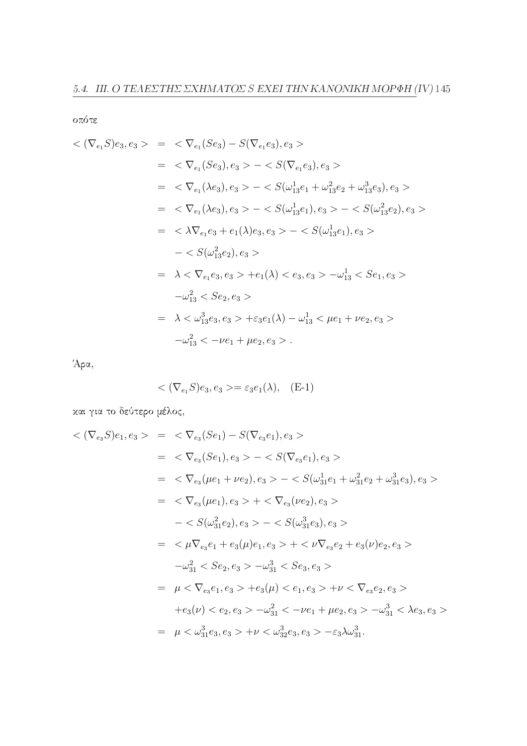οπότε

$$
\langle \nabla_{e_1} S \rangle e_3, e_3 \rangle = \langle \nabla_{e_1} (Se_3) - S(\nabla_{e_1} e_3), e_3 \rangle
$$
  
\n
$$
= \langle \nabla_{e_1} (Se_3), e_3 \rangle - \langle S(\nabla_{e_1} e_3), e_3 \rangle
$$
  
\n
$$
= \langle \nabla_{e_1} (\lambda e_3), e_3 \rangle - \langle S(\omega_{13}^1 e_1 + \omega_{13}^2 e_2 + \omega_{13}^3 e_3), e_3 \rangle
$$
  
\n
$$
= \langle \nabla_{e_1} (\lambda e_3), e_3 \rangle - \langle S(\omega_{13}^1 e_1), e_3 \rangle - \langle S(\omega_{13}^2 e_2), e_3 \rangle
$$
  
\n
$$
= \langle \lambda \nabla_{e_1} e_3 + e_1(\lambda) e_3, e_3 \rangle - \langle S(\omega_{13}^1 e_1), e_3 \rangle
$$
  
\n
$$
- \langle S(\omega_{13}^2 e_2), e_3 \rangle
$$
  
\n
$$
= \lambda \langle \nabla_{e_1} e_3, e_3 \rangle + e_1(\lambda) \langle e_3, e_3 \rangle - \omega_{13}^1 \langle S e_1, e_3 \rangle
$$
  
\n
$$
-\omega_{13}^2 \langle S e_2, e_3 \rangle
$$
  
\n
$$
= \lambda \langle \omega_{13}^3 e_3, e_3 \rangle + \varepsilon_3 e_1(\lambda) - \omega_{13}^1 \langle \mu e_1 + \nu e_2, e_3 \rangle
$$
  
\n
$$
-\omega_{13}^2 \langle -\nu e_1 + \mu e_2, e_3 \rangle.
$$

Άρα,

$$
\langle \nabla_{e_1} S \rangle e_3, e_3 \rangle = \varepsilon_3 e_1(\lambda), \quad \text{(E-1)}
$$

και για το δεύτερο μέλος,

$$
\langle \nabla_{e_3} S \rangle e_1, e_3 \rangle = \langle \nabla_{e_3} (Se_1) - S(\nabla_{e_3} e_1), e_3 \rangle
$$
  
\n
$$
= \langle \nabla_{e_3} (Se_1), e_3 \rangle - \langle S(\nabla_{e_3} e_1), e_3 \rangle
$$
  
\n
$$
= \langle \nabla_{e_3} (\mu e_1 + \nu e_2), e_3 \rangle - \langle S(\omega_{31}^1 e_1 + \omega_{31}^2 e_2 + \omega_{31}^3 e_3), e_3 \rangle
$$
  
\n
$$
= \langle \nabla_{e_3} (\mu e_1), e_3 \rangle + \langle \nabla_{e_3} (\nu e_2), e_3 \rangle
$$
  
\n
$$
- \langle S(\omega_{31}^2 e_2), e_3 \rangle - \langle S(\omega_{31}^3 e_3), e_3 \rangle
$$
  
\n
$$
= \langle \mu \nabla_{e_3} e_1 + e_3(\mu) e_1, e_3 \rangle + \langle \nu \nabla_{e_3} e_2 + e_3(\nu) e_2, e_3 \rangle
$$
  
\n
$$
-\omega_{31}^2 \langle Se_2, e_3 \rangle - \omega_{31}^3 \langle Se_3, e_3 \rangle
$$
  
\n
$$
= \mu \langle \nabla_{e_3} e_1, e_3 \rangle + e_3(\mu) \langle e_1, e_3 \rangle + \nu \langle \nabla_{e_3} e_2, e_3 \rangle
$$
  
\n
$$
+ e_3(\nu) \langle e_2, e_3 \rangle - \omega_{31}^2 \langle -\nu e_1 + \mu e_2, e_3 \rangle - \omega_{31}^3 \langle \lambda e_3, e_3 \rangle
$$
  
\n
$$
= \mu \langle \omega_{31}^3 e_3, e_3 \rangle + \nu \langle \omega_{32}^3 e_3, e_3 \rangle - \langle \omega_{31}^3 e_3, e_3 \rangle
$$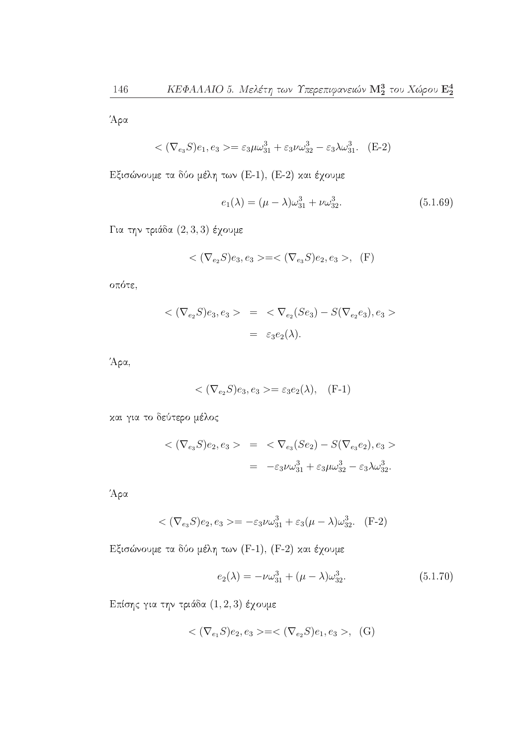Άρα

$$
\langle (\nabla_{e_3} S)e_1, e_3 \rangle = \varepsilon_3 \mu \omega_{31}^3 + \varepsilon_3 \nu \omega_{32}^3 - \varepsilon_3 \lambda \omega_{31}^3. \quad (E-2)
$$

Εξισώνουμε τα δύο μέλη των (Ε-1), (Ε-2) και έχουμε

$$
e_1(\lambda) = (\mu - \lambda)\omega_{31}^3 + \nu\omega_{32}^3. \tag{5.1.69}
$$

Για την τριάδα  $(2,3,3)$  έχουμε

$$
\langle (\nabla_{e_2} S)e_3, e_3 \rangle = \langle (\nabla_{e_3} S)e_2, e_3 \rangle, (F)
$$

οπότε,

$$
<(\nabla_{e_2}S)e_3, e_3> = \langle \nabla_{e_2}(Se_3) - S(\nabla_{e_2}e_3), e_3>
$$
  
 $= \varepsilon_3 e_2(\lambda).$ 

Άρα,

$$
\langle \nabla_{e_2} S \rangle e_3, e_3 \rangle = \varepsilon_3 e_2(\lambda), \quad \text{(F-1)}
$$

και για το δεύτερο μέλος

$$
<(\nabla_{e_3} S)e_2, e_3> = \langle \nabla_{e_3}(Se_2) - S(\nabla_{e_3} e_2), e_3> = -\varepsilon_3 \nu \omega_{31}^3 + \varepsilon_3 \mu \omega_{32}^3 - \varepsilon_3 \lambda \omega_{32}^3.
$$

Άρα

$$
\langle (\nabla_{e_3} S)e_2, e_3 \rangle = -\varepsilon_3 \nu \omega_{31}^3 + \varepsilon_3 (\mu - \lambda) \omega_{32}^3. \quad (F-2)
$$

Εξισώνουμε τα δύο μέλη των (F-1), (F-2) και έχουμε

$$
e_2(\lambda) = -\nu \omega_{31}^3 + (\mu - \lambda)\omega_{32}^3. \tag{5.1.70}
$$

Επίσης για την τριάδα  $(1,2,3)$  έχουμε

$$
\langle (\nabla_{e_1} S)e_2, e_3 \rangle = \langle (\nabla_{e_2} S)e_1, e_3 \rangle, (G)
$$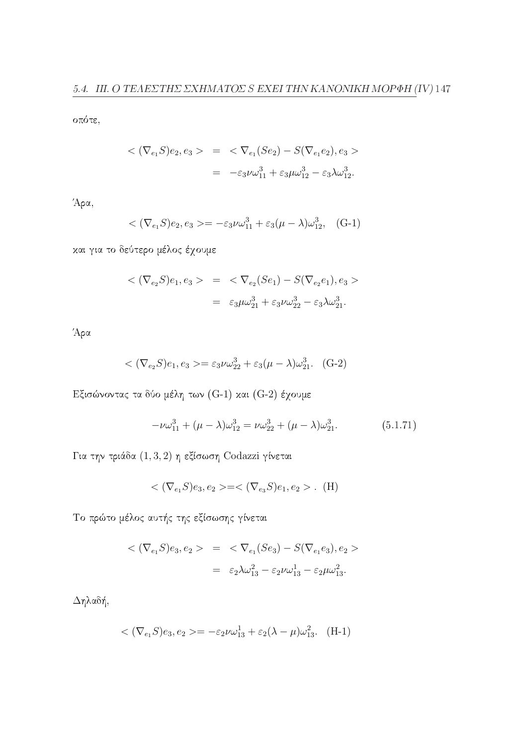οπότε,

$$
<(\nabla_{e_1} S)e_2, e_3> = \langle \nabla_{e_1} (Se_2) - S(\nabla_{e_1} e_2), e_3> = -\varepsilon_3 \nu \omega_{11}^3 + \varepsilon_3 \mu \omega_{12}^3 - \varepsilon_3 \lambda \omega_{12}^3.
$$

Άρα,

$$
\langle (\nabla_{e_1} S)e_2, e_3 \rangle = -\varepsilon_3 \nu \omega_{11}^3 + \varepsilon_3 (\mu - \lambda) \omega_{12}^3, (G-1)
$$

και για το δεύτερο μέλος έχουμε

$$
<(\nabla_{e_2} S)e_1, e_3> = \langle \nabla_{e_2}(Se_1) - S(\nabla_{e_2} e_1), e_3> \\ = \varepsilon_3 \mu \omega_{21}^3 + \varepsilon_3 \nu \omega_{22}^3 - \varepsilon_3 \lambda \omega_{21}^3.
$$

Άρα

$$
\langle (\nabla_{e_2} S)e_1, e_3 \rangle = \varepsilon_3 \nu \omega_{22}^3 + \varepsilon_3 (\mu - \lambda) \omega_{21}^3. \quad (G-2)
$$

Εξισώνοντας τα δύο μέλη των (G-1) και (G-2) έχουμε

$$
-\nu\omega_{11}^3 + (\mu - \lambda)\omega_{12}^3 = \nu\omega_{22}^3 + (\mu - \lambda)\omega_{21}^3. \tag{5.1.71}
$$

Για την τριάδα $(1,3,2)$ η εξίσωση Codazzi γίνεται

$$
\langle (\nabla_{e_1} S)e_3, e_2 \rangle = \langle (\nabla_{e_3} S)e_1, e_2 \rangle . \quad (H)
$$

Το πρώτο μέλος αυτής της εξίσωσης γίνεται

$$
<(\nabla_{e_1} S)e_3, e_2> = \langle \nabla_{e_1} (Se_3) - S(\nabla_{e_1} e_3), e_2> \\ = \varepsilon_2 \lambda \omega_{13}^2 - \varepsilon_2 \nu \omega_{13}^1 - \varepsilon_2 \mu \omega_{13}^2.
$$

 $\Delta \eta$ λαδή,

$$
\langle (\nabla_{e_1} S)e_3, e_2 \rangle = -\varepsilon_2 \nu \omega_{13}^1 + \varepsilon_2 (\lambda - \mu) \omega_{13}^2. \quad \text{(H-1)}
$$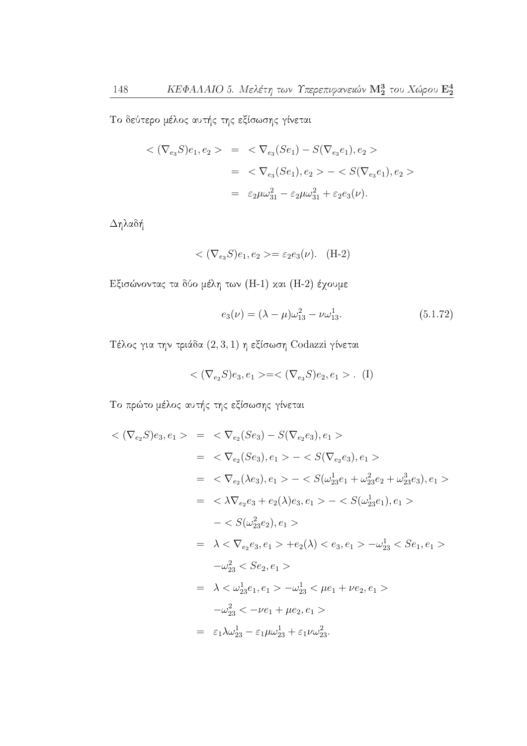Το δεύτερο μέλος αυτής της εξίσωσης γίνεται

$$
\langle (\nabla_{e_3} S)e_1, e_2 \rangle = \langle \nabla_{e_3} (Se_1) - S(\nabla_{e_3} e_1), e_2 \rangle
$$
  
= 
$$
\langle \nabla_{e_3} (Se_1), e_2 \rangle - \langle S(\nabla_{e_3} e_1), e_2 \rangle
$$
  
= 
$$
\varepsilon_2 \mu \omega_{31}^2 - \varepsilon_2 \mu \omega_{31}^2 + \varepsilon_2 e_3(\nu).
$$

 $\Delta \eta$ λαδή

$$
\langle (\nabla_{e_3} S)e_1, e_2 \rangle = \varepsilon_2 e_3(\nu). \quad (H-2)
$$

Εξισώνοντας τα δύο μέλη των (Η-1) και (Η-2) έχουμε

$$
e_3(\nu) = (\lambda - \mu)\omega_{13}^2 - \nu\omega_{13}^1. \tag{5.1.72}
$$

Τέλος για την τριάδα  $(2,3,1)$  η εξίσωση Codazzi γίνεται

$$
\langle (\nabla_{e_2} S)e_3, e_1 \rangle = \langle (\nabla_{e_3} S)e_2, e_1 \rangle . \tag{I}
$$

Το πρώτο μέλος αυτής της εξίσωσης γίνεται

$$
\langle (\nabla_{e_2} S)e_3, e_1 \rangle = \langle \nabla_{e_2} (Se_3) - S(\nabla_{e_2} e_3), e_1 \rangle
$$
  
\n
$$
= \langle \nabla_{e_2} (Se_3), e_1 \rangle - \langle S(\nabla_{e_2} e_3), e_1 \rangle
$$
  
\n
$$
= \langle \nabla_{e_2} (\lambda e_3), e_1 \rangle - \langle S(\omega_{23}^1 e_1 + \omega_{23}^2 e_2 + \omega_{23}^3 e_3), e_1 \rangle
$$
  
\n
$$
= \langle \lambda \nabla_{e_2} e_3 + e_2(\lambda) e_3, e_1 \rangle - \langle S(\omega_{23}^1 e_1), e_1 \rangle
$$
  
\n
$$
- \langle S(\omega_{23}^2 e_2), e_1 \rangle
$$
  
\n
$$
= \lambda \langle \nabla_{e_2} e_3, e_1 \rangle + e_2(\lambda) \langle e_3, e_1 \rangle - \omega_{23}^1 \langle S e_1, e_1 \rangle
$$
  
\n
$$
-\omega_{23}^2 \langle S e_2, e_1 \rangle
$$
  
\n
$$
= \lambda \langle \omega_{23}^1 e_1, e_1 \rangle - \omega_{23}^1 \langle \mu e_1 + \nu e_2, e_1 \rangle
$$
  
\n
$$
-\omega_{23}^2 \langle -\nu e_1 + \mu e_2, e_1 \rangle
$$
  
\n
$$
= \varepsilon_1 \lambda \omega_{23}^1 - \varepsilon_1 \mu \omega_{23}^1 + \varepsilon_1 \nu \omega_{23}^2.
$$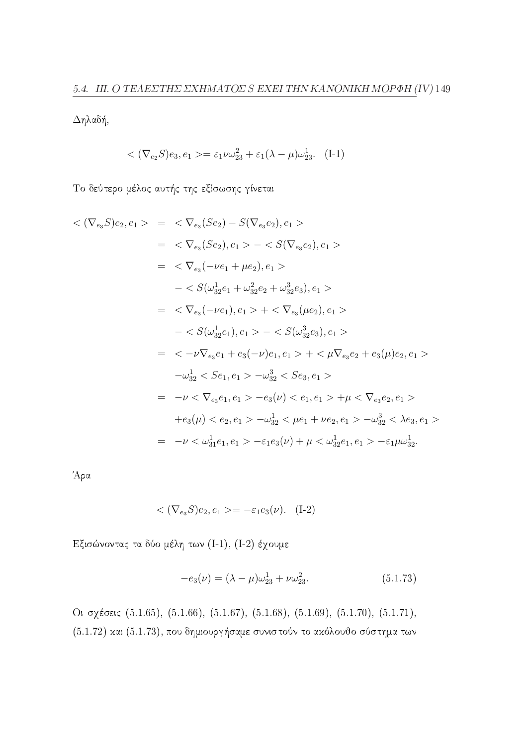$Δηλαδή,$ 

$$
\langle (\nabla_{e_2} S)e_3, e_1 \rangle = \varepsilon_1 \nu \omega_{23}^2 + \varepsilon_1 (\lambda - \mu) \omega_{23}^1. \quad (I-1)
$$

Το δεύτερο μέλος αυτής της εξίσωσης γίνεται

$$
\langle (\nabla_{e_3} S)e_2, e_1 \rangle = \langle \nabla_{e_3} (Se_2) - S(\nabla_{e_3} e_2), e_1 \rangle
$$
  
\n
$$
= \langle \nabla_{e_3} (Se_2), e_1 \rangle - \langle S(\nabla_{e_3} e_2), e_1 \rangle
$$
  
\n
$$
= \langle \nabla_{e_3} (-\nu e_1 + \mu e_2), e_1 \rangle
$$
  
\n
$$
- \langle S(\omega_{32}^1 e_1 + \omega_{32}^2 e_2 + \omega_{32}^3 e_3), e_1 \rangle
$$
  
\n
$$
= \langle \nabla_{e_3} (-\nu e_1), e_1 \rangle + \langle \nabla_{e_3} (\mu e_2), e_1 \rangle
$$
  
\n
$$
- \langle S(\omega_{32}^1 e_1), e_1 \rangle - \langle S(\omega_{32}^3 e_3), e_1 \rangle
$$
  
\n
$$
= \langle -\nu \nabla_{e_3} e_1 + e_3(-\nu) e_1, e_1 \rangle + \langle \nabla_{e_3} e_2 + e_3(\mu) e_2, e_1 \rangle
$$
  
\n
$$
- \omega_{32}^1 \langle S e_1, e_1 \rangle - \omega_{32}^3 \langle S e_3, e_1 \rangle
$$
  
\n
$$
= -\nu \langle \nabla_{e_3} e_1, e_1 \rangle - e_3(\nu) \langle e_1, e_1 \rangle + \mu \langle \nabla_{e_3} e_2, e_1 \rangle
$$
  
\n
$$
+ e_3(\mu) \langle e_2, e_1 \rangle - \omega_{32}^1 \langle \mu e_1 + \nu e_2, e_1 \rangle - \omega_{32}^3 \langle \lambda e_3, e_1 \rangle
$$
  
\n
$$
= -\nu \langle \omega_{31}^1 e_1, e_1 \rangle - \varepsilon_1 e_3(\nu) + \mu \langle \omega_{32}^1 e_1, e_1 \rangle - \varepsilon_1 \mu \omega_{32}^1.
$$

Άρα

$$
\langle (\nabla_{e_3} S)e_2, e_1 \rangle = -\varepsilon_1 e_3(\nu). \quad (I-2)
$$

Εξισώνοντας τα δύο μέλη των (Ι-1), (Ι-2) έχουμε

$$
-e_3(\nu) = (\lambda - \mu)\omega_{23}^1 + \nu\omega_{23}^2. \tag{5.1.73}
$$

Οι σχέσεις (5.1.65), (5.1.66), (5.1.67), (5.1.68), (5.1.69), (5.1.70), (5.1.71),  $(5.1.72)$  και  $(5.1.73)$ , που δημιουργήσαμε συνιστούν το ακόλουθο σύστημα των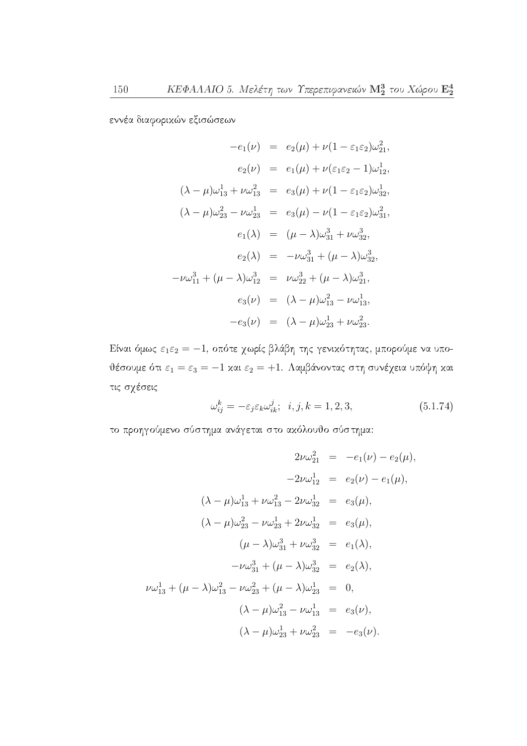εννέα διαφορικών εξισώσεων

$$
-e_1(\nu) = e_2(\mu) + \nu(1 - \varepsilon_1 \varepsilon_2) \omega_{21}^2,
$$
  
\n
$$
e_2(\nu) = e_1(\mu) + \nu(\varepsilon_1 \varepsilon_2 - 1) \omega_{12}^1,
$$
  
\n
$$
(\lambda - \mu)\omega_{13}^1 + \nu \omega_{13}^2 = e_3(\mu) + \nu(1 - \varepsilon_1 \varepsilon_2) \omega_{32}^1,
$$
  
\n
$$
(\lambda - \mu)\omega_{23}^2 - \nu \omega_{23}^1 = e_3(\mu) - \nu(1 - \varepsilon_1 \varepsilon_2) \omega_{31}^2,
$$
  
\n
$$
e_1(\lambda) = (\mu - \lambda)\omega_{31}^3 + \nu \omega_{32}^3,
$$
  
\n
$$
e_2(\lambda) = -\nu \omega_{31}^3 + (\mu - \lambda)\omega_{32}^3,
$$
  
\n
$$
-\nu \omega_{11}^3 + (\mu - \lambda)\omega_{12}^3 = \nu \omega_{22}^3 + (\mu - \lambda)\omega_{21}^3,
$$
  
\n
$$
e_3(\nu) = (\lambda - \mu)\omega_{13}^2 - \nu \omega_{13}^1,
$$
  
\n
$$
-e_3(\nu) = (\lambda - \mu)\omega_{23}^1 + \nu \omega_{23}^2.
$$

Είναι όμως  $\varepsilon_1\varepsilon_2=-1$ , οπότε χωρίς βλάβη της γενικότητας, μπορούμε να υποθέσουμε ότι $\varepsilon_1=\varepsilon_3=-1$  και $\varepsilon_2=+1.$  Λαμβάνοντας στη συνέχεια υπόψη και τις σχέσεις

$$
\omega_{ij}^k = -\varepsilon_j \varepsilon_k \omega_{ik}^j; \quad i, j, k = 1, 2, 3,
$$
\n
$$
(5.1.74)
$$

το προηγούμενο σύστημα ανάγεται στο ακόλουθο σύστημα:

$$
2\nu\omega_{21}^{2} = -e_{1}(\nu) - e_{2}(\mu),
$$
  
\n
$$
-2\nu\omega_{12}^{1} = e_{2}(\nu) - e_{1}(\mu),
$$
  
\n
$$
(\lambda - \mu)\omega_{13}^{1} + \nu\omega_{13}^{2} - 2\nu\omega_{32}^{1} = e_{3}(\mu),
$$
  
\n
$$
(\lambda - \mu)\omega_{23}^{2} - \nu\omega_{23}^{1} + 2\nu\omega_{32}^{1} = e_{3}(\mu),
$$
  
\n
$$
(\mu - \lambda)\omega_{31}^{3} + \nu\omega_{32}^{3} = e_{1}(\lambda),
$$
  
\n
$$
-\nu\omega_{31}^{3} + (\mu - \lambda)\omega_{32}^{3} = e_{2}(\lambda),
$$
  
\n
$$
\nu\omega_{13}^{1} + (\mu - \lambda)\omega_{13}^{2} - \nu\omega_{23}^{2} + (\mu - \lambda)\omega_{23}^{1} = 0,
$$
  
\n
$$
(\lambda - \mu)\omega_{13}^{2} - \nu\omega_{13}^{1} = e_{3}(\nu),
$$
  
\n
$$
(\lambda - \mu)\omega_{23}^{1} + \nu\omega_{23}^{2} = -e_{3}(\nu).
$$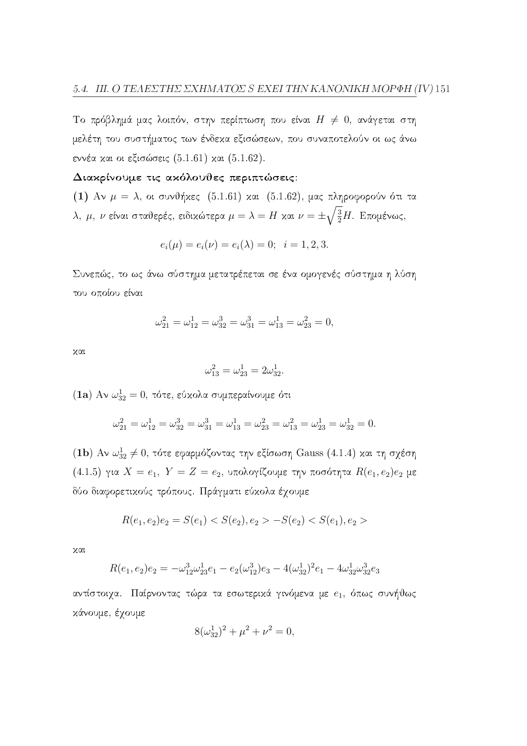Το πρόβλημά μας λοιπόν, στην περίπτωση που είναι  $H \neq 0$ , ανάγεται στη μελέτη του συστήματος των ένδεχα εξισώσεων, που συναποτελούν οι ως άνω εννέα και οι εξισώσεις (5.1.61) και (5.1.62).

#### Διακρίνουμε τις ακόλουθες περιπτώσεις:

(1) Αν  $\mu = \lambda$ , οι συνθήκες (5.1.61) και (5.1.62), μας πληροφορούν ότι τα  $\lambda$ , μ, ν είναι σταθερές, ειδικώτερα  $\mu = \lambda = H$  και  $\nu = \pm \sqrt{\frac{3}{2}}H$ . Επομένως,

$$
e_i(\mu) = e_i(\nu) = e_i(\lambda) = 0; \quad i = 1, 2, 3.
$$

Συνεπώς, το ως άνω σύστημα μετατρέπεται σε ένα ομογενές σύστημα η λύση του οποίου είναι

$$
\omega_{21}^2=\omega_{12}^1=\omega_{32}^3=\omega_{31}^3=\omega_{13}^1=\omega_{23}^2=0,
$$

 $\chi$  $\alpha$ 

$$
\omega_{13}^2 = \omega_{23}^1 = 2\omega_{32}^1.
$$

(1a) Αν  $\omega_{32}^1=0$ , τότε, εύχολα συμπεραίνουμε ότι

$$
\omega_{21}^2 = \omega_{12}^1 = \omega_{32}^3 = \omega_{31}^3 = \omega_{13}^1 = \omega_{23}^2 = \omega_{13}^2 = \omega_{23}^1 = \omega_{32}^1 = 0.
$$

(1b) Αν  $\omega_{32}^1 \neq 0$ , τότε εφαρμόζοντας την εξίσωση Gauss (4.1.4) και τη σχέση  $(4.1.5)$  για  $X = e_1$ ,  $Y = Z = e_2$ , υπολογίζουμε την ποσότητα  $R(e_1, e_2)e_2$  με δύο διαφορετικούς τρόπους. Πράγματι εύκολα έχουμε

$$
R(e_1, e_2)e_2 = S(e_1) < S(e_2), e_2 > -S(e_2) < S(e_1), e_2 >
$$

 $x\alpha$ 

$$
R(e_1, e_2)e_2 = -\omega_{12}^3 \omega_{23}^1 e_1 - e_2(\omega_{12}^3)e_3 - 4(\omega_{32}^1)^2 e_1 - 4\omega_{32}^1 \omega_{32}^3 e_3
$$

αντίστοιχα. Παίρνοντας τώρα τα εσωτερικά γινόμενα με  $e_1$ , όπως συνήθως κάνουμε, έχουμε

$$
8(\omega_{32}^1)^2 + \mu^2 + \nu^2 = 0,
$$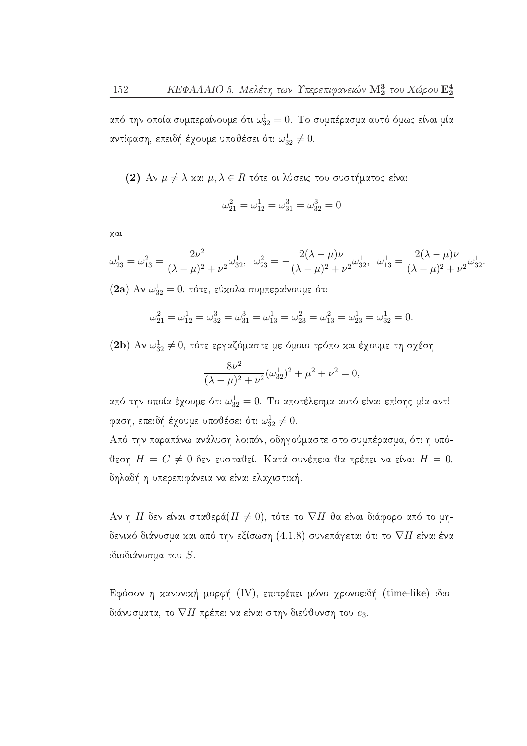από την οποία συμπεραίνουμε ότι  $\omega_{32}^1=0$ . Το συμπέρασμα αυτό όμως είναι μία αντίφαση, επειδή έχουμε υποθέσει ότι  $\omega_{32}^1\neq 0$ .

(2) Αν  $\mu \neq \lambda$  και  $\mu, \lambda \in R$  τότε οι λύσεις του συστήματος είναι

$$
\omega_{21}^2 = \omega_{12}^1 = \omega_{31}^3 = \omega_{32}^3 = 0
$$

χαι

$$
\omega_{23}^1 = \omega_{13}^2 = \frac{2\nu^2}{(\lambda - \mu)^2 + \nu^2} \omega_{32}^1, \quad \omega_{23}^2 = -\frac{2(\lambda - \mu)\nu}{(\lambda - \mu)^2 + \nu^2} \omega_{32}^1, \quad \omega_{13}^1 = \frac{2(\lambda - \mu)\nu}{(\lambda - \mu)^2 + \nu^2} \omega_{32}^1
$$
\n(2a) Av  $\omega_{32}^1 = 0$ , to be given by the equation (2a) by the equation (2b) is given by the equation (2b) is given by the equation (2b) is given by the equation (2c) is given by the equation (2d) is given by the equation (2e) is given by the equation (2e) is given by the equation (2e) is given by the equation (2e) is given by the equation (2e) is given by the equation (2e) is given by the equation (2e) is given by the equation (2e) is given by the equation (2f) is given by the equation (2f) is given by the equation (2f) is given by the equation (2f) is given by the equation (2f) is given by the equation (2f) is given by the equation (2f) is given by the equation (2f) is given by the equation (2f) is given by the equation (2f) is given by the equation (2f) is given by the equation (2g) is given by the equation (2g) is given by the equation (2g) is given by the equation (2g) is given by the equation (2g) is given by the equation (2g) is given by the equation (2g) is given by the equation (2g) is given by the equation (2g) is given by the equation (2g) is given by the equation (2g) is given by the equation (2h) is given by the equation (2g) is given by the equation (2g) is given by the equation (2h) is given by the equation (2g) is given by the equation (2g) is given by the equation (2g) is given by the equation (2g) is given by the equation (2h) is given by the equation (2g) is given by the equation (2h) is given by the equation (2g) is given by the equation (2g) is given by the equation (2g) is given by the equation (2h) is given by the equation (2g) is given by the equation (2g) is given by the equation (2g) is given by the equation (2g) is given by the equation (2h) is given by the equation (2g) is given by the equation (2g) is given by the equation (2g) is given by the equation (2g) is given by the equation (2g) is given by the equation (2h) is given by the equation (2g) is given by the equation (2g) is given by the equation (2g) is given by the equation (2g) is given

$$
\omega_{21}^2 = \omega_{12}^1 = \omega_{32}^3 = \omega_{31}^3 = \omega_{13}^1 = \omega_{23}^2 = \omega_{13}^2 = \omega_{23}^1 = \omega_{32}^1 = 0.
$$

(2b) Αν  $\omega_{32}^1 \neq 0$ , τότε εργαζόμαστε με όμοιο τρόπο και έχουμε τη σχέση

$$
\frac{8\nu^2}{(\lambda - \mu)^2 + \nu^2} (\omega_{32}^1)^2 + \mu^2 + \nu^2 = 0,
$$

από την οποία έχουμε ότι  $\omega_{32}^1=0$ . Το αποτέλεσμα αυτό είναι επίσης μία αντίφαση, επειδή έχουμε υποθέσει ότι  $\omega_{32}^1\neq 0.$ 

Από την παραπάνω ανάλυση λοιπόν, οδηγούμαστε στο συμπέρασμα, ότι η υπόθεση  $H = C \neq 0$  δεν ευσταθεί. Κατά συνέπεια θα πρέπει να είναι  $H = 0$ , δηλαδή η υπερεπιφάνεια να είναι ελαχιστική.

Αν η Η δεν είναι σταθερά $(H \neq 0)$ , τότε το  $\nabla H$  θα είναι διάφορο από το μηδενικό διάνυσμα και από την εξίσωση (4.1.8) συνεπάγεται ότι το  $\nabla H$  είναι ένα ιδιοδιάνυσμα του S.

Εφόσον η κανονική μορφή (IV), επιτρέπει μόνο χρονοειδή (time-like) ιδιοδιάνυσματα, το  $\nabla H$  πρέπει να είναι στην διεύθυνση του  $e_3$ .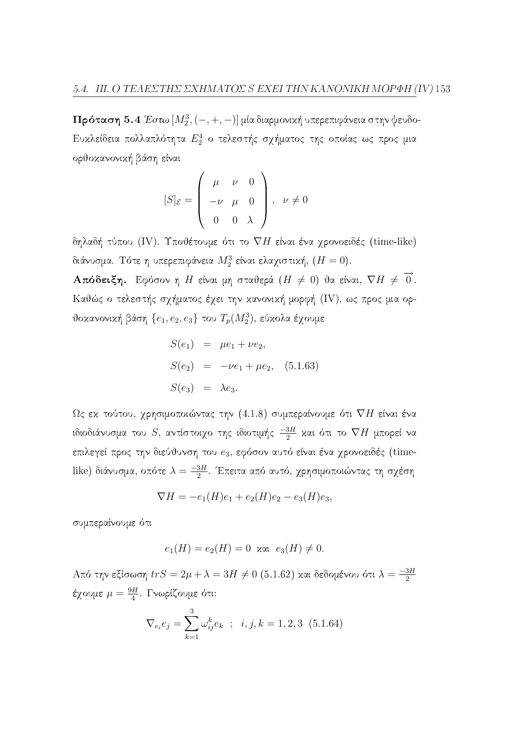**Πρόταση** 5.4 Έστω  $[M_2^3, (-, +, -)]$  μία διαρμονική υπερεπιφάνεια στην ψευδο-Ευκλείδεια πολλαπλότητα  $E_2^4$  ο τελεστής σχήματος της οποίας ως προς μια ορθοκανονική βάση είναι

$$
[S]_{\varepsilon} = \left(\begin{array}{ccc} \mu & \nu & 0 \\ -\nu & \mu & 0 \\ 0 & 0 & \lambda \end{array}\right), \quad \nu \neq 0
$$

δηλαδή τύπου (IV). Υποθέτουμε ότι το  $\nabla H$  είναι ένα χρονοειδές (time-like) διάνυσμα. Τότε η υπερεπιφάνεια  $M_2^3$  είναι ελαχιστική,  $(H = 0)$ . **Απόδειξη.** Εφόσον η Η είναι μη σταθερά ( $H \neq 0$ ) θα είναι,  $\nabla H \neq \overrightarrow{0}$ . Καθώς ο τελεστής σχήματος έχει την κανονική μορφή (IV), ως προς μια ορ-

θοκανονική βάση  $\{e_1, e_2, e_3\}$  του  $T_p(M_2^3)$ , εύκολα έχουμε

$$
S(e_1) = \mu e_1 + \nu e_2,
$$
  
\n
$$
S(e_2) = -\nu e_1 + \mu e_2, (5.1.63)
$$
  
\n
$$
S(e_3) = \lambda e_3.
$$

 $\Omega$ ς εκ τούτου, γρησιμοποιώντας την (4.1.8) συμπεραίνουμε ότι  $\nabla H$  είναι ένα ιδιοδιάνυσμα του  $S$ , αντίστοιχο της ιδιοτιμής  $\frac{-3H}{2}$  και ότι το  $\nabla H$  μπορεί να επιλεγεί προς την διεύθυνση του e3, εφόσον αυτό είναι ένα χρονοειδές (timelike) διάνυσμα, οπότε  $\lambda = \frac{-3H}{2}$ . Έπειτα από αυτό, χρησιμοποιώντας τη σχέση

$$
\nabla H = -e_1(H)e_1 + e_2(H)e_2 - e_3(H)e_3,
$$

συμπεραίνουμε ότι

$$
e_1(H) = e_2(H) = 0 \text{ and } e_3(H) \neq 0.
$$

Από την εξίσωση $trS=2\mu+\lambda=3H\neq0$  (5.1.62) και δεδομένου ότι $\lambda=\frac{-3H}{2}$ έχουμε  $\mu = \frac{9H}{4}$ . Γνωρίζουμε ότι:

$$
\nabla_{e_i} e_j = \sum_{k=1}^3 \omega_{ij}^k e_k \; ; \; i, j, k = 1, 2, 3 \; (5.1.64)
$$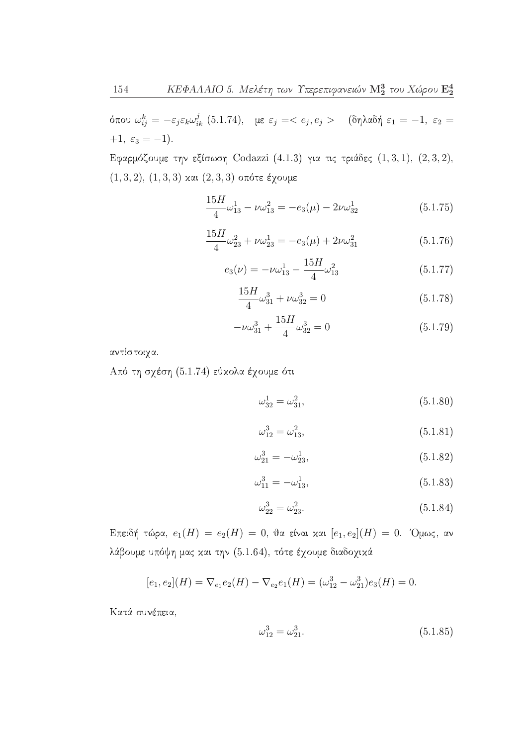όπου  $\omega_{ij}^k = -\varepsilon_j \varepsilon_k \omega_{ik}^j$  (5.1.74), με  $\varepsilon_j = < e_j, e_j >$  (δηλαδή  $\varepsilon_1 = -1$ ,  $\varepsilon_2 =$  $+1, \varepsilon_3 = -1$ .

Εφαρμόζουμε την εξίσωση Codazzi (4.1.3) για τις τριάδες  $(1,3,1)$ ,  $(2,3,2)$ ,  $(1,3,2), (1,3,3)$  και  $(2,3,3)$  οπότε έχουμε

$$
\frac{15H}{4}\omega_{13}^1 - \nu\omega_{13}^2 = -e_3(\mu) - 2\nu\omega_{32}^1 \tag{5.1.75}
$$

$$
\frac{15H}{4}\omega_{23}^2 + \nu\omega_{23}^1 = -e_3(\mu) + 2\nu\omega_{31}^2 \tag{5.1.76}
$$

$$
e_3(\nu) = -\nu \omega_{13}^1 - \frac{15H}{4} \omega_{13}^2 \tag{5.1.77}
$$

$$
\frac{15H}{4}\omega_{31}^3 + \nu\omega_{32}^3 = 0\tag{5.1.78}
$$

$$
-\nu\omega_{31}^3 + \frac{15H}{4}\omega_{32}^3 = 0
$$
\n(5.1.79)

αντίστοιχα.

Από τη σχέση (5.1.74) εύκολα έχουμε ότι

$$
\omega_{32}^1 = \omega_{31}^2,\tag{5.1.80}
$$

$$
\omega_{12}^3 = \omega_{13}^2,\tag{5.1.81}
$$

$$
\omega_{21}^3 = -\omega_{23}^1,\tag{5.1.82}
$$

$$
\omega_{11}^3 = -\omega_{13}^1,\tag{5.1.83}
$$

$$
\omega_{22}^3 = \omega_{23}^2. \tag{5.1.84}
$$

Επειδή τώρα,  $e_1(H) = e_2(H) = 0$ , θα είναι και  $[e_1, e_2](H) = 0$ . Όμως, αν λάβουμε υπόψη μας και την (5.1.64), τότε έχουμε διαδοχικά

$$
[e_1, e_2](H) = \nabla_{e_1} e_2(H) - \nabla_{e_2} e_1(H) = (\omega_{12}^3 - \omega_{21}^3) e_3(H) = 0.
$$

Κατά συνέπεια,

$$
\omega_{12}^3 = \omega_{21}^3. \tag{5.1.85}
$$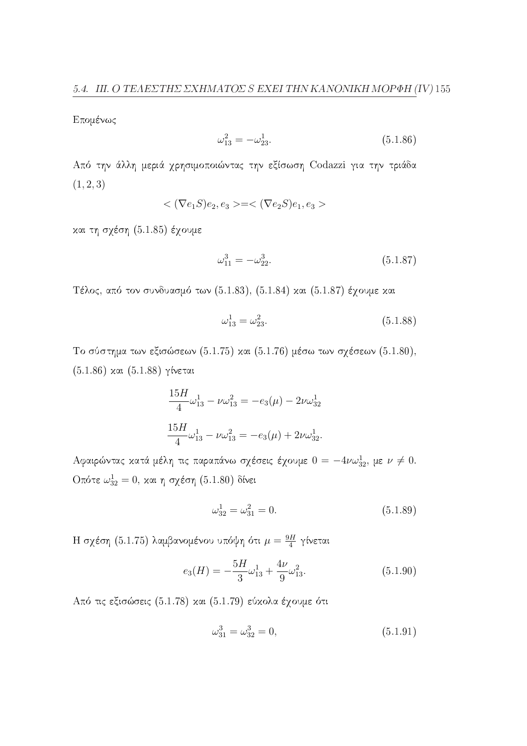Επομένως

$$
\omega_{13}^2 = -\omega_{23}^1. \tag{5.1.86}
$$

Από την άλλη μεριά χρησιμοποιώντας την εξίσωση Codazzi για την τριάδα  $(1, 2, 3)$ 

$$
\langle \nabla e_1 S \rangle e_2, e_3 \rangle = \langle \nabla e_2 S \rangle e_1, e_3 \rangle
$$

και τη σχέση (5.1.85) έχουμε

$$
\omega_{11}^3 = -\omega_{22}^3. \tag{5.1.87}
$$

Τέλος, από τον συνδυασμό των (5.1.83), (5.1.84) και (5.1.87) έχουμε και

$$
\omega_{13}^1 = \omega_{23}^2. \tag{5.1.88}
$$

Το σύστημα των εξισώσεων (5.1.75) και (5.1.76) μέσω των σχέσεων (5.1.80),  $(5.1.86)$  και  $(5.1.88)$  γίνεται

$$
\frac{15H}{4}\omega_{13}^1 - \nu\omega_{13}^2 = -e_3(\mu) - 2\nu\omega_{32}^1
$$

$$
\frac{15H}{4}\omega_{13}^1 - \nu\omega_{13}^2 = -e_3(\mu) + 2\nu\omega_{32}^1.
$$

Αφαιρώντας κατά μέλη τις παραπάνω σχέσεις έχουμε  $0 = -4\nu\omega_{32}^1$ , με  $\nu \neq 0$ . Οπότε $\omega_{32}^1=0,$  και η σχέση (5.1.80) δίνει

$$
\omega_{32}^1 = \omega_{31}^2 = 0. \tag{5.1.89}
$$

Η σχέση (5.1.75) λαμβανομένου υπόψη ότι $\mu = \frac{9H}{4}$ γίνεται

$$
e_3(H) = -\frac{5H}{3}\omega_{13}^1 + \frac{4\nu}{9}\omega_{13}^2. \tag{5.1.90}
$$

Από τις εξισώσεις (5.1.78) και (5.1.79) εύκολα έχουμε ότι

$$
\omega_{31}^3 = \omega_{32}^3 = 0,\tag{5.1.91}
$$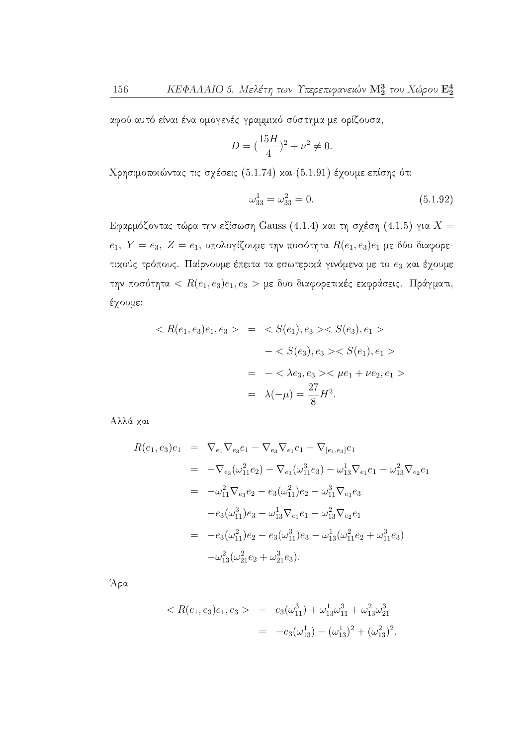αφού αυτό είναι ένα ομογενές γραμμικό σύστημα με ορίζουσα,

$$
D = \left(\frac{15H}{4}\right)^2 + \nu^2 \neq 0.
$$

Χρησιμοποιώντας τις σχέσεις (5.1.74) και (5.1.91) έχουμε επίσης ότι

$$
\omega_{33}^1 = \omega_{33}^2 = 0. \tag{5.1.92}
$$

Εφαρμόζοντας τώρα την εξίσωση Gauss (4.1.4) και τη σχέση (4.1.5) για  $X =$  $e_1, Y = e_3, Z = e_1$ , υπολογίζουμε την ποσότητα  $R(e_1, e_3)e_1$  με δύο διαφορετικούς τρόπους. Παίρνουμε έπειτα τα εσωτερικά γινόμενα με το  $e_3$  και έχουμε την ποσότητα <  $R(e_1, e_3)e_1, e_3$  > με δυο διαφορετικές εκφράσεις. Πράγματι, έχουμε:

$$
\langle R(e_1, e_3)e_1, e_3 \rangle = \langle S(e_1), e_3 \rangle \langle S(e_3), e_1 \rangle
$$
  

$$
- \langle S(e_3), e_3 \rangle \langle S(e_1), e_1 \rangle
$$
  

$$
= - \langle \lambda e_3, e_3 \rangle \langle \mu e_1 + \nu e_2, e_1 \rangle
$$
  

$$
= \lambda(-\mu) = \frac{27}{8} H^2.
$$

Αλλά και

$$
R(e_1, e_3)e_1 = \nabla_{e_1}\nabla_{e_3}e_1 - \nabla_{e_3}\nabla_{e_1}e_1 - \nabla_{[e_1, e_3]}e_1
$$
  
\n
$$
= -\nabla_{e_3}(\omega_{11}^2e_2) - \nabla_{e_3}(\omega_{11}^3e_3) - \omega_{13}^1\nabla_{e_1}e_1 - \omega_{13}^2\nabla_{e_2}e_1
$$
  
\n
$$
= -\omega_{11}^2\nabla_{e_3}e_2 - e_3(\omega_{11}^2)e_2 - \omega_{11}^3\nabla_{e_3}e_3
$$
  
\n
$$
-e_3(\omega_{11}^3)e_3 - \omega_{13}^1\nabla_{e_1}e_1 - \omega_{13}^2\nabla_{e_2}e_1
$$
  
\n
$$
= -e_3(\omega_{11}^2)e_2 - e_3(\omega_{11}^3)e_3 - \omega_{13}^1(\omega_{11}^2e_2 + \omega_{11}^3e_3)
$$
  
\n
$$
-\omega_{13}^2(\omega_{21}^2e_2 + \omega_{21}^3e_3).
$$

Άρα

$$
\langle R(e_1, e_3)e_1, e_3 \rangle = e_3(\omega_{11}^3) + \omega_{13}^1 \omega_{11}^3 + \omega_{13}^2 \omega_{21}^3
$$
  

$$
= -e_3(\omega_{13}^1) - (\omega_{13}^1)^2 + (\omega_{13}^2)^2.
$$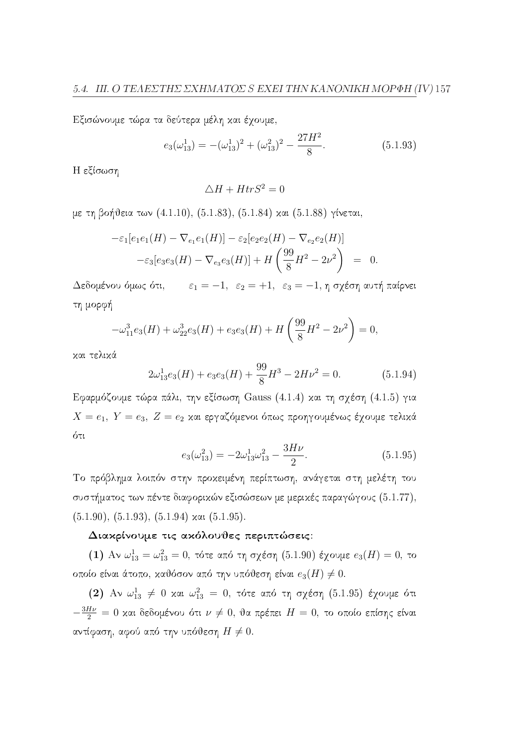Εξισώνουμε τώρα τα δεύτερα μέλη και έχουμε,

$$
e_3(\omega_{13}^1) = -(\omega_{13}^1)^2 + (\omega_{13}^2)^2 - \frac{27H^2}{8}.
$$
 (5.1.93)

Η εξίσωση

$$
\triangle H + H tr S^2 = 0
$$

με τη βοήθεια των (4.1.10), (5.1.83), (5.1.84) και (5.1.88) γίνεται,

$$
-\varepsilon_1[e_1e_1(H) - \nabla_{e_1}e_1(H)] - \varepsilon_2[e_2e_2(H) - \nabla_{e_2}e_2(H)]
$$
  

$$
-\varepsilon_3[e_3e_3(H) - \nabla_{e_3}e_3(H)] + H\left(\frac{99}{8}H^2 - 2\nu^2\right) = 0
$$

Δεδομένου όμως ότι,  $\varepsilon_1 = -1$ ,  $\varepsilon_2 = +1$ ,  $\varepsilon_3 = -1$ , η σχέση αυτή παίρνει τη μορφή

$$
-\omega_{11}^3 e_3(H) + \omega_{22}^3 e_3(H) + e_3 e_3(H) + H\left(\frac{99}{8}H^2 - 2\nu^2\right) = 0,
$$

και τελικά

$$
2\omega_{13}^1 e_3(H) + e_3 e_3(H) + \frac{99}{8}H^3 - 2H\nu^2 = 0.
$$
 (5.1.94)

Εφαρμόζουμε τώρα πάλι, την εξίσωση Gauss (4.1.4) και τη σχέση (4.1.5) για  $X = e_1, Y = e_3, Z = e_2$  και εργαζόμενοι όπως προηγουμένως έχουμε τελικά ότι

$$
e_3(\omega_{13}^2) = -2\omega_{13}^1 \omega_{13}^2 - \frac{3H\nu}{2}.
$$
\n(5.1.95)

Το πρόβλημα λοιπόν στην προχειμένη περίπτωση, ανάγεται στη μελέτη του συστήματος των πέντε διαφορικών εξισώσεων με μερικές παραγώγους (5.1.77),  $(5.1.90), (5.1.93), (5.1.94)$  x at  $(5.1.95)$ .

### Διακρίνουμε τις ακόλουθες περιπτώσεις:

(1) Αν  $\omega_{13}^1 = \omega_{13}^2 = 0$ , τότε από τη σχέση (5.1.90) έχουμε  $e_3(H) = 0$ , το οποίο είναι άτοπο, καθόσον από την υπόθεση είναι  $e_3(H) \neq 0$ .

(2) Αν  $\omega_{13}^1$  = 0 και  $\omega_{13}^2$  = 0, τότε από τη σχέση (5.1.95) έχουμε ότι  $-\frac{3H\nu}{2}=0$  και δεδομένου ότι  $\nu\neq 0$ , θα πρέπει  $H=0$ , το οποίο επίσης είναι αντίφαση, αφού από την υπόθεση  $H \neq 0$ .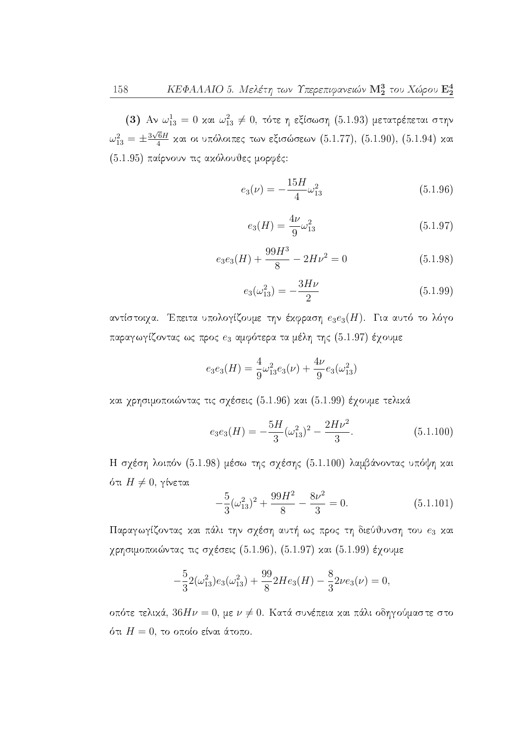(3) Αν  $\omega_{13}^1 = 0$  και  $\omega_{13}^2 \neq 0$ , τότε η εξίσωση (5.1.93) μετατρέπεται στην  $\omega_{13}^2 = \pm \frac{3\sqrt{6}H}{4}$  και οι υπόλοιπες των εξισώσεων (5.1.77), (5.1.90), (5.1.94) και (5.1.95) παίρνουν τις ακόλουθες μορφές:

$$
e_3(\nu) = -\frac{15H}{4}\omega_{13}^2\tag{5.1.96}
$$

$$
e_3(H) = \frac{4\nu}{9}\omega_{13}^2\tag{5.1.97}
$$

$$
e_3e_3(H) + \frac{99H^3}{8} - 2H\nu^2 = 0
$$
\n(5.1.98)

$$
e_3(\omega_{13}^2) = -\frac{3H\nu}{2} \tag{5.1.99}
$$

αντίστοιχα. Έπειτα υπολογίζουμε την έκφραση  $e_3e_3(H)$ . Για αυτό το λόγο παραγωγίζοντας ως προς  $e_3$  αμφότερα τα μέλη της (5.1.97) έχουμε

$$
e_3e_3(H) = \frac{4}{9}\omega_{13}^2e_3(\nu) + \frac{4\nu}{9}e_3(\omega_{13}^2)
$$

και γρησιμοποιώντας τις σγέσεις (5.1.96) και (5.1.99) έγουμε τελικά

$$
e_3e_3(H) = -\frac{5H}{3}(\omega_{13}^2)^2 - \frac{2H\nu^2}{3}.
$$
\n(5.1.100)

Η σχέση λοιπόν (5.1.98) μέσω της σχέσης (5.1.100) λαμβάνοντας υπόψη και ότι  $H \neq 0$ , γίνεται

$$
-\frac{5}{3}(\omega_{13}^2)^2 + \frac{99H^2}{8} - \frac{8\nu^2}{3} = 0.
$$
 (5.1.101)

Παραγωγίζοντας και πάλι την σχέση αυτή ως προς τη διεύθυνση του  $e_3$  και χρησιμοποιώντας τις σχέσεις (5.1.96), (5.1.97) και (5.1.99) έχουμε

$$
-\frac{5}{3}2(\omega_{13}^2)e_3(\omega_{13}^2) + \frac{99}{8}2He_3(H) - \frac{8}{3}2\nu e_3(\nu) = 0,
$$

οπότε τελικά,  $36H\nu = 0$ , με  $\nu \neq 0$ . Κατά συνέπεια και πάλι οδηγούμαστε στο ότι  $H=0$ , το οποίο είναι άτοπο.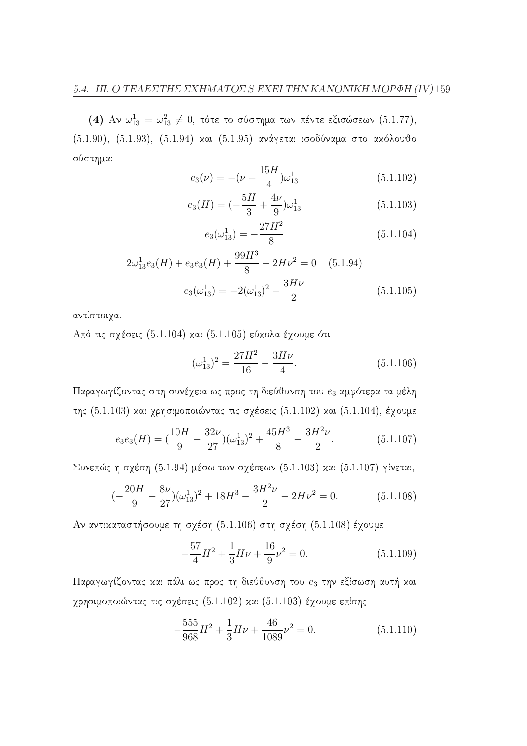(4) Αν  $\omega_{13}^1 = \omega_{13}^2 \neq 0$ , τότε το σύστημα των πέντε εξισώσεων (5.1.77), (5.1.90), (5.1.93), (5.1.94) και (5.1.95) ανάγεται ισοδύναμα στο ακόλουθο σύστημα:

$$
e_3(\nu) = -(\nu + \frac{15H}{4})\omega_{13}^1
$$
 (5.1.102)

$$
e_3(H) = \left(-\frac{5H}{3} + \frac{4\nu}{9}\right)\omega_{13}^1\tag{5.1.103}
$$

$$
e_3(\omega_{13}^1) = -\frac{27H^2}{8} \tag{5.1.104}
$$

$$
2\omega_{13}^1 e_3(H) + e_3 e_3(H) + \frac{99H^3}{8} - 2H\nu^2 = 0 \quad (5.1.94)
$$

$$
e_3(\omega_{13}^1) = -2(\omega_{13}^1)^2 - \frac{3H\nu}{2} \qquad (5.1.105)
$$

αντίστοιγα.

Από τις σχέσεις (5.1.104) και (5.1.105) εύκολα έχουμε ότι

$$
(\omega_{13}^1)^2 = \frac{27H^2}{16} - \frac{3H\nu}{4}.
$$
\n(5.1.106)

Παραγωγίζοντας στη συνέχεια ως προς τη διεύθυνση του  $e_3$  αμφότερα τα μέλη της (5.1.103) και χρησιμοποιώντας τις σχέσεις (5.1.102) και (5.1.104), έχουμε

$$
e_3e_3(H) = \left(\frac{10H}{9} - \frac{32\nu}{27}\right)(\omega_{13}^1)^2 + \frac{45H^3}{8} - \frac{3H^2\nu}{2}.
$$
 (5.1.107)

Συνεπώς η σχέση (5.1.94) μέσω των σχέσεων (5.1.103) και (5.1.107) γίνεται,

$$
(-\frac{20H}{9} - \frac{8\nu}{27})(\omega_{13}^1)^2 + 18H^3 - \frac{3H^2\nu}{2} - 2H\nu^2 = 0.
$$
 (5.1.108)

Αν αντικαταστήσουμε τη σχέση (5.1.106) στη σχέση (5.1.108) έχουμε

$$
-\frac{57}{4}H^2 + \frac{1}{3}H\nu + \frac{16}{9}\nu^2 = 0.
$$
 (5.1.109)

Παραγωγίζοντας και πάλι ως προς τη διεύθυνση του  $e_3$  την εξίσωση αυτή και χρησιμοποιώντας τις σχέσεις (5.1.102) και (5.1.103) έχουμε επίσης

$$
-\frac{555}{968}H^2 + \frac{1}{3}H\nu + \frac{46}{1089}\nu^2 = 0.
$$
 (5.1.110)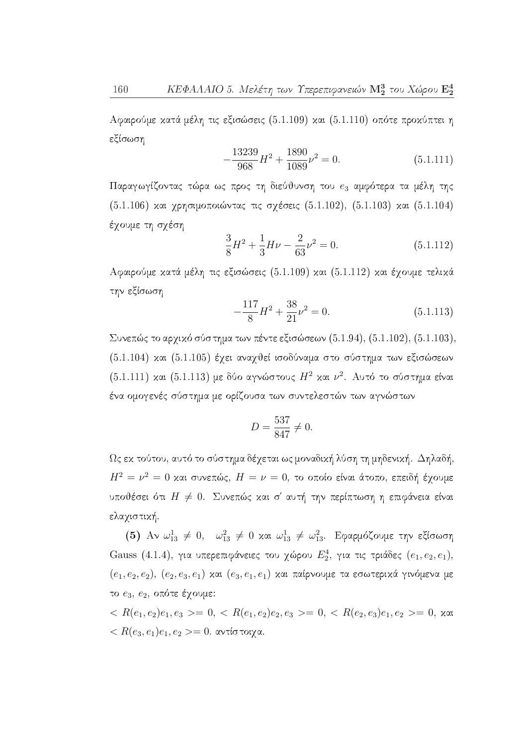Αφαιρούμε κατά μέλη τις εξισώσεις (5.1.109) και (5.1.110) οπότε προκύπτει η εξίσωση

$$
-\frac{13239}{968}H^2 + \frac{1890}{1089}\nu^2 = 0.
$$
\n(5.1.111)

Παραγωγίζοντας τώρα ως προς τη διεύθυνση του e3 αμφότερα τα μέλη της (5.1.106) και χρησιμοποιώντας τις σχέσεις (5.1.102), (5.1.103) και (5.1.104) έχουμε τη σχέση

$$
\frac{3}{8}H^2 + \frac{1}{3}H\nu - \frac{2}{63}\nu^2 = 0.
$$
 (5.1.112)

Αφαιρούμε κατά μέλη τις εξισώσεις (5.1.109) και (5.1.112) και έχουμε τελικά την εξίσωση

$$
-\frac{117}{8}H^2 + \frac{38}{21}\nu^2 = 0.
$$
 (5.1.113)

Συνεπώς το αρχικό σύστημα των πέντε εξισώσεων (5.1.94), (5.1.102), (5.1.103), (5.1.104) και (5.1.105) έχει αναχθεί ισοδύναμα στο σύστημα των εξισώσεων  $(5.1.111)$  και  $(5.1.113)$  με δύο αγνώστους  $H^2$  και  $\nu^2$ . Αυτό το σύστημα είναι ένα ομογενές σύστημα με ορίζουσα των συντελεστών των αγνώστων

$$
D = \frac{537}{847} \neq 0
$$

 $\Omega$ ς εκ τούτου, αυτό το σύστημα δέχεται ως μοναδική λύση τη μηδενική. Δηλαδή,  $H^2 = \nu^2 = 0$  και συνεπώς,  $H = \nu = 0$ , το οποίο είναι άτοπο, επειδή έχουμε υποθέσει ότι  $H \neq 0$ . Συνεπώς και σ' αυτή την περίπτωση η επιφάνεια είναι ελαχιστική.

(5) Αν  $\omega_{13}^1 \neq 0$ ,  $\omega_{13}^2 \neq 0$  και  $\omega_{13}^1 \neq \omega_{13}^2$ . Εφαρμόζουμε την εξίσωση Gauss (4.1.4), για υπερεπιφάνειες του χώρου  $E_2^4$ , για τις τριάδες  $(e_1, e_2, e_1)$ ,  $(e_1, e_2, e_2), (e_2, e_3, e_1)$  και  $(e_3, e_1, e_1)$  και παίρνουμε τα εσωτερικά γινόμενα με το  $e_3, e_2,$  οπότε έχουμε:

 $R(e_1, e_2)e_1, e_3 \geq 0, \langle R(e_1, e_2)e_2, e_3 \rangle = 0, \langle R(e_2, e_3)e_1, e_2 \rangle = 0, \text{ and } \langle R(e_1, e_2)e_1, e_3 \rangle = 0, \text{ and } \langle R(e_1, e_2)e_2, e_3 \rangle = 0, \text{ and } \langle R(e_1, e_2)e_2, e_3 \rangle = 0, \text{ and } \langle R(e_1, e_2)e_2, e_3 \rangle = 0, \text{ and } \langle R(e_1, e_2)e_2, e_3 \rangle = 0, \text{ and } \langle R(e_1, e$  $R(e_3, e_1)e_1, e_2 >= 0$ . αντίστοιχα.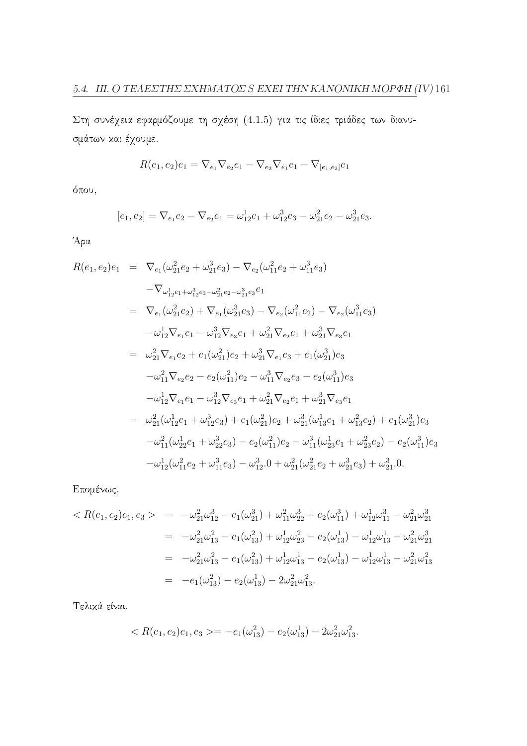Στη συνέχεια εφαρμόζουμε τη σχέση (4.1.5) για τις ίδιες τριάδες των διανυσμάτων και έχουμε.

$$
R(e_1, e_2)e_1 = \nabla_{e_1}\nabla_{e_2}e_1 - \nabla_{e_2}\nabla_{e_1}e_1 - \nabla_{[e_1, e_2]}e_1
$$

όπου,

$$
[e_1, e_2] = \nabla_{e_1} e_2 - \nabla_{e_2} e_1 = \omega_{12}^1 e_1 + \omega_{12}^3 e_3 - \omega_{21}^2 e_2 - \omega_{21}^3 e_3.
$$

Άρα

$$
R(e_1, e_2)e_1 = \nabla_{e_1}(\omega_{21}^2 e_2 + \omega_{21}^3 e_3) - \nabla_{e_2}(\omega_{11}^2 e_2 + \omega_{11}^3 e_3)
$$
\n
$$
-\nabla_{\omega_{12}^1 e_1 + \omega_{12}^3 e_3 - \omega_{21}^2 e_2 - \omega_{21}^3 e_3} e_1
$$
\n
$$
= \nabla_{e_1}(\omega_{21}^2 e_2) + \nabla_{e_1}(\omega_{21}^3 e_3) - \nabla_{e_2}(\omega_{11}^2 e_2) - \nabla_{e_2}(\omega_{11}^3 e_3)
$$
\n
$$
-\omega_{12}^1 \nabla_{e_1} e_1 - \omega_{12}^3 \nabla_{e_3} e_1 + \omega_{21}^2 \nabla_{e_2} e_1 + \omega_{21}^3 \nabla_{e_3} e_1
$$
\n
$$
= \omega_{21}^2 \nabla_{e_1} e_2 + e_1(\omega_{21}^2) e_2 + \omega_{21}^3 \nabla_{e_1} e_3 + e_1(\omega_{21}^3) e_3
$$
\n
$$
-\omega_{11}^2 \nabla_{e_2} e_2 - e_2(\omega_{11}^2) e_2 - \omega_{11}^3 \nabla_{e_2} e_3 - e_2(\omega_{11}^3) e_3
$$
\n
$$
-\omega_{12}^1 \nabla_{e_1} e_1 - \omega_{12}^3 \nabla_{e_3} e_1 + \omega_{21}^2 \nabla_{e_2} e_1 + \omega_{21}^3 \nabla_{e_3} e_1
$$
\n
$$
= \omega_{21}^2(\omega_{12}^1 e_1 + \omega_{12}^3 e_3) + e_1(\omega_{21}^2) e_2 + \omega_{21}^3(\omega_{13}^1 e_1 + \omega_{13}^2 e_2) + e_1(\omega_{21}^3) e_3
$$
\n
$$
-\omega_{11}^2(\omega_{22}^1 e_1 + \omega_{22}^3 e_3) - e_2(\omega_{11}^2) e_
$$

Επομένως,

$$
\langle R(e_1, e_2)e_1, e_3 \rangle = -\omega_{21}^2 \omega_{12}^3 - e_1(\omega_{21}^3) + \omega_{11}^2 \omega_{22}^3 + e_2(\omega_{11}^3) + \omega_{12}^1 \omega_{11}^3 - \omega_{21}^2 \omega_{21}^3
$$
  
\n
$$
= -\omega_{21}^2 \omega_{13}^2 - e_1(\omega_{13}^2) + \omega_{12}^1 \omega_{23}^2 - e_2(\omega_{13}^1) - \omega_{12}^1 \omega_{13}^1 - \omega_{21}^2 \omega_{21}^3
$$
  
\n
$$
= -\omega_{21}^2 \omega_{13}^2 - e_1(\omega_{13}^2) + \omega_{12}^1 \omega_{13}^1 - e_2(\omega_{13}^1) - \omega_{12}^1 \omega_{13}^1 - \omega_{21}^2 \omega_{13}^2
$$
  
\n
$$
= -e_1(\omega_{13}^2) - e_2(\omega_{13}^1) - 2\omega_{21}^2 \omega_{13}^2.
$$

Τελικά είναι,

$$
\langle R(e_1, e_2)e_1, e_3 \rangle = -e_1(\omega_{13}^2) - e_2(\omega_{13}^1) - 2\omega_{21}^2\omega_{13}^2.
$$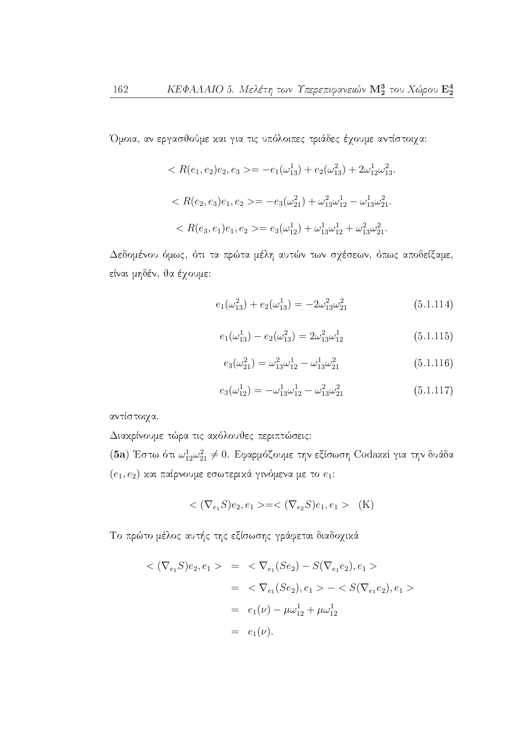Όμοια, αν εργασθούμε και για τις υπόλοιπες τριάδες έχουμε αντίστοιχα:

$$
\langle R(e_1, e_2)e_2, e_3 \rangle = -e_1(\omega_{13}^1) + e_2(\omega_{13}^2) + 2\omega_{12}^1 \omega_{13}^2.
$$
  

$$
\langle R(e_2, e_3)e_1, e_2 \rangle = -e_3(\omega_{21}^2) + \omega_{13}^2 \omega_{12}^1 - \omega_{13}^1 \omega_{21}^2.
$$
  

$$
\langle R(e_3, e_1)e_1, e_2 \rangle = e_3(\omega_{12}^1) + \omega_{13}^1 \omega_{12}^1 + \omega_{13}^2 \omega_{21}^2.
$$

Δεδομένου όμως, ότι τα πρώτα μέλη αυτών των σχέσεων, όπως αποδείξαμε, είναι μηδέν, θα έχουμε:

$$
e_1(\omega_{13}^2) + e_2(\omega_{13}^1) = -2\omega_{13}^2 \omega_{21}^2 \tag{5.1.114}
$$

$$
e_1(\omega_{13}^1) - e_2(\omega_{13}^2) = 2\omega_{13}^2\omega_{12}^1 \tag{5.1.115}
$$

$$
e_3(\omega_{21}^2) = \omega_{13}^2 \omega_{12}^1 - \omega_{13}^1 \omega_{21}^2 \tag{5.1.116}
$$

$$
e_3(\omega_{12}^1) = -\omega_{13}^1 \omega_{12}^1 - \omega_{13}^2 \omega_{21}^2 \tag{5.1.117}
$$

αντίστοιχα.

Διακρίνουμε τώρα τις ακόλουθες περιπτώσεις:

(5a) Έστω ότι  $\omega_{12}^1 \omega_{21}^2 \neq 0$ . Εφαρμόζουμε την εξίσωση Codazzi για την δυάδα  $(e_1, e_2)$  και παίρνουμε εσωτερικά γινόμενα με το  $e_1$ :

$$
\langle (\nabla_{e_1} S)e_2, e_1 \rangle = \langle (\nabla_{e_2} S)e_1, e_1 \rangle \quad (K)
$$

Το πρώτο μέλος αυτής της εξίσωσης γράφεται διαδοχικά

$$
\langle (\nabla_{e_1} S)e_2, e_1 \rangle = \langle \nabla_{e_1} (Se_2) - S(\nabla_{e_1} e_2), e_1 \rangle
$$
  
=  $\langle \nabla_{e_1} (Se_2), e_1 \rangle - \langle S(\nabla_{e_1} e_2), e_1 \rangle$   
=  $e_1(\nu) - \mu \omega_{12}^1 + \mu \omega_{12}^1$   
=  $e_1(\nu)$ .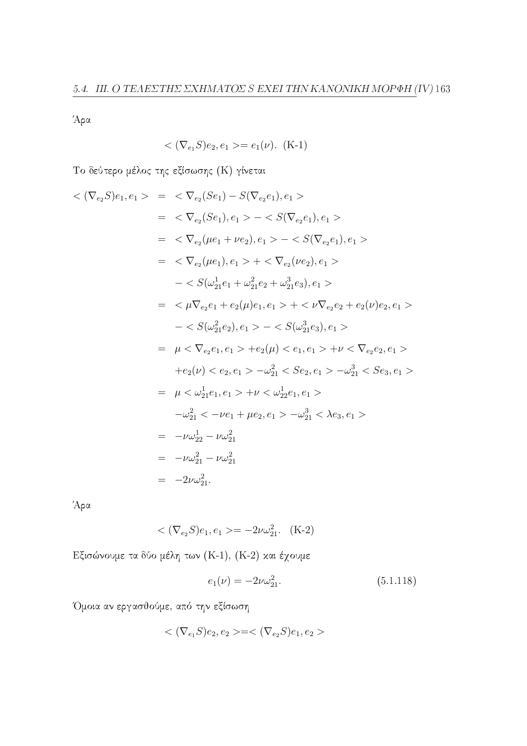Άρα

$$
\langle \nabla_{e_1} S \rangle e_2, e_1 \rangle = e_1(\nu). \, (K-1)
$$

Το δεύτερο μέλος της εξίσωσης (Κ) γίνεται

$$
\langle (\nabla_{e_2} S)e_1, e_1 \rangle = \langle \nabla_{e_2} (Se_1) - S(\nabla_{e_2} e_1), e_1 \rangle
$$
  
\n
$$
= \langle \nabla_{e_2} (Se_1), e_1 \rangle - \langle S(\nabla_{e_2} e_1), e_1 \rangle
$$
  
\n
$$
= \langle \nabla_{e_2} (\mu e_1 + \nu e_2), e_1 \rangle - \langle S(\nabla_{e_2} e_1), e_1 \rangle
$$
  
\n
$$
= \langle \nabla_{e_2} (\mu e_1), e_1 \rangle + \langle \nabla_{e_2} (\nu e_2), e_1 \rangle
$$
  
\n
$$
- \langle S(\omega_{21}^1 e_1 + \omega_{21}^2 e_2 + \omega_{21}^3 e_3), e_1 \rangle
$$
  
\n
$$
= \langle \mu \nabla_{e_2} e_1 + e_2(\mu) e_1, e_1 \rangle + \langle \nu \nabla_{e_2} e_2 + e_2(\nu) e_2, e_1 \rangle
$$
  
\n
$$
- \langle S(\omega_{21}^2 e_2), e_1 \rangle - \langle S(\omega_{21}^3 e_3), e_1 \rangle
$$
  
\n
$$
= \mu \langle \nabla_{e_2} e_1, e_1 \rangle + e_2(\mu) \langle e_1, e_1 \rangle + \nu \langle \nabla_{e_2} e_2, e_1 \rangle
$$
  
\n
$$
+ e_2(\nu) \langle e_2, e_1 \rangle - \omega_{21}^2 \langle S e_2, e_1 \rangle - \omega_{21}^3 \langle S e_3, e_1 \rangle
$$
  
\n
$$
= \mu \langle \omega_{21}^1 e_1, e_1 \rangle + \nu \langle \omega_{22}^1 e_1, e_1 \rangle
$$
  
\n
$$
- \omega_{21}^2 \langle -\nu e_1 + \mu e_2, e_1 \rangle - \omega_{21}^3 \langle \lambda e_3, e_1 \rangle
$$
  
\n
$$
= -\nu \omega_{21}^2 - \nu \omega_{21}^2
$$
  
\n
$$
= -2\nu \omega_{21}^2
$$

Άρα

$$
\langle (\nabla_{e_2} S)e_1, e_1 \rangle = -2\nu \omega_{21}^2. \quad (K-2)
$$

Εξισώνουμε τα δύο μέλη των (K-1), (K-2) και έχουμε

$$
e_1(\nu) = -2\nu\omega_{21}^2. \tag{5.1.118}
$$

Όμοια αν εργασθούμε, από την εξίσωση

$$
<(\nabla_{e_1}S)e_2, e_2>=<(\nabla_{e_2}S)e_1, e_2>
$$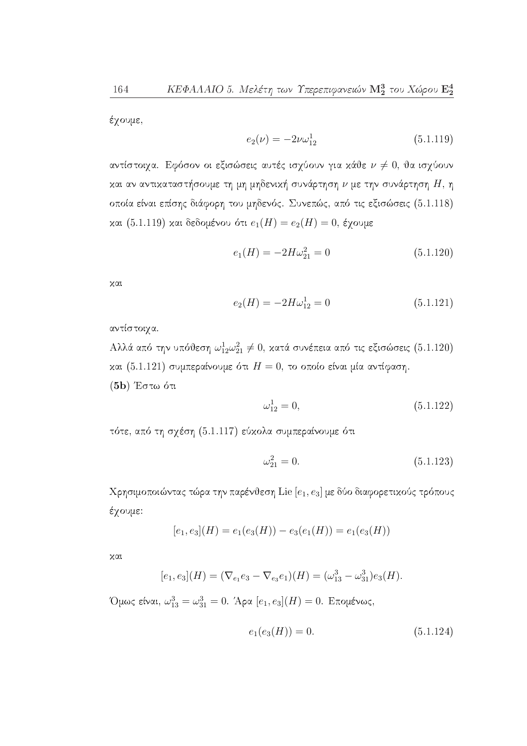έχουμε,

$$
e_2(\nu) = -2\nu\omega_{12}^1\tag{5.1.119}
$$

αντίστοιχα. Εφόσον οι εξισώσεις αυτές ισχύουν για κάθε  $\nu \neq 0$ , θα ισχύουν και αν αντικαταστήσουμε τη μη μηδενική συνάρτηση  $\nu$  με την συνάρτηση  $H$ , η οποία είναι επίσης διάφορη του μηδενός. Συνεπώς, από τις εξισώσεις (5.1.118) και (5.1.119) και δεδομένου ότι  $e_1(H) = e_2(H) = 0$ , έγουμε

$$
e_1(H) = -2H\omega_{21}^2 = 0\tag{5.1.120}
$$

χαι

$$
e_2(H) = -2H\omega_{12}^1 = 0\tag{5.1.121}
$$

αντίστοιχα.

Αλλά από την υπόθεση  $\omega_{12}^1 \omega_{21}^2 \neq 0$ , κατά συνέπεια από τις εξισώσεις (5.1.120) και (5.1.121) συμπεραίνουμε ότι  $H=0$ , το οποίο είναι μία αντίφαση.  $(5b)$  Έστω ότι

$$
\omega_{12}^1 = 0,\tag{5.1.122}
$$

τότε, από τη σχέση (5.1.117) εύκολα συμπεραίνουμε ότι

$$
\omega_{21}^2 = 0.\tag{5.1.123}
$$

Χρησιμοποιώντας τώρα την παρένθεση Lie  $[e_1, e_3]$  με δύο διαφορετικούς τρόπους έχουμε:

$$
[e_1, e_3](H) = e_1(e_3(H)) - e_3(e_1(H)) = e_1(e_3(H))
$$

χαι

$$
[e_1, e_3](H) = (\nabla_{e_1}e_3 - \nabla_{e_3}e_1)(H) = (\omega_{13}^3 - \omega_{31}^3)e_3(H).
$$

*'* Ομως είναι,  $\omega_{13}^3 = \omega_{31}^3 = 0$ . Άρα  $[e_1, e_3](H) = 0$ . Επομένως,

$$
e_1(e_3(H)) = 0.\t\t(5.1.124)
$$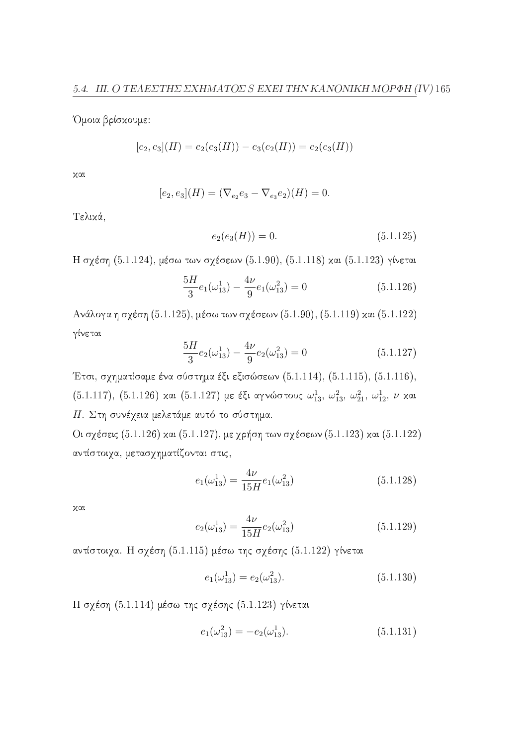Όμοια βρίσχουμε:

$$
[e_2, e_3](H) = e_2(e_3(H)) - e_3(e_2(H)) = e_2(e_3(H))
$$

χαι

$$
[e_2, e_3](H) = (\nabla_{e_2}e_3 - \nabla_{e_3}e_2)(H) = 0.
$$

Τελικά,

$$
e_2(e_3(H)) = 0.\t\t(5.1.125)
$$

Η σχέση (5.1.124), μέσω των σχέσεων (5.1.90), (5.1.118) και (5.1.123) γίνεται

$$
\frac{5H}{3}e_1(\omega_{13}^1) - \frac{4\nu}{9}e_1(\omega_{13}^2) = 0
$$
\n(5.1.126)

Ανάλογα η σχέση (5.1.125), μέσω των σχέσεων (5.1.90), (5.1.119) και (5.1.122) γίνεται

$$
\frac{5H}{3}e_2(\omega_{13}^1) - \frac{4\nu}{9}e_2(\omega_{13}^2) = 0
$$
\n(5.1.127)

Έτσι, σχηματίσαμε ένα σύστημα έξι εξισώσεων (5.1.114), (5.1.115), (5.1.116), (5.1.117), (5.1.126) και (5.1.127) με έξι αγνώστους  $\omega_{13}^1,~\omega_{13}^2,~\omega_{21}^2,~\omega_{12}^1,~\nu$  και Η. Στη συνέχεια μελετάμε αυτό το σύστημα.

Οι σχέσεις (5.1.126) και (5.1.127), με χρήση των σχέσεων (5.1.123) και (5.1.122) αντίστοιχα, μετασχηματίζονται στις,

$$
e_1(\omega_{13}^1) = \frac{4\nu}{15H}e_1(\omega_{13}^2)
$$
\n(5.1.128)

χαι

$$
e_2(\omega_{13}^1) = \frac{4\nu}{15H}e_2(\omega_{13}^2)
$$
\n(5.1.129)

αντίστοιχα. Η σχέση (5.1.115) μέσω της σχέσης (5.1.122) γίνεται

$$
e_1(\omega_{13}^1) = e_2(\omega_{13}^2). \tag{5.1.130}
$$

Η σχέση (5.1.114) μέσω της σχέσης (5.1.123) γίνεται

$$
e_1(\omega_{13}^2) = -e_2(\omega_{13}^1). \tag{5.1.131}
$$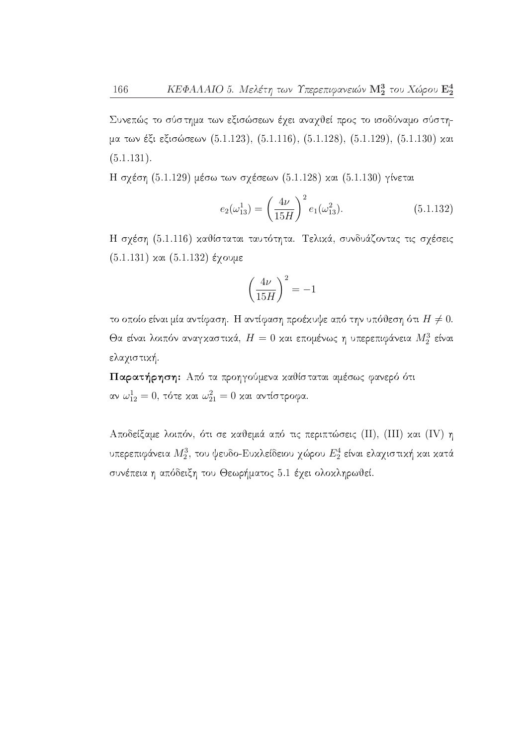Συνεπώς το σύστημα των εξισώσεων έχει αναχθεί προς το ισοδύναμο σύστημα των έξι εξισώσεων (5.1.123), (5.1.116), (5.1.128), (5.1.129), (5.1.130) και  $(5.1.131).$ 

Η σχέση (5.1.129) μέσω των σχέσεων (5.1.128) και (5.1.130) γίνεται

$$
e_2(\omega_{13}^1) = \left(\frac{4\nu}{15H}\right)^2 e_1(\omega_{13}^2). \tag{5.1.132}
$$

Η σχέση (5.1.116) καθίσταται ταυτότητα. Τελικά, συνδυάζοντας τις σχέσεις  $(5.1.131)$  και  $(5.1.132)$  έχουμε

$$
\left(\frac{4\nu}{15H}\right)^2 = -1
$$

το οποίο είναι μία αντίφαση. Η αντίφαση προέκυψε από την υπόθεση ότι  $H \neq 0$ . Θα είναι λοιπόν αναγκαστικά,  $H=0$  και επομένως η υπερεπιφάνεια  $M_2^3$  είναι ελαχιστική.

Παρατήρηση: Από τα προηγούμενα καθίσταται αμέσως φανερό ότι αν $\omega_{12}^1=0$ , τότε και $\omega_{21}^2=0$ και αντίστροφα.

Αποδείξαμε λοιπόν, ότι σε καθεμιά από τις περιπτώσεις (II), (III) και (IV) η υπερεπιφάνεια  $M_2^3$ , του ψευδο-Ευκλείδειου χώρου  $E_2^4$  είναι ελαχιστική και κατά συνέπεια η απόδειξη του Θεωρήματος 5.1 έχει ολοκληρωθεί.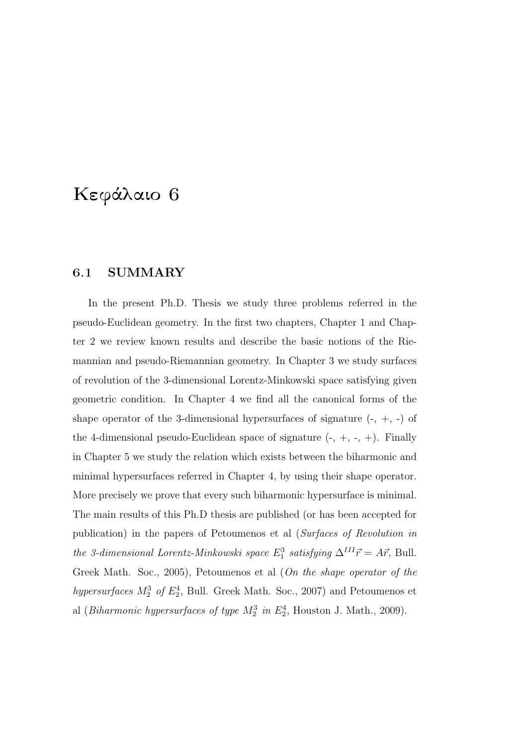## Κεφάλαιο 6

### 6.1 SUMMARY

In the present Ph.D. Thesis we study three problems referred in the pseudo-Euclidean geometry. In the first two chapters, Chapter 1 and Chapter 2 we review known results and describe the basic notions of the Riemannian and pseudo-Riemannian geometry. In Chapter 3 we study surfaces of revolution of the 3-dimensional Lorentz-Minkowski space satisfying given geometric condition. In Chapter 4 we find all the canonical forms of the shape operator of the 3-dimensional hypersurfaces of signature  $(-, +, -)$  of the 4-dimensional pseudo-Euclidean space of signature  $(-, +, -, +)$ . Finally in Chapter 5 we study the relation which exists between the biharmonic and minimal hypersurfaces referred in Chapter 4, by using their shape operator. More precisely we prove that every such biharmonic hypersurface is minimal. The main results of this Ph.D thesis are published (or has been accepted for publication) in the papers of Petoumenos et al (Surfaces of Revolution in the 3-dimensional Lorentz-Minkowski space  $E_1^3$  satisfying  $\Delta^{III} \vec{r} = A \vec{r}$ , Bull. Greek Math. Soc., 2005), Petoumenos et al (On the shape operator of the hypersurfaces  $M_2^3$  of  $E_2^4$ , Bull. Greek Math. Soc., 2007) and Petoumenos et al (*Biharmonic hypersurfaces of type*  $M_2^3$  *in*  $E_2^4$ , Houston J. Math., 2009).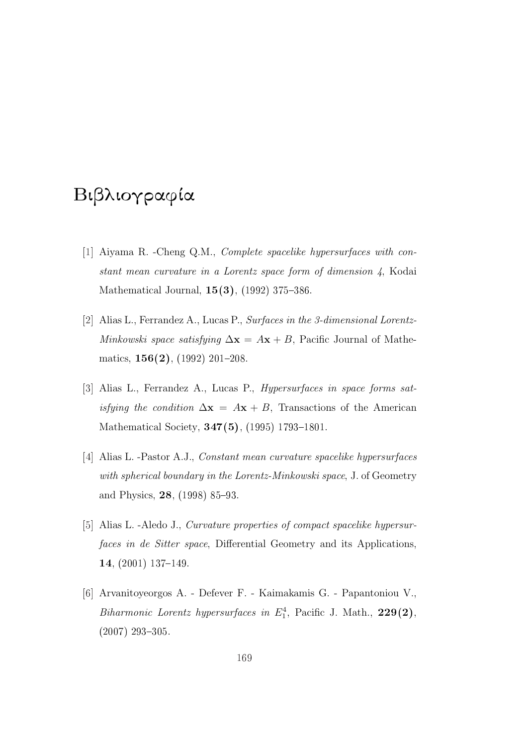# Βιβλιογραφία

- [1] Aiyama R. -Cheng Q.M., Complete spacelike hypersurfaces with constant mean curvature in a Lorentz space form of dimension 4, Kodai Mathematical Journal,  $15(3)$ ,  $(1992)$  375-386.
- [2] Alias L., Ferrandez A., Lucas P., Surfaces in the 3-dimensional Lorentz-Minkowski space satisfying  $\Delta x = Ax + B$ , Pacific Journal of Mathematics,  $156(2)$ , (1992) 201-208.
- [3] Alias L., Ferrandez A., Lucas P., Hypersurfaces in space forms satisfying the condition  $\Delta x = Ax + B$ , Transactions of the American Mathematical Society,  $347(5)$ ,  $(1995)$  1793-1801.
- [4] Alias L. -Pastor A.J., Constant mean curvature spacelike hypersurfaces with spherical boundary in the Lorentz-Minkowski space, J. of Geometry and Physics,  $28$ , (1998) 85–93.
- [5] Alias L. -Aledo J., Curvature properties of compact spacelike hypersurfaces in de Sitter space, Differential Geometry and its Applications, 14,  $(2001)$  137-149.
- [6] Arvanitoyeorgos A. Defever F. Kaimakamis G. Papantoniou V., Biharmonic Lorentz hypersurfaces in  $E_1^4$ , Pacific J. Math., 229(2),  $(2007)$  293-305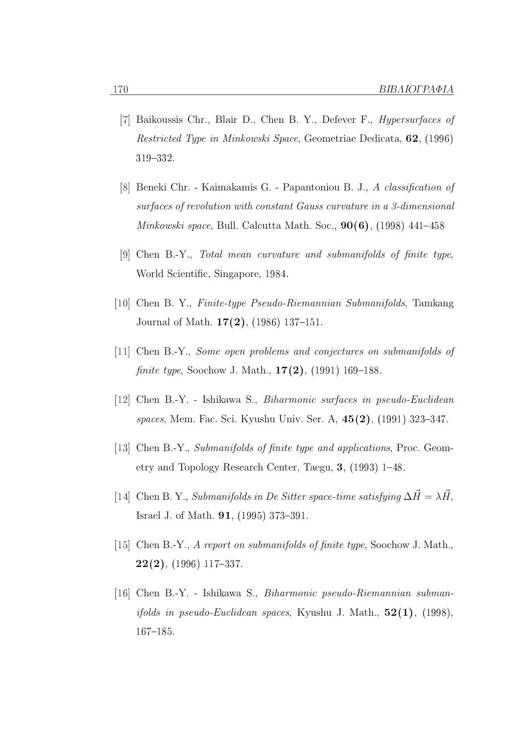- [7] Baikoussis Chr., Blair D., Chen B. Y., Defever F., Hypersurfaces of Restricted Type in Minkowski Space, Geometriae Dedicata, 62, (1996) 319332.
- [8] Beneki Chr. Kaimakamis G. Papantoniou B. J., A classification of surfaces of revolution with constant Gauss curvature in a 3-dimensional *Minkowski space*, Bull. Calcutta Math. Soc.,  $90(6)$ , (1998) 441–458
- [9] Chen B.-Y., Total mean curvature and submanifolds of finite type, World Scientific, Singapore, 1984.
- [10] Chen B. Y., Finite-type Pseudo-Riemannian Submanifolds, Tamkang Journal of Math.  $17(2)$ , (1986) 137-151.
- [11] Chen B.-Y., Some open problems and conjectures on submanifolds of finite type, Soochow J. Math.,  $17(2)$ , (1991) 169–188.
- [12] Chen B.-Y. Ishikawa S., Biharmonic surfaces in pseudo-Euclidean spaces, Mem. Fac. Sci. Kyushu Univ. Ser. A,  $45(2)$ , (1991) 323–347.
- [13] Chen B.-Y., Submanifolds of finite type and applications, Proc. Geometry and Topology Research Center, Taegu,  $3$ , (1993) 1–48.
- [14] Chen B. Y., Submanifolds in De Sitter space-time satisfying  $\Delta \vec{H} = \lambda \vec{H}$ . Israel J. of Math. **91**, (1995) 373-391.
- [15] Chen B.-Y., A report on submanifolds of finite type, Soochow J. Math.,  $22(2)$ , (1996) 117–337.
- [16] Chen B.-Y. Ishikawa S., Biharmonic pseudo-Riemannian subman*ifolds in pseudo-Euclidean spaces, Kyushu J. Math.,*  $52(1)$ , (1998), 167-185.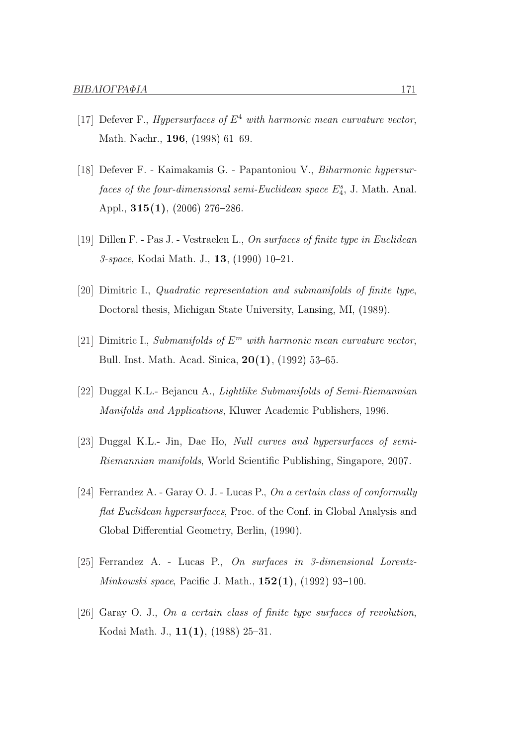- [17] Defever F., *Hypersurfaces of*  $E^4$  with harmonic mean curvature vector, Math. Nachr., 196, (1998) 61-69.
- [18] Defever F. Kaimakamis G. Papantoniou V., Biharmonic hypersurfaces of the four-dimensional semi-Euclidean space  $E_4^s$ , J. Math. Anal. Appl.,  $315(1)$ ,  $(2006)$  276-286
- [19] Dillen F. Pas J. Vestraelen L., On surfaces of finite type in Euclidean 3-space, Kodai Math. J., 13, (1990) 10-21.
- [20] Dimitric I., Quadratic representation and submanifolds of finite type, Doctoral thesis, Michigan State University, Lansing, MI, (1989).
- [21] Dimitric I., Submanifolds of  $E^m$  with harmonic mean curvature vector, Bull. Inst. Math. Acad. Sinica,  $20(1)$ , (1992) 53-65.
- [22] Duggal K.L.- Bejancu A., Lightlike Submanifolds of Semi-Riemannian Manifolds and Applications, Kluwer Academic Publishers, 1996.
- [23] Duggal K.L.- Jin, Dae Ho, Null curves and hypersurfaces of semi-Riemannian manifolds, World Scientific Publishing, Singapore, 2007.
- [24] Ferrandez A. Garay O. J. Lucas P., On a certain class of conformally flat Euclidean hypersurfaces, Proc. of the Conf. in Global Analysis and Global Differential Geometry, Berlin, (1990).
- [25] Ferrandez A. Lucas P., On surfaces in 3-dimensional Lorentz-*Minkowski space*, Pacific J. Math.,  $152(1)$ ,  $(1992)$  93-100.
- [26] Garay O. J., On a certain class of finite type surfaces of revolution, Kodai Math. J.,  $11(1)$ ,  $(1988)$  25-31.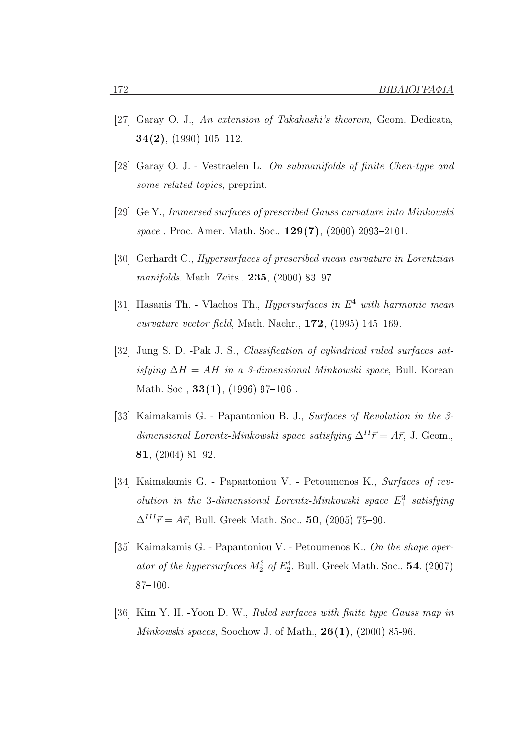- [27] Garay O. J., An extension of Takahashi's theorem, Geom. Dedicata,  $34(2)$ , (1990) 105-112.
- [28] Garay O. J. Vestraelen L., On submanifolds of finite Chen-type and some related topics, preprint.
- [29] Ge Y., Immersed surfaces of prescribed Gauss curvature into Minkowski space, Proc. Amer. Math. Soc.,  $129(7)$ ,  $(2000)$  2093–2101.
- [30] Gerhardt C., Hypersurfaces of prescribed mean curvature in Lorentzian manifolds, Math. Zeits.,  $235$ ,  $(2000)$  83-97.
- [31] Hasanis Th. Vlachos Th., *Hypersurfaces in*  $E^4$  with harmonic mean curvature vector field, Math. Nachr.,  $172$ ,  $(1995)$   $145-169$ .
- [32] Jung S. D. -Pak J. S., Classification of cylindrical ruled surfaces satisfying  $\Delta H = AH$  in a 3-dimensional Minkowski space, Bull. Korean Math. Soc.,  $33(1)$ , (1996) 97-106.
- [33] Kaimakamis G. Papantoniou B. J., Surfaces of Revolution in the 3 dimensional Lorentz-Minkowski space satisfying  $\Delta^{II} \vec{r} = A \vec{r}$ , J. Geom., 81,  $(2004)$  81-92.
- [34] Kaimakamis G. Papantoniou V. Petoumenos K., Surfaces of revolution in the 3-dimensional Lorentz-Minkowski space  $E_1^3$  satisfying  $\Delta^{III} \vec{r} = A \vec{r}$ , Bull. Greek Math. Soc., 50, (2005) 75–90.
- [35] Kaimakamis G. Papantoniou V. Petoumenos K., On the shape operator of the hypersurfaces  $M_2^3$  of  $E_2^4$ , Bull. Greek Math. Soc., 54, (2007)  $87 - 100.$
- [36] Kim Y. H. -Yoon D. W., Ruled surfaces with finite type Gauss map in *Minkowski spaces*, Soochow J. of Math.,  $26(1)$ ,  $(2000)$  85-96.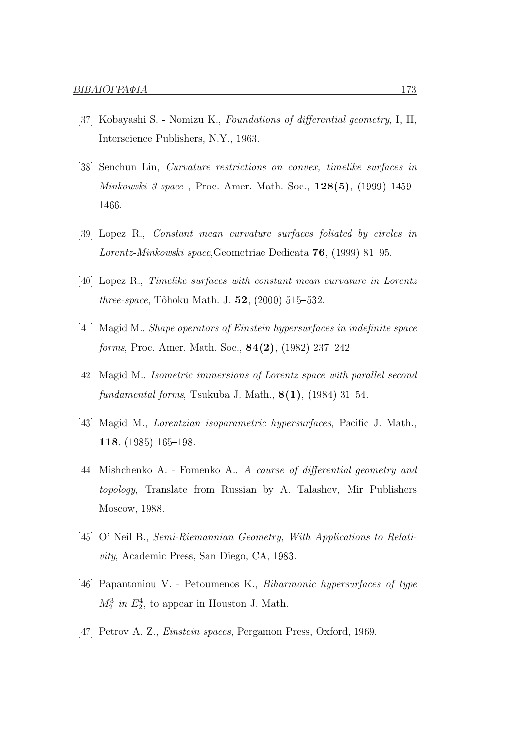- [37] Kobayashi S. Nomizu K., Foundations of differential geometry, I, II, Interscience Publishers, N.Y., 1963.
- [38] Senchun Lin, Curvature restrictions on convex, timelike surfaces in Minkowski 3-space , Proc. Amer. Math. Soc., 128(5), (1999) 1459 1466.
- [39] Lopez R., Constant mean curvature surfaces foliated by circles in Lorentz-Minkowski space, Geometriae Dedicata  $76$ , (1999) 81–95.
- [40] Lopez R., Timelike surfaces with constant mean curvature in Lorentz *three-space*, Tôhoku Math. J.  $52$ ,  $(2000)$  515–532.
- [41] Magid M., Shape operators of Einstein hypersurfaces in indefinite space forms, Proc. Amer. Math. Soc.,  $84(2)$ ,  $(1982)$  237-242.
- [42] Magid M., Isometric immersions of Lorentz space with parallel second fundamental forms, Tsukuba J. Math.,  $8(1)$ , (1984) 31–54.
- [43] Magid M., Lorentzian isoparametric hypersurfaces, Pacific J. Math., 118, (1985) 165198.
- [44] Mishchenko A. Fomenko A., A course of differential geometry and topology, Translate from Russian by A. Talashev, Mir Publishers Moscow, 1988.
- [45] O' Neil B., Semi-Riemannian Geometry, With Applications to Relativity, Academic Press, San Diego, CA, 1983.
- [46] Papantoniou V. Petoumenos K., Biharmonic hypersurfaces of type  $M_2^3$  in  $E_2^4$ , to appear in Houston J. Math.
- [47] Petrov A. Z., Einstein spaces, Pergamon Press, Oxford, 1969.